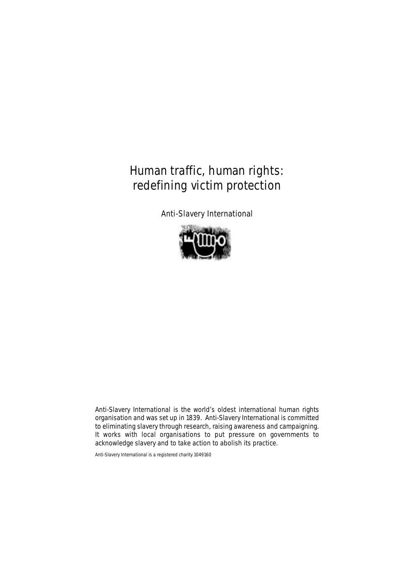**Anti-Slavery International** 



Anti-Slavery International is the world's oldest international human rights organisation and was set up in 1839. Anti-Slavery International is committed to eliminating slavery through research, raising awareness and campaigning. It works with local organisations to put pressure on governments to acknowledge slavery and to take action to abolish its practice.

Anti-Slavery International is a registered charity 1049160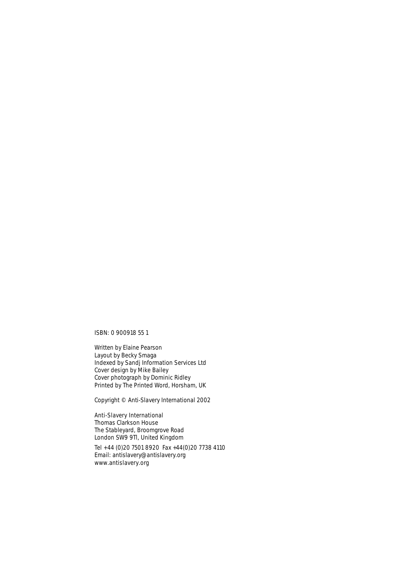ISBN: 0 900918 55 1

Written by Elaine Pearson Layout by Becky Smaga Indexed by Sandj Information Services Ltd Cover design by Mike Bailey Cover photograph by Dominic Ridley Printed by The Printed Word, Horsham, UK

Copyright © Anti-Slavery International 2002

## **Anti-Slavery International** Thomas Clarkson House The Stableyard, Broomgrove Road

London SW9 9Tl, United Kingdom **Tel +44 (0)20 7501 8920** Fax +44(0)20 7738 4110 Email: antislavery@antislavery.org

**www.antislavery.org**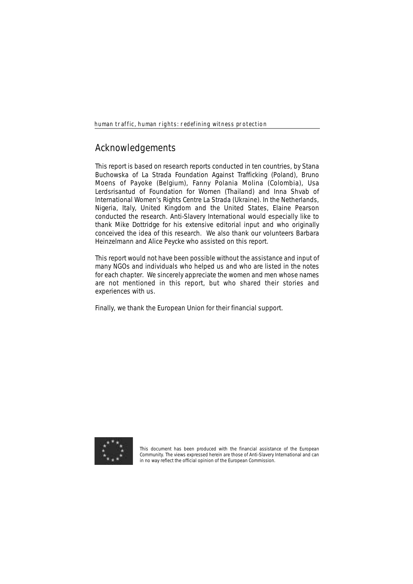# **Acknowledgements**

This report is based on research reports conducted in ten countries, by Stana Buchowska of La Strada Foundation Against Trafficking (Poland), Bruno Moens of Payoke (Belgium), Fanny Polania Molina (Colombia), Usa Lerdsrisantud of Foundation for Women (Thailand) and Inna Shvab of International Women's Rights Centre La Strada (Ukraine). In the Netherlands, Nigeria, Italy, United Kingdom and the United States, Elaine Pearson conducted the research. Anti-Slavery International would especially like to thank Mike Dottridge for his extensive editorial input and who originally conceived the idea of this research. We also thank our volunteers Barbara Heinzelmann and Alice Peycke who assisted on this report.

This report would not have been possible without the assistance and input of many NGOs and individuals who helped us and who are listed in the notes for each chapter. We sincerely appreciate the women and men whose names are not mentioned in this report, but who shared their stories and experiences with us.

Finally, we thank the European Union for their financial support.



This document has been produced with the financial assistance of the European Community. The views expressed herein are those of Anti-Slavery International and can in no way reflect the official opinion of the European Commission.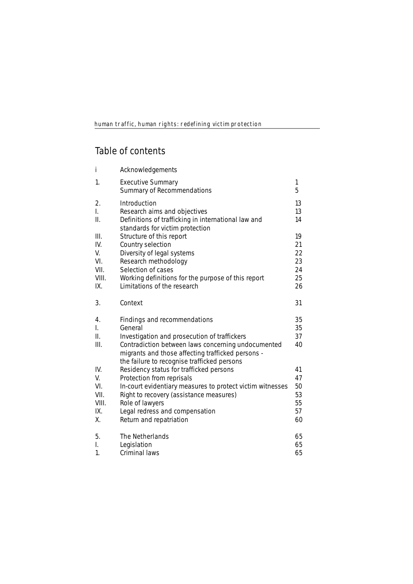# **Table of contents**

| i             | Acknowledgements                                                                    |          |
|---------------|-------------------------------------------------------------------------------------|----------|
| 1.            | <b>Executive Summary</b><br>Summary of Recommendations                              | 1<br>5   |
| 2.            | <b>Introduction</b>                                                                 | 13       |
| L.<br>Π.      | Research aims and objectives<br>Definitions of trafficking in international law and | 13<br>14 |
| III.          | standards for victim protection<br>Structure of this report                         | 19       |
| IV.           | Country selection                                                                   | 21       |
| V.            | Diversity of legal systems                                                          | 22       |
| VI.           | Research methodology                                                                | 23       |
| VII.          | Selection of cases                                                                  | 24       |
| VIII.         | Working definitions for the purpose of this report                                  | 25       |
| IX.           | Limitations of the research                                                         | 26       |
| 3.            | Context                                                                             | 31       |
|               |                                                                                     |          |
| 4.            | <b>Findings and recommendations</b>                                                 | 35       |
| L.            | General                                                                             | 35       |
| ΙΙ.           | Investigation and prosecution of traffickers                                        | 37       |
| III.          | Contradiction between laws concerning undocumented                                  | 40       |
|               | migrants and those affecting trafficked persons -                                   |          |
|               | the failure to recognise trafficked persons                                         |          |
| IV.           | Residency status for trafficked persons                                             | 41       |
| V.            | Protection from reprisals                                                           | 47       |
| VI.           | In-court evidentiary measures to protect victim witnesses                           | 50       |
| VII.<br>VIII. | Right to recovery (assistance measures)                                             | 53<br>55 |
| IX.           | Role of lawyers<br>Legal redress and compensation                                   | 57       |
| Χ.            | Return and repatriation                                                             | 60       |
| 5.            | The Netherlands                                                                     | 65       |
| I.            | Legislation                                                                         | 65       |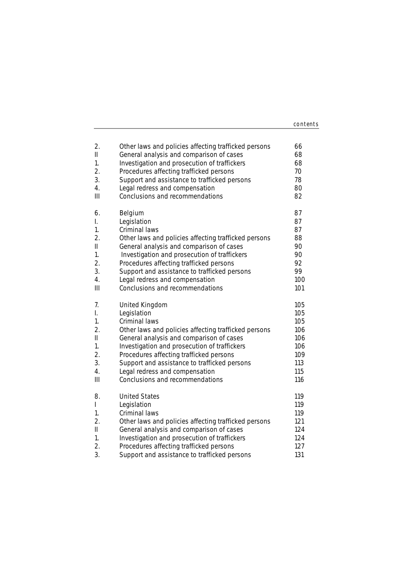| contents |
|----------|
|          |

| 2.                             | Other laws and policies affecting trafficked persons                                                                                                     | 66                              |
|--------------------------------|----------------------------------------------------------------------------------------------------------------------------------------------------------|---------------------------------|
| Ш                              | General analysis and comparison of cases                                                                                                                 | 68                              |
| 1.                             | Investigation and prosecution of traffickers                                                                                                             | 68                              |
| 2.                             | Procedures affecting trafficked persons                                                                                                                  | 70                              |
| 3.                             | Support and assistance to trafficked persons                                                                                                             | 78                              |
| 4.                             | Legal redress and compensation                                                                                                                           | 80                              |
| Ш                              | Conclusions and recommendations                                                                                                                          | 82                              |
| 6.                             | Belgium                                                                                                                                                  | 87                              |
| I.                             | Legislation                                                                                                                                              | 87                              |
| 1.                             | Criminal laws                                                                                                                                            | 87                              |
| 2.                             | Other laws and policies affecting trafficked persons                                                                                                     | 88                              |
| Ш                              | General analysis and comparison of cases                                                                                                                 | 90                              |
| 1.                             | Investigation and prosecution of traffickers                                                                                                             | 90                              |
| 2.                             | Procedures affecting trafficked persons                                                                                                                  | 92                              |
| 3.                             | Support and assistance to trafficked persons                                                                                                             | 99                              |
| 4.                             | Legal redress and compensation                                                                                                                           | 100                             |
| Ш                              | Conclusions and recommendations                                                                                                                          | 101                             |
| 7.                             | <b>United Kingdom</b>                                                                                                                                    | 105                             |
| I.                             | Legislation                                                                                                                                              | 105                             |
| 1.                             | Criminal laws                                                                                                                                            | 105                             |
| 2.                             | Other laws and policies affecting trafficked persons                                                                                                     | 106                             |
| Ш                              | General analysis and comparison of cases                                                                                                                 | 106                             |
| 1.                             | Investigation and prosecution of traffickers                                                                                                             | 106                             |
| 2.                             | Procedures affecting trafficked persons                                                                                                                  | 109                             |
| 3.                             | Support and assistance to trafficked persons                                                                                                             | 113                             |
| 4.                             | Legal redress and compensation                                                                                                                           | 115                             |
| III                            | Conclusions and recommendations                                                                                                                          | 116                             |
| 8.<br>L<br>1.<br>2.<br>Ш<br>1. | <b>United States</b><br>Legislation<br>Criminal laws<br>Other laws and policies affecting trafficked persons<br>General analysis and comparison of cases | 119<br>119<br>119<br>121<br>124 |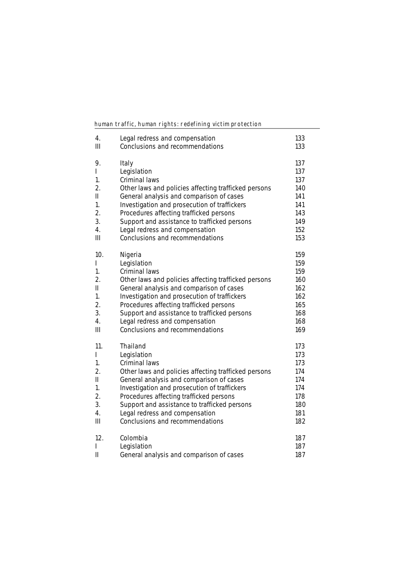| 4.             | Legal redress and compensation                       | 133 |
|----------------|------------------------------------------------------|-----|
| Ш              | Conclusions and recommendations                      | 133 |
| 9.             | <b>Italy</b>                                         | 137 |
| L              | Legislation                                          | 137 |
| 1.             | Criminal laws                                        | 137 |
| 2.             | Other laws and policies affecting trafficked persons | 140 |
| $\mathbf{I}$   | General analysis and comparison of cases             | 141 |
| 1.             | Investigation and prosecution of traffickers         | 141 |
| 2.             | Procedures affecting trafficked persons              | 143 |
| 3.             | Support and assistance to trafficked persons         | 149 |
| 4.             | Legal redress and compensation                       | 152 |
| $\mathbf{III}$ | Conclusions and recommendations                      | 153 |
| 10.            | Nigeria                                              | 159 |
| L              | Legislation                                          | 159 |
| 1.             | Criminal laws                                        | 159 |
| 2.             | Other laws and policies affecting trafficked persons | 160 |
| $\mathsf{II}$  | General analysis and comparison of cases             | 162 |
| 1.             | Investigation and prosecution of traffickers         | 162 |
| 2.             | Procedures affecting trafficked persons              | 165 |
| 3.             | Support and assistance to trafficked persons         | 168 |
| 4.             | Legal redress and compensation                       | 168 |
| Ш              | Conclusions and recommendations                      | 169 |
| 11.            | <b>Thailand</b>                                      | 173 |
| L              | Legislation                                          | 173 |
| 1.             | Criminal laws                                        | 173 |
| 2.             | Other laws and policies affecting trafficked persons | 174 |
| Ш              | General analysis and comparison of cases             | 174 |
| 1.             | Investigation and prosecution of traffickers         | 174 |
| 2.             | Procedures affecting trafficked persons              | 178 |
| 3.             | Support and assistance to trafficked persons         | 180 |
| 4.             | Legal redress and compensation                       | 181 |
| III            | Conclusions and recommendations                      | 182 |
| 12.            | Colombia                                             | 187 |
| $\mathsf{I}$   | Legislation                                          | 187 |
| Ш              | General analysis and comparison of cases             | 187 |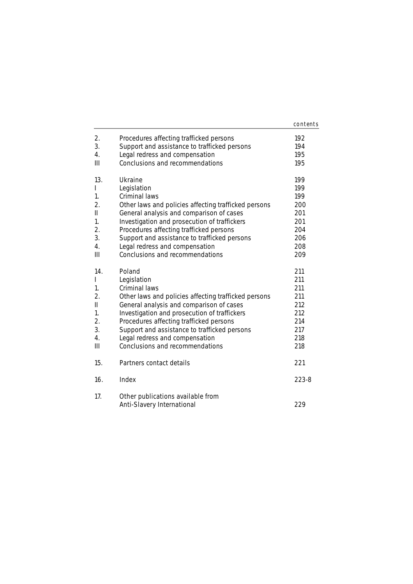|     |                                                      | contents |
|-----|------------------------------------------------------|----------|
| 2.  | Procedures affecting trafficked persons              | 192      |
| 3.  | Support and assistance to trafficked persons         | 194      |
| 4.  | Legal redress and compensation                       | 195      |
| Ш   | Conclusions and recommendations                      | 195      |
| 13. | <b>Ukraine</b>                                       | 199      |
| L   | Legislation                                          | 199      |
| 1.  | Criminal laws                                        | 199      |
| 2.  | Other laws and policies affecting trafficked persons | 200      |
| Ш   | General analysis and comparison of cases             | 201      |
| 1.  | Investigation and prosecution of traffickers         | 201      |
| 2.  | Procedures affecting trafficked persons              | 204      |
| 3.  | Support and assistance to trafficked persons         | 206      |
| 4.  | Legal redress and compensation                       | 208      |
| III | Conclusions and recommendations                      | 209      |
| 14. | Poland                                               | 211      |
| I   | Legislation                                          | 211      |
| 1.  | Criminal laws                                        | 211      |
| 2.  | Other laws and policies affecting trafficked persons | 211      |
| Ш   | General analysis and comparison of cases             | 212      |
| 1.  | Investigation and prosecution of traffickers         | 212      |
| 2.  | Procedures affecting trafficked persons              | 214      |
| 3.  | Support and assistance to trafficked persons         | 217      |
| 4.  | Legal redress and compensation                       | 218      |
| Ш   | Conclusions and recommendations                      | 218      |
| 15. | Partners contact details                             | 221      |
| 16. | Index                                                | 223-8    |
| 17. | Other publications available from                    | 229      |
|     | <b>Anti-Slavery International</b>                    |          |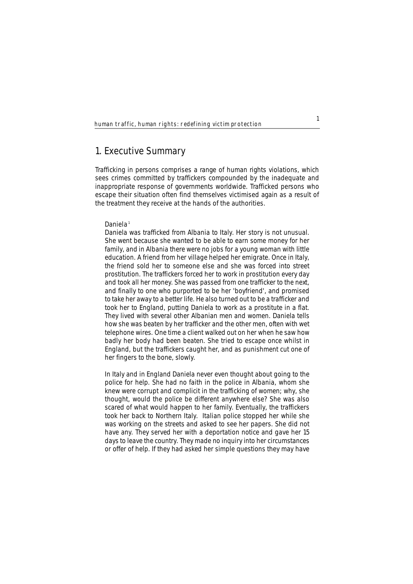# **1. Executive Summary**

Trafficking in persons comprises a range of human rights violations, which sees crimes committed by traffickers compounded by the inadequate and inappropriate response of governments worldwide. Trafficked persons who escape their situation often find themselves victimised again as a result of the treatment they receive at the hands of the authorities.

## **Daniela**<sup>1</sup>

*Daniela was trafficked from Albania to Italy. Her story is not unusual. She went because she wanted to be able to earn some money for her family, and in Albania there were no jobs for a young woman with little education. A friend from her village helped her emigrate. Once in Italy, the friend sold her to someone else and she was forced into street prostitution. The traffickers forced her to work in prostitution every day and took all her money. She was passed from one trafficker to the next, and finally to one who purported to be her 'boyfriend', and promised to take her away to a better life. He also turned out to be a trafficker and took her to England, putting Daniela to work as a prostitute in a flat. They lived with several other Albanian men and women. Daniela tells how she was beaten by her trafficker and the other men, often with wet telephone wires. One time a client walked out on her when he saw how badly her body had been beaten. She tried to escape once whilst in England, but the traffickers caught her, and as punishment cut one of her fingers to the bone, slowly.* 

*In Italy and in England Daniela never even thought about going to the police for help. She had no faith in the police in Albania, whom she knew were corrupt and complicit in the trafficking of women; why, she thought, would the police be different anywhere else? She was also scared of what would happen to her family. Eventually, the traffickers took her back to Northern Italy. Italian police stopped her while she was working on the streets and asked to see her papers. She did not have any. They served her with a deportation notice and gave her 15 days to leave the country. They made no inquiry into her circumstances or offer of help. If they had asked her simple questions they may have*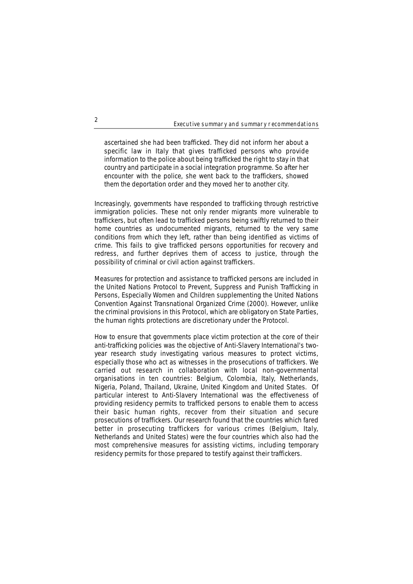### Executive summary and summary recommendations

*ascertained she had been trafficked. They did not inform her about a specific law in Italy that gives trafficked persons who provide information to the police about being trafficked the right to stay in that country and participate in a social integration programme. So after her encounter with the police, she went back to the traffickers, showed them the deportation order and they moved her to another city.* 

Increasingly, governments have responded to trafficking through restrictive immigration policies. These not only render migrants more vulnerable to traffickers, but often lead to trafficked persons being swiftly returned to their home countries as undocumented migrants, returned to the very same conditions from which they left, rather than being identified as victims of crime. This fails to give trafficked persons opportunities for recovery and redress, and further deprives them of access to justice, through the possibility of criminal or civil action against traffickers.

Measures for protection and assistance to trafficked persons are included in the United Nations Protocol to Prevent, Suppress and Punish Trafficking in Persons, Especially Women and Children supplementing the United Nations Convention Against Transnational Organized Crime (2000). However, unlike the criminal provisions in this Protocol, which are obligatory on State Parties, the human rights protections are discretionary under the Protocol.

How to ensure that governments place victim protection at the core of their anti-trafficking policies was the objective of Anti-Slavery International's twoyear research study investigating various measures to protect victims, especially those who act as witnesses in the prosecutions of traffickers. We carried out research in collaboration with local non-governmental organisations in ten countries: Belgium, Colombia, Italy, Netherlands, Nigeria, Poland, Thailand, Ukraine, United Kingdom and United States. Of particular interest to Anti-Slavery International was the effectiveness of providing residency permits to trafficked persons to enable them to access their basic human rights, recover from their situation and secure prosecutions of traffickers. Our research found that the countries which fared better in prosecuting traffickers for various crimes (Belgium, Italy, Netherlands and United States) were the four countries which also had the most comprehensive measures for assisting victims, including temporary residency permits for those prepared to testify against their traffickers.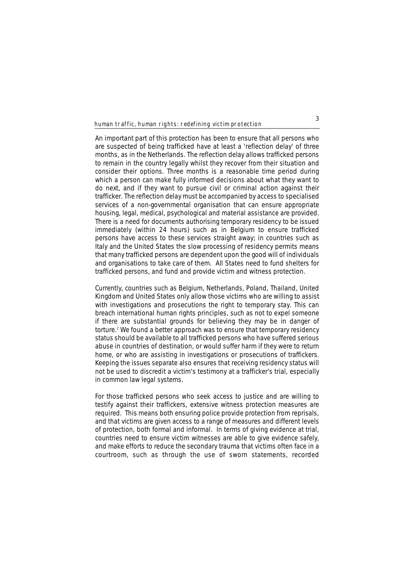An important part of this protection has been to ensure that all persons who are suspected of being trafficked have at least a 'reflection delay' of three months, as in the Netherlands. The reflection delay allows trafficked persons to remain in the country legally whilst they recover from their situation and consider their options. Three months is a reasonable time period during which a person can make fully informed decisions about what they want to do next, and if they want to pursue civil or criminal action against their trafficker. The reflection delay must be accompanied by access to specialised services of a non-governmental organisation that can ensure appropriate housing, legal, medical, psychological and material assistance are provided. There is a need for documents authorising temporary residency to be issued immediately (within 24 hours) such as in Belgium to ensure trafficked persons have access to these services straight away; in countries such as Italy and the United States the slow processing of residency permits means that many trafficked persons are dependent upon the good will of individuals and organisations to take care of them. All States need to fund shelters for trafficked persons, and fund and provide victim and witness protection.

Currently, countries such as Belgium, Netherlands, Poland, Thailand, United Kingdom and United States only allow those victims who are willing to assist with investigations and prosecutions the right to temporary stay. This can breach international human rights principles, such as not to expel someone if there are substantial grounds for believing they may be in danger of torture.<sup>2</sup> We found a better approach was to ensure that temporary residency status should be available to all trafficked persons who have suffered serious abuse in countries of destination, or would suffer harm if they were to return home, or who are assisting in investigations or prosecutions of traffickers. Keeping the issues separate also ensures that receiving residency status will not be used to discredit a victim's testimony at a trafficker's trial, especially in common law legal systems.

For those trafficked persons who seek access to justice and are willing to testify against their traffickers, extensive witness protection measures are required. This means both ensuring police provide protection from reprisals, and that victims are given access to a range of measures and different levels of protection, both formal and informal. In terms of giving evidence at trial, countries need to ensure victim witnesses are able to give evidence safely, and make efforts to reduce the secondary trauma that victims often face in a courtroom, such as through the use of sworn statements, recorded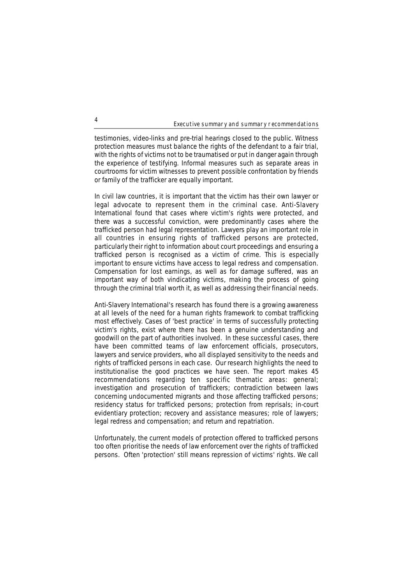Executive summary and summary recommendations

testimonies, video-links and pre-trial hearings closed to the public. Witness protection measures must balance the rights of the defendant to a fair trial, with the rights of victims not to be traumatised or put in danger again through the experience of testifying. Informal measures such as separate areas in courtrooms for victim witnesses to prevent possible confrontation by friends or family of the trafficker are equally important.

In civil law countries, it is important that the victim has their own lawyer or legal advocate to represent them in the criminal case. Anti-Slavery International found that cases where victim's rights were protected, and there was a successful conviction, were predominantly cases where the trafficked person had legal representation. Lawyers play an important role in all countries in ensuring rights of trafficked persons are protected, particularly their right to information about court proceedings and ensuring a trafficked person is recognised as a victim of crime. This is especially important to ensure victims have access to legal redress and compensation. Compensation for lost earnings, as well as for damage suffered, was an important way of both vindicating victims, making the process of going through the criminal trial worth it, as well as addressing their financial needs.

Anti-Slavery International's research has found there is a growing awareness at all levels of the need for a human rights framework to combat trafficking most effectively. Cases of 'best practice' in terms of successfully protecting victim's rights, exist where there has been a genuine understanding and goodwill on the part of authorities involved. In these successful cases, there have been committed teams of law enforcement officials, prosecutors, lawyers and service providers, who all displayed sensitivity to the needs and rights of trafficked persons in each case. Our research highlights the need to institutionalise the good practices we have seen. The report makes 45 recommendations regarding ten specific thematic areas: general; investigation and prosecution of traffickers; contradiction between laws concerning undocumented migrants and those affecting trafficked persons; residency status for trafficked persons; protection from reprisals; in-court evidentiary protection; recovery and assistance measures; role of lawyers; legal redress and compensation; and return and repatriation.

Unfortunately, the current models of protection offered to trafficked persons too often prioritise the needs of law enforcement over the rights of trafficked persons. Often 'protection' still means repression of victims' rights. We call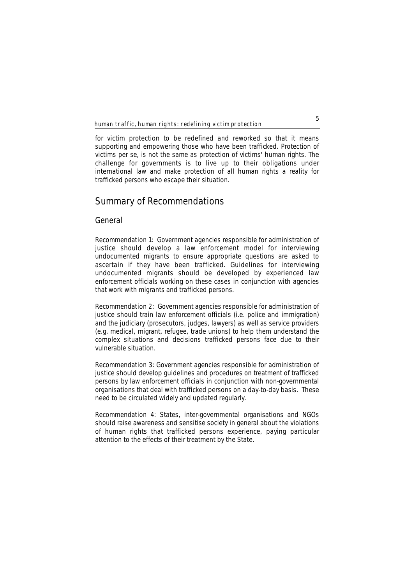for victim protection to be redefined and reworked so that it means supporting and empowering those who have been trafficked. Protection of victims *per se*, is not the same as protection of victims' human rights. The challenge for governments is to live up to their obligations under international law and make protection of all human rights a reality for trafficked persons who escape their situation.

# **Summary of Recommendations**

## **General**

**Recommendation 1:** Government agencies responsible for administration of justice should develop a law enforcement model for interviewing undocumented migrants to ensure appropriate questions are asked to ascertain if they have been trafficked. Guidelines for interviewing undocumented migrants should be developed by experienced law enforcement officials working on these cases in conjunction with agencies that work with migrants and trafficked persons.

**Recommendation 2:** Government agencies responsible for administration of justice should train law enforcement officials (i.e. police and immigration) and the judiciary (prosecutors, judges, lawyers) as well as service providers (e.g. medical, migrant, refugee, trade unions) to help them understand the complex situations and decisions trafficked persons face due to their vulnerable situation.

**Recommendation 3:** Government agencies responsible for administration of justice should develop guidelines and procedures on treatment of trafficked persons by law enforcement officials in conjunction with non-governmental organisations that deal with trafficked persons on a day-to-day basis. These need to be circulated widely and updated regularly.

**Recommendation 4:** States, inter-governmental organisations and NGOs should raise awareness and sensitise society in general about the violations of human rights that trafficked persons experience, paying particular attention to the effects of their treatment by the State.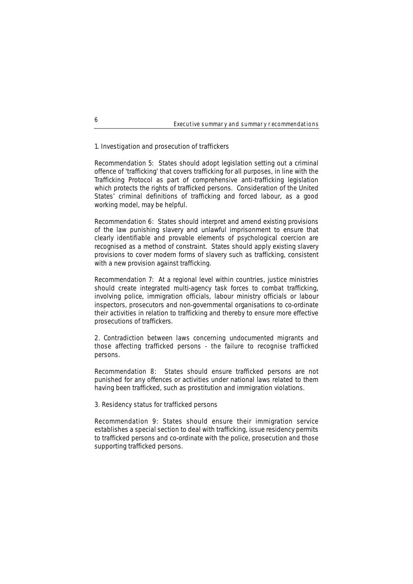### Executive summary and summary recommendations

## **1. Investigation and prosecution of traffickers**

**Recommendation 5:** States should adopt legislation setting out a criminal offence of 'trafficking' that covers trafficking for all purposes, in line with the Trafficking Protocol as part of comprehensive anti-trafficking legislation which protects the rights of trafficked persons. Consideration of the United States' criminal definitions of trafficking and forced labour, as a good working model, may be helpful.

**Recommendation 6:** States should interpret and amend existing provisions of the law punishing slavery and unlawful imprisonment to ensure that clearly identifiable and provable elements of psychological coercion are recognised as a method of constraint. States should apply existing slavery provisions to cover modern forms of slavery such as trafficking, consistent with a new provision against trafficking.

**Recommendation 7:** At a regional level within countries, justice ministries should create integrated multi-agency task forces to combat trafficking, involving police, immigration officials, labour ministry officials or labour inspectors, prosecutors and non-governmental organisations to co-ordinate their activities in relation to trafficking and thereby to ensure more effective prosecutions of traffickers.

## **2. Contradiction between laws concerning undocumented migrants and those affecting trafficked persons - the failure to recognise trafficked persons.**

**Recommendation 8:** States should ensure trafficked persons are not punished for any offences or activities under national laws related to them having been trafficked, such as prostitution and immigration violations.

## **3. Residency status for trafficked persons**

**Recommendation 9:** States should ensure their immigration service establishes a special section to deal with trafficking, issue residency permits to trafficked persons and co-ordinate with the police, prosecution and those supporting trafficked persons.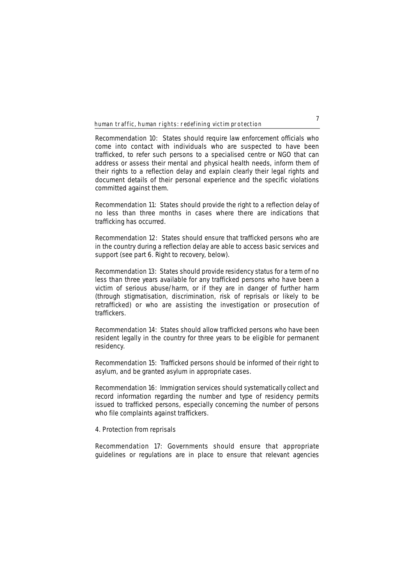**Recommendation 10:** States should require law enforcement officials who come into contact with individuals who are suspected to have been trafficked, to refer such persons to a specialised centre or NGO that can address or assess their mental and physical health needs, inform them of their rights to a reflection delay and explain clearly their legal rights and document details of their personal experience and the specific violations committed against them.

**Recommendation 11:** States should provide the right to a reflection delay of no less than three months in cases where there are indications that trafficking has occurred.

**Recommendation 12:** States should ensure that trafficked persons who are in the country during a reflection delay are able to access basic services and support (see part 6. Right to recovery, below).

**Recommendation 13:** States should provide residency status for a term of no less than three years available for any trafficked persons who have been a victim of serious abuse/harm, or if they are in danger of further harm (through stigmatisation, discrimination, risk of reprisals or likely to be retrafficked) or who are assisting the investigation or prosecution of traffickers.

**Recommendation 14:** States should allow trafficked persons who have been resident legally in the country for three years to be eligible for permanent residency.

**Recommendation 15:** Trafficked persons should be informed of their right to asylum, and be granted asylum in appropriate cases.

**Recommendation 16:** Immigration services should systematically collect and record information regarding the number and type of residency permits issued to trafficked persons, especially concerning the number of persons who file complaints against traffickers.

## **4. Protection from reprisals**

**Recommendation 17:** Governments should ensure that appropriate guidelines or regulations are in place to ensure that relevant agencies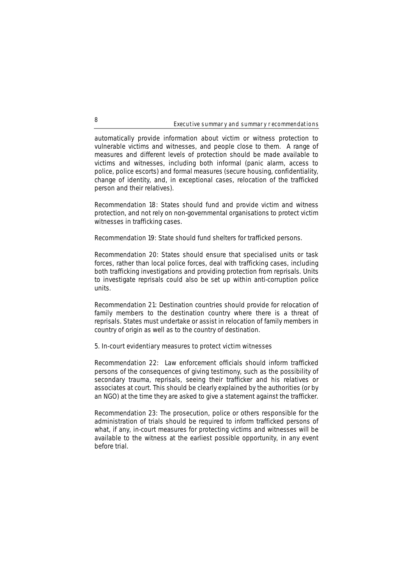### Executive summary and summary recommendations

automatically provide information about victim or witness protection to vulnerable victims and witnesses, and people close to them. A range of measures and different levels of protection should be made available to victims and witnesses, including both informal (panic alarm, access to police, police escorts) and formal measures (secure housing, confidentiality, change of identity, and, in exceptional cases, relocation of the trafficked person and their relatives).

**Recommendation 18:** States should fund and provide victim and witness protection, and not rely on non-governmental organisations to protect victim witnesses in trafficking cases.

**Recommendation 19:** State should fund shelters for trafficked persons.

**Recommendation 20:** States should ensure that specialised units or task forces, rather than local police forces, deal with trafficking cases, including both trafficking investigations and providing protection from reprisals. Units to investigate reprisals could also be set up within anti-corruption police units.

**Recommendation 21:** Destination countries should provide for relocation of family members to the destination country where there is a threat of reprisals. States must undertake or assist in relocation of family members in country of origin as well as to the country of destination.

## **5. In-court evidentiary measures to protect victim witnesses**

**Recommendation 22:** Law enforcement officials should inform trafficked persons of the consequences of giving testimony, such as the possibility of secondary trauma, reprisals, seeing their trafficker and his relatives or associates at court. This should be clearly explained by the authorities (or by an NGO) at the time they are asked to give a statement against the trafficker.

**Recommendation 23:** The prosecution, police or others responsible for the administration of trials should be required to inform trafficked persons of what, if any, in-court measures for protecting victims and witnesses will be available to the witness at the earliest possible opportunity, in any event before trial.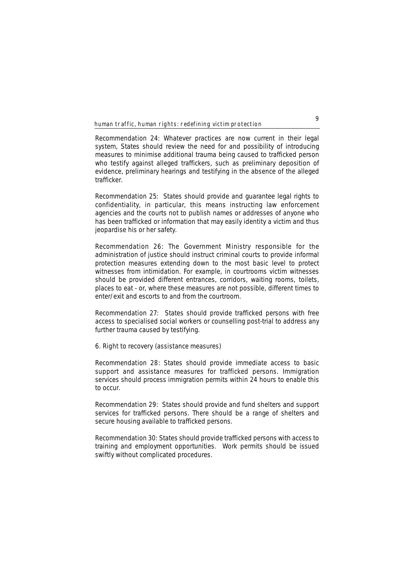**Recommendation 24:** Whatever practices are now current in their legal system, States should review the need for and possibility of introducing measures to minimise additional trauma being caused to trafficked person who testify against alleged traffickers, such as preliminary deposition of evidence, preliminary hearings and testifying in the absence of the alleged trafficker.

**Recommendation 25:** States should provide and guarantee legal rights to confidentiality, in particular, this means instructing law enforcement agencies and the courts not to publish names or addresses of anyone who has been trafficked or information that may easily identity a victim and thus jeopardise his or her safety.

**Recommendation 26:** The Government Ministry responsible for the administration of justice should instruct criminal courts to provide informal protection measures extending down to the most basic level to protect witnesses from intimidation. For example, in courtrooms victim witnesses should be provided different entrances, corridors, waiting rooms, toilets, places to eat - or, where these measures are not possible, different times to enter/exit and escorts to and from the courtroom.

**Recommendation 27:** States should provide trafficked persons with free access to specialised social workers or counselling post-trial to address any further trauma caused by testifying.

## **6. Right to recovery (assistance measures)**

**Recommendation 28:** States should provide immediate access to basic support and assistance measures for trafficked persons. Immigration services should process immigration permits within 24 hours to enable this to occur.

**Recommendation 29:** States should provide and fund shelters and support services for trafficked persons. There should be a range of shelters and secure housing available to trafficked persons.

**Recommendation 30:** States should provide trafficked persons with access to training and employment opportunities. Work permits should be issued swiftly without complicated procedures.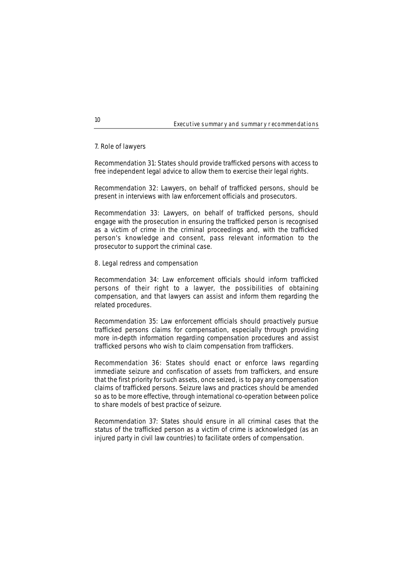### Executive summary and summary recommendations

## **7. Role of lawyers**

**Recommendation 31:** States should provide trafficked persons with access to free independent legal advice to allow them to exercise their legal rights.

**Recommendation 32:** Lawyers, on behalf of trafficked persons, should be present in interviews with law enforcement officials and prosecutors.

**Recommendation 33:** Lawyers, on behalf of trafficked persons, should engage with the prosecution in ensuring the trafficked person is recognised as a victim of crime in the criminal proceedings and, with the trafficked person's knowledge and consent, pass relevant information to the prosecutor to support the criminal case.

## **8. Legal redress and compensation**

**Recommendation 34:** Law enforcement officials should inform trafficked persons of their right to a lawyer, the possibilities of obtaining compensation, and that lawyers can assist and inform them regarding the related procedures.

**Recommendation 35:** Law enforcement officials should proactively pursue trafficked persons claims for compensation, especially through providing more in-depth information regarding compensation procedures and assist trafficked persons who wish to claim compensation from traffickers.

**Recommendation 36:** States should enact or enforce laws regarding immediate seizure and confiscation of assets from traffickers, and ensure that the first priority for such assets, once seized, is to pay any compensation claims of trafficked persons. Seizure laws and practices should be amended so as to be more effective, through international co-operation between police to share models of best practice of seizure.

**Recommendation 37:** States should ensure in all criminal cases that the status of the trafficked person as a victim of crime is acknowledged (as an injured party in civil law countries) to facilitate orders of compensation.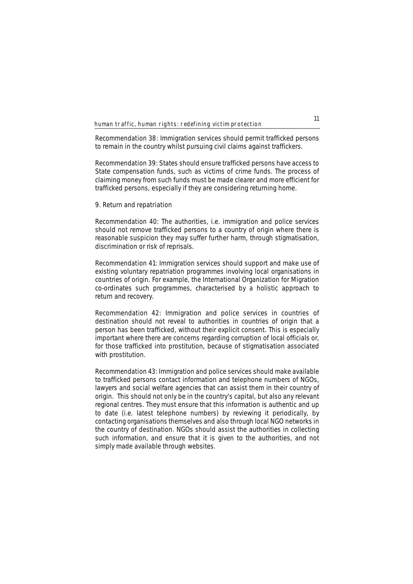**Recommendation 38:** Immigration services should permit trafficked persons to remain in the country whilst pursuing civil claims against traffickers.

**Recommendation 39:** States should ensure trafficked persons have access to State compensation funds, such as victims of crime funds. The process of claiming money from such funds must be made clearer and more efficient for trafficked persons, especially if they are considering returning home.

## **9. Return and repatriation**

**Recommendation 40:** The authorities, i.e. immigration and police services should not remove trafficked persons to a country of origin where there is reasonable suspicion they may suffer further harm, through stigmatisation, discrimination or risk of reprisals.

**Recommendation 41:** Immigration services should support and make use of existing voluntary repatriation programmes involving local organisations in countries of origin. For example, the International Organization for Migration co-ordinates such programmes, characterised by a holistic approach to return and recovery.

**Recommendation 42:** Immigration and police services in countries of destination should not reveal to authorities in countries of origin that a person has been trafficked, without their explicit consent. This is especially important where there are concerns regarding corruption of local officials or, for those trafficked into prostitution, because of stigmatisation associated with prostitution.

**Recommendation 43:** Immigration and police services should make available to trafficked persons contact information and telephone numbers of NGOs, lawyers and social welfare agencies that can assist them in their country of origin. This should not only be in the country's capital, but also any relevant regional centres. They must ensure that this information is authentic and up to date (i.e. latest telephone numbers) by reviewing it periodically, by contacting organisations themselves and also through local NGO networks in the country of destination. NGOs should assist the authorities in collecting such information, and ensure that it is given to the authorities, and not simply made available through websites.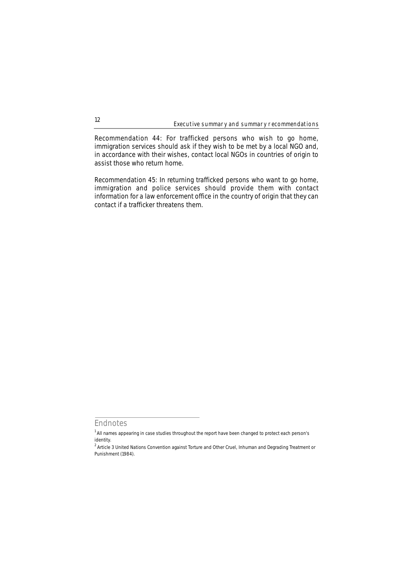Executive summary and summary recommendations

**Recommendation 44:** For trafficked persons who wish to go home, immigration services should ask if they wish to be met by a local NGO and, in accordance with their wishes, contact local NGOs in countries of origin to assist those who return home.

**Recommendation 45:** In returning trafficked persons who want to go home, immigration and police services should provide them with contact information for a law enforcement office in the country of origin that they can contact if a trafficker threatens them.

**Endnotes**

<sup>&</sup>lt;sup>1</sup> All names appearing in case studies throughout the report have been changed to protect each person's identity.

<sup>&</sup>lt;sup>2</sup> Article 3 United Nations Convention against Torture and Other Cruel, Inhuman and Degrading Treatment or Punishment (1984).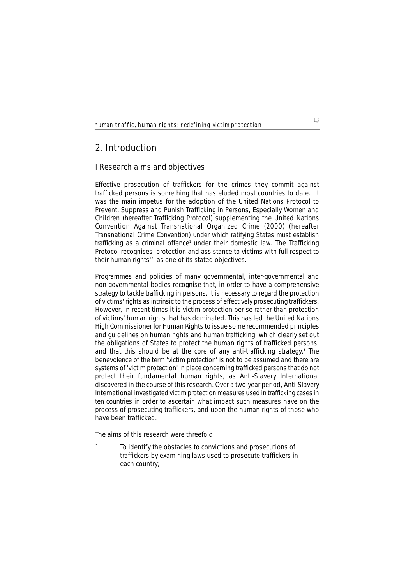# **2. Introduction**

## **I Research aims and objectives**

Effective prosecution of traffickers for the crimes they commit against trafficked persons is something that has eluded most countries to date. It was the main impetus for the adoption of the United Nations Protocol to Prevent, Suppress and Punish Trafficking in Persons, Especially Women and Children (hereafter Trafficking Protocol) supplementing the United Nations Convention Against Transnational Organized Crime (2000) (hereafter Transnational Crime Convention) under which ratifying States must establish trafficking as a criminal offence<sup>1</sup> under their domestic law. The Trafficking Protocol recognises 'protection and assistance to victims with full respect to their human rights'2 as one of its stated objectives.

Programmes and policies of many governmental, inter-governmental and non-governmental bodies recognise that, in order to have a comprehensive strategy to tackle trafficking in persons, it is necessary to regard the protection of victims' rights as intrinsic to the process of effectively prosecuting traffickers. However, in recent times it is victim protection *per se* rather than protection of victims' human rights that has dominated. This has led the United Nations High Commissioner for Human Rights to issue some recommended principles and guidelines on human rights and human trafficking, which clearly set out the obligations of States to protect the human rights of trafficked persons, and that this should be at the core of any anti-trafficking strategy. $3$  The benevolence of the term 'victim protection' is not to be assumed and there are systems of 'victim protection' in place concerning trafficked persons that do not protect their fundamental human rights, as Anti-Slavery International discovered in the course of this research. Over a two-year period, Anti-Slavery International investigated victim protection measures used in trafficking cases in ten countries in order to ascertain what impact such measures have on the process of prosecuting traffickers, and upon the human rights of those who have been trafficked.

The aims of this research were threefold:

1. To identify the obstacles to convictions and prosecutions of traffickers by examining laws used to prosecute traffickers in each country;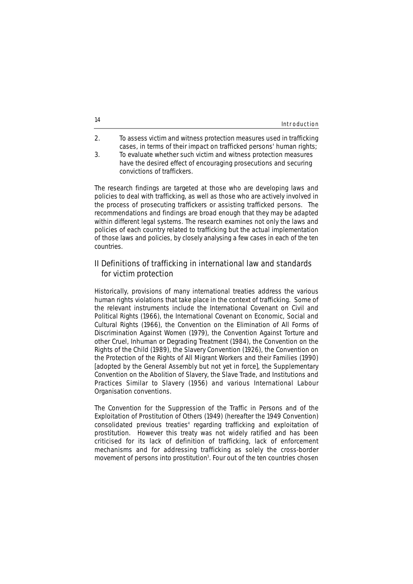| 14 | Introduction |
|----|--------------|
|    |              |

- 2. To assess victim and witness protection measures used in trafficking cases, in terms of their impact on trafficked persons' human rights;
- 3. To evaluate whether such victim and witness protection measures have the desired effect of encouraging prosecutions and securing convictions of traffickers.

The research findings are targeted at those who are developing laws and policies to deal with trafficking, as well as those who are actively involved in the process of prosecuting traffickers or assisting trafficked persons. The recommendations and findings are broad enough that they may be adapted within different legal systems. The research examines not only the laws and policies of each country related to trafficking but the actual implementation of those laws and policies, by closely analysing a few cases in each of the ten countries.

# **II Definitions of trafficking in international law and standards ...for victim protection**

Historically, provisions of many international treaties address the various human rights violations that take place in the context of trafficking. Some of the relevant instruments include the International Covenant on Civil and Political Rights (1966), the International Covenant on Economic, Social and Cultural Rights (1966), the Convention on the Elimination of All Forms of Discrimination Against Women (1979), the Convention Against Torture and other Cruel, Inhuman or Degrading Treatment (1984), the Convention on the Rights of the Child (1989), the Slavery Convention (1926), the Convention on the Protection of the Rights of All Migrant Workers and their Families (1990) [adopted by the General Assembly but not yet in force], the Supplementary Convention on the Abolition of Slavery, the Slave Trade, and Institutions and Practices Similar to Slavery (1956) and various International Labour Organisation conventions.

The Convention for the Suppression of the Traffic in Persons and of the Exploitation of Prostitution of Others (1949) (hereafter the 1949 Convention) consolidated previous treaties<sup>4</sup> regarding trafficking and exploitation of prostitution. However this treaty was not widely ratified and has been criticised for its lack of definition of trafficking, lack of enforcement mechanisms and for addressing trafficking as solely the cross-border movement of persons into prostitution<sup>5</sup>. Four out of the ten countries chosen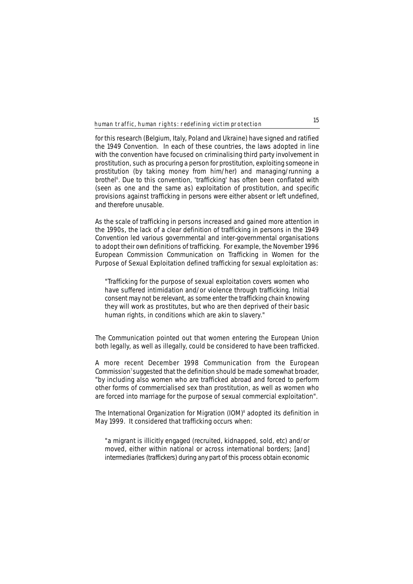for this research (Belgium, Italy, Poland and Ukraine) have signed and ratified the 1949 Convention. In each of these countries, the laws adopted in line with the convention have focused on criminalising third party involvement in prostitution, such as procuring a person for prostitution, exploiting someone in prostitution (by taking money from him/her) and managing/running a brothel<sup>6</sup>. Due to this convention, 'trafficking' has often been conflated with (seen as one and the same as) exploitation of prostitution, and specific provisions against trafficking in persons were either absent or left undefined, and therefore unusable.

As the scale of trafficking in persons increased and gained more attention in the 1990s, the lack of a clear definition of trafficking in persons in the 1949 Convention led various governmental and inter-governmental organisations to adopt their own definitions of trafficking. For example, the November 1996 European Commission Communication on Trafficking in Women for the Purpose of Sexual Exploitation defined trafficking for sexual exploitation as:

"Trafficking for the purpose of sexual exploitation covers women who have suffered intimidation and/or violence through trafficking. Initial consent may not be relevant, as some enter the trafficking chain knowing they will work as prostitutes, but who are then deprived of their basic human rights, in conditions which are akin to slavery."

The Communication pointed out that women entering the European Union both legally, as well as illegally, could be considered to have been trafficked.

A more recent December 1998 Communication from the European Commission<sup>7</sup> suggested that the definition should be made somewhat broader, "by including also women who are trafficked abroad and forced to perform other forms of commercialised sex than prostitution, as well as women who are forced into marriage for the purpose of sexual commercial exploitation".

The International Organization for Migration (IOM)<sup>8</sup> adopted its definition in May 1999. It considered that trafficking occurs when:

"a migrant is illicitly engaged (recruited, kidnapped, sold, etc) and/or moved, either within national or across international borders; [and] intermediaries (traffickers) during any part of this process obtain economic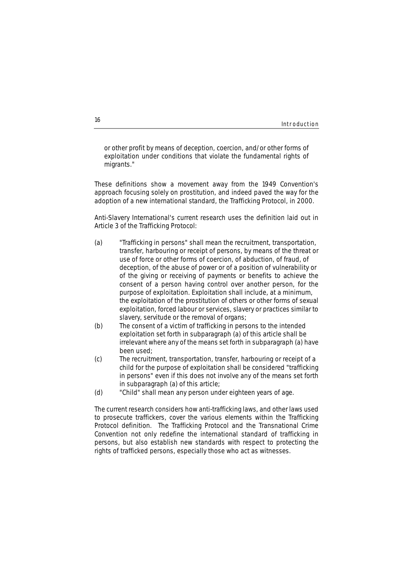# Introduction **<sup>16</sup>**

or other profit by means of deception, coercion, and/or other forms of exploitation under conditions that violate the fundamental rights of migrants."

These definitions show a movement away from the 1949 Convention's approach focusing solely on prostitution, and indeed paved the way for the adoption of a new international standard, the Trafficking Protocol, in 2000.

Anti-Slavery International's current research uses the definition laid out in Article 3 of the Trafficking Protocol:

- (a) "Trafficking in persons" shall mean the recruitment, transportation, transfer, harbouring or receipt of persons, by means of the threat or use of force or other forms of coercion, of abduction, of fraud, of deception, of the abuse of power or of a position of vulnerability or of the giving or receiving of payments or benefits to achieve the consent of a person having control over another person, for the purpose of exploitation. Exploitation shall include, at a minimum, the exploitation of the prostitution of others or other forms of sexual exploitation, forced labour or services, slavery or practices similar to slavery, servitude or the removal of organs;
- (b) The consent of a victim of trafficking in persons to the intended exploitation set forth in subparagraph (a) of this article shall be irrelevant where any of the means set forth in subparagraph (a) have been used;
- (c) The recruitment, transportation, transfer, harbouring or receipt of a child for the purpose of exploitation shall be considered "trafficking in persons" even if this does not involve any of the means set forth in subparagraph (a) of this article;
- (d) "Child" shall mean any person under eighteen years of age.

The current research considers how anti-trafficking laws, and other laws used to prosecute traffickers, cover the various elements within the Trafficking Protocol definition. The Trafficking Protocol and the Transnational Crime Convention not only redefine the international standard of trafficking in persons, but also establish new standards with respect to protecting the rights of trafficked persons, especially those who act as witnesses.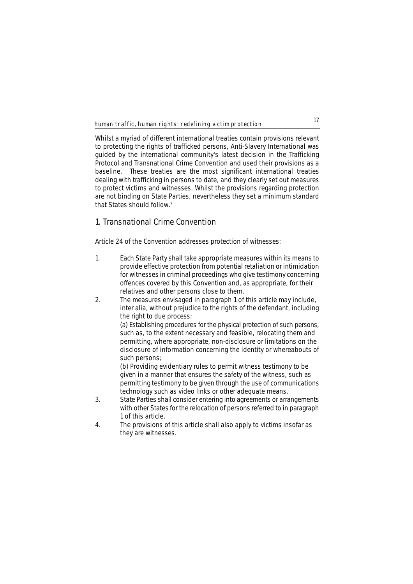Whilst a myriad of different international treaties contain provisions relevant to protecting the rights of trafficked persons, Anti-Slavery International was guided by the international community's latest decision in the Trafficking Protocol and Transnational Crime Convention and used their provisions as a baseline. These treaties are the most significant international treaties dealing with trafficking in persons to date, and they clearly set out measures to protect victims and witnesses. Whilst the provisions regarding protection are not binding on State Parties, nevertheless they set a minimum standard that States should follow.9

# **1. Transnational Crime Convention**

Article 24 of the Convention addresses protection of witnesses:

- 1. Each State Party shall take appropriate measures within its means to provide effective protection from potential retaliation or intimidation for witnesses in criminal proceedings who give testimony concerning offences covered by this Convention and, as appropriate, for their relatives and other persons close to them.
- 2. The measures envisaged in paragraph 1 of this article may include, inter alia, without prejudice to the rights of the defendant, including the right to due process:

(a) Establishing procedures for the physical protection of such persons, such as, to the extent necessary and feasible, relocating them and permitting, where appropriate, non-disclosure or limitations on the disclosure of information concerning the identity or whereabouts of such persons;

(b) Providing evidentiary rules to permit witness testimony to be given in a manner that ensures the safety of the witness, such as permitting testimony to be given through the use of communications technology such as video links or other adequate means.

- 3. State Parties shall consider entering into agreements or arrangements with other States for the relocation of persons referred to in paragraph 1 of this article.
- 4. The provisions of this article shall also apply to victims insofar as they are witnesses.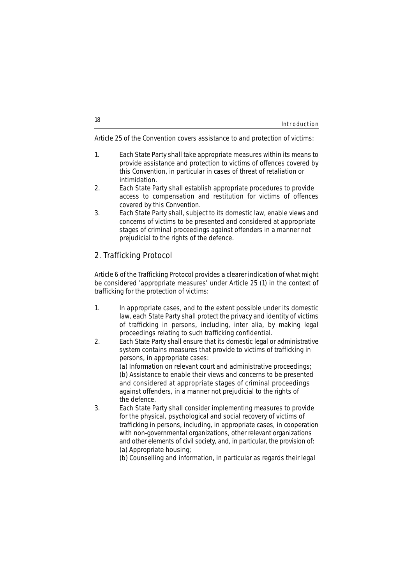| 18 | Introduction |
|----|--------------|
|    |              |

Article 25 of the Convention covers assistance to and protection of victims:

- 1. Each State Party shall take appropriate measures within its means to provide assistance and protection to victims of offences covered by this Convention, in particular in cases of threat of retaliation or intimidation.
- 2. Each State Party shall establish appropriate procedures to provide access to compensation and restitution for victims of offences covered by this Convention.
- 3. Each State Party shall, subject to its domestic law, enable views and concerns of victims to be presented and considered at appropriate stages of criminal proceedings against offenders in a manner not prejudicial to the rights of the defence.

# **2. Trafficking Protocol**

Article 6 of the Trafficking Protocol provides a clearer indication of what might be considered 'appropriate measures' under Article 25 (1) in the context of trafficking for the protection of victims:

- 1. In appropriate cases, and to the extent possible under its domestic law, each State Party shall protect the privacy and identity of victims of trafficking in persons, including, inter alia, by making legal proceedings relating to such trafficking confidential.
- 2. Each State Party shall ensure that its domestic legal or administrative system contains measures that provide to victims of trafficking in persons, in appropriate cases:

(a) Information on relevant court and administrative proceedings; (b) Assistance to enable their views and concerns to be presented and considered at appropriate stages of criminal proceedings against offenders, in a manner not prejudicial to the rights of the defence.

3. Each State Party shall consider implementing measures to provide for the physical, psychological and social recovery of victims of trafficking in persons, including, in appropriate cases, in cooperation with non-governmental organizations, other relevant organizations and other elements of civil society, and, in particular, the provision of: (a) Appropriate housing;

(b) Counselling and information, in particular as regards their legal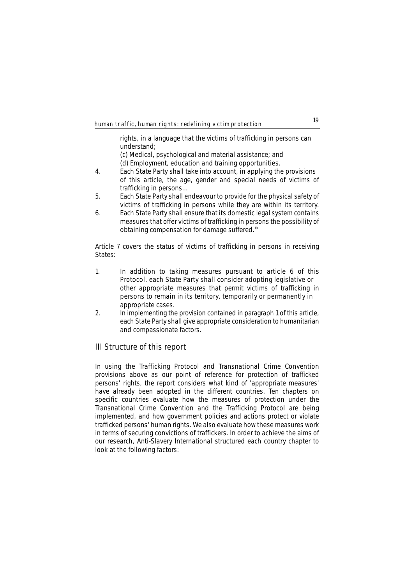rights, in a language that the victims of trafficking in persons can understand;

(c) Medical, psychological and material assistance; and (d) Employment, education and training opportunities.

- 4. Each State Party shall take into account, in applying the provisions of this article, the age, gender and special needs of victims of trafficking in persons…
- 5. Each State Party shall endeavour to provide for the physical safety of victims of trafficking in persons while they are within its territory.
- 6. Each State Party shall ensure that its domestic legal system contains measures that offer victims of trafficking in persons the possibility of obtaining compensation for damage suffered.10

Article 7 covers the status of victims of trafficking in persons in receiving States:

- 1. In addition to taking measures pursuant to article 6 of this Protocol, each State Party shall consider adopting legislative or other appropriate measures that permit victims of trafficking in persons to remain in its territory, temporarily or permanently in appropriate cases.
- 2. In implementing the provision contained in paragraph 1 of this article, each State Party shall give appropriate consideration to humanitarian and compassionate factors.

# **III Structure of this report**

In using the Trafficking Protocol and Transnational Crime Convention provisions above as our point of reference for protection of trafficked persons' rights, the report considers what kind of 'appropriate measures' have already been adopted in the different countries. Ten chapters on specific countries evaluate how the measures of protection under the Transnational Crime Convention and the Trafficking Protocol are being implemented, and how government policies and actions protect or violate trafficked persons' human rights. We also evaluate how these measures work in terms of securing convictions of traffickers. In order to achieve the aims of our research, Anti-Slavery International structured each country chapter to look at the following factors: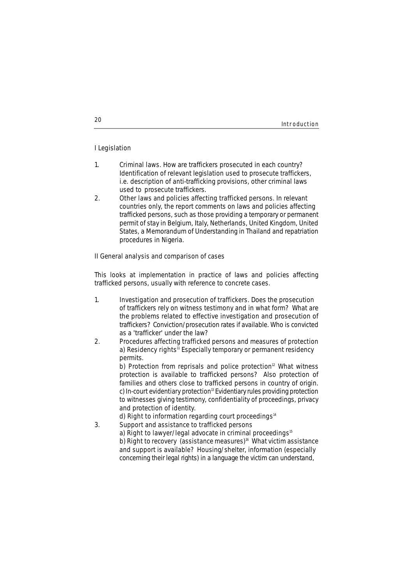## **I Legislation**

- 1. **Criminal laws.** How are traffickers prosecuted in each country? Identification of relevant legislation used to prosecute traffickers, i.e. description of anti-trafficking provisions, other criminal laws used to prosecute traffickers.
- 2. **Other laws and policies affecting trafficked persons.** In relevant countries only, the report comments on laws and policies affecting trafficked persons, such as those providing a temporary or permanent permit of stay in Belgium, Italy, Netherlands, United Kingdom, United States, a Memorandum of Understanding in Thailand and repatriation procedures in Nigeria.

## **II General analysis and comparison of cases**

This looks at implementation in practice of laws and policies affecting trafficked persons, usually with reference to concrete cases.

- 1. **Investigation and prosecution of traffickers.** Does the prosecution of traffickers rely on witness testimony and in what form? What are the problems related to effective investigation and prosecution of traffickers? Conviction/prosecution rates if available. Who is convicted as a 'trafficker' under the law?
- 2. **Procedures affecting trafficked persons and measures of protection** a) **Residency rights**<sup>11</sup> Especially temporary or permanent residency permits.

b) **Protection from reprisals and police protection**<sup>12</sup> What witness protection is available to trafficked persons? Also protection of families and others close to trafficked persons in country of origin. c) **In-court evidentiary protection**<sup>13</sup> Evidentiary rules providing protection to witnesses giving testimony, confidentiality of proceedings, privacy and protection of identity.

d) **Right to information regarding court proceedings**<sup>14</sup>

3. **Support and assistance to trafficked persons**

a) **Right to lawyer/legal advocate in criminal proceedings**<sup>15</sup> b) **Right to recovery (assistance measures)**<sup>16</sup> What victim assistance and support is available? Housing/shelter, information (especially concerning their legal rights) in a language the victim can understand,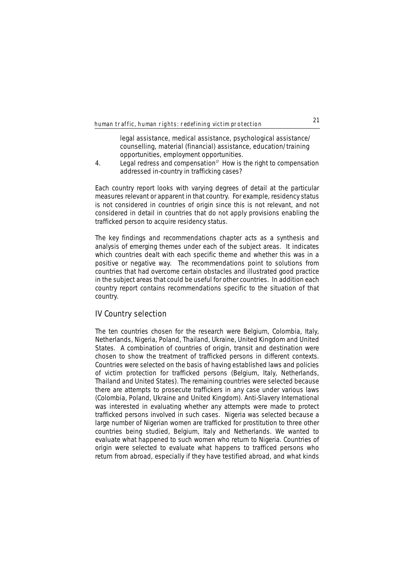legal assistance, medical assistance, psychological assistance/ counselling, material (financial) assistance, education/training opportunities, employment opportunities.

4. **Legal redress and compensation**<sup>17</sup> How is the right to compensation addressed in-country in trafficking cases?

Each country report looks with varying degrees of detail at the particular measures relevant or apparent in that country. For example, residency status is not considered in countries of origin since this is not relevant, and not considered in detail in countries that do not apply provisions enabling the trafficked person to acquire residency status.

The key findings and recommendations chapter acts as a synthesis and analysis of emerging themes under each of the subject areas. It indicates which countries dealt with each specific theme and whether this was in a positive or negative way. The recommendations point to solutions from countries that had overcome certain obstacles and illustrated good practice in the subject areas that could be useful for other countries. In addition each country report contains recommendations specific to the situation of that country.

# **IV Country selection**

The ten countries chosen for the research were Belgium, Colombia, Italy, Netherlands, Nigeria, Poland, Thailand, Ukraine, United Kingdom and United States. A combination of countries of origin, transit and destination were chosen to show the treatment of trafficked persons in different contexts. Countries were selected on the basis of having established laws and policies of victim protection for trafficked persons (Belgium, Italy, Netherlands, Thailand and United States). The remaining countries were selected because there are attempts to prosecute traffickers in any case under various laws (Colombia, Poland, Ukraine and United Kingdom). Anti-Slavery International was interested in evaluating whether any attempts were made to protect trafficked persons involved in such cases. Nigeria was selected because a large number of Nigerian women are trafficked for prostitution to three other countries being studied, Belgium, Italy and Netherlands. We wanted to evaluate what happened to such women who return to Nigeria. Countries of origin were selected to evaluate what happens to trafficed persons who return from abroad, especially if they have testified abroad, and what kinds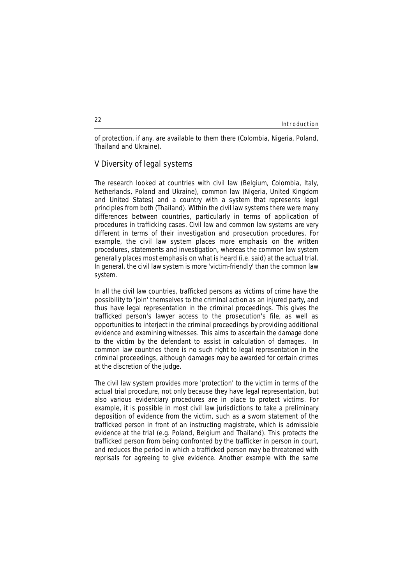# Introduction **<sup>22</sup>**

of protection, if any, are available to them there (Colombia, Nigeria, Poland, Thailand and Ukraine).

## **V Diversity of legal systems**

The research looked at countries with civil law (Belgium, Colombia, Italy, Netherlands, Poland and Ukraine), common law (Nigeria, United Kingdom and United States) and a country with a system that represents legal principles from both (Thailand). Within the civil law systems there were many differences between countries, particularly in terms of application of procedures in trafficking cases. Civil law and common law systems are very different in terms of their investigation and prosecution procedures. For example, the civil law system places more emphasis on the written procedures, statements and investigation, whereas the common law system generally places most emphasis on what is heard (i.e. said) at the actual trial. In general, the civil law system is more 'victim-friendly' than the common law system.

In all the civil law countries, trafficked persons as victims of crime have the possibility to 'join' themselves to the criminal action as an injured party, and thus have legal representation in the criminal proceedings. This gives the trafficked person's lawyer access to the prosecution's file, as well as opportunities to interject in the criminal proceedings by providing additional evidence and examining witnesses. This aims to ascertain the damage done to the victim by the defendant to assist in calculation of damages. In common law countries there is no such right to legal representation in the criminal proceedings, although damages may be awarded for certain crimes at the discretion of the judge.

The civil law system provides more 'protection' to the victim in terms of the actual trial procedure, not only because they have legal representation, but also various evidentiary procedures are in place to protect victims. For example, it is possible in most civil law jurisdictions to take a preliminary deposition of evidence from the victim, such as a sworn statement of the trafficked person in front of an instructing magistrate, which is admissible evidence at the trial (e.g. Poland, Belgium and Thailand). This protects the trafficked person from being confronted by the trafficker in person in court, and reduces the period in which a trafficked person may be threatened with reprisals for agreeing to give evidence. Another example with the same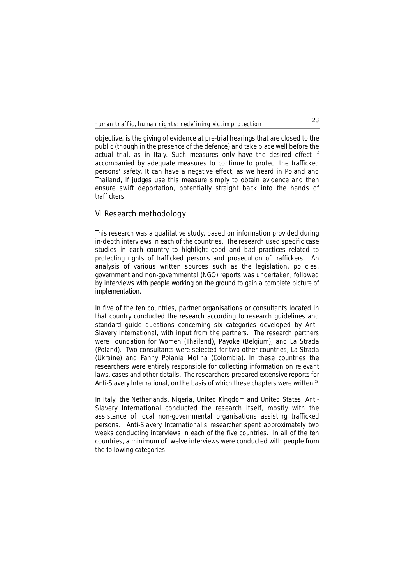objective, is the giving of evidence at pre-trial hearings that are closed to the public (though in the presence of the defence) and take place well before the actual trial, as in Italy. Such measures only have the desired effect if accompanied by adequate measures to continue to protect the trafficked persons' safety. It can have a negative effect, as we heard in Poland and Thailand, if judges use this measure simply to obtain evidence and then ensure swift deportation, potentially straight back into the hands of traffickers.

## **VI Research methodology**

This research was a qualitative study, based on information provided during in-depth interviews in each of the countries. The research used specific case studies in each country to highlight good and bad practices related to protecting rights of trafficked persons and prosecution of traffickers. An analysis of various written sources such as the legislation, policies, government and non-governmental (NGO) reports was undertaken, followed by interviews with people working on the ground to gain a complete picture of implementation.

In five of the ten countries, partner organisations or consultants located in that country conducted the research according to research guidelines and standard guide questions concerning six categories developed by Anti-Slavery International, with input from the partners. The research partners were Foundation for Women (Thailand), Payoke (Belgium), and La Strada (Poland). Two consultants were selected for two other countries, La Strada (Ukraine) and Fanny Polania Molina (Colombia). In these countries the researchers were entirely responsible for collecting information on relevant laws, cases and other details. The researchers prepared extensive reports for Anti-Slavery International, on the basis of which these chapters were written.<sup>18</sup>

In Italy, the Netherlands, Nigeria, United Kingdom and United States, Anti-Slavery International conducted the research itself, mostly with the assistance of local non-governmental organisations assisting trafficked persons. Anti-Slavery International's researcher spent approximately two weeks conducting interviews in each of the five countries. In all of the ten countries, a minimum of twelve interviews were conducted with people from the following categories: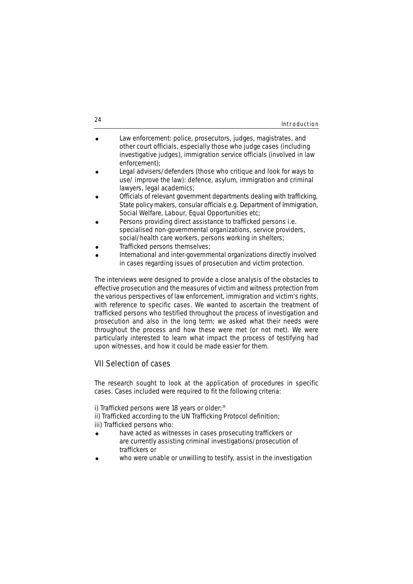| 24 | Introduction |
|----|--------------|
|    |              |

| $\bullet$ | Law enforcement: police, prosecutors, judges, magistrates, and        |
|-----------|-----------------------------------------------------------------------|
|           | other court officials, especially those who judge cases (including    |
|           | investigative judges), immigration service officials (involved in law |
|           | enforcement);                                                         |

- Legal advisers/defenders (those who critique and look for ways to use/ improve the law): defence, asylum, immigration and criminal lawyers, legal academics;
- Officials of relevant government departments dealing with trafficking, State policy makers, consular officials e.g. Department of Immigration, Social Welfare, Labour, Equal Opportunities etc;
- Persons providing direct assistance to trafficked persons i.e. specialised non-governmental organizations, service providers, social/health care workers, persons working in shelters;
- ! Trafficked persons themselves;
- ! International and inter-governmental organizations directly involved in cases regarding issues of prosecution and victim protection.

The interviews were designed to provide a close analysis of the obstacles to effective prosecution and the measures of victim and witness protection from the various perspectives of law enforcement, immigration and victim's rights, with reference to specific cases. We wanted to ascertain the treatment of trafficked persons who testified throughout the process of investigation and prosecution and also in the long term; we asked what their needs were throughout the process and how these were met (or not met). We were particularly interested to learn what impact the process of testifying had upon witnesses, and how it could be made easier for them.

# **VII Selection of cases**

The research sought to look at the application of procedures in specific cases. Cases included were required to fit the following criteria:

i) Trafficked persons were 18 years or older:<sup>19</sup>

ii) Trafficked according to the UN Trafficking Protocol definition; iii) Trafficked persons who:

- have acted as witnesses in cases prosecuting traffickers or are currently assisting criminal investigations/prosecution of traffickers or
- who were unable or unwilling to testify, assist in the investigation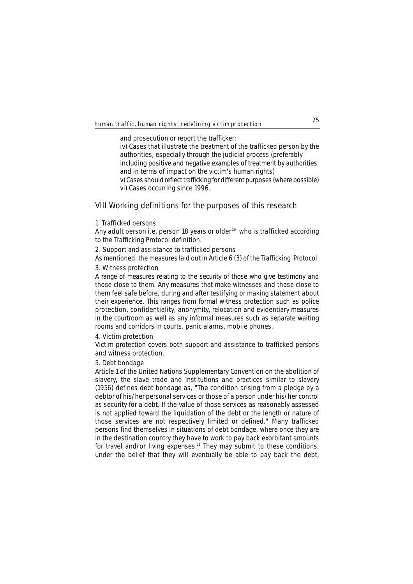and prosecution or report the trafficker;

iv) Cases that illustrate the treatment of the trafficked person by the authorities, especially through the judicial process (preferably including positive and negative examples of treatment by authorities and in terms of impact on the victim's human rights) v) Cases should reflect trafficking for different purposes (where possible)

vi) Cases occurring since 1996.

## **VIII Working definitions for the purposes of this research**

## **1. Trafficked persons**

Any adult person i.e. person 18 years or older<sup>20</sup> who is trafficked according to the Trafficking Protocol definition.

## **2. Support and assistance to trafficked persons**

As mentioned, the measures laid out in Article 6 (3) of the Trafficking Protocol.

## **3. Witness protection**

A range of measures relating to the security of those who give testimony and those close to them. Any measures that make witnesses and those close to them feel safe before, during and after testifying or making statement about their experience. This ranges from formal witness protection such as police protection, confidentiality, anonymity, relocation and evidentiary measures in the courtroom as well as any informal measures such as separate waiting rooms and corridors in courts, panic alarms, mobile phones.

## **4. Victim protection**

Victim protection covers both support and assistance to trafficked persons and witness protection.

## **5. Debt bondage**

Article 1 of the United Nations Supplementary Convention on the abolition of slavery, the slave trade and institutions and practices similar to slavery (1956) defines debt bondage as, "The condition arising from a pledge by a debtor of his/her personal services or those of a person under his/her control as security for a debt. If the value of those services as reasonably assessed is not applied toward the liquidation of the debt or the length or nature of those services are not respectively limited or defined." Many trafficked persons find themselves in situations of debt bondage, where once they are in the destination country they have to work to pay back exorbitant amounts for travel and/or living expenses.<sup>21</sup> They may submit to these conditions, under the belief that they will eventually be able to pay back the debt,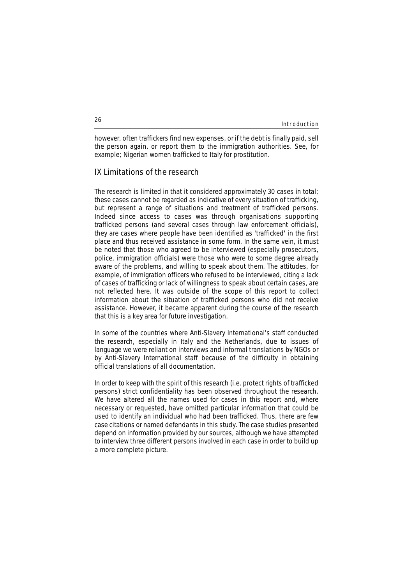however, often traffickers find new expenses, or if the debt is finally paid, sell the person again, or report them to the immigration authorities. See, for example; Nigerian women trafficked to Italy for prostitution.

## **IX Limitations of the research**

The research is limited in that it considered approximately 30 cases in total; these cases cannot be regarded as indicative of every situation of trafficking, but represent a range of situations and treatment of trafficked persons. Indeed since access to cases was through organisations supporting trafficked persons (and several cases through law enforcement officials), they are cases where people have been identified as 'trafficked' in the first place and thus received assistance in some form. In the same vein, it must be noted that those who agreed to be interviewed (especially prosecutors, police, immigration officials) were those who were to some degree already aware of the problems, and willing to speak about them. The attitudes, for example, of immigration officers who refused to be interviewed, citing a lack of cases of trafficking or lack of willingness to speak about certain cases, are not reflected here. It was outside of the scope of this report to collect information about the situation of trafficked persons who did not receive assistance. However, it became apparent during the course of the research that this is a key area for future investigation.

In some of the countries where Anti-Slavery International's staff conducted the research, especially in Italy and the Netherlands, due to issues of language we were reliant on interviews and informal translations by NGOs or by Anti-Slavery International staff because of the difficulty in obtaining official translations of all documentation.

In order to keep with the spirit of this research (i.e. protect rights of trafficked persons) strict confidentiality has been observed throughout the research. We have altered all the names used for cases in this report and, where necessary or requested, have omitted particular information that could be used to identify an individual who had been trafficked. Thus, there are few case citations or named defendants in this study. The case studies presented depend on information provided by our sources, although we have attempted to interview three different persons involved in each case in order to build up a more complete picture.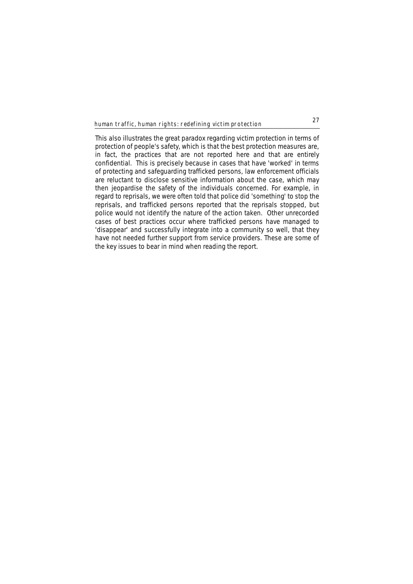This also illustrates the great paradox regarding victim protection in terms of protection of people's safety, which is that the best protection measures are, in fact, the practices that are not reported here and that are entirely confidential. This is precisely because in cases that have 'worked' in terms of protecting and safeguarding trafficked persons, law enforcement officials are reluctant to disclose sensitive information about the case, which may then jeopardise the safety of the individuals concerned. For example, in regard to reprisals, we were often told that police did 'something' to stop the reprisals, and trafficked persons reported that the reprisals stopped, but police would not identify the nature of the action taken. Other unrecorded cases of best practices occur where trafficked persons have managed to 'disappear' and successfully integrate into a community so well, that they have not needed further support from service providers. These are some of the key issues to bear in mind when reading the report.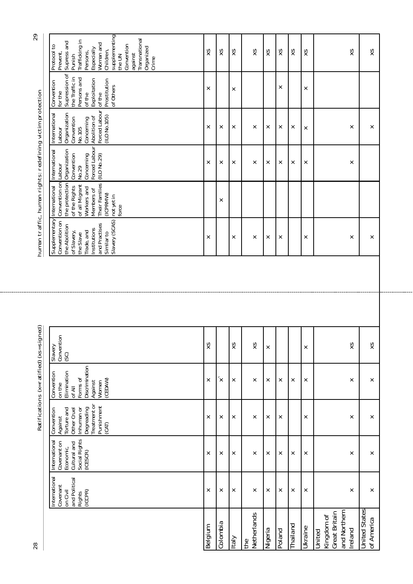| $\overline{c}$                                            | supplementing<br>Transnational<br>Trafficking in<br>Supress and<br>Woman and<br>Convention<br>Protocol to<br>Organized<br>Especially<br>Children,<br>Persons,<br>Prevent,<br>against<br>Punish<br>the UN<br>Crime | XS      | XS       | XS           | XS                 | XS      | XS       | XS       | XS             | XS                                                               | XS                                 |
|-----------------------------------------------------------|-------------------------------------------------------------------------------------------------------------------------------------------------------------------------------------------------------------------|---------|----------|--------------|--------------------|---------|----------|----------|----------------|------------------------------------------------------------------|------------------------------------|
|                                                           | Supression of<br>the Traffic in<br>Persons and<br>Exploitation<br>Prostitution<br>Convention<br>of Others<br>for the<br>of the<br>of the                                                                          | ×       |          | ×            |                    |         | ×        |          | ×              |                                                                  |                                    |
|                                                           | Forced Labour<br>Organization<br>International<br>(ILO No.105)<br>Abolition of<br>Convention<br>Concerning<br>No.105<br>Labour                                                                                    | ×       | ×        | ×            | ×                  | ×       | ×        | ×        | ×              | ×                                                                | ×                                  |
|                                                           | Forced Labour<br>International<br>Convention<br>Concerning<br>(ILO No.29)<br>Labour<br>No.29                                                                                                                      | ×       | ×        | ×            | ×                  | ×       | $\times$ | ×        | ×              | ×                                                                |                                    |
|                                                           | the protection Organization<br>Convention on<br>Their Families<br>of all Migrant<br>of the Rights<br>Workers and<br>Members of<br>(ICPRMW)<br>not yet in<br>force                                                 |         | ×        |              |                    |         |          |          |                |                                                                  |                                    |
| human traffic, human rights: redefining victim protection | Supplementary International<br>Slavery (SCAS)<br>Convention on<br>and Practises<br>the Abolition<br>Institutions<br>of Slavery,<br>Trade, and<br>Similar to<br>the Slave                                          | ×       |          | ×            | ×                  | ×       | ×        |          | ×              | ×                                                                | ×                                  |
|                                                           |                                                                                                                                                                                                                   |         |          |              |                    |         |          |          |                |                                                                  |                                    |
|                                                           |                                                                                                                                                                                                                   |         |          |              |                    |         |          |          |                |                                                                  |                                    |
| signed)                                                   | Convention<br>Vianels<br>(5)                                                                                                                                                                                      | XS      |          | XS           | S<br>×             | ×       |          |          | ×              | XS                                                               | XS                                 |
| Ratifications (x=ratified) (xs=                           | Discrimination<br>Elimination<br>Convention<br>Forms of<br>(CEDAW)<br>Against<br>Women<br>on the<br>of All                                                                                                        | ×       | ×        | ×            | ×                  | ×       | ×        | ×        | ×              | ×                                                                | ×                                  |
|                                                           | Treatment or<br>Punishment<br>Degreading<br>Torture and<br>Inhuman or<br>Other Cruel<br>Convention<br>Against<br>(CAT)                                                                                            | ×       | ×        | ×            | ×                  | ×       | ×        |          | ×              | ×                                                                | ×                                  |
|                                                           | Economic,<br>Cultural and<br>Social Rights<br>(ICESCR)<br>International<br>Covenant on                                                                                                                            | ×       | ×        | ×            | ×                  | ×       | ×        | ×        | ×              | ×                                                                | ×                                  |
|                                                           | International<br>and Political<br>Covenant<br>on Civil<br>(ICCPR)<br><b>Rights</b>                                                                                                                                | ×       | ×        | ×            | ×                  | ×       | $\times$ | ×        | ×              | ×                                                                | ×                                  |
| 28                                                        |                                                                                                                                                                                                                   | Belgium | Colombia | <b>Italy</b> | Netherlands<br>the | Nigeria | Poland   | Thailand | <b>Ukraine</b> | and Northern<br>Great Britain<br>Kingdom of<br>Ireland<br>United | <b>United States</b><br>of America |

8<br>29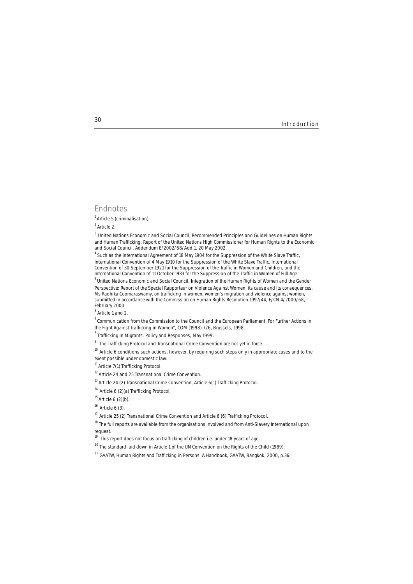## **Endnotes**

1 Article 5 (criminalisation).

<sup>4</sup> Such as the International Agreement of 18 May 1904 for the Suppression of the White Slave Traffic, International Convention of 4 May 1910 for the Suppression of the White Slave Traffic, International Convention of 30 September 1921 for the Suppression of the Traffic in Women and Children, and the International Convention of 11 October 1933 for the Suppression of the Traffic in Women of Full Age.

5 United Nations Economic and Social Council, *Integration of the Human Rights of Women and the Gender Perspective: Report of the Special Rapporteur on Violence Against Women, its cause and its consequences, Ms Radhika Coomaraswamy, on trafficking in women, women's migration and violence against women, submitted in accordance with the Commission on Human Rights Resolution 1997/44,* E/CN.4/2000/68, February 2000.

<sup>10</sup> Article 6 conditions such actions, however, by requiring such steps only in appropriate cases and to the exent possible under domestic law.

<sup>11</sup> Article 7(1) Trafficking Protocol.

<sup>12</sup> Article 24 and 25 Transnational Crime Convention.

 $16$  Article 6 (3).

<sup>18</sup> The full reports are available from the organisations involved and from Anti-Slavery International upon request.

<sup>2</sup> Article 2.

<sup>3</sup> United Nations Economic and Social Council, *Recommended Principles and Guidelines on Human Rights and Human Trafficking,* Report of the United Nations High Commissioner for Human Rights to the Economic and Social Council, Addendum E/2002/68/Add.1, 20 May 2002.

<sup>&</sup>lt;sup>6</sup> Article 1 and 2.

<sup>7</sup> Communication from the Commission to the Council and the European Parliament, *For Further Actions in the Fight Against Trafficking in Women",* COM (1998) 726, Brussels, 1998.<br><sup>8</sup> Trafficking in Migrants: Policy and Responses, May 1999.

<sup>9</sup> The Trafficking Protocol and Transnational Crime Convention are not yet in force.

<sup>&</sup>lt;sup>13</sup> Article 24 (2) Transnational Crime Convention, Article 6(1) Trafficking Protocol.

<sup>&</sup>lt;sup>14</sup> Article 6 (2)(a) Trafficking Protocol.

 $15$  Article 6 (2)(b).

 $17$  Article 25 (2) Transnational Crime Convention and Article 6 (6) Trafficking Protocol.

<sup>&</sup>lt;sup>19</sup> This report does not focus on trafficking of children i.e. under 18 years of age.

<sup>&</sup>lt;sup>20</sup> The standard laid down in Article 1 of the UN Convention on the Rights of the Child (1989).

<sup>21</sup> GAATW, *Human Rights and Trafficking in Persons: A Handbook*, GAATW, Bangkok, 2000, p.36.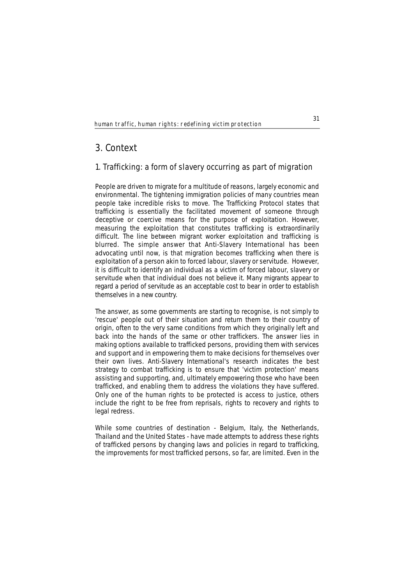# **3. Context**

## **1. Trafficking: a form of slavery occurring as part of migration**

People are driven to migrate for a multitude of reasons, largely economic and environmental. The tightening immigration policies of many countries mean people take incredible risks to move. The Trafficking Protocol states that trafficking is essentially the facilitated movement of someone through deceptive or coercive means for the purpose of exploitation. However, measuring the exploitation that constitutes trafficking is extraordinarily difficult. The line between migrant worker exploitation and trafficking is blurred. The simple answer that Anti-Slavery International has been advocating until now, is that migration becomes trafficking when there is exploitation of a person akin to forced labour, slavery or servitude. However, it is difficult to identify an individual as a victim of forced labour, slavery or servitude when that individual does not believe it. Many migrants appear to regard a period of servitude as an acceptable cost to bear in order to establish themselves in a new country.

The answer, as some governments are starting to recognise, is not simply to 'rescue' people out of their situation and return them to their country of origin, often to the very same conditions from which they originally left and back into the hands of the same or other traffickers. The answer lies in making options available to trafficked persons, providing them with services and support and in empowering them to make decisions for themselves over their own lives. Anti-Slavery International's research indicates the best strategy to combat trafficking is to ensure that 'victim protection' means assisting and supporting, and, ultimately empowering those who have been trafficked, and enabling them to address the violations they have suffered. Only one of the human rights to be protected is access to justice, others include the right to be free from reprisals, rights to recovery and rights to legal redress.

While some countries of destination - Belgium, Italy, the Netherlands, Thailand and the United States - have made attempts to address these rights of trafficked persons by changing laws and policies in regard to trafficking, the improvements for most trafficked persons, so far, are limited. Even in the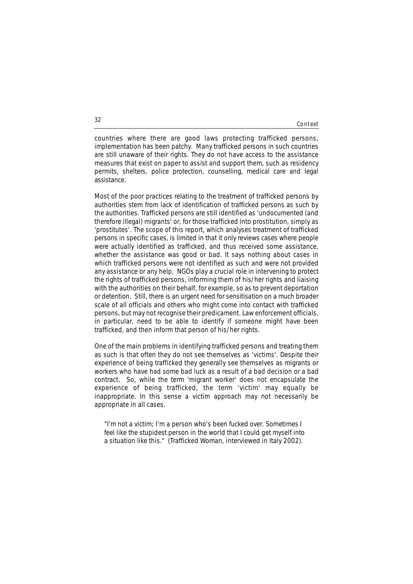#### Context

countries where there are good laws protecting trafficked persons, implementation has been patchy. Many trafficked persons in such countries are still unaware of their rights. They do not have access to the assistance measures that exist on paper to assist and support them, such as residency permits, shelters, police protection, counselling, medical care and legal assistance.

Most of the poor practices relating to the treatment of trafficked persons by authorities stem from lack of identification of trafficked persons as such by the authorities. Trafficked persons are still identified as 'undocumented (and therefore illegal) migrants' or, for those trafficked into prostitution, simply as 'prostitutes'. The scope of this report, which analyses treatment of trafficked persons in specific cases, is limited in that it only reviews cases where people were actually identified as trafficked, and thus received some assistance, whether the assistance was good or bad. It says nothing about cases in which trafficked persons were not identified as such and were not provided any assistance or any help. NGOs play a crucial role in intervening to protect the rights of trafficked persons, informing them of his/her rights and liaising with the authorities on their behalf, for example, so as to prevent deportation or detention. Still, there is an urgent need for sensitisation on a much broader scale of all officials and others who might come into contact with trafficked persons, but may not recognise their predicament. Law enforcement officials, in particular, need to be able to identify if someone might have been trafficked, and then inform that person of his/her rights.

One of the main problems in identifying trafficked persons and treating them as such is that often they do not see themselves as 'victims'. Despite their experience of being trafficked they generally see themselves as migrants or workers who have had some bad luck as a result of a bad decision or a bad contract. So, while the term 'migrant worker' does not encapsulate the experience of being trafficked, the term 'victim' may equally be inappropriate. In this sense a victim approach may not necessarily be appropriate in all cases.

*"I'm not a victim; I'm a person who's been fucked over. Sometimes I feel like the stupidest person in the world that I could get myself into a situation like this."* (Trafficked Woman, interviewed in Italy 2002).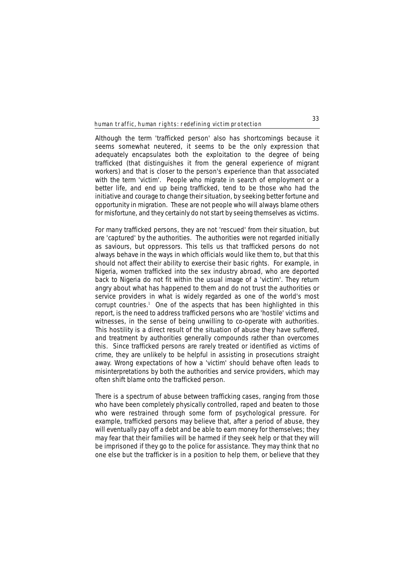Although the term 'trafficked person' also has shortcomings because it seems somewhat neutered, it seems to be the only expression that adequately encapsulates both the exploitation to the degree of being trafficked (that distinguishes it from the general experience of migrant workers) and that is closer to the person's experience than that associated with the term 'victim'. People who migrate in search of employment or a better life, and end up being trafficked, tend to be those who had the initiative and courage to change their situation, by seeking better fortune and opportunity in migration. These are not people who will always blame others for misfortune, and they certainly do not start by seeing themselves as victims.

For many trafficked persons, they are not 'rescued' from their situation, but are 'captured' by the authorities. The authorities were not regarded initially as saviours, but oppressors. This tells us that trafficked persons do not always behave in the ways in which officials would like them to, but that this should not affect their ability to exercise their basic rights. For example, in Nigeria, women trafficked into the sex industry abroad, who are deported back to Nigeria do not fit within the usual image of a 'victim'. They return angry about what has happened to them and do not trust the authorities or service providers in what is widely regarded as one of the world's most corrupt countries.<sup>1</sup> One of the aspects that has been highlighted in this report, is the need to address trafficked persons who are 'hostile' victims and witnesses, in the sense of being unwilling to co-operate with authorities. This hostility is a direct result of the situation of abuse they have suffered, and treatment by authorities generally compounds rather than overcomes this. Since trafficked persons are rarely treated or identified as victims of crime, they are unlikely to be helpful in assisting in prosecutions straight away. Wrong expectations of how a 'victim' should behave often leads to misinterpretations by both the authorities and service providers, which may often shift blame onto the trafficked person.

There is a spectrum of abuse between trafficking cases, ranging from those who have been completely physically controlled, raped and beaten to those who were restrained through some form of psychological pressure. For example, trafficked persons may believe that, after a period of abuse, they will eventually pay off a debt and be able to earn money for themselves; they may fear that their families will be harmed if they seek help or that they will be imprisoned if they go to the police for assistance. They may think that no one else but the trafficker is in a position to help them, or believe that they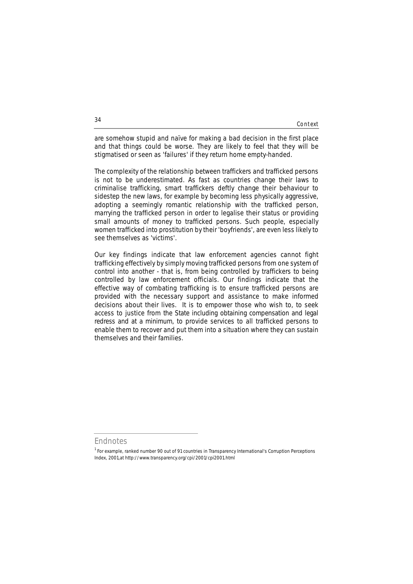Context

are somehow stupid and naïve for making a bad decision in the first place and that things could be worse. They are likely to feel that they will be stigmatised or seen as 'failures' if they return home empty-handed.

The complexity of the relationship between traffickers and trafficked persons is not to be underestimated. As fast as countries change their laws to criminalise trafficking, smart traffickers deftly change their behaviour to sidestep the new laws, for example by becoming less physically aggressive, adopting a seemingly romantic relationship with the trafficked person, marrying the trafficked person in order to legalise their status or providing small amounts of money to trafficked persons. Such people, especially women trafficked into prostitution by their 'boyfriends', are even less likely to see themselves as 'victims'.

Our key findings indicate that law enforcement agencies cannot fight trafficking effectively by simply moving trafficked persons from one system of control into another - that is, from being controlled by traffickers to being controlled by law enforcement officials. Our findings indicate that the effective way of combating trafficking is to ensure trafficked persons are provided with the necessary support and assistance to make informed decisions about their lives. It is to empower those who wish to, to seek access to justice from the State including obtaining compensation and legal redress and at a minimum, to provide services to all trafficked persons to enable them to recover and put them into a situation where they can sustain themselves and their families.

## **Endnotes**

<sup>&</sup>lt;sup>1</sup> For example, ranked number 90 out of 91 countries in Transparency International's Corruption Perceptions Index, 2001,at http://www.transparency.org/cpi/2001/cpi2001.html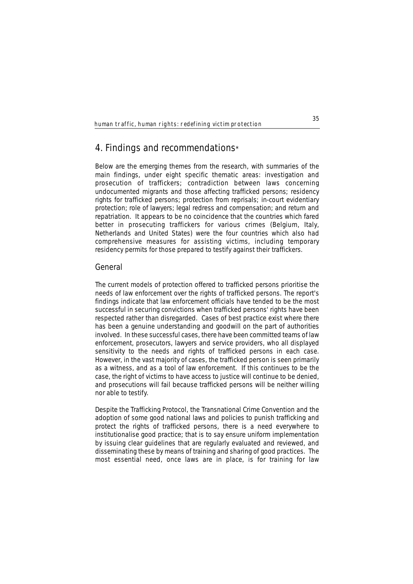# **4. Findings and recommendations**\*

Below are the emerging themes from the research, with summaries of the main findings, under eight specific thematic areas: investigation and prosecution of traffickers; contradiction between laws concerning undocumented migrants and those affecting trafficked persons; residency rights for trafficked persons; protection from reprisals; in-court evidentiary protection; role of lawyers; legal redress and compensation; and return and repatriation. It appears to be no coincidence that the countries which fared better in prosecuting traffickers for various crimes (Belgium, Italy, Netherlands and United States) were the four countries which also had comprehensive measures for assisting victims, including temporary residency permits for those prepared to testify against their traffickers.

## **General**

The current models of protection offered to trafficked persons prioritise the needs of law enforcement over the rights of trafficked persons. The report's findings indicate that law enforcement officials have tended to be the most successful in securing convictions when trafficked persons' rights have been respected rather than disregarded. Cases of best practice exist where there has been a genuine understanding and goodwill on the part of authorities involved. In these successful cases, there have been committed teams of law enforcement, prosecutors, lawyers and service providers, who all displayed sensitivity to the needs and rights of trafficked persons in each case. However, in the vast majority of cases, the trafficked person is seen primarily as a witness, and as a tool of law enforcement. If this continues to be the case, the right of victims to have access to justice will continue to be denied, and prosecutions will fail because trafficked persons will be neither willing nor able to testify.

Despite the Trafficking Protocol, the Transnational Crime Convention and the adoption of some good national laws and policies to punish trafficking and protect the rights of trafficked persons, there is a need everywhere to institutionalise good practice; that is to say ensure uniform implementation by issuing clear guidelines that are regularly evaluated and reviewed, and disseminating these by means of training and sharing of good practices. The most essential need, once laws are in place, is for training for law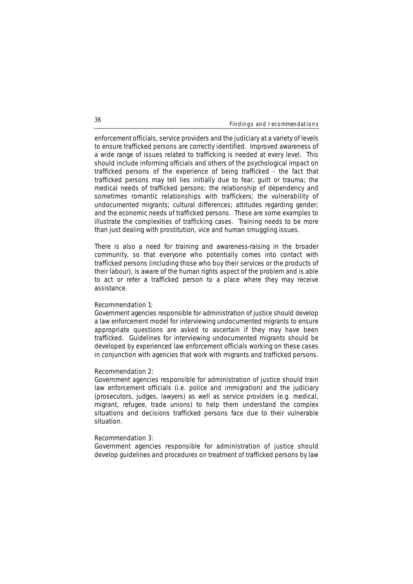enforcement officials, service providers and the judiciary at a variety of levels to ensure trafficked persons are correctly identified. Improved awareness of a wide range of issues related to trafficking is needed at every level. This should include informing officials and others of the psychological impact on trafficked persons of the experience of being trafficked - the fact that trafficked persons may tell lies initially due to fear, guilt or trauma; the medical needs of trafficked persons; the relationship of dependency and sometimes romantic relationships with traffickers; the vulnerability of undocumented migrants; cultural differences; attitudes regarding gender; and the economic needs of trafficked persons. These are some examples to illustrate the complexities of trafficking cases. Training needs to be more than just dealing with prostitution, vice and human smuggling issues.

There is also a need for training and awareness-raising in the broader community, so that everyone who potentially comes into contact with trafficked persons (including those who buy their services or the products of their labour), is aware of the human rights aspect of the problem and is able to act or refer a trafficked person to a place where they may receive assistance.

## **Recommendation 1:**

Government agencies responsible for administration of justice should develop a law enforcement model for interviewing undocumented migrants to ensure appropriate questions are asked to ascertain if they may have been trafficked. Guidelines for interviewing undocumented migrants should be developed by experienced law enforcement officials working on these cases in conjunction with agencies that work with migrants and trafficked persons.

#### **Recommendation 2:**

Government agencies responsible for administration of justice should train law enforcement officials (i.e. police and immigration) and the judiciary (prosecutors, judges, lawyers) as well as service providers (e.g. medical, migrant, refugee, trade unions) to help them understand the complex situations and decisions trafficked persons face due to their vulnerable situation.

#### **Recommendation 3:**

Government agencies responsible for administration of justice should develop guidelines and procedures on treatment of trafficked persons by law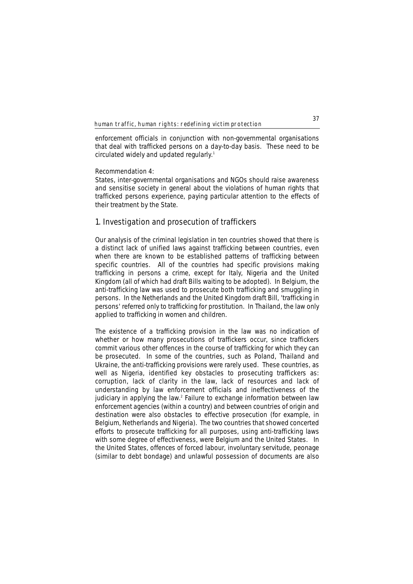enforcement officials in conjunction with non-governmental organisations that deal with trafficked persons on a day-to-day basis. These need to be circulated widely and updated regularly.<sup>1</sup>

## **Recommendation 4:**

States, inter-governmental organisations and NGOs should raise awareness and sensitise society in general about the violations of human rights that trafficked persons experience, paying particular attention to the effects of their treatment by the State.

## **1. Investigation and prosecution of traffickers**

Our analysis of the criminal legislation in ten countries showed that there is a distinct lack of unified laws against trafficking between countries, even when there are known to be established patterns of trafficking between specific countries. All of the countries had specific provisions making trafficking in persons a crime, except for Italy, Nigeria and the United Kingdom (all of which had draft Bills waiting to be adopted). In Belgium, the anti-trafficking law was used to prosecute both trafficking and smuggling in persons. In the Netherlands and the United Kingdom draft Bill, 'trafficking in persons' referred only to trafficking for prostitution. In Thailand, the law only applied to trafficking in women and children.

The existence of a trafficking provision in the law was no indication of whether or how many prosecutions of traffickers occur, since traffickers commit various other offences in the course of trafficking for which they can be prosecuted. In some of the countries, such as Poland, Thailand and Ukraine, the anti-trafficking provisions were rarely used. These countries, as well as Nigeria, identified key obstacles to prosecuting traffickers as: corruption, lack of clarity in the law, lack of resources and lack of understanding by law enforcement officials and ineffectiveness of the judiciary in applying the law.<sup>2</sup> Failure to exchange information between law enforcement agencies (within a country) and between countries of origin and destination were also obstacles to effective prosecution (for example, in Belgium, Netherlands and Nigeria). The two countries that showed concerted efforts to prosecute trafficking for all purposes, using anti-trafficking laws with some degree of effectiveness, were Belgium and the United States. In the United States, offences of forced labour, involuntary servitude, peonage (similar to debt bondage) and unlawful possession of documents are also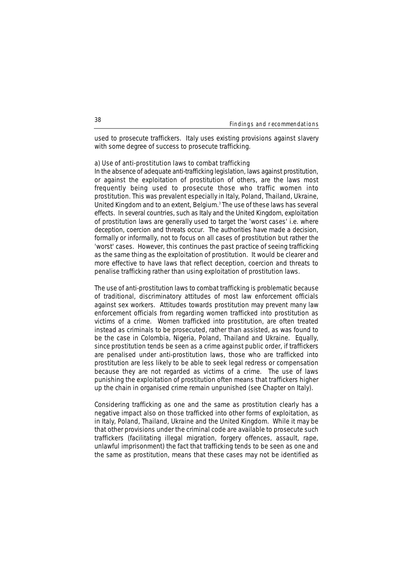used to prosecute traffickers. Italy uses existing provisions against slavery with some degree of success to prosecute trafficking.

### **a) Use of anti-prostitution laws to combat trafficking**

In the absence of adequate anti-trafficking legislation, laws against prostitution, or against the exploitation of prostitution of others, are the laws most frequently being used to prosecute those who traffic women into prostitution. This was prevalent especially in Italy, Poland, Thailand, Ukraine, United Kingdom and to an extent, Belgium.3 The use of these laws has several effects. In several countries, such as Italy and the United Kingdom, exploitation of prostitution laws are generally used to target the 'worst cases' i.e. where deception, coercion and threats occur. The authorities have made a decision, formally or informally, not to focus on all cases of prostitution but rather the 'worst' cases. However, this continues the past practice of seeing trafficking as the same thing as the exploitation of prostitution. It would be clearer and more effective to have laws that reflect deception, coercion and threats to penalise trafficking rather than using exploitation of prostitution laws.

The use of anti-prostitution laws to combat trafficking is problematic because of traditional, discriminatory attitudes of most law enforcement officials against sex workers. Attitudes towards prostitution may prevent many law enforcement officials from regarding women trafficked into prostitution as victims of a crime. Women trafficked into prostitution, are often treated instead as criminals to be prosecuted, rather than assisted, as was found to be the case in Colombia, Nigeria, Poland, Thailand and Ukraine. Equally, since prostitution tends be seen as a crime against public order, if traffickers are penalised under anti-prostitution laws, those who are trafficked into prostitution are less likely to be able to seek legal redress or compensation because they are not regarded as victims of a crime. The use of laws punishing the exploitation of prostitution often means that traffickers higher up the chain in organised crime remain unpunished (see Chapter on Italy).

Considering trafficking as one and the same as prostitution clearly has a negative impact also on those trafficked into other forms of exploitation, as in Italy, Poland, Thailand, Ukraine and the United Kingdom. While it may be that other provisions under the criminal code are available to prosecute such traffickers (facilitating illegal migration, forgery offences, assault, rape, unlawful imprisonment) the fact that trafficking tends to be seen as one and the same as prostitution, means that these cases may not be identified as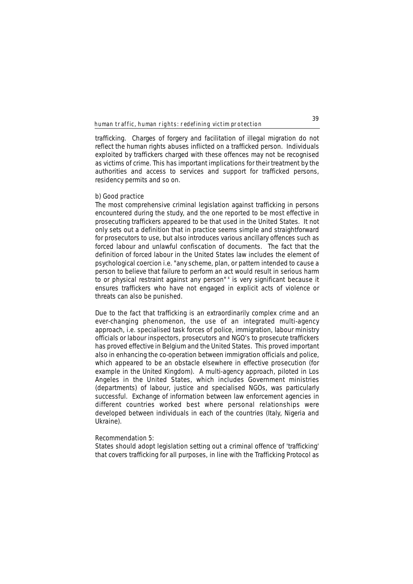trafficking. Charges of forgery and facilitation of illegal migration do not reflect the human rights abuses inflicted on a trafficked person. Individuals exploited by traffickers charged with these offences may not be recognised as victims of crime. This has important implications for their treatment by the authorities and access to services and support for trafficked persons, residency permits and so on.

## **b) Good practice**

The most comprehensive criminal legislation against trafficking in persons encountered during the study, and the one reported to be most effective in prosecuting traffickers appeared to be that used in the United States. It not only sets out a definition that in practice seems simple and straightforward for prosecutors to use, but also introduces various ancillary offences such as forced labour and unlawful confiscation of documents. The fact that the definition of forced labour in the United States law includes the element of psychological coercion i.e. "any scheme, plan, or pattern intended to cause a person to believe that failure to perform an act would result in serious harm to or physical restraint against any person" <sup>4</sup> is very significant because it ensures traffickers who have not engaged in explicit acts of violence or threats can also be punished.

Due to the fact that trafficking is an extraordinarily complex crime and an ever-changing phenomenon, the use of an integrated multi-agency approach, i.e. specialised task forces of police, immigration, labour ministry officials or labour inspectors, prosecutors and NGO's to prosecute traffickers has proved effective in Belgium and the United States. This proved important also in enhancing the co-operation between immigration officials and police, which appeared to be an obstacle elsewhere in effective prosecution (for example in the United Kingdom). A multi-agency approach, piloted in Los Angeles in the United States, which includes Government ministries (departments) of labour, justice and specialised NGOs, was particularly successful. Exchange of information between law enforcement agencies in different countries worked best where personal relationships were developed between individuals in each of the countries (Italy, Nigeria and Ukraine).

## **Recommendation 5:**

States should adopt legislation setting out a criminal offence of 'trafficking' that covers trafficking for all purposes, in line with the Trafficking Protocol as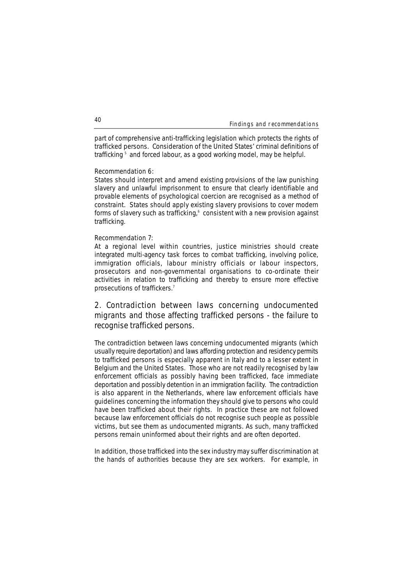part of comprehensive anti-trafficking legislation which protects the rights of trafficked persons. Consideration of the United States' criminal definitions of trafficking<sup>5</sup> and forced labour, as a good working model, may be helpful.

## **Recommendation 6:**

States should interpret and amend existing provisions of the law punishing slavery and unlawful imprisonment to ensure that clearly identifiable and provable elements of psychological coercion are recognised as a method of constraint. States should apply existing slavery provisions to cover modern forms of slavery such as trafficking,<sup>6</sup> consistent with a new provision against trafficking.

## **Recommendation 7:**

At a regional level within countries, justice ministries should create integrated multi-agency task forces to combat trafficking, involving police, immigration officials, labour ministry officials or labour inspectors, prosecutors and non-governmental organisations to co-ordinate their activities in relation to trafficking and thereby to ensure more effective prosecutions of traffickers.7

# **2. Contradiction between laws concerning undocumented migrants and those affecting trafficked persons - the failure to recognise trafficked persons.**

The contradiction between laws concerning undocumented migrants (which usually require deportation) and laws affording protection and residency permits to trafficked persons is especially apparent in Italy and to a lesser extent in Belgium and the United States. Those who are not readily recognised by law enforcement officials as possibly having been trafficked, face immediate deportation and possibly detention in an immigration facility. The contradiction is also apparent in the Netherlands, where law enforcement officials have guidelines concerning the information they should give to persons who could have been trafficked about their rights. In practice these are not followed because law enforcement officials do not recognise such people as possible victims, but see them as undocumented migrants. As such, many trafficked persons remain uninformed about their rights and are often deported.

In addition, those trafficked into the sex industry may suffer discrimination at the hands of authorities because they are sex workers. For example, in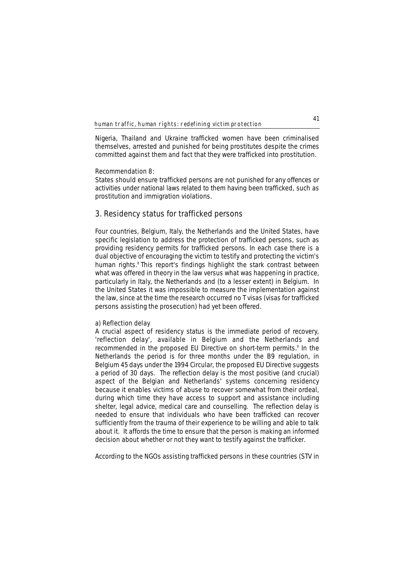Nigeria, Thailand and Ukraine trafficked women have been criminalised themselves, arrested and punished for being prostitutes despite the crimes committed against them and fact that they were trafficked into prostitution.

## **Recommendation 8:**

States should ensure trafficked persons are not punished for any offences or activities under national laws related to them having been trafficked, such as prostitution and immigration violations.

## **3. Residency status for trafficked persons**

Four countries, Belgium, Italy, the Netherlands and the United States, have specific legislation to address the protection of trafficked persons, such as providing residency permits for trafficked persons. In each case there is a dual objective of encouraging the victim to testify and protecting the victim's human rights.<sup>8</sup> This report's findings highlight the stark contrast between what was offered in theory in the law versus what was happening in practice, particularly in Italy, the Netherlands and (to a lesser extent) in Belgium. In the United States it was impossible to measure the implementation against the law, since at the time the research occurred no T visas (visas for trafficked persons assisting the prosecution) had yet been offered.

## **a) Reflection delay**

A crucial aspect of residency status is the immediate period of recovery, 'reflection delay', available in Belgium and the Netherlands and recommended in the proposed EU Directive on short-term permits.<sup>9</sup> In the Netherlands the period is for three months under the B9 regulation, in Belgium 45 days under the 1994 Circular, the proposed EU Directive suggests a period of 30 days. The reflection delay is the most positive (and crucial) aspect of the Belgian and Netherlands' systems concerning residency because it enables victims of abuse to recover somewhat from their ordeal, during which time they have access to support and assistance including shelter, legal advice, medical care and counselling. The reflection delay is needed to ensure that individuals who have been trafficked can recover sufficiently from the trauma of their experience to be willing and able to talk about it. It affords the time to ensure that the person is making an informed decision about whether or not they want to testify against the trafficker.

According to the NGOs assisting trafficked persons in these countries (STV in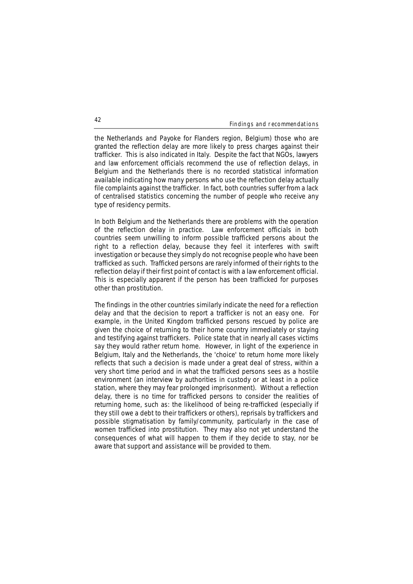the Netherlands and Payoke for Flanders region, Belgium) those who are granted the reflection delay are more likely to press charges against their trafficker. This is also indicated in Italy. Despite the fact that NGOs, lawyers and law enforcement officials recommend the use of reflection delays, in Belgium and the Netherlands there is no recorded statistical information available indicating how many persons who use the reflection delay actually file complaints against the trafficker. In fact, both countries suffer from a lack of centralised statistics concerning the number of people who receive any type of residency permits.

In both Belgium and the Netherlands there are problems with the operation of the reflection delay in practice. Law enforcement officials in both countries seem unwilling to inform possible trafficked persons about the right to a reflection delay, because they feel it interferes with swift investigation or because they simply do not recognise people who have been trafficked as such. Trafficked persons are rarely informed of their rights to the reflection delay if their first point of contact is with a law enforcement official. This is especially apparent if the person has been trafficked for purposes other than prostitution.

The findings in the other countries similarly indicate the need for a reflection delay and that the decision to report a trafficker is not an easy one. For example, in the United Kingdom trafficked persons rescued by police are given the choice of returning to their home country immediately or staying and testifying against traffickers. Police state that in nearly all cases victims say they would rather return home. However, in light of the experience in Belgium, Italy and the Netherlands, the 'choice' to return home more likely reflects that such a decision is made under a great deal of stress, within a very short time period and in what the trafficked persons sees as a hostile environment (an interview by authorities in custody or at least in a police station, where they may fear prolonged imprisonment). Without a reflection delay, there is no time for trafficked persons to consider the realities of returning home, such as: the likelihood of being re-trafficked (especially if they still owe a debt to their traffickers or others), reprisals by traffickers and possible stigmatisation by family/community, particularly in the case of women trafficked into prostitution. They may also not yet understand the consequences of what will happen to them if they decide to stay, nor be aware that support and assistance will be provided to them.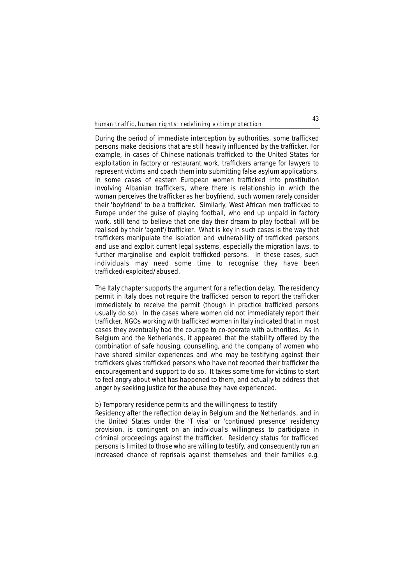During the period of immediate interception by authorities, some trafficked persons make decisions that are still heavily influenced by the trafficker. For example, in cases of Chinese nationals trafficked to the United States for exploitation in factory or restaurant work, traffickers arrange for lawyers to represent victims and coach them into submitting false asylum applications. In some cases of eastern European women trafficked into prostitution involving Albanian traffickers, where there is relationship in which the woman perceives the trafficker as her boyfriend, such women rarely consider their 'boyfriend' to be a trafficker. Similarly, West African men trafficked to Europe under the guise of playing football, who end up unpaid in factory work, still tend to believe that one day their dream to play football will be realised by their 'agent'/trafficker. What is key in such cases is the way that traffickers manipulate the isolation and vulnerability of trafficked persons and use and exploit current legal systems, especially the migration laws, to further marginalise and exploit trafficked persons. In these cases, such individuals may need some time to recognise they have been trafficked/exploited/abused.

The Italy chapter supports the argument for a reflection delay. The residency permit in Italy does not require the trafficked person to report the trafficker immediately to receive the permit (though in practice trafficked persons usually do so). In the cases where women did not immediately report their trafficker, NGOs working with trafficked women in Italy indicated that in most cases they eventually had the courage to co-operate with authorities. As in Belgium and the Netherlands, it appeared that the stability offered by the combination of safe housing, counselling, and the company of women who have shared similar experiences and who may be testifying against their traffickers gives trafficked persons who have not reported their trafficker the encouragement and support to do so. It takes some time for victims to start to feel angry about what has happened to them, and actually to address that anger by seeking justice for the abuse they have experienced.

## **b) Temporary residence permits and the willingness to testify**

Residency after the reflection delay in Belgium and the Netherlands, and in the United States under the 'T visa' or 'continued presence' residency provision, is contingent on an individual's willingness to participate in criminal proceedings against the trafficker. Residency status for trafficked persons is limited to those who are willing to testify, and consequently run an increased chance of reprisals against themselves and their families e.g.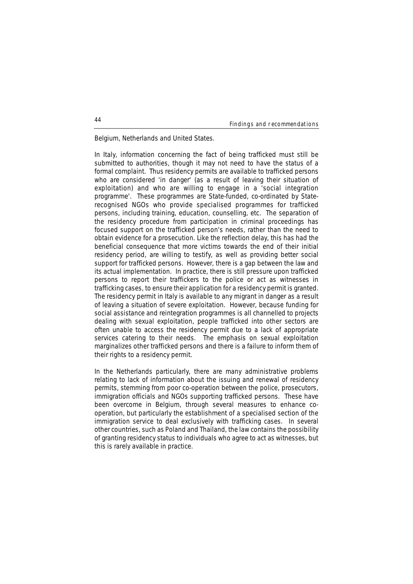Belgium, Netherlands and United States.

In Italy, information concerning the fact of being trafficked must still be submitted to authorities, though it may not need to have the status of a formal complaint. Thus residency permits are available to trafficked persons who are considered 'in danger' (as a result of leaving their situation of exploitation) and who are willing to engage in a 'social integration programme'. These programmes are State-funded, co-ordinated by Staterecognised NGOs who provide specialised programmes for trafficked persons, including training, education, counselling, etc. The separation of the residency procedure from participation in criminal proceedings has focused support on the trafficked person's needs, rather than the need to obtain evidence for a prosecution. Like the reflection delay, this has had the beneficial consequence that more victims towards the end of their initial residency period, are willing to testify, as well as providing better social support for trafficked persons. However, there is a gap between the law and its actual implementation. In practice, there is still pressure upon trafficked persons to report their traffickers to the police or act as witnesses in trafficking cases, to ensure their application for a residency permit is granted. The residency permit in Italy is available to any migrant in danger as a result of leaving a situation of severe exploitation. However, because funding for social assistance and reintegration programmes is all channelled to projects dealing with sexual exploitation, people trafficked into other sectors are often unable to access the residency permit due to a lack of appropriate services catering to their needs. The emphasis on sexual exploitation marginalizes other trafficked persons and there is a failure to inform them of their rights to a residency permit.

In the Netherlands particularly, there are many administrative problems relating to lack of information about the issuing and renewal of residency permits, stemming from poor co-operation between the police, prosecutors, immigration officials and NGOs supporting trafficked persons. These have been overcome in Belgium, through several measures to enhance cooperation, but particularly the establishment of a specialised section of the immigration service to deal exclusively with trafficking cases. In several other countries, such as Poland and Thailand, the law contains the possibility of granting residency status to individuals who agree to act as witnesses, but this is rarely available in practice.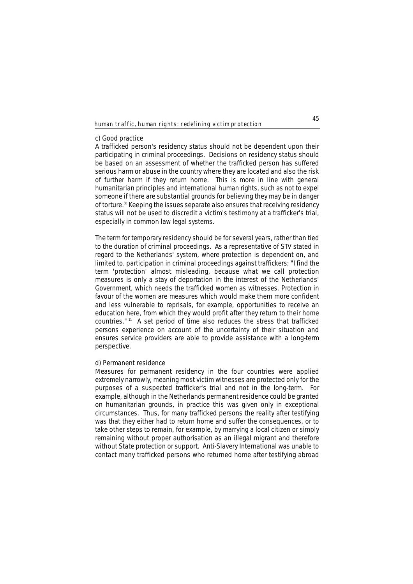### **c) Good practice**

A trafficked person's residency status should not be dependent upon their participating in criminal proceedings. Decisions on residency status should be based on an assessment of whether the trafficked person has suffered serious harm or abuse in the country where they are located and also the risk of further harm if they return home. This is more in line with general humanitarian principles and international human rights, such as not to expel someone if there are substantial grounds for believing they may be in danger of torture.10 Keeping the issues separate also ensures that receiving residency status will not be used to discredit a victim's testimony at a trafficker's trial, especially in common law legal systems.

The term for temporary residency should be for several years, rather than tied to the duration of criminal proceedings. As a representative of STV stated in regard to the Netherlands' system, where protection is dependent on, and limited to, participation in criminal proceedings against traffickers; "I find the term 'protection' almost misleading, because what we call protection measures is only a stay of deportation in the interest of the Netherlands' Government, which needs the trafficked women as witnesses. Protection in favour of the women are measures which would make them more confident and less vulnerable to reprisals, for example, opportunities to receive an education here, from which they would profit after they return to their home countries." <sup>11</sup> A set period of time also reduces the stress that trafficked persons experience on account of the uncertainty of their situation and ensures service providers are able to provide assistance with a long-term perspective.

## **d) Permanent residence**

Measures for permanent residency in the four countries were applied extremely narrowly, meaning most victim witnesses are protected only for the purposes of a suspected trafficker's trial and not in the long-term. For example, although in the Netherlands permanent residence could be granted on humanitarian grounds, in practice this was given only in exceptional circumstances. Thus, for many trafficked persons the reality after testifying was that they either had to return home and suffer the consequences, or to take other steps to remain, for example, by marrying a local citizen or simply remaining without proper authorisation as an illegal migrant and therefore without State protection or support. Anti-Slavery International was unable to contact many trafficked persons who returned home after testifying abroad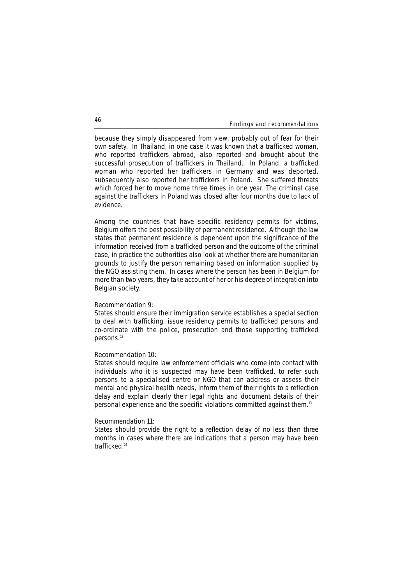because they simply disappeared from view, probably out of fear for their own safety. In Thailand, in one case it was known that a trafficked woman, who reported traffickers abroad, also reported and brought about the successful prosecution of traffickers in Thailand. In Poland, a trafficked woman who reported her traffickers in Germany and was deported, subsequently also reported her traffickers in Poland. She suffered threats which forced her to move home three times in one year. The criminal case against the traffickers in Poland was closed after four months due to lack of evidence.

Among the countries that have specific residency permits for victims, Belgium offers the best possibility of permanent residence. Although the law states that permanent residence is dependent upon the significance of the information received from a trafficked person and the outcome of the criminal case, in practice the authorities also look at whether there are humanitarian grounds to justify the person remaining based on information supplied by the NGO assisting them. In cases where the person has been in Belgium for more than two years, they take account of her or his degree of integration into Belgian society.

## **Recommendation 9:**

States should ensure their immigration service establishes a special section to deal with trafficking, issue residency permits to trafficked persons and co-ordinate with the police, prosecution and those supporting trafficked persons.<sup>12</sup>

## **Recommendation 10:**

States should require law enforcement officials who come into contact with individuals who it is suspected may have been trafficked, to refer such persons to a specialised centre or NGO that can address or assess their mental and physical health needs, inform them of their rights to a reflection delay and explain clearly their legal rights and document details of their personal experience and the specific violations committed against them.1**<sup>3</sup>**

### **Recommendation 11:**

States should provide the right to a reflection delay of no less than three months in cases where there are indications that a person may have been trafficked<sup>14</sup>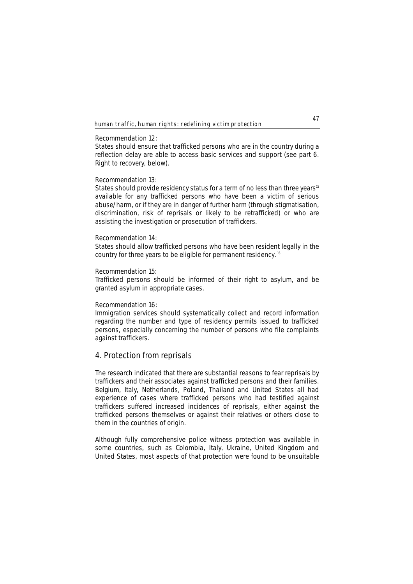#### **Recommendation 12:**

States should ensure that trafficked persons who are in the country during a reflection delay are able to access basic services and support (see part 6. Right to recovery, below).

## **Recommendation 13:**

States should provide residency status for a term of no less than three years<sup>15</sup> available for any trafficked persons who have been a victim of serious abuse/harm, or if they are in danger of further harm (through stigmatisation, discrimination, risk of reprisals or likely to be retrafficked) or who are assisting the investigation or prosecution of traffickers.

### **Recommendation 14:**

States should allow trafficked persons who have been resident legally in the country for three years to be eligible for permanent residency. <sup>16</sup>

## **Recommendation 15:**

Trafficked persons should be informed of their right to asylum, and be granted asylum in appropriate cases.

## **Recommendation 16:**

Immigration services should systematically collect and record information regarding the number and type of residency permits issued to trafficked persons, especially concerning the number of persons who file complaints against traffickers.

## **4. Protection from reprisals**

The research indicated that there are substantial reasons to fear reprisals by traffickers and their associates against trafficked persons and their families. Belgium, Italy, Netherlands, Poland, Thailand and United States all had experience of cases where trafficked persons who had testified against traffickers suffered increased incidences of reprisals, either against the trafficked persons themselves or against their relatives or others close to them in the countries of origin.

Although fully comprehensive police witness protection was available in some countries, such as Colombia, Italy, Ukraine, United Kingdom and United States, most aspects of that protection were found to be unsuitable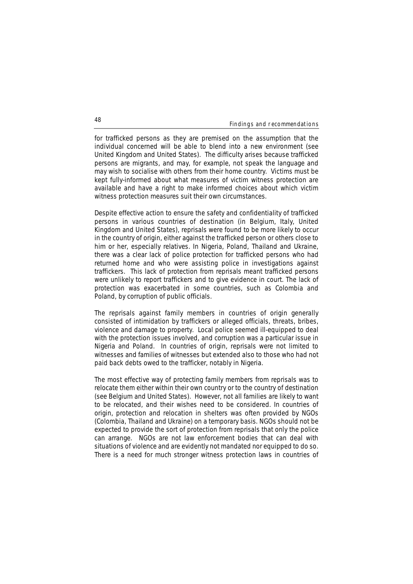for trafficked persons as they are premised on the assumption that the individual concerned will be able to blend into a new environment (see United Kingdom and United States). The difficulty arises because trafficked persons are migrants, and may, for example, not speak the language and may wish to socialise with others from their home country. Victims must be kept fully-informed about what measures of victim witness protection are available and have a right to make informed choices about which victim witness protection measures suit their own circumstances.

Despite effective action to ensure the safety and confidentiality of trafficked persons in various countries of destination (in Belgium, Italy, United Kingdom and United States), reprisals were found to be more likely to occur in the country of origin, either against the trafficked person or others close to him or her, especially relatives. In Nigeria, Poland, Thailand and Ukraine, there was a clear lack of police protection for trafficked persons who had returned home and who were assisting police in investigations against traffickers. This lack of protection from reprisals meant trafficked persons were unlikely to report traffickers and to give evidence in court. The lack of protection was exacerbated in some countries, such as Colombia and Poland, by corruption of public officials.

The reprisals against family members in countries of origin generally consisted of intimidation by traffickers or alleged officials, threats, bribes, violence and damage to property. Local police seemed ill-equipped to deal with the protection issues involved, and corruption was a particular issue in Nigeria and Poland. In countries of origin, reprisals were not limited to witnesses and families of witnesses but extended also to those who had not paid back debts owed to the trafficker, notably in Nigeria.

The most effective way of protecting family members from reprisals was to relocate them either within their own country or to the country of destination (see Belgium and United States). However, not all families are likely to want to be relocated, and their wishes need to be considered. In countries of origin, protection and relocation in shelters was often provided by NGOs (Colombia, Thailand and Ukraine) on a temporary basis. NGOs should not be expected to provide the sort of protection from reprisals that only the police can arrange. NGOs are not law enforcement bodies that can deal with situations of violence and are evidently not mandated nor equipped to do so. There is a need for much stronger witness protection laws in countries of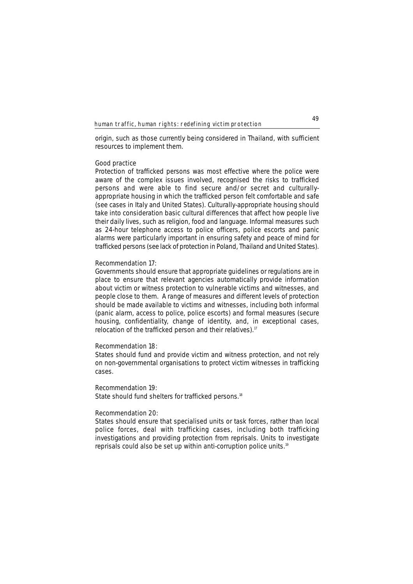origin, such as those currently being considered in Thailand, with sufficient resources to implement them.

## **Good practice**

Protection of trafficked persons was most effective where the police were aware of the complex issues involved, recognised the risks to trafficked persons and were able to find secure and/or secret and culturallyappropriate housing in which the trafficked person felt comfortable and safe (see cases in Italy and United States). Culturally-appropriate housing should take into consideration basic cultural differences that affect how people live their daily lives, such as religion, food and language. Informal measures such as 24-hour telephone access to police officers, police escorts and panic alarms were particularly important in ensuring safety and peace of mind for trafficked persons (see lack of protection in Poland, Thailand and United States).

## **Recommendation 17:**

Governments should ensure that appropriate guidelines or regulations are in place to ensure that relevant agencies automatically provide information about victim or witness protection to vulnerable victims and witnesses, and people close to them. A range of measures and different levels of protection should be made available to victims and witnesses, including both informal (panic alarm, access to police, police escorts) and formal measures (secure housing, confidentiality, change of identity, and, in exceptional cases, relocation of the trafficked person and their relatives).<sup>17</sup>

## **Recommendation 18:**

States should fund and provide victim and witness protection, and not rely on non-governmental organisations to protect victim witnesses in trafficking cases.

## **Recommendation 19:**

State should fund shelters for trafficked persons.<sup>18</sup>

## **Recommendation 20:**

States should ensure that specialised units or task forces, rather than local police forces, deal with trafficking cases, including both trafficking investigations and providing protection from reprisals. Units to investigate reprisals could also be set up within anti-corruption police units.19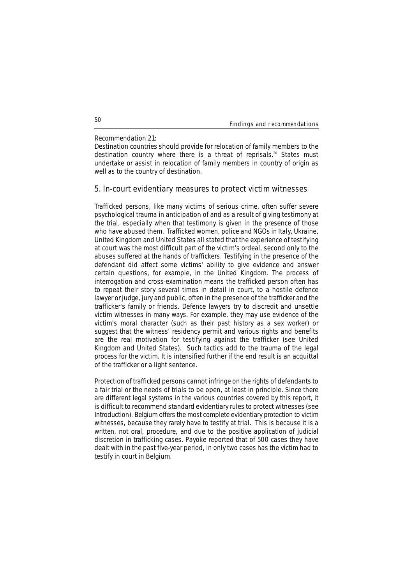## **Recommendation 21:**

Destination countries should provide for relocation of family members to the destination country where there is a threat of reprisals.<sup>20</sup> States must undertake or assist in relocation of family members in country of origin as well as to the country of destination.

## **5. In-court evidentiary measures to protect victim witnesses**

Trafficked persons, like many victims of serious crime, often suffer severe psychological trauma in anticipation of and as a result of giving testimony at the trial, especially when that testimony is given in the presence of those who have abused them. Trafficked women, police and NGOs in Italy, Ukraine, United Kingdom and United States all stated that the experience of testifying at court was the most difficult part of the victim's ordeal, second only to the abuses suffered at the hands of traffickers. Testifying in the presence of the defendant did affect some victims' ability to give evidence and answer certain questions, for example, in the United Kingdom. The process of interrogation and cross-examination means the trafficked person often has to repeat their story several times in detail in court, to a hostile defence lawyer or judge, jury and public, often in the presence of the trafficker and the trafficker's family or friends. Defence lawyers try to discredit and unsettle victim witnesses in many ways. For example, they may use evidence of the victim's moral character (such as their past history as a sex worker) or suggest that the witness' residency permit and various rights and benefits are the real motivation for testifying against the trafficker (see United Kingdom and United States). Such tactics add to the trauma of the legal process for the victim. It is intensified further if the end result is an acquittal of the trafficker or a light sentence.

Protection of trafficked persons cannot infringe on the rights of defendants to a fair trial or the needs of trials to be open, at least in principle. Since there are different legal systems in the various countries covered by this report, it is difficult to recommend standard evidentiary rules to protect witnesses (see Introduction). Belgium offers the most complete evidentiary protection to victim witnesses, because they rarely have to testify at trial. This is because it is a written, not oral, procedure, and due to the positive application of judicial discretion in trafficking cases. Payoke reported that of 500 cases they have dealt with in the past five-year period, in only two cases has the victim had to testify in court in Belgium.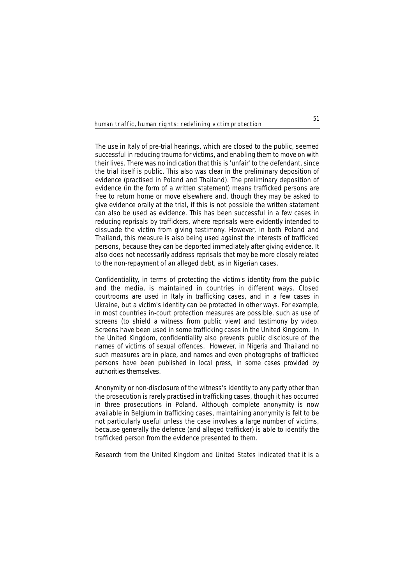The use in Italy of pre-trial hearings, which are closed to the public, seemed successful in reducing trauma for victims, and enabling them to move on with their lives. There was no indication that this is 'unfair' to the defendant, since the trial itself is public. This also was clear in the preliminary deposition of evidence (practised in Poland and Thailand). The preliminary deposition of evidence (in the form of a written statement) means trafficked persons are free to return home or move elsewhere and, though they may be asked to give evidence orally at the trial, if this is not possible the written statement can also be used as evidence. This has been successful in a few cases in reducing reprisals by traffickers, where reprisals were evidently intended to dissuade the victim from giving testimony. However, in both Poland and Thailand, this measure is also being used against the interests of trafficked persons, because they can be deported immediately after giving evidence. It also does not necessarily address reprisals that may be more closely related to the non-repayment of an alleged debt, as in Nigerian cases.

Confidentiality, in terms of protecting the victim's identity from the public and the media, is maintained in countries in different ways. Closed courtrooms are used in Italy in trafficking cases, and in a few cases in Ukraine, but a victim's identity can be protected in other ways. For example, in most countries in-court protection measures are possible, such as use of screens (to shield a witness from public view) and testimony by video. Screens have been used in some trafficking cases in the United Kingdom. In the United Kingdom, confidentiality also prevents public disclosure of the names of victims of sexual offences. However, in Nigeria and Thailand no such measures are in place, and names and even photographs of trafficked persons have been published in local press, in some cases provided by authorities themselves.

Anonymity or non-disclosure of the witness's identity to any party other than the prosecution is rarely practised in trafficking cases, though it has occurred in three prosecutions in Poland. Although complete anonymity is now available in Belgium in trafficking cases, maintaining anonymity is felt to be not particularly useful unless the case involves a large number of victims, because generally the defence (and alleged trafficker) is able to identify the trafficked person from the evidence presented to them.

Research from the United Kingdom and United States indicated that it is a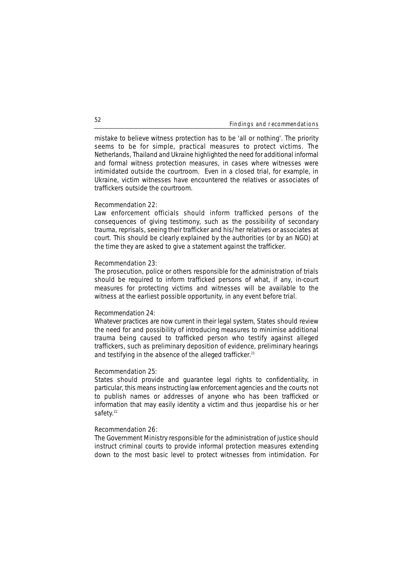mistake to believe witness protection has to be 'all or nothing'. The priority seems to be for simple, practical measures to protect victims. The Netherlands, Thailand and Ukraine highlighted the need for additional informal and formal witness protection measures, in cases where witnesses were intimidated outside the courtroom. Even in a closed trial, for example, in Ukraine, victim witnesses have encountered the relatives or associates of traffickers outside the courtroom.

### **Recommendation 22:**

Law enforcement officials should inform trafficked persons of the consequences of giving testimony, such as the possibility of secondary trauma, reprisals, seeing their trafficker and his/her relatives or associates at court. This should be clearly explained by the authorities (or by an NGO) at the time they are asked to give a statement against the trafficker.

### **Recommendation 23:**

The prosecution, police or others responsible for the administration of trials should be required to inform trafficked persons of what, if any, in-court measures for protecting victims and witnesses will be available to the witness at the earliest possible opportunity, in any event before trial.

#### **Recommendation 24:**

Whatever practices are now current in their legal system, States should review the need for and possibility of introducing measures to minimise additional trauma being caused to trafficked person who testify against alleged traffickers, such as preliminary deposition of evidence, preliminary hearings and testifying in the absence of the alleged trafficker.<sup>21</sup>

#### **Recommendation 25:**

States should provide and guarantee legal rights to confidentiality, in particular, this means instructing law enforcement agencies and the courts not to publish names or addresses of anyone who has been trafficked or information that may easily identity a victim and thus jeopardise his or her safety.<sup>22</sup>

## **Recommendation 26:**

The Government Ministry responsible for the administration of justice should instruct criminal courts to provide informal protection measures extending down to the most basic level to protect witnesses from intimidation. For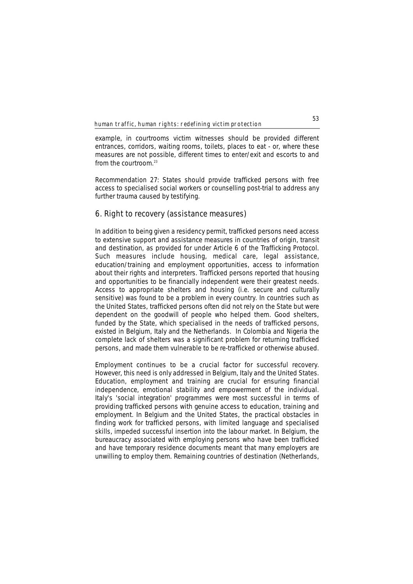example, in courtrooms victim witnesses should be provided different entrances, corridors, waiting rooms, toilets, places to eat - or, where these measures are not possible, different times to enter/exit and escorts to and from the courtroom  $23$ 

**Recommendation 27:** States should provide trafficked persons with free access to specialised social workers or counselling post-trial to address any further trauma caused by testifying.

## **6. Right to recovery (assistance measures)**

In addition to being given a residency permit, trafficked persons need access to extensive support and assistance measures in countries of origin, transit and destination, as provided for under Article 6 of the Trafficking Protocol. Such measures include housing, medical care, legal assistance, education/training and employment opportunities, access to information about their rights and interpreters. Trafficked persons reported that housing and opportunities to be financially independent were their greatest needs. Access to appropriate shelters and housing (i.e. secure and culturally sensitive) was found to be a problem in every country. In countries such as the United States, trafficked persons often did not rely on the State but were dependent on the goodwill of people who helped them. Good shelters, funded by the State, which specialised in the needs of trafficked persons, existed in Belgium, Italy and the Netherlands. In Colombia and Nigeria the complete lack of shelters was a significant problem for returning trafficked persons, and made them vulnerable to be re-trafficked or otherwise abused.

Employment continues to be a crucial factor for successful recovery. However, this need is only addressed in Belgium, Italy and the United States. Education, employment and training are crucial for ensuring financial independence, emotional stability and empowerment of the individual. Italy's 'social integration' programmes were most successful in terms of providing trafficked persons with genuine access to education, training and employment. In Belgium and the United States, the practical obstacles in finding work for trafficked persons, with limited language and specialised skills, impeded successful insertion into the labour market. In Belgium, the bureaucracy associated with employing persons who have been trafficked and have temporary residence documents meant that many employers are unwilling to employ them. Remaining countries of destination (Netherlands,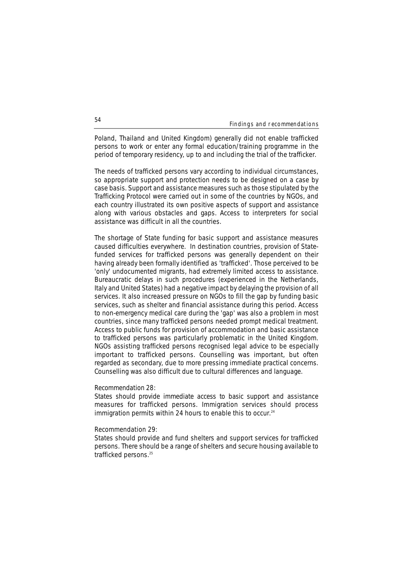Poland, Thailand and United Kingdom) generally did not enable trafficked persons to work or enter any formal education/training programme in the period of temporary residency, up to and including the trial of the trafficker.

The needs of trafficked persons vary according to individual circumstances, so appropriate support and protection needs to be designed on a case by case basis. Support and assistance measures such as those stipulated by the Trafficking Protocol were carried out in some of the countries by NGOs, and each country illustrated its own positive aspects of support and assistance along with various obstacles and gaps. Access to interpreters for social assistance was difficult in all the countries.

The shortage of State funding for basic support and assistance measures caused difficulties everywhere. In destination countries, provision of Statefunded services for trafficked persons was generally dependent on their having already been formally identified as 'trafficked'. Those perceived to be 'only' undocumented migrants, had extremely limited access to assistance. Bureaucratic delays in such procedures (experienced in the Netherlands, Italy and United States) had a negative impact by delaying the provision of all services. It also increased pressure on NGOs to fill the gap by funding basic services, such as shelter and financial assistance during this period. Access to non-emergency medical care during the 'gap' was also a problem in most countries, since many trafficked persons needed prompt medical treatment. Access to public funds for provision of accommodation and basic assistance to trafficked persons was particularly problematic in the United Kingdom. NGOs assisting trafficked persons recognised legal advice to be especially important to trafficked persons. Counselling was important, but often regarded as secondary, due to more pressing immediate practical concerns. Counselling was also difficult due to cultural differences and language.

## **Recommendation 28:**

States should provide immediate access to basic support and assistance measures for trafficked persons. Immigration services should process immigration permits within 24 hours to enable this to occur.<sup>24</sup>

#### **Recommendation 29:**

States should provide and fund shelters and support services for trafficked persons. There should be a range of shelters and secure housing available to trafficked persons.<sup>25</sup>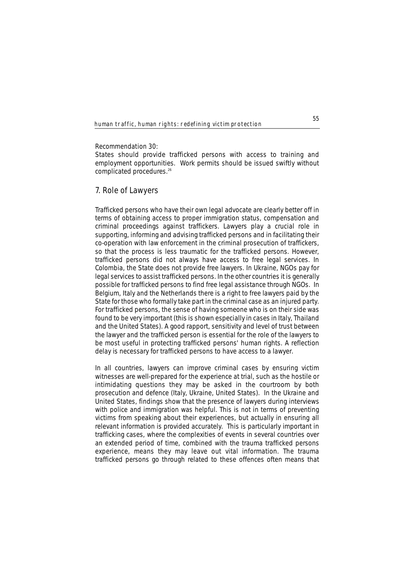### **Recommendation 30:**

States should provide trafficked persons with access to training and employment opportunities. Work permits should be issued swiftly without complicated procedures.<sup>26</sup>

## **7. Role of Lawyers**

Trafficked persons who have their own legal advocate are clearly better off in terms of obtaining access to proper immigration status, compensation and criminal proceedings against traffickers. Lawyers play a crucial role in supporting, informing and advising trafficked persons and in facilitating their co-operation with law enforcement in the criminal prosecution of traffickers, so that the process is less traumatic for the trafficked persons. However, trafficked persons did not always have access to free legal services. In Colombia, the State does not provide free lawyers. In Ukraine, NGOs pay for legal services to assist trafficked persons. In the other countries it is generally possible for trafficked persons to find free legal assistance through NGOs. In Belgium, Italy and the Netherlands there is a right to free lawyers paid by the State for those who formally take part in the criminal case as an injured party. For trafficked persons, the sense of having someone who is on their side was found to be very important (this is shown especially in cases in Italy, Thailand and the United States). A good rapport, sensitivity and level of trust between the lawyer and the trafficked person is essential for the role of the lawyers to be most useful in protecting trafficked persons' human rights. A reflection delay is necessary for trafficked persons to have access to a lawyer.

In all countries, lawyers can improve criminal cases by ensuring victim witnesses are well-prepared for the experience at trial, such as the hostile or intimidating questions they may be asked in the courtroom by both prosecution and defence (Italy, Ukraine, United States). In the Ukraine and United States, findings show that the presence of lawyers during interviews with police and immigration was helpful. This is not in terms of preventing victims from speaking about their experiences, but actually in ensuring all relevant information is provided accurately. This is particularly important in trafficking cases, where the complexities of events in several countries over an extended period of time, combined with the trauma trafficked persons experience, means they may leave out vital information. The trauma trafficked persons go through related to these offences often means that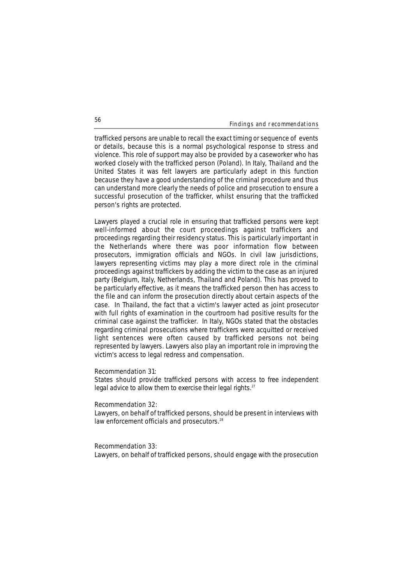trafficked persons are unable to recall the exact timing or sequence of events or details, because this is a normal psychological response to stress and violence. This role of support may also be provided by a caseworker who has worked closely with the trafficked person (Poland). In Italy, Thailand and the United States it was felt lawyers are particularly adept in this function because they have a good understanding of the criminal procedure and thus can understand more clearly the needs of police and prosecution to ensure a successful prosecution of the trafficker, whilst ensuring that the trafficked person's rights are protected.

Lawyers played a crucial role in ensuring that trafficked persons were kept well-informed about the court proceedings against traffickers and proceedings regarding their residency status. This is particularly important in the Netherlands where there was poor information flow between prosecutors, immigration officials and NGOs. In civil law jurisdictions, lawyers representing victims may play a more direct role in the criminal proceedings against traffickers by adding the victim to the case as an injured party (Belgium, Italy, Netherlands, Thailand and Poland). This has proved to be particularly effective, as it means the trafficked person then has access to the file and can inform the prosecution directly about certain aspects of the case. In Thailand, the fact that a victim's lawyer acted as joint prosecutor with full rights of examination in the courtroom had positive results for the criminal case against the trafficker. In Italy, NGOs stated that the obstacles regarding criminal prosecutions where traffickers were acquitted or received light sentences were often caused by trafficked persons not being represented by lawyers. Lawyers also play an important role in improving the victim's access to legal redress and compensation.

#### **Recommendation 31:**

States should provide trafficked persons with access to free independent legal advice to allow them to exercise their legal rights.<sup>27</sup>

## **Recommendation 32:**

Lawyers, on behalf of trafficked persons, should be present in interviews with law enforcement officials and prosecutors.<sup>28</sup>

#### **Recommendation 33:**

Lawyers, on behalf of trafficked persons, should engage with the prosecution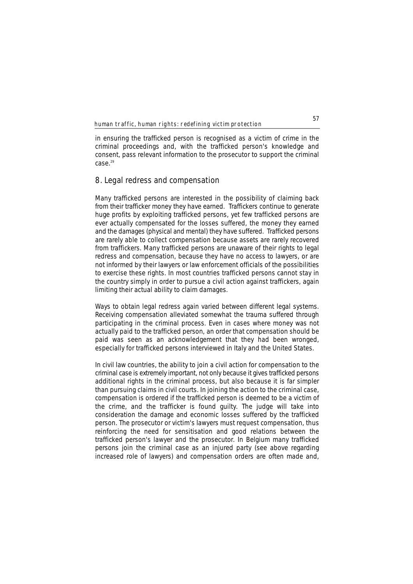in ensuring the trafficked person is recognised as a victim of crime in the criminal proceedings and, with the trafficked person's knowledge and consent, pass relevant information to the prosecutor to support the criminal  $Case<sup>29</sup>$ 

## **8. Legal redress and compensation**

Many trafficked persons are interested in the possibility of claiming back from their trafficker money they have earned. Traffickers continue to generate huge profits by exploiting trafficked persons, yet few trafficked persons are ever actually compensated for the losses suffered, the money they earned and the damages (physical and mental) they have suffered. Trafficked persons are rarely able to collect compensation because assets are rarely recovered from traffickers. Many trafficked persons are unaware of their rights to legal redress and compensation, because they have no access to lawyers, or are not informed by their lawyers or law enforcement officials of the possibilities to exercise these rights. In most countries trafficked persons cannot stay in the country simply in order to pursue a civil action against traffickers, again limiting their actual ability to claim damages.

Ways to obtain legal redress again varied between different legal systems. Receiving compensation alleviated somewhat the trauma suffered through participating in the criminal process. Even in cases where money was not actually paid to the trafficked person, an order that compensation should be paid was seen as an acknowledgement that they had been wronged, especially for trafficked persons interviewed in Italy and the United States.

In civil law countries, the ability to join a civil action for compensation to the criminal case is extremely important, not only because it gives trafficked persons additional rights in the criminal process, but also because it is far simpler than pursuing claims in civil courts. In joining the action to the criminal case, compensation is ordered if the trafficked person is deemed to be a victim of the crime, and the trafficker is found guilty. The judge will take into consideration the damage and economic losses suffered by the trafficked person. The prosecutor or victim's lawyers must request compensation, thus reinforcing the need for sensitisation and good relations between the trafficked person's lawyer and the prosecutor. In Belgium many trafficked persons join the criminal case as an injured party (see above regarding increased role of lawyers) and compensation orders are often made and,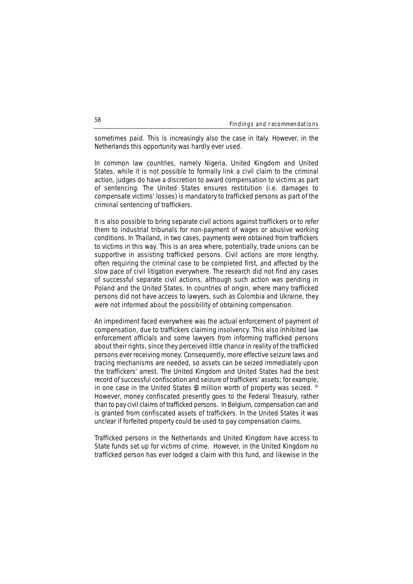sometimes paid. This is increasingly also the case in Italy. However, in the Netherlands this opportunity was hardly ever used.

In common law countries, namely Nigeria, United Kingdom and United States, while it is not possible to formally link a civil claim to the criminal action, judges do have a discretion to award compensation to victims as part of sentencing. The United States ensures restitution (i.e. damages to compensate victims' losses) is mandatory to trafficked persons as part of the criminal sentencing of traffickers.

It is also possible to bring separate civil actions against traffickers or to refer them to industrial tribunals for non-payment of wages or abusive working conditions. In Thailand, in two cases, payments were obtained from traffickers to victims in this way. This is an area where, potentially, trade unions can be supportive in assisting trafficked persons. Civil actions are more lengthy, often requiring the criminal case to be completed first, and affected by the slow pace of civil litigation everywhere. The research did not find any cases of successful separate civil actions, although such action was pending in Poland and the United States. In countries of origin, where many trafficked persons did not have access to lawyers, such as Colombia and Ukraine, they were not informed about the possibility of obtaining compensation.

An impediment faced everywhere was the actual enforcement of payment of compensation, due to traffickers claiming insolvency. This also inhibited law enforcement officials and some lawyers from informing trafficked persons about their rights, since they perceived little chance in reality of the trafficked persons ever receiving money. Consequently, more effective seizure laws and tracing mechanisms are needed, so assets can be seized immediately upon the traffickers' arrest. The United Kingdom and United States had the best record of successful confiscation and seizure of traffickers' assets; for example, in one case in the United States \$3 million worth of property was seized. 30 However, money confiscated presently goes to the Federal Treasury, rather than to pay civil claims of trafficked persons. In Belgium, compensation can and is granted from confiscated assets of traffickers. In the United States it was unclear if forfeited property could be used to pay compensation claims.

Trafficked persons in the Netherlands and United Kingdom have access to State funds set up for victims of crime. However, in the United Kingdom no trafficked person has ever lodged a claim with this fund, and likewise in the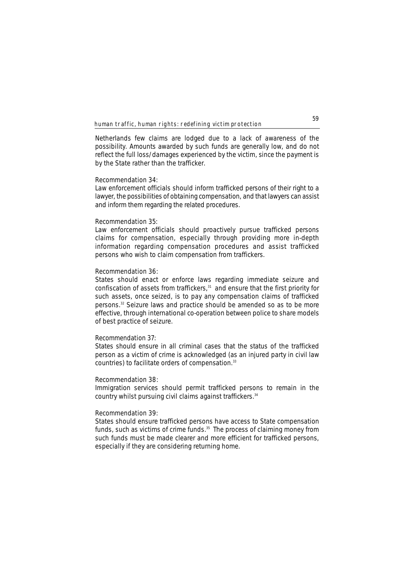Netherlands few claims are lodged due to a lack of awareness of the possibility. Amounts awarded by such funds are generally low, and do not reflect the full loss/damages experienced by the victim, since the payment is by the State rather than the trafficker.

## **Recommendation 34:**

Law enforcement officials should inform trafficked persons of their right to a lawyer, the possibilities of obtaining compensation, and that lawyers can assist and inform them regarding the related procedures.

#### **Recommendation 35:**

Law enforcement officials should proactively pursue trafficked persons claims for compensation, especially through providing more in-depth information regarding compensation procedures and assist trafficked persons who wish to claim compensation from traffickers.

## **Recommendation 36:**

States should enact or enforce laws regarding immediate seizure and confiscation of assets from traffickers,<sup>31</sup> and ensure that the first priority for such assets, once seized, is to pay any compensation claims of trafficked persons.32 Seizure laws and practice should be amended so as to be more effective, through international co-operation between police to share models of best practice of seizure.

## **Recommendation 37:**

States should ensure in all criminal cases that the status of the trafficked person as a victim of crime is acknowledged (as an injured party in civil law countries) to facilitate orders of compensation.<sup>33</sup>

## **Recommendation 38:**

Immigration services should permit trafficked persons to remain in the country whilst pursuing civil claims against traffickers.<sup>34</sup>

## **Recommendation 39:**

States should ensure trafficked persons have access to State compensation funds, such as victims of crime funds.<sup>35</sup> The process of claiming money from such funds must be made clearer and more efficient for trafficked persons, especially if they are considering returning home.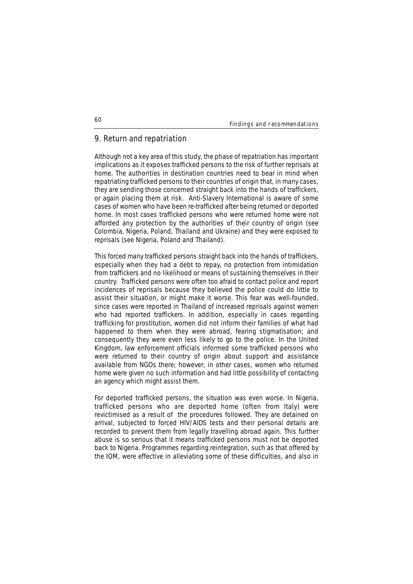## **9. Return and repatriation**

Although not a key area of this study, the phase of repatriation has important implications as it exposes trafficked persons to the risk of further reprisals at home. The authorities in destination countries need to bear in mind when repatriating trafficked persons to their countries of origin that, in many cases, they are sending those concerned straight back into the hands of traffickers, or again placing them at risk. Anti-Slavery International is aware of some cases of women who have been re-trafficked after being returned or deported home. In most cases trafficked persons who were returned home were not afforded any protection by the authorities of their country of origin (see Colombia, Nigeria, Poland, Thailand and Ukraine) and they were exposed to reprisals (see Nigeria, Poland and Thailand).

This forced many trafficked persons straight back into the hands of traffickers, especially when they had a debt to repay, no protection from intimidation from traffickers and no likelihood or means of sustaining themselves in their country. Trafficked persons were often too afraid to contact police and report incidences of reprisals because they believed the police could do little to assist their situation, or might make it worse. This fear was well-founded, since cases were reported in Thailand of increased reprisals against women who had reported traffickers. In addition, especially in cases regarding trafficking for prostitution, women did not inform their families of what had happened to them when they were abroad, fearing stigmatisation; and consequently they were even less likely to go to the police. In the United Kingdom, law enforcement officials informed some trafficked persons who were returned to their country of origin about support and assistance available from NGOs there; however, in other cases, women who returned home were given no such information and had little possibility of contacting an agency which might assist them.

For deported trafficked persons, the situation was even worse. In Nigeria, trafficked persons who are deported home (often from Italy) were revictimised as a result of the procedures followed. They are detained on arrival, subjected to forced HIV/AIDS tests and their personal details are recorded to prevent them from legally travelling abroad again. This further abuse is so serious that it means trafficked persons must not be deported back to Nigeria. Programmes regarding reintegration, such as that offered by the IOM, were effective in alleviating some of these difficulties, and also in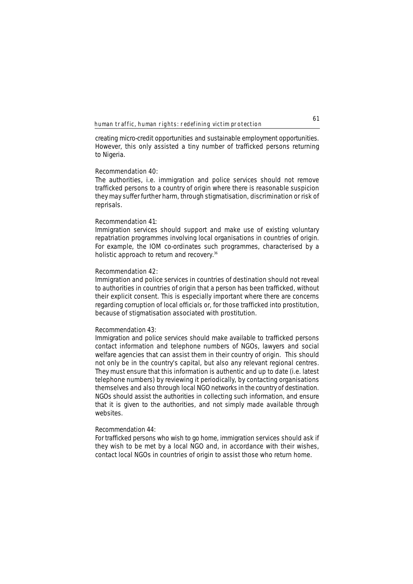creating micro-credit opportunities and sustainable employment opportunities. However, this only assisted a tiny number of trafficked persons returning to Nigeria.

## **Recommendation 40:**

The authorities, i.e. immigration and police services should not remove trafficked persons to a country of origin where there is reasonable suspicion they may suffer further harm, through stigmatisation, discrimination or risk of reprisals.

#### **Recommendation 41:**

Immigration services should support and make use of existing voluntary repatriation programmes involving local organisations in countries of origin. For example, the IOM co-ordinates such programmes, characterised by a holistic approach to return and recovery.<sup>36</sup>

## **Recommendation 42:**

Immigration and police services in countries of destination should not reveal to authorities in countries of origin that a person has been trafficked, without their explicit consent. This is especially important where there are concerns regarding corruption of local officials or, for those trafficked into prostitution, because of stigmatisation associated with prostitution.

## **Recommendation 43:**

Immigration and police services should make available to trafficked persons contact information and telephone numbers of NGOs, lawyers and social welfare agencies that can assist them in their country of origin. This should not only be in the country's capital, but also any relevant regional centres. They must ensure that this information is authentic and up to date (i.e. latest telephone numbers) by reviewing it periodically, by contacting organisations themselves and also through local NGO networks in the country of destination. NGOs should assist the authorities in collecting such information, and ensure that it is given to the authorities, and not simply made available through websites.

## **Recommendation 44:**

For trafficked persons who wish to go home, immigration services should ask if they wish to be met by a local NGO and, in accordance with their wishes, contact local NGOs in countries of origin to assist those who return home.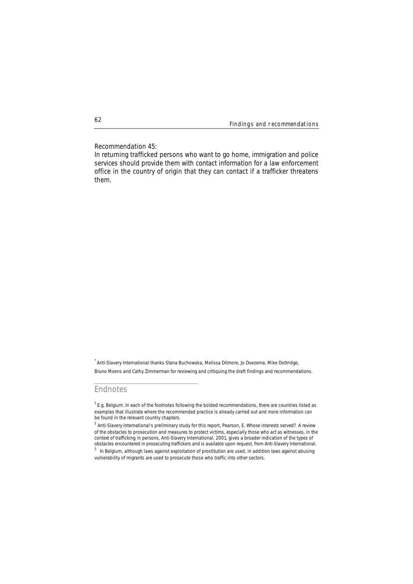## **Recommendation 45:**

In returning trafficked persons who want to go home, immigration and police services should provide them with contact information for a law enforcement office in the country of origin that they can contact if a trafficker threatens them.

.<br>^ Anti-Slavery International thanks Stana Buchowska, Melissa Ditmore, Jo Doezema, Mike Dottridge, Bruno Moens and Cathy Zimmerman for reviewing and critiquing the draft findings and recommendations.

## **Endnotes**

 $^1$  E.g. Belgium. In each of the footnotes following the bolded recommendations, there are countries listed as examples that illustrate where the recommended practice is already carried out and more information can be found in the relevant country chapters.

<sup>2</sup> Anti-Slavery International's preliminary study for this report, Pearson, E. *Whose interests served? A review of the obstacles to prosecution and measures to protect victims, especially those who act as witnesses, in the context of trafficking in persons,* Anti-Slavery International, 2001, gives a broader indication of the types of obstacles encountered in prosecuting traffickers and is available upon request, from Anti-Slavery International.  $3$  In Belgium, although laws against exploitation of prostitution are used, in addition laws against abusing

vulnerability of migrants are used to prosecute those who traffic into other sectors.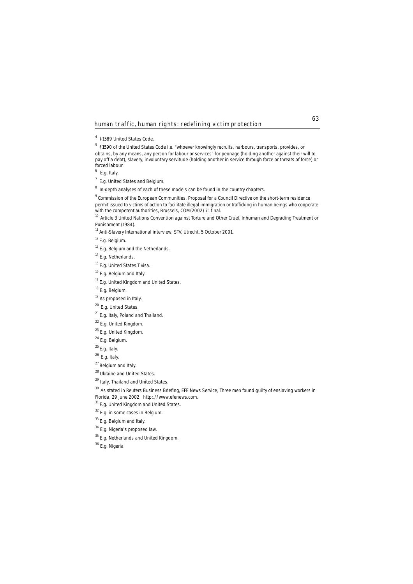5 §1590 of the United States Code i.e. "whoever knowingly recruits, harbours, transports, provides, or obtains, by any means, any person for labour or services" for peonage (holding another against their will to pay off a debt), slavery, involuntary servitude (holding another in service through force or threats of force) or forced labour.

<sup>6</sup> E.g. Italy.

<sup>7</sup> E.g. United States and Belgium.

<sup>8</sup> In-depth analyses of each of these models can be found in the country chapters.

9 Commission of the European Communities, *Proposal for a Council Directive on the short-term residence permit issued to victims of action to facilitate illegal immigration or trafficking in human beings who cooperate*

with the competent competent and the competent and Other Cruel, Inhuman and Degrading Treatment or<br><sup>10</sup> Article 3 United Nations Convention against Torture and Other Cruel, Inhuman and Degrading Treatment or Punishment (1984).

<sup>11</sup> Anti-Slavery International interview, STV, Utrecht, 5 October 2001.

12 E.g. Belgium.

<sup>13</sup> E.g. Belgium and the Netherlands.

<sup>14</sup> E.g. Netherlands.

<sup>15</sup> E.g. United States T visa.

<sup>16</sup> E.g. Belgium and Italy.

<sup>17</sup> E.g. United Kingdom and United States.

<sup>18</sup> E.g. Belgium.

<sup>19</sup> As proposed in Italy.

<sup>20</sup> E.g. United States.

<sup>21</sup> E.g. Italy, Poland and Thailand.

<sup>22</sup> E.g. United Kingdom.

<sup>23</sup> E.g. United Kingdom.

 $24$  E.g. Belgium.

 $25$  E.g. Italy.

26 E.g. Italy.

27 Belgium and Italy.

28 Ukraine and United States.

<sup>29</sup> Italy, Thailand and United States.

30 As stated in Reuters Business Briefing, EFE News Service, *Three men found guilty of enslaving workers in*

*Florida,* 29 June 2002, http:.//www.efenews.com.

<sup>31</sup> E.g. United Kingdom and United States.

32 E.q. in some cases in Belgium.

<sup>33</sup> E.g. Belgium and Italy.

<sup>34</sup> E.g. Nigeria's proposed law.

<sup>35</sup> E.g. Netherlands and United Kingdom.

<sup>36</sup> E.g. Nigeria.

<sup>4 §1589</sup> United States Code.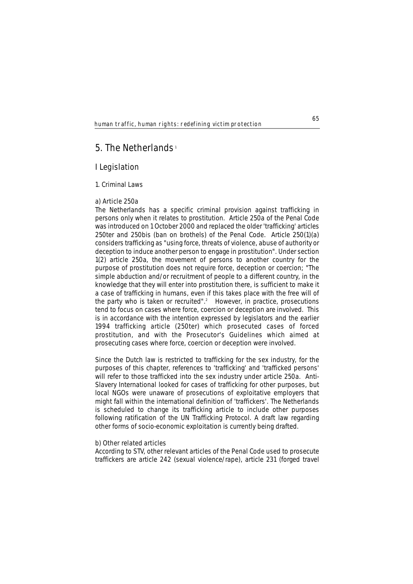# **5. The Netherlands** <sup>1</sup>

## **I Legislation**

## **1. Criminal Laws**

## **a) Article 250a**

The Netherlands has a specific criminal provision against trafficking in persons only when it relates to prostitution. Article 250a of the Penal Code was introduced on 1 October 2000 and replaced the older 'trafficking' articles 250ter and 250bis (ban on brothels) of the Penal Code. Article 250(1)(a) considers trafficking as "using force, threats of violence, abuse of authority or deception to induce another person to engage in prostitution". Under section 1(2) article 250a, the movement of persons to another country for the purpose of prostitution does not require force, deception or coercion; "The simple abduction and/or recruitment of people to a different country, in the knowledge that they will enter into prostitution there, is sufficient to make it a case of trafficking in humans, even if this takes place with the free will of the party who is taken or recruited".<sup>2</sup> However, in practice, prosecutions tend to focus on cases where force, coercion or deception are involved. This is in accordance with the intention expressed by legislators and the earlier 1994 trafficking article (250ter) which prosecuted cases of forced prostitution, and with the Prosecutor's Guidelines which aimed at prosecuting cases where force, coercion or deception were involved.

Since the Dutch law is restricted to trafficking for the sex industry, for the purposes of this chapter, references to 'trafficking' and 'trafficked persons' will refer to those trafficked into the sex industry under article 250a. Anti-Slavery International looked for cases of trafficking for other purposes, but local NGOs were unaware of prosecutions of exploitative employers that might fall within the international definition of 'traffickers'. The Netherlands is scheduled to change its trafficking article to include other purposes following ratification of the UN Trafficking Protocol. A draft law regarding other forms of socio-economic exploitation is currently being drafted.

## **b) Other related articles**

According to STV, other relevant articles of the Penal Code used to prosecute traffickers are article 242 (sexual violence/rape), article 231 (forged travel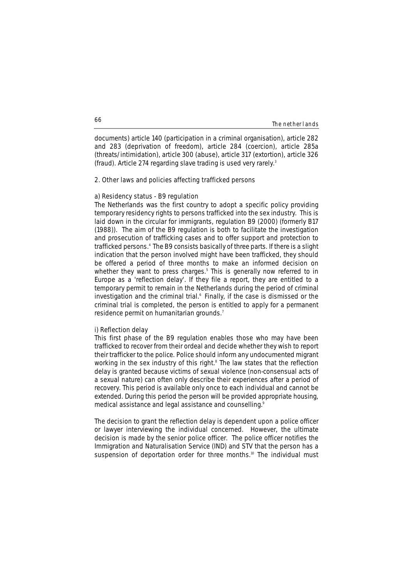#### The netherlands

documents) article 140 (participation in a criminal organisation), article 282 and 283 (deprivation of freedom), article 284 (coercion), article 285a (threats/intimidation), article 300 (abuse), article 317 (extortion), article 326 (fraud). Article 274 regarding slave trading is used very rarely.3

## **2. Other laws and policies affecting trafficked persons**

## **a) Residency status - B9 regulation**

The Netherlands was the first country to adopt a specific policy providing temporary residency rights to persons trafficked into the sex industry. This is laid down in the circular for immigrants, regulation B9 (2000) (formerly B17 (1988)). The aim of the B9 regulation is both to facilitate the investigation and prosecution of trafficking cases and to offer support and protection to trafficked persons.<sup>4</sup> The B9 consists basically of three parts. If there is a slight indication that the person involved might have been trafficked, they should be offered a period of three months to make an informed decision on whether they want to press charges.<sup>5</sup> This is generally now referred to in Europe as a 'reflection delay'. If they file a report, they are entitled to a temporary permit to remain in the Netherlands during the period of criminal investigation and the criminal trial.<sup>6</sup> Finally, if the case is dismissed or the criminal trial is completed, the person is entitled to apply for a permanent residence permit on humanitarian grounds.<sup>7</sup>

## **i) Reflection delay**

This first phase of the B9 regulation enables those who may have been trafficked to recover from their ordeal and decide whether they wish to report their trafficker to the police. Police should inform any undocumented migrant working in the sex industry of this right.<sup>8</sup> The law states that the reflection delay is granted because victims of sexual violence (non-consensual acts of a sexual nature) can often only describe their experiences after a period of recovery. This period is available only once to each individual and cannot be extended. During this period the person will be provided appropriate housing, medical assistance and legal assistance and counselling.<sup>9</sup>

The decision to grant the reflection delay is dependent upon a police officer or lawyer interviewing the individual concerned. However, the ultimate decision is made by the senior police officer. The police officer notifies the Immigration and Naturalisation Service (IND) and STV that the person has a suspension of deportation order for three months.<sup>10</sup> The individual must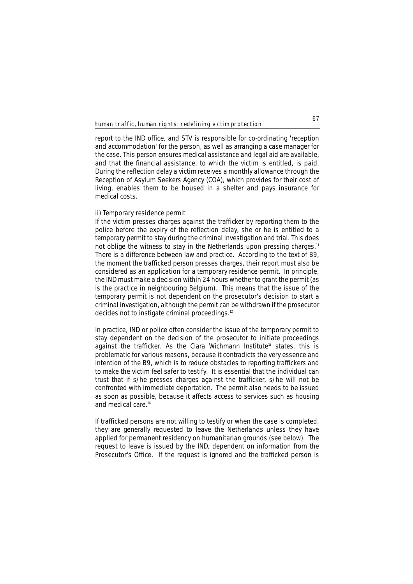report to the IND office, and STV is responsible for co-ordinating 'reception and accommodation' for the person, as well as arranging a case manager for the case. This person ensures medical assistance and legal aid are available, and that the financial assistance, to which the victim is entitled, is paid. During the reflection delay a victim receives a monthly allowance through the Reception of Asylum Seekers Agency (COA), which provides for their cost of living, enables them to be housed in a shelter and pays insurance for medical costs.

## **ii) Temporary residence permit**

If the victim presses charges against the trafficker by reporting them to the police before the expiry of the reflection delay, she or he is entitled to a temporary permit to stay during the criminal investigation and trial. This does not oblige the witness to stay in the Netherlands upon pressing charges.<sup>11</sup> There is a difference between law and practice. According to the text of B9, the moment the trafficked person presses charges, their report must also be considered as an application for a temporary residence permit. In principle, the IND must make a decision within 24 hours whether to grant the permit (as is the practice in neighbouring Belgium). This means that the issue of the temporary permit is not dependent on the prosecutor's decision to start a criminal investigation, although the permit can be withdrawn if the prosecutor decides not to instigate criminal proceedings.12

In practice, IND or police often consider the issue of the temporary permit to stay dependent on the decision of the prosecutor to initiate proceedings against the trafficker. As the Clara Wichmann Institute<sup>13</sup> states, this is problematic for various reasons, because it contradicts the very essence and intention of the B9, which is to reduce obstacles to reporting traffickers and to make the victim feel safer to testify. It is essential that the individual can trust that if s/he presses charges against the trafficker, s/he will not be confronted with immediate deportation. The permit also needs to be issued as soon as possible, because it affects access to services such as housing and medical care.14

If trafficked persons are not willing to testify or when the case is completed, they are generally requested to leave the Netherlands unless they have applied for permanent residency on humanitarian grounds (see below). The request to leave is issued by the IND, dependent on information from the Prosecutor's Office. If the request is ignored and the trafficked person is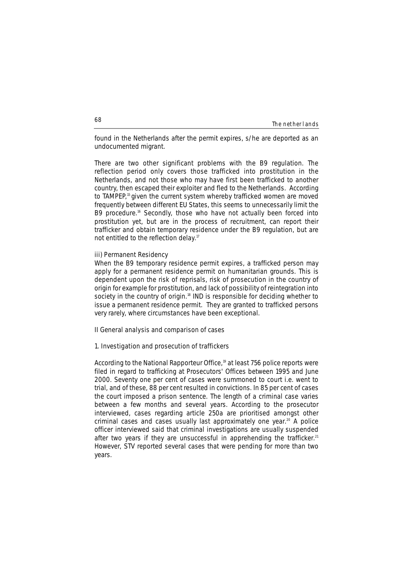### The netherlands

found in the Netherlands after the permit expires, s/he are deported as an undocumented migrant.

There are two other significant problems with the B9 regulation. The reflection period only covers those trafficked into prostitution in the Netherlands, and not those who may have first been trafficked to another country, then escaped their exploiter and fled to the Netherlands. According to TAMPEP.<sup>15</sup> given the current system whereby trafficked women are moved frequently between different EU States, this seems to unnecessarily limit the B9 procedure.<sup>16</sup> Secondly, those who have not actually been forced into prostitution yet, but are in the process of recruitment, can report their trafficker and obtain temporary residence under the B9 regulation, but are not entitled to the reflection delay.<sup>17</sup>

# **iii) Permanent Residency**

When the B9 temporary residence permit expires, a trafficked person may apply for a permanent residence permit on humanitarian grounds. This is dependent upon the risk of reprisals, risk of prosecution in the country of origin for example for prostitution, and lack of possibility of reintegration into society in the country of origin.<sup>18</sup> IND is responsible for deciding whether to issue a permanent residence permit. They are granted to trafficked persons very rarely, where circumstances have been exceptional.

# **II General analysis and comparison of cases**

# **1. Investigation and prosecution of traffickers**

According to the National Rapporteur Office,<sup>19</sup> at least 756 police reports were filed in regard to trafficking at Prosecutors' Offices between 1995 and June 2000. Seventy one per cent of cases were summoned to court i.e. went to trial, and of these, 88 per cent resulted in convictions. In 85 per cent of cases the court imposed a prison sentence. The length of a criminal case varies between a few months and several years. According to the prosecutor interviewed, cases regarding article 250a are prioritised amongst other criminal cases and cases usually last approximately one year.<sup>20</sup> A police officer interviewed said that criminal investigations are usually suspended after two vears if they are unsuccessful in apprehending the trafficker.<sup>21</sup> However, STV reported several cases that were pending for more than two years.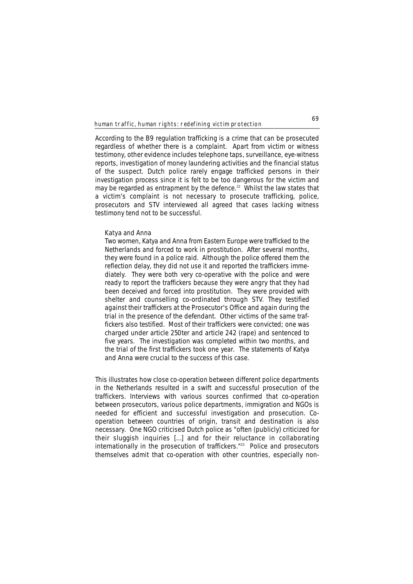According to the B9 regulation trafficking is a crime that can be prosecuted regardless of whether there is a complaint. Apart from victim or witness testimony, other evidence includes telephone taps, surveillance, eye-witness reports, investigation of money laundering activities and the financial status of the suspect. Dutch police rarely engage trafficked persons in their investigation process since it is felt to be too dangerous for the victim and may be regarded as entrapment by the defence.<sup>22</sup> Whilst the law states that a victim's complaint is not necessary to prosecute trafficking, police, prosecutors and STV interviewed all agreed that cases lacking witness testimony tend not to be successful.

### **Katya and Anna**

*Two women, Katya and Anna from Eastern Europe were trafficked to the Netherlands and forced to work in prostitution. After several months, they were found in a police raid. Although the police offered them the reflection delay, they did not use it and reported the traffickers immediately. They were both very co-operative with the police and were ready to report the traffickers because they were angry that they had been deceived and forced into prostitution. They were provided with shelter and counselling co-ordinated through STV. They testified against their traffickers at the Prosecutor's Office and again during the trial in the presence of the defendant. Other victims of the same traffickers also testified. Most of their traffickers were convicted; one was charged under article 250ter and article 242 (rape) and sentenced to five years. The investigation was completed within two months, and the trial of the first traffickers took one year. The statements of Katya and Anna were crucial to the success of this case.* 

This illustrates how close co-operation between different police departments in the Netherlands resulted in a swift and successful prosecution of the traffickers. Interviews with various sources confirmed that co-operation between prosecutors, various police departments, immigration and NGOs is needed for efficient and successful investigation and prosecution. Cooperation between countries of origin, transit and destination is also necessary. One NGO criticised Dutch police as "often (publicly) criticized for their sluggish inquiries […] and for their reluctance in collaborating  $intermationally$  in the prosecution of traffickers."<sup>23</sup> Police and prosecutors themselves admit that co-operation with other countries, especially non-

**69**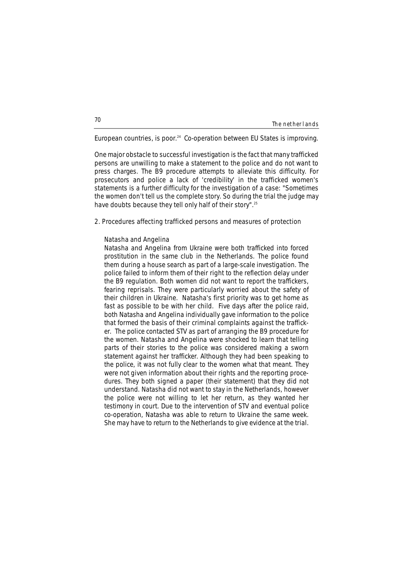| The nether lands |
|------------------|
|------------------|

European countries, is poor. $24$  Co-operation between EU States is improving.

One major obstacle to successful investigation is the fact that many trafficked persons are unwilling to make a statement to the police and do not want to press charges. The B9 procedure attempts to alleviate this difficulty. For prosecutors and police a lack of 'credibility' in the trafficked women's statements is a further difficulty for the investigation of a case: "Sometimes the women don't tell us the complete story. So during the trial the judge may have doubts because they tell only half of their story".25

# **2. Procedures affecting trafficked persons and measures of protection**

### **Natasha and Angelina**

*Natasha and Angelina from Ukraine were both trafficked into forced prostitution in the same club in the Netherlands. The police found them during a house search as part of a large-scale investigation. The police failed to inform them of their right to the reflection delay under the B9 regulation. Both women did not want to report the traffickers, fearing reprisals. They were particularly worried about the safety of their children in Ukraine. Natasha's first priority was to get home as fast as possible to be with her child. Five days after the police raid, both Natasha and Angelina individually gave information to the police that formed the basis of their criminal complaints against the trafficker. The police contacted STV as part of arranging the B9 procedure for the women. Natasha and Angelina were shocked to learn that telling parts of their stories to the police was considered making a sworn statement against her trafficker. Although they had been speaking to the police, it was not fully clear to the women what that meant. They were not given information about their rights and the reporting procedures. They both signed a paper (their statement) that they did not understand. Natasha did not want to stay in the Netherlands, however the police were not willing to let her return, as they wanted her testimony in court. Due to the intervention of STV and eventual police co-operation, Natasha was able to return to Ukraine the same week. She may have to return to the Netherlands to give evidence at the trial.*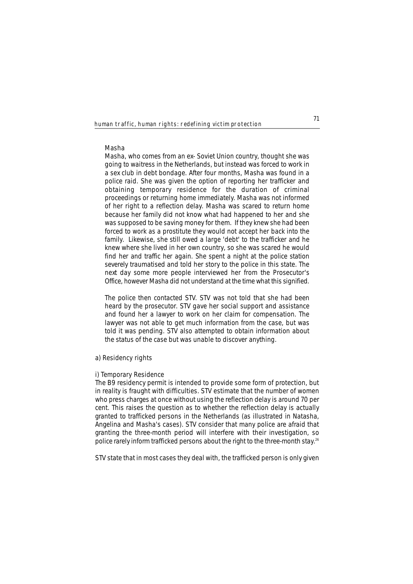### **Masha**

*Masha, who comes from an ex- Soviet Union country, thought she was going to waitress in the Netherlands, but instead was forced to work in a sex club in debt bondage. After four months, Masha was found in a police raid. She was given the option of reporting her trafficker and obtaining temporary residence for the duration of criminal proceedings or returning home immediately. Masha was not informed of her right to a reflection delay. Masha was scared to return home because her family did not know what had happened to her and she was supposed to be saving money for them. If they knew she had been forced to work as a prostitute they would not accept her back into the family. Likewise, she still owed a large 'debt' to the trafficker and he knew where she lived in her own country, so she was scared he would find her and traffic her again. She spent a night at the police station severely traumatised and told her story to the police in this state. The next day some more people interviewed her from the Prosecutor's Office, however Masha did not understand at the time what this signified.*

*The police then contacted STV. STV was not told that she had been heard by the prosecutor. STV gave her social support and assistance and found her a lawyer to work on her claim for compensation. The lawyer was not able to get much information from the case, but was told it was pending. STV also attempted to obtain information about the status of the case but was unable to discover anything.* 

# **a) Residency rights**

# **i) Temporary Residence**

The B9 residency permit is intended to provide some form of protection, but in reality is fraught with difficulties. STV estimate that the number of women who press charges at once without using the reflection delay is around 70 per cent. This raises the question as to whether the reflection delay is actually granted to trafficked persons in the Netherlands (as illustrated in Natasha, Angelina and Masha's cases). STV consider that many police are afraid that granting the three-month period will interfere with their investigation, so police rarely inform trafficked persons about the right to the three-month stay.<sup>26</sup>

STV state that in most cases they deal with, the trafficked person is only given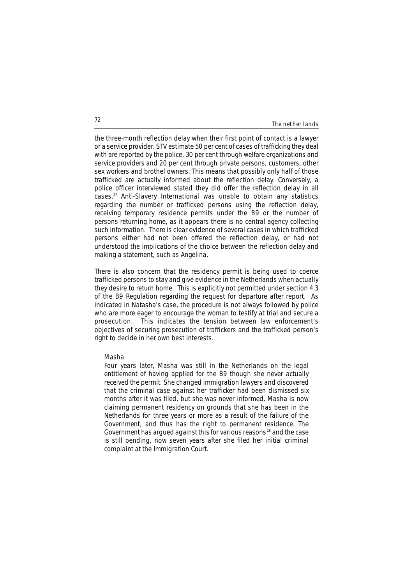#### The netherlands

the three-month reflection delay when their first point of contact is a lawyer or a service provider. STV estimate 50 per cent of cases of trafficking they deal with are reported by the police, 30 per cent through welfare organizations and service providers and 20 per cent through private persons, customers, other sex workers and brothel owners. This means that possibly only half of those trafficked are actually informed about the reflection delay. Conversely, a police officer interviewed stated they did offer the reflection delay in all cases.27 Anti-Slavery International was unable to obtain any statistics regarding the number or trafficked persons using the reflection delay, receiving temporary residence permits under the B9 or the number of persons returning home, as it appears there is no central agency collecting such information. There is clear evidence of several cases in which trafficked persons either had not been offered the reflection delay, or had not understood the implications of the choice between the reflection delay and making a statement, such as Angelina.

There is also concern that the residency permit is being used to coerce trafficked persons to stay and give evidence in the Netherlands when actually they desire to return home. This is explicitly not permitted under section 4.3 of the B9 Regulation regarding the request for departure after report. As indicated in Natasha's case, the procedure is not always followed by police who are more eager to encourage the woman to testify at trial and secure a prosecution. This indicates the tension between law enforcement's objectives of securing prosecution of traffickers and the trafficked person's right to decide in her own best interests.

#### **Masha**

*Four years later, Masha was still in the Netherlands on the legal entitlement of having applied for the B9 though she never actually received the permit. She changed immigration lawyers and discovered that the criminal case against her trafficker had been dismissed six months after it was filed, but she was never informed. Masha is now claiming permanent residency on grounds that she has been in the Netherlands for three years or more as a result of the failure of the Government, and thus has the right to permanent residence. The Government has argued against this for various reasons <sup>28</sup> and the case is still pending, now seven years after she filed her initial criminal complaint at the Immigration Court.*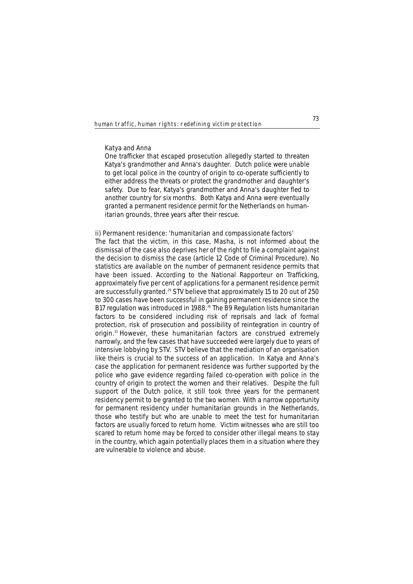# **Katya and Anna**

*One trafficker that escaped prosecution allegedly started to threaten Katya's grandmother and Anna's daughter. Dutch police were unable to get local police in the country of origin to co-operate sufficiently to either address the threats or protect the grandmother and daughter's safety. Due to fear, Katya's grandmother and Anna's daughter fled to another country for six months. Both Katya and Anna were eventually granted a permanent residence permit for the Netherlands on humanitarian grounds, three years after their rescue.*

# **ii) Permanent residence: 'humanitarian and compassionate factors'**

The fact that the victim, in this case, Masha, is not informed about the dismissal of the case also deprives her of the right to file a complaint against the decision to dismiss the case (article 12 Code of Criminal Procedure). No statistics are available on the number of permanent residence permits that have been issued. According to the National Rapporteur on Trafficking, approximately five per cent of applications for a permanent residence permit are successfully granted.29 STV believe that approximately 15 to 20 out of 250 to 300 cases have been successful in gaining permanent residence since the B17 regulation was introduced in 1988.<sup>30</sup> The B9 Regulation lists humanitarian factors to be considered including risk of reprisals and lack of formal protection, risk of prosecution and possibility of reintegration in country of origin.31 However, these humanitarian factors are construed extremely narrowly, and the few cases that have succeeded were largely due to years of intensive lobbying by STV. STV believe that the mediation of an organisation like theirs is crucial to the success of an application. In Katya and Anna's case the application for permanent residence was further supported by the police who gave evidence regarding failed co-operation with police in the country of origin to protect the women and their relatives. Despite the full support of the Dutch police, it still took three years for the permanent residency permit to be granted to the two women. With a narrow opportunity for permanent residency under humanitarian grounds in the Netherlands, those who testify but who are unable to meet the test for humanitarian factors are usually forced to return home. Victim witnesses who are still too scared to return home may be forced to consider other illegal means to stay in the country, which again potentially places them in a situation where they are vulnerable to violence and abuse.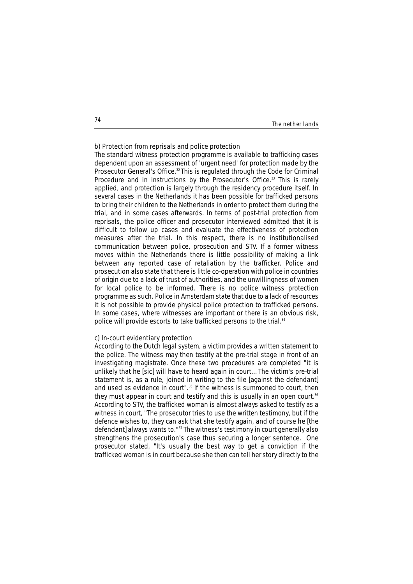#### The netherlands

# **b) Protection from reprisals and police protection**

The standard witness protection programme is available to trafficking cases dependent upon an assessment of 'urgent need' for protection made by the Prosecutor General's Office.<sup>32</sup> This is regulated through the Code for Criminal Procedure and in instructions by the Prosecutor's Office.<sup>33</sup> This is rarely applied, and protection is largely through the residency procedure itself. In several cases in the Netherlands it has been possible for trafficked persons to bring their children to the Netherlands in order to protect them during the trial, and in some cases afterwards. In terms of post-trial protection from reprisals, the police officer and prosecutor interviewed admitted that it is difficult to follow up cases and evaluate the effectiveness of protection measures after the trial. In this respect, there is no institutionalised communication between police, prosecution and STV. If a former witness moves within the Netherlands there is little possibility of making a link between any reported case of retaliation by the trafficker. Police and prosecution also state that there is little co-operation with police in countries of origin due to a lack of trust of authorities, and the unwillingness of women for local police to be informed. There is no police witness protection programme as such. Police in Amsterdam state that due to a lack of resources it is not possible to provide physical police protection to trafficked persons. In some cases, where witnesses are important or there is an obvious risk, police will provide escorts to take trafficked persons to the trial.<sup>34</sup>

# **c) In-court evidentiary protection**

According to the Dutch legal system, a victim provides a written statement to the police. The witness may then testify at the pre-trial stage in front of an investigating magistrate. Once these two procedures are completed "it is unlikely that he [sic] will have to heard again in court… The victim's pre-trial statement is, as a rule, joined in writing to the file [against the defendant] and used as evidence in court".<sup>35</sup> If the witness is summoned to court, then they must appear in court and testify and this is usually in an open court.<sup>36</sup> According to STV, the trafficked woman is almost always asked to testify as a witness in court, "The prosecutor tries to use the written testimony, but if the defence wishes to, they can ask that she testify again, and of course he [the defendant] always wants to."<sup>37</sup> The witness's testimony in court generally also strengthens the prosecution's case thus securing a longer sentence. One prosecutor stated, "It's usually the best way to get a conviction if the trafficked woman is in court because she then can tell her story directly to the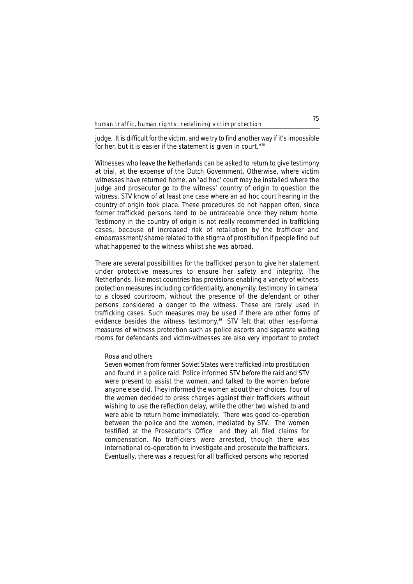judge. It is difficult for the victim, and we try to find another way if it's impossible for her, but it is easier if the statement is given in court."38

Witnesses who leave the Netherlands can be asked to return to give testimony at trial, at the expense of the Dutch Government. Otherwise, where victim witnesses have returned home, an 'ad hoc' court may be installed where the judge and prosecutor go to the witness' country of origin to question the witness. STV know of at least one case where an ad hoc court hearing in the country of origin took place. These procedures do not happen often, since former trafficked persons tend to be untraceable once they return home. Testimony in the country of origin is not really recommended in trafficking cases, because of increased risk of retaliation by the trafficker and embarrassment/shame related to the stigma of prostitution if people find out what happened to the witness whilst she was abroad.

There are several possibilities for the trafficked person to give her statement under protective measures to ensure her safety and integrity. The Netherlands, like most countries has provisions enabling a variety of witness protection measures including confidentiality, anonymity, testimony 'in camera' to a closed courtroom, without the presence of the defendant or other persons considered a danger to the witness. These are rarely used in trafficking cases. Such measures may be used if there are other forms of evidence besides the witness testimony.<sup>39</sup> STV felt that other less-formal measures of witness protection such as police escorts and separate waiting rooms for defendants and victim-witnesses are also very important to protect

# **Rosa and others**

*Seven women from former Soviet States were trafficked into prostitution and found in a police raid. Police informed STV before the raid and STV were present to assist the women, and talked to the women before anyone else did. They informed the women about their choices. Four of the women decided to press charges against their traffickers without wishing to use the reflection delay, while the other two wished to and were able to return home immediately. There was good co-operation between the police and the women, mediated by STV. The women testified at the Prosecutor's Office and they all filed claims for compensation. No traffickers were arrested, though there was international co-operation to investigate and prosecute the traffickers. Eventually, there was a request for all trafficked persons who reported*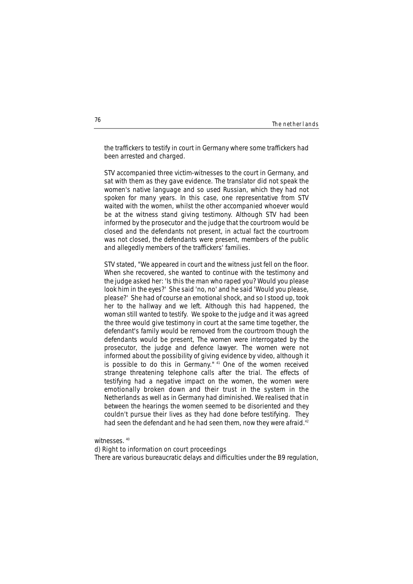| The netherlands |  |
|-----------------|--|
|-----------------|--|

*the traffickers to testify in court in Germany where some traffickers had been arrested and charged.*

*STV accompanied three victim-witnesses to the court in Germany, and sat with them as they gave evidence. The translator did not speak the women's native language and so used Russian, which they had not spoken for many years. In this case, one representative from STV waited with the women, whilst the other accompanied whoever would be at the witness stand giving testimony. Although STV had been informed by the prosecutor and the judge that the courtroom would be closed and the defendants not present, in actual fact the courtroom was not closed, the defendants were present, members of the public and allegedly members of the traffickers' families.*

*STV stated, "We appeared in court and the witness just fell on the floor. When she recovered, she wanted to continue with the testimony and the judge asked her: 'Is this the man who raped you? Would you please look him in the eyes?' She said 'no, no' and he said 'Would you please, please?' She had of course an emotional shock, and so I stood up, took her to the hallway and we left. Although this had happened, the woman still wanted to testify. We spoke to the judge and it was agreed the three would give testimony in court at the same time together, the defendant's family would be removed from the courtroom though the defendants would be present, The women were interrogated by the prosecutor, the judge and defence lawyer. The women were not informed about the possibility of giving evidence by video, although it is possible to do this in Germany." <sup>41</sup> One of the women received strange threatening telephone calls after the trial. The effects of testifying had a negative impact on the women, the women were emotionally broken down and their trust in the system in the Netherlands as well as in Germany had diminished. We realised that in between the hearings the women seemed to be disoriented and they couldn't pursue their lives as they had done before testifying. They had seen the defendant and he had seen them, now they were afraid.42*

witnesses. 40

# **d) Right to information on court proceedings**

There are various bureaucratic delays and difficulties under the B9 regulation,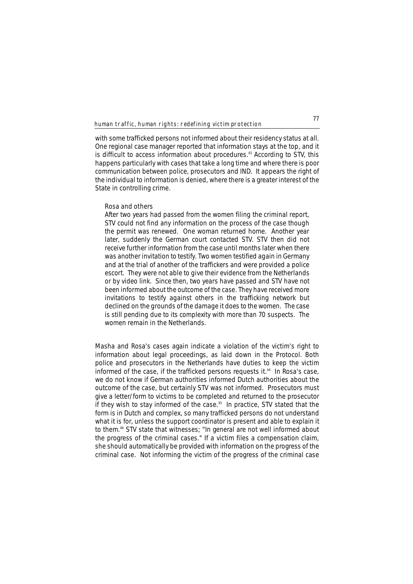with some trafficked persons not informed about their residency status at all. One regional case manager reported that information stays at the top, and it is difficult to access information about procedures.<sup>43</sup> According to STV, this happens particularly with cases that take a long time and where there is poor communication between police, prosecutors and IND. It appears the right of the individual to information is denied, where there is a greater interest of the State in controlling crime.

#### **Rosa and others**

*After two years had passed from the women filing the criminal report, STV could not find any information on the process of the case though the permit was renewed. One woman returned home. Another year later, suddenly the German court contacted STV. STV then did not receive further information from the case until months later when there was another invitation to testify. Two women testified again in Germany and at the trial of another of the traffickers and were provided a police escort. They were not able to give their evidence from the Netherlands or by video link. Since then, two years have passed and STV have not been informed about the outcome of the case. They have received more invitations to testify against others in the trafficking network but declined on the grounds of the damage it does to the women. The case is still pending due to its complexity with more than 70 suspects. The women remain in the Netherlands.* 

Masha and Rosa's cases again indicate a violation of the victim's right to information about legal proceedings, as laid down in the Protocol. Both police and prosecutors in the Netherlands have duties to keep the victim informed of the case, if the trafficked persons requests it.<sup>44</sup> In Rosa's case, we do not know if German authorities informed Dutch authorities about the outcome of the case, but certainly STV was not informed. Prosecutors must give a letter/form to victims to be completed and returned to the prosecutor if they wish to stay informed of the case.<sup>45</sup> In practice, STV stated that the form is in Dutch and complex, so many trafficked persons do not understand what it is for, unless the support coordinator is present and able to explain it to them.<sup>46</sup> STV state that witnesses; "In general are not well informed about the progress of the criminal cases." If a victim files a compensation claim, she should automatically be provided with information on the progress of the criminal case. Not informing the victim of the progress of the criminal case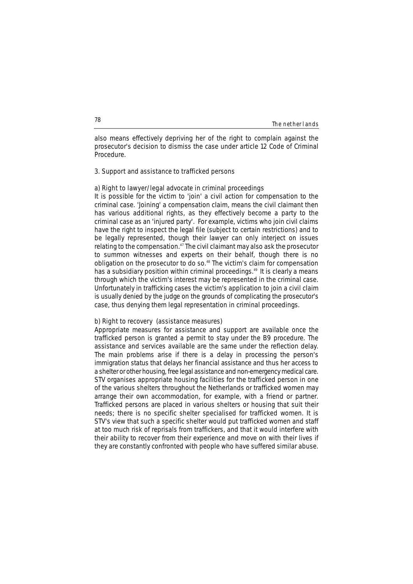| The nether lands |  |
|------------------|--|
|------------------|--|

also means effectively depriving her of the right to complain against the prosecutor's decision to dismiss the case under article 12 Code of Criminal Procedure.

### **3. Support and assistance to trafficked persons**

### **a) Right to lawyer/legal advocate in criminal proceedings**

It is possible for the victim to 'join' a civil action for compensation to the criminal case. 'Joining' a compensation claim, means the civil claimant then has various additional rights, as they effectively become a party to the criminal case as an 'injured party'. For example, victims who join civil claims have the right to inspect the legal file (subject to certain restrictions) and to be legally represented, though their lawyer can only interject on issues relating to the compensation.<sup>47</sup> The civil claimant may also ask the prosecutor to summon witnesses and experts on their behalf, though there is no obligation on the prosecutor to do so.48 The victim's claim for compensation has a subsidiary position within criminal proceedings.<sup>49</sup> It is clearly a means through which the victim's interest may be represented in the criminal case. Unfortunately in trafficking cases the victim's application to join a civil claim is usually denied by the judge on the grounds of complicating the prosecutor's case, thus denying them legal representation in criminal proceedings.

### **b) Right to recovery (assistance measures)**

Appropriate measures for assistance and support are available once the trafficked person is granted a permit to stay under the B9 procedure. The assistance and services available are the same under the reflection delay. The main problems arise if there is a delay in processing the person's immigration status that delays her financial assistance and thus her access to a shelter or other housing, free legal assistance and non-emergency medical care. STV organises appropriate housing facilities for the trafficked person in one of the various shelters throughout the Netherlands or trafficked women may arrange their own accommodation, for example, with a friend or partner. Trafficked persons are placed in various shelters or housing that suit their needs; there is no specific shelter specialised for trafficked women. It is STV's view that such a specific shelter would put trafficked women and staff at too much risk of reprisals from traffickers, and that it would interfere with their ability to recover from their experience and move on with their lives if they are constantly confronted with people who have suffered similar abuse.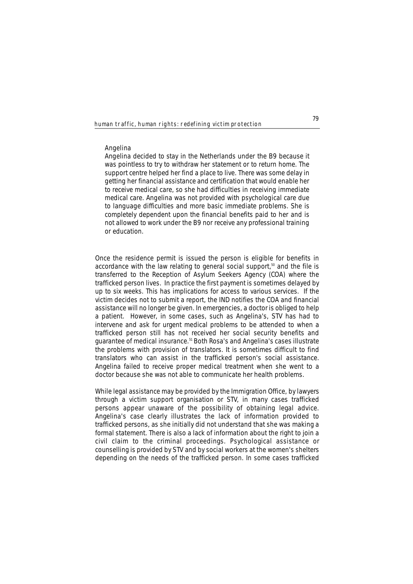# **Angelina**

*Angelina decided to stay in the Netherlands under the B9 because it was pointless to try to withdraw her statement or to return home. The support centre helped her find a place to live. There was some delay in getting her financial assistance and certification that would enable her to receive medical care, so she had difficulties in receiving immediate medical care. Angelina was not provided with psychological care due to language difficulties and more basic immediate problems. She is completely dependent upon the financial benefits paid to her and is not allowed to work under the B9 nor receive any professional training or education.* 

Once the residence permit is issued the person is eligible for benefits in accordance with the law relating to general social support, $50$  and the file is transferred to the Reception of Asylum Seekers Agency (COA) where the trafficked person lives. In practice the first payment is sometimes delayed by up to six weeks. This has implications for access to various services. If the victim decides not to submit a report, the IND notifies the COA and financial assistance will no longer be given. In emergencies, a doctor is obliged to help a patient. However, in some cases, such as Angelina's, STV has had to intervene and ask for urgent medical problems to be attended to when a trafficked person still has not received her social security benefits and guarantee of medical insurance.51 Both Rosa's and Angelina's cases illustrate the problems with provision of translators. It is sometimes difficult to find translators who can assist in the trafficked person's social assistance. Angelina failed to receive proper medical treatment when she went to a doctor because she was not able to communicate her health problems.

While legal assistance may be provided by the Immigration Office, by lawyers through a victim support organisation or STV, in many cases trafficked persons appear unaware of the possibility of obtaining legal advice. Angelina's case clearly illustrates the lack of information provided to trafficked persons, as she initially did not understand that she was making a formal statement. There is also a lack of information about the right to join a civil claim to the criminal proceedings. Psychological assistance or counselling is provided by STV and by social workers at the women's shelters depending on the needs of the trafficked person. In some cases trafficked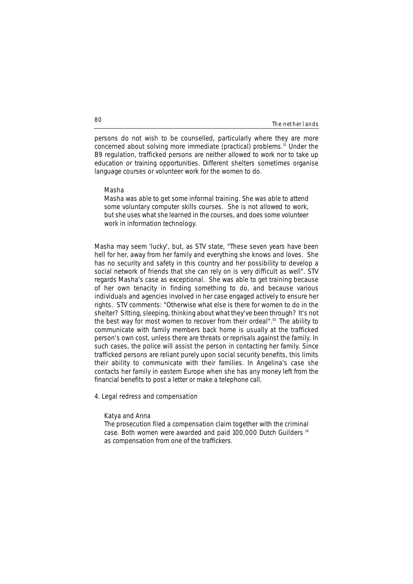#### The netherlands

persons do not wish to be counselled, particularly where they are more concerned about solving more immediate (practical) problems. $52$  Under the B9 regulation, trafficked persons are neither allowed to work nor to take up education or training opportunities. Different shelters sometimes organise language courses or volunteer work for the women to do.

#### **Masha**

*Masha was able to get some informal training. She was able to attend some voluntary computer skills courses. She is not allowed to work, but she uses what she learned in the courses, and does some volunteer work in information technology.*

Masha may seem 'lucky', but, as STV state, "These seven years have been hell for her, away from her family and everything she knows and loves. She has no security and safety in this country and her possibility to develop a social network of friends that she can rely on is very difficult as well". STV regards Masha's case as exceptional. She was able to get training because of her own tenacity in finding something to do, and because various individuals and agencies involved in her case engaged actively to ensure her rights. STV comments: "Otherwise what else is there for women to do in the shelter? Sitting, sleeping, thinking about what they've been through? It's not the best way for most women to recover from their ordeal".<sup>53</sup> The ability to communicate with family members back home is usually at the trafficked person's own cost, unless there are threats or reprisals against the family. In such cases, the police will assist the person in contacting her family. Since trafficked persons are reliant purely upon social security benefits, this limits their ability to communicate with their families. In Angelina's case she contacts her family in eastern Europe when she has any money left from the financial benefits to post a letter or make a telephone call.

# **4. Legal redress and compensation**

### **Katya and Anna**

*The prosecution filed a compensation claim together with the criminal case. Both women were awarded and paid 100,000 Dutch Guilders 54 as compensation from one of the traffickers.*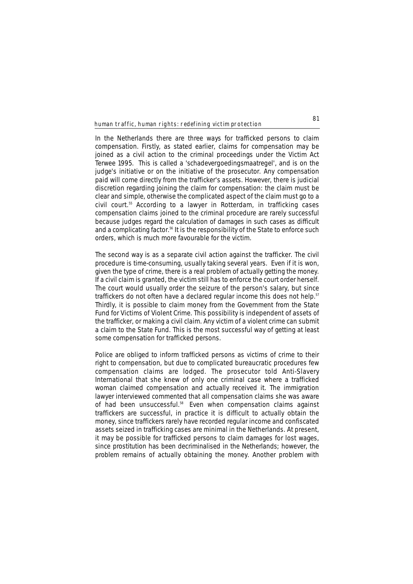In the Netherlands there are three ways for trafficked persons to claim compensation. Firstly, as stated earlier, claims for compensation may be joined as a civil action to the criminal proceedings under the Victim Act Terwee 1995. This is called a *'schadevergoedingsmaatregel'*, and is on the judge's initiative or on the initiative of the prosecutor. Any compensation paid will come directly from the trafficker's assets. However, there is judicial discretion regarding joining the claim for compensation: the claim must be clear and simple, otherwise the complicated aspect of the claim must go to a civil court.55 According to a lawyer in Rotterdam, in trafficking cases compensation claims joined to the criminal procedure are rarely successful because judges regard the calculation of damages in such cases as difficult and a complicating factor.<sup>56</sup> It is the responsibility of the State to enforce such orders, which is much more favourable for the victim.

The second way is as a separate civil action against the trafficker. The civil procedure is time-consuming, usually taking several years. Even if it is won, given the type of crime, there is a real problem of actually getting the money. If a civil claim is granted, the victim still has to enforce the court order herself. The court would usually order the seizure of the person's salary, but since traffickers do not often have a declared regular income this does not help.<sup>57</sup> Thirdly, it is possible to claim money from the Government from the State Fund for Victims of Violent Crime. This possibility is independent of assets of the trafficker, or making a civil claim. Any victim of a violent crime can submit a claim to the State Fund. This is the most successful way of getting at least some compensation for trafficked persons.

Police are obliged to inform trafficked persons as victims of crime to their right to compensation, but due to complicated bureaucratic procedures few compensation claims are lodged. The prosecutor told Anti-Slavery International that she knew of only one criminal case where a trafficked woman claimed compensation and actually received it. The immigration lawyer interviewed commented that all compensation claims she was aware of had been unsuccessful.<sup>58</sup> Even when compensation claims against traffickers are successful, in practice it is difficult to actually obtain the money, since traffickers rarely have recorded regular income and confiscated assets seized in trafficking cases are minimal in the Netherlands. At present, it may be possible for trafficked persons to claim damages for lost wages, since prostitution has been decriminalised in the Netherlands; however, the problem remains of actually obtaining the money. Another problem with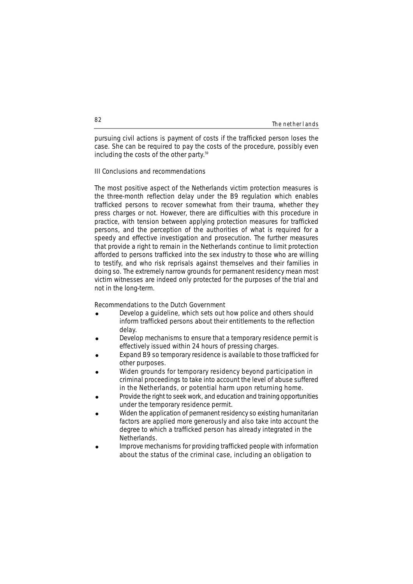#### The netherlands

pursuing civil actions is payment of costs if the trafficked person loses the case. She can be required to pay the costs of the procedure, possibly even including the costs of the other party.<sup>59</sup>

# **III Conclusions and recommendations**

The most positive aspect of the Netherlands victim protection measures is the three-month reflection delay under the B9 regulation which enables trafficked persons to recover somewhat from their trauma, whether they press charges or not. However, there are difficulties with this procedure in practice, with tension between applying protection measures for trafficked persons, and the perception of the authorities of what is required for a speedy and effective investigation and prosecution. The further measures that provide a right to remain in the Netherlands continue to limit protection afforded to persons trafficked into the sex industry to those who are willing to testify, and who risk reprisals against themselves and their families in doing so. The extremely narrow grounds for permanent residency mean most victim witnesses are indeed only protected for the purposes of the trial and not in the long-term.

#### **Recommendations to the Dutch Government**

- Develop a guideline, which sets out how police and others should inform trafficked persons about their entitlements to the reflection delay.
- ! Develop mechanisms to ensure that a temporary residence permit is effectively issued within 24 hours of pressing charges.
- Expand B9 so temporary residence is available to those trafficked for other purposes.
- Widen grounds for temporary residency beyond participation in criminal proceedings to take into account the level of abuse suffered in the Netherlands, or potential harm upon returning home.
- Provide the right to seek work, and education and training opportunities under the temporary residence permit.
- Widen the application of permanent residency so existing humanitarian factors are applied more generously and also take into account the degree to which a trafficked person has already integrated in the Netherlands.
- ! Improve mechanisms for providing trafficked people with information about the status of the criminal case, including an obligation to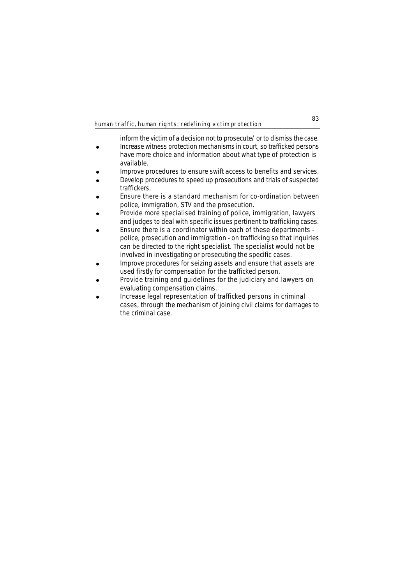inform the victim of a decision not to prosecute/ or to dismiss the case. • Increase witness protection mechanisms in court, so trafficked persons have more choice and information about what type of protection is available.

- Improve procedures to ensure swift access to benefits and services.
- ! Develop procedures to speed up prosecutions and trials of suspected traffickers.
- Ensure there is a standard mechanism for co-ordination between police, immigration, STV and the prosecution.
- Provide more specialised training of police, immigration, lawyers and judges to deal with specific issues pertinent to trafficking cases.
- ! Ensure there is a coordinator within each of these departments police, prosecution and immigration - on trafficking so that inquiries can be directed to the right specialist. The specialist would not be involved in investigating or prosecuting the specific cases.
- Improve procedures for seizing assets and ensure that assets are used firstly for compensation for the trafficked person.
- Provide training and guidelines for the judiciary and lawyers on evaluating compensation claims.
- ! Increase legal representation of trafficked persons in criminal cases, through the mechanism of joining civil claims for damages to the criminal case.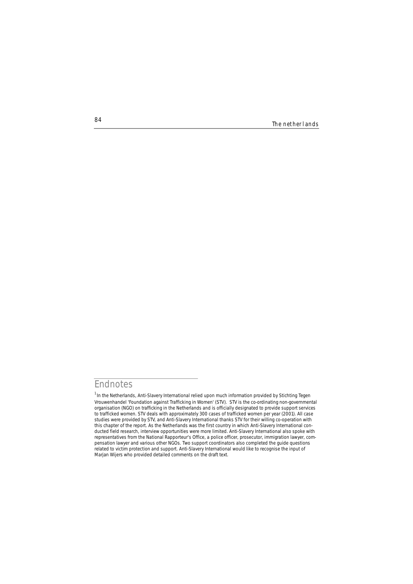**84** The netherlands

# **Endnotes**

<sup>&</sup>lt;sup>1</sup> In the Netherlands, Anti-Slavery International relied upon much information provided by Stichting Tegen Vrouwenhandel 'Foundation against Trafficking in Women' (STV). STV is the co-ordinating non-governmental organisation (NGO) on trafficking in the Netherlands and is officially designated to provide support services to trafficked women. STV deals with approximately 300 cases of trafficked women per year (2001). All case studies were provided by STV, and Anti-Slavery International thanks STV for their willing co-operation with this chapter of the report. As the Netherlands was the first country in which Anti-Slavery International conducted field research, interview opportunities were more limited. Anti-Slavery International also spoke with representatives from the National Rapporteur's Office, a police officer, prosecutor, immigration lawyer, compensation lawyer and various other NGOs. Two support coordinators also completed the guide questions related to victim protection and support. Anti-Slavery International would like to recognise the input of Marjan Wijers who provided detailed comments on the draft text.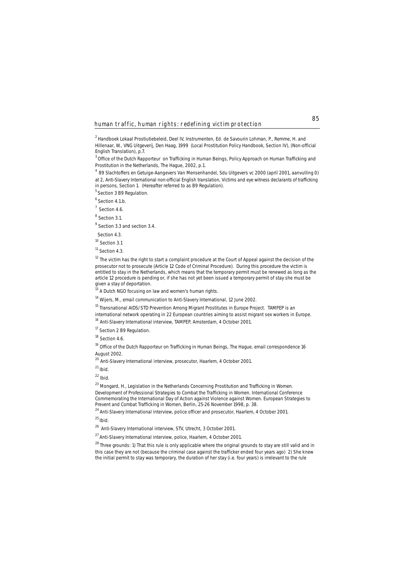<sup>2</sup>*Handboek Lokaal Prostiutiebeleid,* Deel IV, Instrumenten, Ed. de Savourin Lohman, P., Remme, H. and Hillenaar, W., VNG Uitgeverij, Den Haag, 1999 (*Local Prostitution Policy Handbook*, Section IV), (Non-official English Translation), p.7.

3 Office of the Dutch Rapporteur on *Trafficking in Human Beings, Policy Approach on Human Trafficking and Prostitution in the Netherlands*, The Hague, 2002, p.1.

4 89 *Slachtoffers en Getuige-Aangevers Van Mensenhandel, Sdu Uitgevers* vc 2000 (april 2001, aanvulling 0) at 2, Anti-Slavery International non-official English translation, *Victims and eye witness declarants of trafficking in persons,* Section 1. (Hereafter referred to as B9 Regulation).

<sup>5</sup> Section 3 B9 Regulation.

 $6$  Section 4.1.b.

 $7$  Section 4.6.

<sup>8</sup> Section 3.1.

<sup>9</sup> Section 3.3 and section 3.4.

Section 4.3.

<sup>10</sup> Section 3.1

<sup>11</sup> Section 4.3.

 $12$  The victim has the right to start a complaint procedure at the Court of Appeal against the decision of the prosecutor not to prosecute (Article 12 Code of Criminal Procedure). During this procedure the victim is entitled to stay in the Netherlands, which means that the temporary permit must be renewed as long as the article 12 procedure is pending or, if she has not yet been issued a temporary permit of stay she must be given a stay of deportation.

<sup>13</sup> A Dutch NGO focusing on law and women's human rights.

<sup>14</sup> Wijers, M., email communication to Anti-Slavery International, 12 June 2002.

<sup>15</sup> Transnational AIDS/STD Prevention Among Migrant Prostitutes in Europe Project. TAMPEP is an

international network operating in 22 European countries aiming to assist migrant sex workers in Europe.

<sup>16</sup> Anti-Slavery International interview, TAMPEP, Amsterdam, 4 October 2001.

<sup>17</sup> Section 2 B9 Regulation.

<sup>18</sup> Section 4.6.

<sup>19</sup> Office of the Dutch Rapporteur on Trafficking in Human Beings, The Hague, email correspondence 16 August 2002.

<sup>20</sup> Anti-Slavery International interview, prosecutor, Haarlem, 4 October 2001.

<sup>21</sup> *Ibid.*

<sup>22</sup> *Ibid.*

<sup>23</sup> Mongard, H., *Legislation in the Netherlands Concerning Prostitution and Trafficking in Women. Development of Professional Strategies to Combat the Trafficking in Women*. International Conference Commemorating the International Day of Action against Violence against Women. European Strategies to Prevent and Combat Trafficking in Women, Berlin, 25-26 November 1998, p. 38.

<sup>24</sup> Anti-Slavery International interview, police officer and prosecutor, Haarlem, 4 October 2001. <sup>25</sup> *Ibid.*

26 Anti-Slavery International interview, STV, Utrecht, 3 October 2001.

 $^{27}$  Anti-Slavery International interview, police, Haarlem, 4 October 2001.

<sup>28</sup> Three grounds: 1) That this rule is only applicable where the original grounds to stay are still valid and in this case they are not (because the criminal case against the trafficker ended four years ago) 2) She knew the initial permit to stay was temporary, the duration of her stay (i.e. four years) is irrelevant to the rule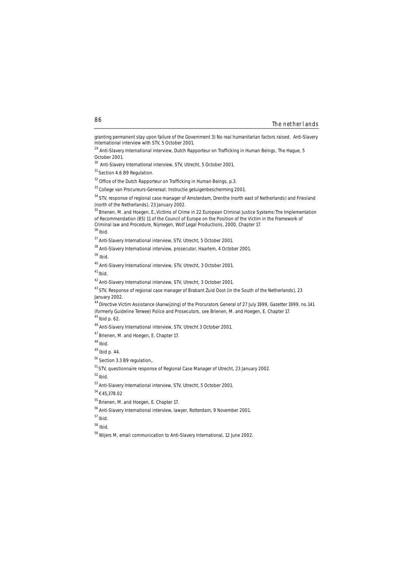#### The netherlands

granting permanent stay upon failure of the Government 3) No real humanitarian factors raised. Anti-Slavery International interview with STV, 5 October 2001.

<sup>36</sup>*Ibid*.

<sup>39</sup> *Ibid*.

<sup>45</sup> *Ibid* p. 62.

<sup>52</sup>*Ibid.*

<sup>&</sup>lt;sup>29</sup> Anti-Slavery International interview, Dutch Rapporteur on Trafficking in Human Beings, The Hague, 5 October 2001.

<sup>30</sup> Anti-Slavery International interview, STV, Utrecht, 5 October 2001.

<sup>&</sup>lt;sup>31</sup> Section 4.6 B9 Regulation.

<sup>&</sup>lt;sup>32</sup> Office of the Dutch Rapporteur on Trafficking in Human Beings, p.3.

<sup>33</sup> College van Procureurs-Generaal; Instructie getuigenbescherming 2001.

<sup>&</sup>lt;sup>34</sup> STV, response of regional case manager of Amsterdam, Drenthe (north east of Netherlands) and Friesland (north of the Netherlands), 23 January 2002.

<sup>&</sup>lt;sup>35</sup> Brienen, M. and Hoegen, E., Victims of Crime in 22 European Criminal Justice Systems: The Implementation of Recommendation (85) 11 of the Council of Europe on the Position of the Victim in the Framework of Criminal law and Procedure, Nijmegen, Wolf Legal Productions, 2000, Chapter 17.

<sup>37</sup> Anti-Slavery International interview, STV, Utrecht, 5 October 2001.

<sup>38</sup> Anti-Slavery International interview, prosecutor, Haarlem, 4 October 2001.

<sup>40</sup> Anti-Slavery International interview, STV, Utrecht, 3 October 2001.

<sup>41</sup>*Ibid*.

<sup>42</sup> Anti-Slavery International interview, STV, Utrecht, 3 October 2001.

<sup>&</sup>lt;sup>43</sup> STV, Response of regional case manager of Brabant Zuid Oost (in the South of the Netherlands), 23 January 2002.

<sup>44</sup> Directive Victim Assistance (Aanwijzing) of the Procurators General of 27 July 1999, Gazetter 1999, no.141 (formerly Guideline Terwee) Police and Prosecutors, see Brienen, M. and Hoegen, E. Chapter 17.

<sup>46</sup> Anti-Slavery International interview, STV, Utrecht 3 October 2001.

<sup>47</sup> Brienen, M. and Hoegen, E. Chapter 17.

<sup>48</sup> *Ibid.* 

<sup>49</sup>*Ibid* p. 44.

<sup>&</sup>lt;sup>50</sup> Section 3.3 B9 regulation,.

<sup>51</sup> STV, questionnaire response of Regional Case Manager of Utrecht, 23 January 2002.

<sup>53</sup> Anti-Slavery International interview, STV, Utrecht, 5 October 2001.

 $54$   $\epsilon$  45,378.02

<sup>55</sup> Brienen, M. and Hoegen, E. Chapter 17.

<sup>56</sup> Anti-Slavery International interview, lawyer, Rotterdam, 9 November 2001.

<sup>57</sup> *Ibid.*

<sup>58</sup> *Ibid.* 

<sup>59</sup> Wijers M, email communication to Anti-Slavery International, 12 June 2002.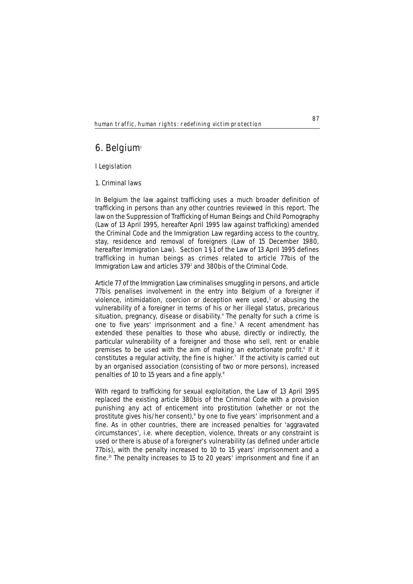# **6. Belgium**<sup>1</sup>

# **I Legislation**

# **1. Criminal laws**

In Belgium the law against trafficking uses a much broader definition of trafficking in persons than any other countries reviewed in this report. The law on the Suppression of Trafficking of Human Beings and Child Pornography (Law of 13 April 1995, hereafter April 1995 law against trafficking) amended the Criminal Code and the Immigration Law regarding access to the country, stay, residence and removal of foreigners (Law of 15 December 1980, hereafter Immigration Law). Section 1 §1 of the Law of 13 April 1995 defines trafficking in human beings as crimes related to article 77*bis* of the Immigration Law and articles 3792 and 380*bis* of the Criminal Code.

Article 77 of the Immigration Law criminalises smuggling in persons, and article 77*bis* penalises involvement in the entry into Belgium of a foreigner if violence, intimidation, coercion or deception were used, $3$  or abusing the vulnerability of a foreigner in terms of his or her illegal status, precarious situation, pregnancy, disease or disability.<sup>4</sup> The penalty for such a crime is one to five years' imprisonment and a fine.<sup>5</sup> A recent amendment has extended these penalties to those who abuse, directly or indirectly, the particular vulnerability of a foreigner and those who sell, rent or enable premises to be used with the aim of making an extortionate profit.<sup>6</sup> If it constitutes a regular activity, the fine is higher.<sup> $7$ </sup> If the activity is carried out by an organised association (consisting of two or more persons), increased penalties of 10 to 15 years and a fine apply.8

With regard to trafficking for sexual exploitation, the Law of 13 April 1995 replaced the existing article 380*bis* of the Criminal Code with a provision punishing any act of enticement into prostitution (whether or not the prostitute gives his/her consent),9 by one to five years' imprisonment and a fine. As in other countries, there are increased penalties for 'aggravated circumstances', i.e. where deception, violence, threats or any constraint is used or there is abuse of a foreigner's vulnerability (as defined under article 77*bis*), with the penalty increased to 10 to 15 years' imprisonment and a fine.<sup>10</sup> The penalty increases to 15 to 20 years' imprisonment and fine if an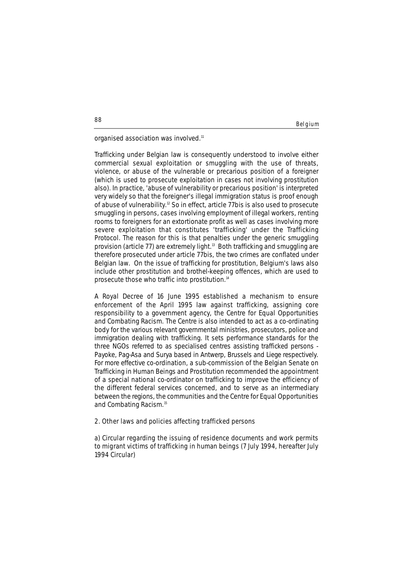Belgium

organised association was involved.<sup>11</sup>

Trafficking under Belgian law is consequently understood to involve either commercial sexual exploitation or smuggling with the use of threats, violence, or abuse of the vulnerable or precarious position of a foreigner (which is used to prosecute exploitation in cases not involving prostitution also). In practice, 'abuse of vulnerability or precarious position' is interpreted very widely so that the foreigner's illegal immigration status is proof enough of abuse of vulnerability.12 So in effect, article 77*bis* is also used to prosecute smuggling in persons, cases involving employment of illegal workers, renting rooms to foreigners for an extortionate profit as well as cases involving more severe exploitation that constitutes 'trafficking' under the Trafficking Protocol. The reason for this is that penalties under the generic smuggling provision (article 77) are extremely light.<sup>13</sup> Both trafficking and smuggling are therefore prosecuted under article 77*bis*, the two crimes are conflated under Belgian law. On the issue of trafficking for prostitution, Belgium's laws also include other prostitution and brothel-keeping offences, which are used to prosecute those who traffic into prostitution.14

A Royal Decree of 16 June 1995 established a mechanism to ensure enforcement of the April 1995 law against trafficking, assigning core responsibility to a government agency, the Centre for Equal Opportunities and Combating Racism. The Centre is also intended to act as a co-ordinating body for the various relevant governmental ministries, prosecutors, police and immigration dealing with trafficking. It sets performance standards for the three NGOs referred to as specialised centres assisting trafficked persons - Payoke, Pag-Asa and Surya based in Antwerp, Brussels and Liege respectively. For more effective co-ordination, a sub-commission of the Belgian Senate on Trafficking in Human Beings and Prostitution recommended the appointment of a special national co-ordinator on trafficking to improve the efficiency of the different federal services concerned, and to serve as an intermediary between the regions, the communities and the Centre for Equal Opportunities and Combating Racism.15

# **2. Other laws and policies affecting trafficked persons**

**a) Circular regarding the issuing of residence documents and work permits to migrant victims of trafficking in human beings (7 July 1994, hereafter July 1994 Circular)**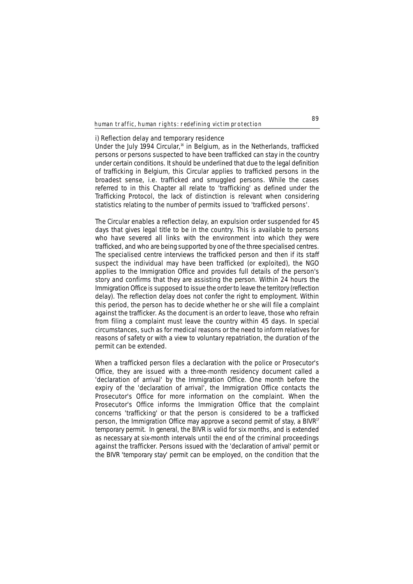#### **i) Reflection delay and temporary residence**

Under the July 1994 Circular,<sup>16</sup> in Belgium, as in the Netherlands, trafficked persons or persons suspected to have been trafficked can stay in the country under certain conditions. It should be underlined that due to the legal definition of trafficking in Belgium, this Circular applies to trafficked persons in the broadest sense, i.e. trafficked and smuggled persons. While the cases referred to in this Chapter all relate to 'trafficking' as defined under the Trafficking Protocol, the lack of distinction is relevant when considering statistics relating to the number of permits issued to 'trafficked persons'.

The Circular enables a reflection delay, an expulsion order suspended for 45 days that gives legal title to be in the country. This is available to persons who have severed all links with the environment into which they were trafficked, and who are being supported by one of the three specialised centres. The specialised centre interviews the trafficked person and then if its staff suspect the individual may have been trafficked (or exploited), the NGO applies to the Immigration Office and provides full details of the person's story and confirms that they are assisting the person. Within 24 hours the Immigration Office is supposed to issue the order to leave the territory (reflection delay). The reflection delay does not confer the right to employment. Within this period, the person has to decide whether he or she will file a complaint against the trafficker. As the document is an order to leave, those who refrain from filing a complaint must leave the country within 45 days. In special circumstances, such as for medical reasons or the need to inform relatives for reasons of safety or with a view to voluntary repatriation, the duration of the permit can be extended.

When a trafficked person files a declaration with the police or Prosecutor's Office, they are issued with a three-month residency document called a 'declaration of arrival' by the Immigration Office. One month before the expiry of the 'declaration of arrival', the Immigration Office contacts the Prosecutor's Office for more information on the complaint. When the Prosecutor's Office informs the Immigration Office that the complaint concerns 'trafficking' or that the person is considered to be a trafficked person, the Immigration Office may approve a second permit of stay, a BIVR<sup>17</sup> temporary permit. In general, the BIVR is valid for six months, and is extended as necessary at six-month intervals until the end of the criminal proceedings against the trafficker. Persons issued with the 'declaration of arrival' permit or the BIVR 'temporary stay' permit can be employed, on the condition that the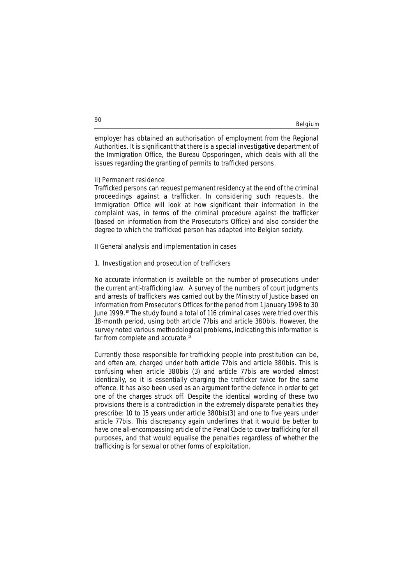|  | Belgium |
|--|---------|

employer has obtained an authorisation of employment from the Regional Authorities. It is significant that there is a special investigative department of the Immigration Office, the *Bureau Opsporingen*, which deals with all the issues regarding the granting of permits to trafficked persons.

# **ii) Permanent residence**

Trafficked persons can request permanent residency at the end of the criminal proceedings against a trafficker. In considering such requests, the Immigration Office will look at how significant their information in the complaint was, in terms of the criminal procedure against the trafficker (based on information from the Prosecutor's Office) and also consider the degree to which the trafficked person has adapted into Belgian society.

# **II General analysis and implementation in cases**

# **1. Investigation and prosecution of traffickers**

No accurate information is available on the number of prosecutions under the current anti-trafficking law. A survey of the numbers of court judgments and arrests of traffickers was carried out by the Ministry of Justice based on information from Prosecutor's Offices for the period from 1 January 1998 to 30 June 1999.18 The study found a total of 116 criminal cases were tried over this 18-month period, using both article 77*bis* and article 380*bis*. However, the survey noted various methodological problems, indicating this information is far from complete and accurate.<sup>19</sup>

Currently those responsible for trafficking people into prostitution can be, and often are, charged under both article 77*bis* and article 380*bis*. This is confusing when article 380*bis* (3) and article 77*bis* are worded almost identically, so it is essentially charging the trafficker twice for the same offence. It has also been used as an argument for the defence in order to get one of the charges struck off. Despite the identical wording of these two provisions there is a contradiction in the extremely disparate penalties they prescribe: 10 to 15 years under article 380*bis*(3) and one to five years under article 77*bis*. This discrepancy again underlines that it would be better to have one all-encompassing article of the Penal Code to cover trafficking for all purposes, and that would equalise the penalties regardless of whether the trafficking is for sexual or other forms of exploitation.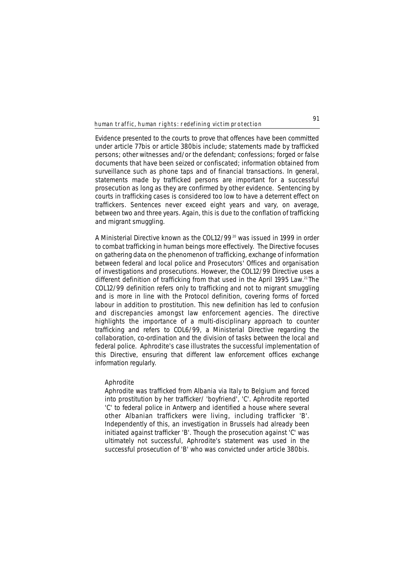Evidence presented to the courts to prove that offences have been committed under article 77*bis* or article 380*bis* include; statements made by trafficked persons; other witnesses and/or the defendant; confessions; forged or false documents that have been seized or confiscated; information obtained from surveillance such as phone taps and of financial transactions. In general, statements made by trafficked persons are important for a successful prosecution as long as they are confirmed by other evidence. Sentencing by courts in trafficking cases is considered too low to have a deterrent effect on traffickers. Sentences never exceed eight years and vary, on average, between two and three years. Again, this is due to the conflation of trafficking and migrant smuggling.

A Ministerial Directive known as the COL12/99<sup>20</sup> was issued in 1999 in order to combat trafficking in human beings more effectively. The Directive focuses on gathering data on the phenomenon of trafficking, exchange of information between federal and local police and Prosecutors' Offices and organisation of investigations and prosecutions. However, the COL12/99 Directive uses a different definition of trafficking from that used in the April 1995 Law.<sup>21</sup> The COL12/99 definition refers only to trafficking and not to migrant smuggling and is more in line with the Protocol definition, covering forms of forced labour in addition to prostitution. This new definition has led to confusion and discrepancies amongst law enforcement agencies. The directive highlights the importance of a multi-disciplinary approach to counter trafficking and refers to COL6/99, a Ministerial Directive regarding the collaboration, co-ordination and the division of tasks between the local and federal police. Aphrodite's case illustrates the successful implementation of this Directive, ensuring that different law enforcement offices exchange information regularly.

# **Aphrodite**

*Aphrodite was trafficked from Albania via Italy to Belgium and forced into prostitution by her trafficker/ 'boyfriend', 'C'. Aphrodite reported 'C' to federal police in Antwerp and identified a house where several other Albanian traffickers were living, including trafficker 'B'. Independently of this, an investigation in Brussels had already been initiated against trafficker 'B'. Though the prosecution against 'C' was ultimately not successful, Aphrodite's statement was used in the successful prosecution of 'B' who was convicted under article 380bis.*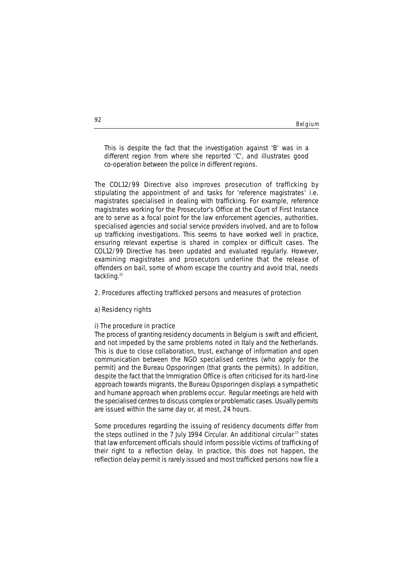#### Belgium

*This is despite the fact that the investigation against 'B' was in a different region from where she reported 'C', and illustrates good co-operation between the police in different regions.*

The COL12/99 Directive also improves prosecution of trafficking by stipulating the appointment of and tasks for 'reference magistrates' i.e. magistrates specialised in dealing with trafficking. For example, reference magistrates working for the Prosecutor's Office at the Court of First Instance are to serve as a focal point for the law enforcement agencies, authorities, specialised agencies and social service providers involved, and are to follow up trafficking investigations. This seems to have worked well in practice, ensuring relevant expertise is shared in complex or difficult cases. The COL12/99 Directive has been updated and evaluated regularly. However, examining magistrates and prosecutors underline that the release of offenders on bail, some of whom escape the country and avoid trial, needs tackling.<sup>22</sup>

# **2. Procedures affecting trafficked persons and measures of protection**

# **a) Residency rights**

# **i) The procedure in practice**

The process of granting residency documents in Belgium is swift and efficient, and not impeded by the same problems noted in Italy and the Netherlands. This is due to close collaboration, trust, exchange of information and open communication between the NGO specialised centres (who apply for the permit) and the *Bureau Opsporingen* (that grants the permits). In addition, despite the fact that the Immigration Office is often criticised for its hard-line approach towards migrants, the *Bureau Opsporingen* displays a sympathetic and humane approach when problems occur. Regular meetings are held with the specialised centres to discuss complex or problematic cases. Usually permits are issued within the same day or, at most, 24 hours.

Some procedures regarding the issuing of residency documents differ from the steps outlined in the 7 July 1994 Circular. An additional circular<sup>23</sup> states that law enforcement officials should inform possible victims of trafficking of their right to a reflection delay. In practice, this does not happen, the reflection delay permit is rarely issued and most trafficked persons now file a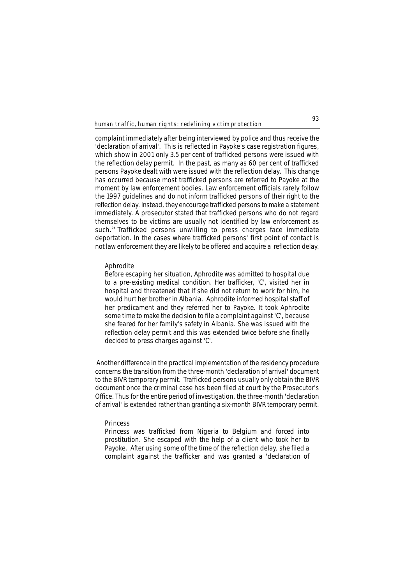complaint immediately after being interviewed by police and thus receive the 'declaration of arrival'. This is reflected in Payoke's case registration figures, which show in 2001 only 3.5 per cent of trafficked persons were issued with the reflection delay permit. In the past, as many as 60 per cent of trafficked persons Payoke dealt with were issued with the reflection delay. This change has occurred because most trafficked persons are referred to Payoke at the moment by law enforcement bodies. Law enforcement officials rarely follow the 1997 guidelines and do not inform trafficked persons of their right to the reflection delay. Instead, they encourage trafficked persons to make a statement immediately. A prosecutor stated that trafficked persons who do not regard themselves to be victims are usually not identified by law enforcement as such.<sup>24</sup> Trafficked persons unwilling to press charges face immediate deportation. In the cases where trafficked persons' first point of contact is not law enforcement they are likely to be offered and acquire a reflection delay.

# **Aphrodite**

*Before escaping her situation, Aphrodite was admitted to hospital due to a pre-existing medical condition. Her trafficker, 'C', visited her in hospital and threatened that if she did not return to work for him, he would hurt her brother in Albania. Aphrodite informed hospital staff of her predicament and they referred her to Payoke. It took Aphrodite some time to make the decision to file a complaint against 'C', because she feared for her family's safety in Albania. She was issued with the reflection delay permit and this was extended twice before she finally decided to press charges against 'C'.*

Another difference in the practical implementation of the residency procedure concerns the transition from the three-month 'declaration of arrival' document to the BIVR temporary permit. Trafficked persons usually only obtain the BIVR document once the criminal case has been filed at court by the Prosecutor's Office. Thus for the entire period of investigation, the three-month 'declaration of arrival' is extended rather than granting a six-month BIVR temporary permit.

## **Princess**

*Princess was trafficked from Nigeria to Belgium and forced into prostitution. She escaped with the help of a client who took her to Payoke. After using some of the time of the reflection delay, she filed a complaint against the trafficker and was granted a 'declaration of*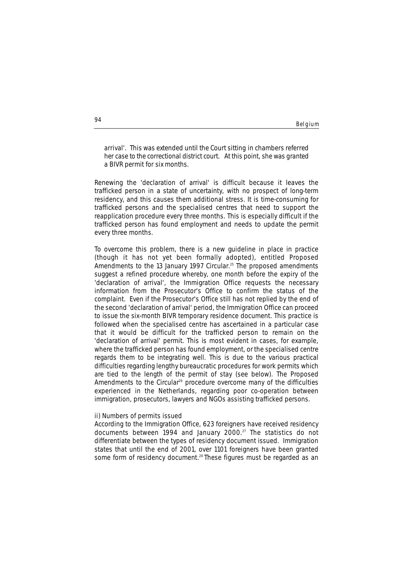#### Belgium

*arrival'. This was extended until the Court sitting in chambers referred her case to the correctional district court. At this point, she was granted a BIVR permit for six months.*

Renewing the 'declaration of arrival' is difficult because it leaves the trafficked person in a state of uncertainty, with no prospect of long-term residency, and this causes them additional stress. It is time-consuming for trafficked persons and the specialised centres that need to support the reapplication procedure every three months. This is especially difficult if the trafficked person has found employment and needs to update the permit every three months.

To overcome this problem, there is a new guideline in place in practice (though it has not yet been formally adopted), entitled Proposed Amendments to the 13 January 1997 Circular.<sup>25</sup> The proposed amendments suggest a refined procedure whereby, one month before the expiry of the 'declaration of arrival', the Immigration Office requests the necessary information from the Prosecutor's Office to confirm the status of the complaint. Even if the Prosecutor's Office still has not replied by the end of the second 'declaration of arrival' period, the Immigration Office can proceed to issue the six-month BIVR temporary residence document. This practice is followed when the specialised centre has ascertained in a particular case that it would be difficult for the trafficked person to remain on the 'declaration of arrival' permit. This is most evident in cases, for example, where the trafficked person has found employment, or the specialised centre regards them to be integrating well. This is due to the various practical difficulties regarding lengthy bureaucratic procedures for work permits which are tied to the length of the permit of stay (see below). The Proposed Amendments to the Circular<sup>26</sup> procedure overcome many of the difficulties experienced in the Netherlands, regarding poor co-operation between immigration, prosecutors, lawyers and NGOs assisting trafficked persons.

# **ii) Numbers of permits issued**

According to the Immigration Office, 623 foreigners have received residency documents between 1994 and January 2000.<sup>27</sup> The statistics do not differentiate between the types of residency document issued. Immigration states that until the end of 2001, over 1101 foreigners have been granted some form of residency document.<sup>28</sup> These figures must be regarded as an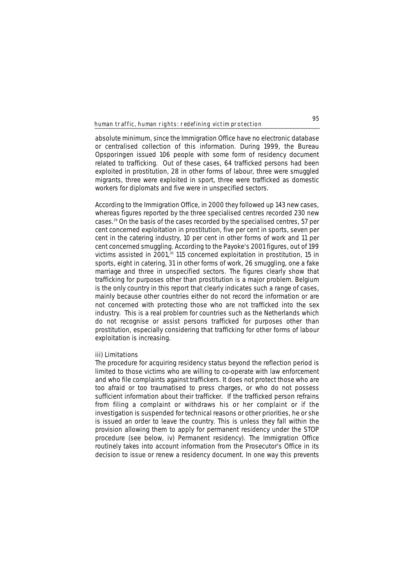absolute minimum, since the Immigration Office have no electronic database or centralised collection of this information. During 1999, the *Bureau Opsporingen* issued 106 people with some form of residency document related to trafficking. Out of these cases, 64 trafficked persons had been exploited in prostitution, 28 in other forms of labour, three were smuggled migrants, three were exploited in sport, three were trafficked as domestic workers for diplomats and five were in unspecified sectors.

According to the Immigration Office, in 2000 they followed up 143 new cases, whereas figures reported by the three specialised centres recorded 230 new cases.29 On the basis of the cases recorded by the specialised centres, 57 per cent concerned exploitation in prostitution, five per cent in sports, seven per cent in the catering industry, 10 per cent in other forms of work and 11 per cent concerned smuggling. According to the Payoke's 2001 figures, out of 199 victims assisted in 2001,<sup>30</sup> 115 concerned exploitation in prostitution, 15 in sports, eight in catering, 31 in other forms of work, 26 smuggling, one a fake marriage and three in unspecified sectors. The figures clearly show that trafficking for purposes other than prostitution is a major problem. Belgium is the only country in this report that clearly indicates such a range of cases, mainly because other countries either do not record the information or are not concerned with protecting those who are not trafficked into the sex industry. This is a real problem for countries such as the Netherlands which do not recognise or assist persons trafficked for purposes other than prostitution, especially considering that trafficking for other forms of labour exploitation is increasing.

# **iii) Limitations**

The procedure for acquiring residency status beyond the reflection period is limited to those victims who are willing to co-operate with law enforcement and who file complaints against traffickers. It does not protect those who are too afraid or too traumatised to press charges, or who do not possess sufficient information about their trafficker. If the trafficked person refrains from filing a complaint or withdraws his or her complaint or if the investigation is suspended for technical reasons or other priorities, he or she is issued an order to leave the country. This is unless they fall within the provision allowing them to apply for permanent residency under the STOP procedure (see below, iv) Permanent residency). The Immigration Office routinely takes into account information from the Prosecutor's Office in its decision to issue or renew a residency document. In one way this prevents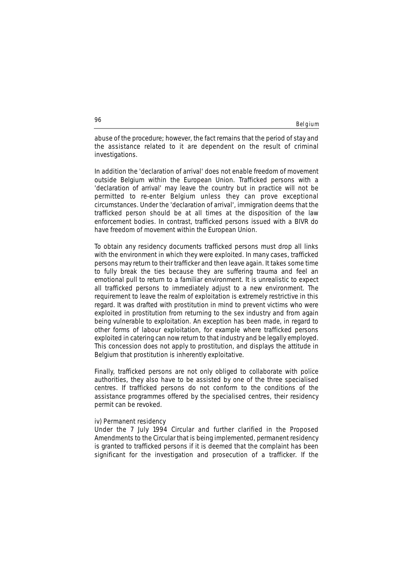Belgium

abuse of the procedure; however, the fact remains that the period of stay and the assistance related to it are dependent on the result of criminal investigations.

In addition the 'declaration of arrival' does not enable freedom of movement outside Belgium within the European Union. Trafficked persons with a 'declaration of arrival' may leave the country but in practice will not be permitted to re-enter Belgium unless they can prove exceptional circumstances. Under the 'declaration of arrival', immigration deems that the trafficked person should be at all times at the disposition of the law enforcement bodies. In contrast, trafficked persons issued with a BIVR do have freedom of movement within the European Union.

To obtain any residency documents trafficked persons must drop all links with the environment in which they were exploited. In many cases, trafficked persons may return to their trafficker and then leave again. It takes some time to fully break the ties because they are suffering trauma and feel an emotional pull to return to a familiar environment. It is unrealistic to expect all trafficked persons to immediately adjust to a new environment. The requirement to leave the realm of exploitation is extremely restrictive in this regard. It was drafted with prostitution in mind to prevent victims who were exploited in prostitution from returning to the sex industry and from again being vulnerable to exploitation. An exception has been made, in regard to other forms of labour exploitation, for example where trafficked persons exploited in catering can now return to that industry and be legally employed. This concession does not apply to prostitution, and displays the attitude in Belgium that prostitution is inherently exploitative.

Finally, trafficked persons are not only obliged to collaborate with police authorities, they also have to be assisted by one of the three specialised centres. If trafficked persons do not conform to the conditions of the assistance programmes offered by the specialised centres, their residency permit can be revoked.

# **iv) Permanent residency**

Under the 7 July 1994 Circular and further clarified in the Proposed Amendments to the Circular that is being implemented, permanent residency is granted to trafficked persons if it is deemed that the complaint has been significant for the investigation and prosecution of a trafficker. If the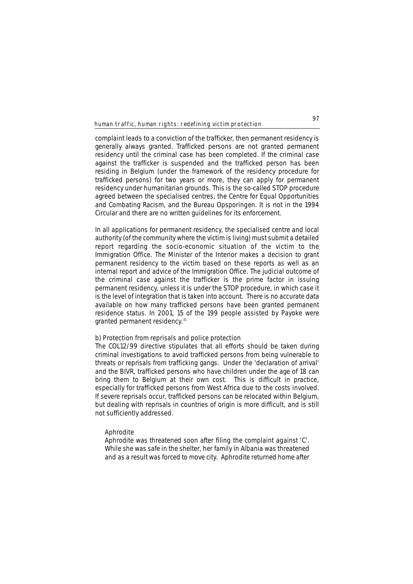complaint leads to a conviction of the trafficker, then permanent residency is generally always granted. Trafficked persons are not granted permanent residency until the criminal case has been completed. If the criminal case against the trafficker is suspended and the trafficked person has been residing in Belgium (under the framework of the residency procedure for trafficked persons) for two years or more, they can apply for permanent residency under humanitarian grounds. This is the so-called STOP procedure agreed between the specialised centres, the Centre for Equal Opportunities and Combating Racism, and the *Bureau Opsporingen*. It is not in the 1994 Circular and there are no written guidelines for its enforcement.

In all applications for permanent residency, the specialised centre and local authority (of the community where the victim is living) must submit a detailed report regarding the socio-economic situation of the victim to the Immigration Office. The Minister of the Interior makes a decision to grant permanent residency to the victim based on these reports as well as an internal report and advice of the Immigration Office. The judicial outcome of the criminal case against the trafficker is the prime factor in issuing permanent residency, unless it is under the STOP procedure, in which case it is the level of integration that is taken into account. There is no accurate data available on how many trafficked persons have been granted permanent residence status. In 2001, 15 of the 199 people assisted by Payoke were granted permanent residency.<sup>31</sup>

# **b) Protection from reprisals and police protection**

The COL12/99 directive stipulates that all efforts should be taken during criminal investigations to avoid trafficked persons from being vulnerable to threats or reprisals from trafficking gangs. Under the 'declaration of arrival' and the BIVR, trafficked persons who have children under the age of 18 can bring them to Belgium at their own cost. This is difficult in practice, especially for trafficked persons from West Africa due to the costs involved. If severe reprisals occur, trafficked persons can be relocated within Belgium, but dealing with reprisals in countries of origin is more difficult, and is still not sufficiently addressed.

# **Aphrodite**

*Aphrodite was threatened soon after filing the complaint against 'C'. While she was safe in the shelter, her family in Albania was threatened and as a result was forced to move city. Aphrodite returned home after*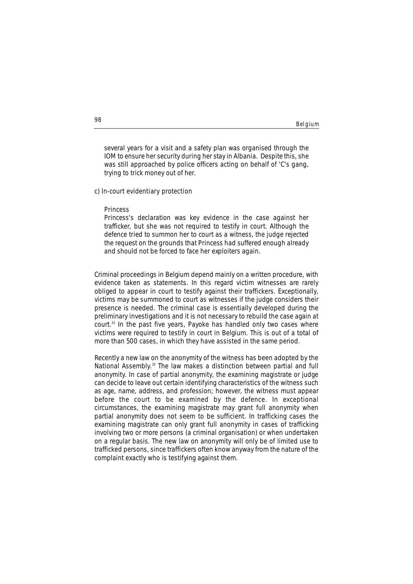#### Belgium

*several years for a visit and a safety plan was organised through the IOM to ensure her security during her stay in Albania. Despite this, she was still approached by police officers acting on behalf of 'C's gang, trying to trick money out of her.*

### **c) In-court evidentiary protection**

#### **Princess**

*Princess's declaration was key evidence in the case against her trafficker, but she was not required to testify in court. Although the defence tried to summon her to court as a witness, the judge rejected the request on the grounds that Princess had suffered enough already and should not be forced to face her exploiters again.*

Criminal proceedings in Belgium depend mainly on a written procedure, with evidence taken as statements. In this regard victim witnesses are rarely obliged to appear in court to testify against their traffickers. Exceptionally, victims may be summoned to court as witnesses if the judge considers their presence is needed. The criminal case is essentially developed during the preliminary investigations and it is not necessary to rebuild the case again at court.32 In the past five years, Payoke has handled only two cases where victims were required to testify in court in Belgium. This is out of a total of more than 500 cases, in which they have assisted in the same period.

Recently a new law on the anonymity of the witness has been adopted by the National Assembly.<sup>33</sup> The law makes a distinction between partial and full anonymity. In case of partial anonymity, the examining magistrate or judge can decide to leave out certain identifying characteristics of the witness such as age, name, address, and profession; however, the witness must appear before the court to be examined by the defence. In exceptional circumstances, the examining magistrate may grant full anonymity when partial anonymity does not seem to be sufficient. In trafficking cases the examining magistrate can only grant full anonymity in cases of trafficking involving two or more persons (a criminal organisation) or when undertaken on a regular basis. The new law on anonymity will only be of limited use to trafficked persons, since traffickers often know anyway from the nature of the complaint exactly who is testifying against them.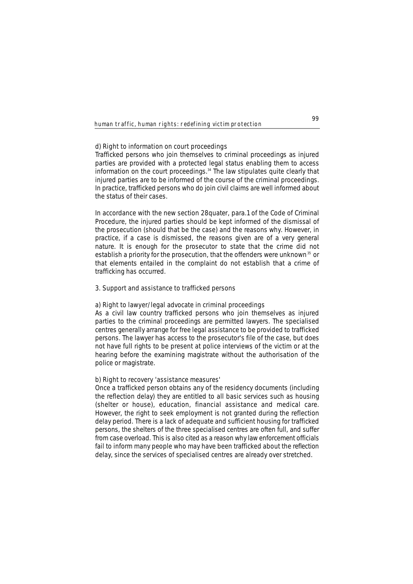# **d) Right to information on court proceedings**

Trafficked persons who join themselves to criminal proceedings as injured parties are provided with a protected legal status enabling them to access information on the court proceedings.34 The law stipulates quite clearly that injured parties are to be informed of the course of the criminal proceedings. In practice, trafficked persons who do join civil claims are well informed about the status of their cases.

In accordance with the new section 28*quater*, para.1 of the Code of Criminal Procedure, the injured parties should be kept informed of the dismissal of the prosecution (should that be the case) and the reasons why. However, in practice, if a case is dismissed, the reasons given are of a very general nature. It is enough for the prosecutor to state that the crime did not establish a priority for the prosecution, that the offenders were unknown<sup>35</sup> or that elements entailed in the complaint do not establish that a crime of trafficking has occurred.

# **3. Support and assistance to trafficked persons**

### **a) Right to lawyer/legal advocate in criminal proceedings**

As a civil law country trafficked persons who join themselves as injured parties to the criminal proceedings are permitted lawyers. The specialised centres generally arrange for free legal assistance to be provided to trafficked persons. The lawyer has access to the prosecutor's file of the case, but does not have full rights to be present at police interviews of the victim or at the hearing before the examining magistrate without the authorisation of the police or magistrate.

# **b) Right to recovery 'assistance measures'**

Once a trafficked person obtains any of the residency documents (including the reflection delay) they are entitled to all basic services such as housing (shelter or house), education, financial assistance and medical care. However, the right to seek employment is not granted during the reflection delay period. There is a lack of adequate and sufficient housing for trafficked persons, the shelters of the three specialised centres are often full, and suffer from case overload. This is also cited as a reason why law enforcement officials fail to inform many people who may have been trafficked about the reflection delay, since the services of specialised centres are already over stretched.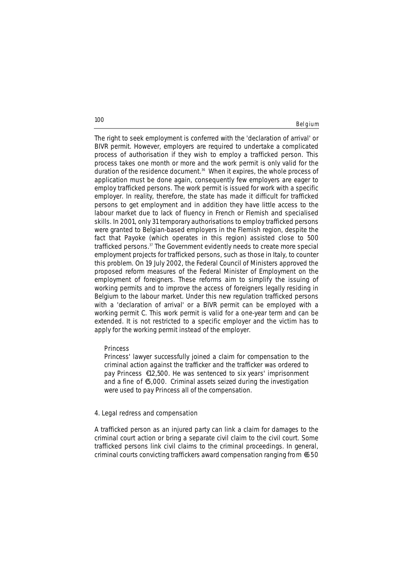Belgium

The right to seek employment is conferred with the 'declaration of arrival' or BIVR permit. However, employers are required to undertake a complicated process of authorisation if they wish to employ a trafficked person. This process takes one month or more and the work permit is only valid for the duration of the residence document.<sup>36</sup> When it expires, the whole process of application must be done again, consequently few employers are eager to employ trafficked persons. The work permit is issued for work with a specific employer. In reality, therefore, the state has made it difficult for trafficked persons to get employment and in addition they have little access to the labour market due to lack of fluency in French or Flemish and specialised skills. In 2001, only 31 temporary authorisations to employ trafficked persons were granted to Belgian-based employers in the Flemish region, despite the fact that Payoke (which operates in this region) assisted close to 500 trafficked persons.<sup>37</sup> The Government evidently needs to create more special employment projects for trafficked persons, such as those in Italy, to counter this problem. On 19 July 2002, the Federal Council of Ministers approved the proposed reform measures of the Federal Minister of Employment on the employment of foreigners. These reforms aim to simplify the issuing of working permits and to improve the access of foreigners legally residing in Belgium to the labour market. Under this new regulation trafficked persons with a 'declaration of arrival' or a BIVR permit can be employed with a working permit C. This work permit is valid for a one-year term and can be extended. It is not restricted to a specific employer and the victim has to apply for the working permit instead of the employer.

### **Princess**

*Princess' lawyer successfully joined a claim for compensation to the criminal action against the trafficker and the trafficker was ordered to pay Princess € 12,500. He was sentenced to six years' imprisonment and a fine of €5,000. Criminal assets seized during the investigation were used to pay Princess all of the compensation.* 

# **4. Legal redress and compensation**

A trafficked person as an injured party can link a claim for damages to the criminal court action or bring a separate civil claim to the civil court. Some trafficked persons link civil claims to the criminal proceedings. In general, criminal courts convicting traffickers award compensation ranging from €650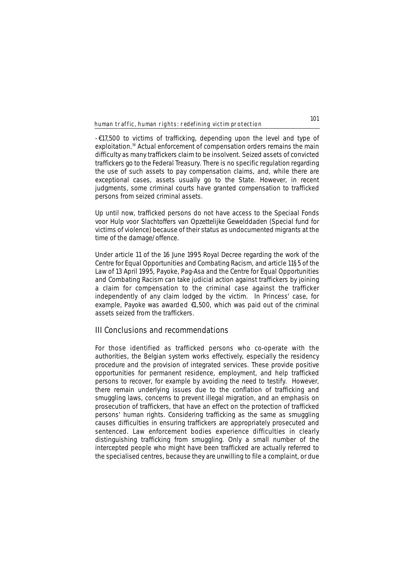- € 17,500 to victims of trafficking, depending upon the level and type of exploitation.<sup>38</sup> Actual enforcement of compensation orders remains the main difficulty as many traffickers claim to be insolvent. Seized assets of convicted traffickers go to the Federal Treasury. There is no specific regulation regarding the use of such assets to pay compensation claims, and, while there are exceptional cases, assets usually go to the State. However, in recent judgments, some criminal courts have granted compensation to trafficked persons from seized criminal assets.

Up until now, trafficked persons do not have access to the *Speciaal Fonds voor Hulp voor Slachtoffers van Opzettelijke Gewelddaden* (Special fund for victims of violence) because of their status as undocumented migrants at the time of the damage/offence.

Under article 11 of the 16 June 1995 Royal Decree regarding the work of the Centre for Equal Opportunities and Combating Racism, and article 11§5 of the Law of 13 April 1995, Payoke, Pag-Asa and the Centre for Equal Opportunities and Combating Racism can take judicial action against traffickers by joining a claim for compensation to the criminal case against the trafficker independently of any claim lodged by the victim. In Princess' case, for example, Payoke was awarded €1,500, which was paid out of the criminal assets seized from the traffickers.

# **III Conclusions and recommendations**

For those identified as trafficked persons who co-operate with the authorities, the Belgian system works effectively, especially the residency procedure and the provision of integrated services. These provide positive opportunities for permanent residence, employment, and help trafficked persons to recover, for example by avoiding the need to testify. However, there remain underlying issues due to the conflation of trafficking and smuggling laws, concerns to prevent illegal migration, and an emphasis on prosecution of traffickers, that have an effect on the protection of trafficked persons' human rights. Considering trafficking as the same as smuggling causes difficulties in ensuring traffickers are appropriately prosecuted and sentenced. Law enforcement bodies experience difficulties in clearly distinguishing trafficking from smuggling. Only a small number of the intercepted people who might have been trafficked are actually referred to the specialised centres, because they are unwilling to file a complaint, or due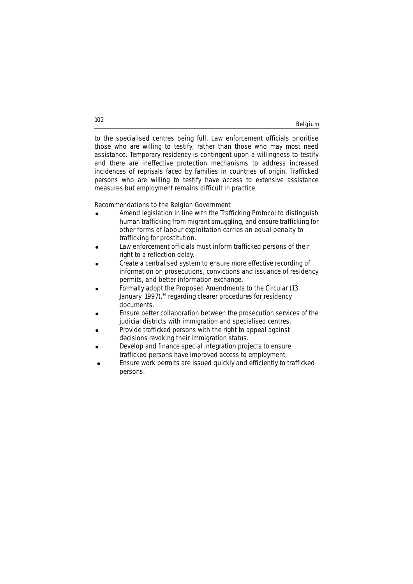to the specialised centres being full. Law enforcement officials prioritise those who are willing to testify, rather than those who may most need assistance. Temporary residency is contingent upon a willingness to testify and there are ineffective protection mechanisms to address increased incidences of reprisals faced by families in countries of origin. Trafficked persons who are willing to testify have access to extensive assistance measures but employment remains difficult in practice.

# **Recommendations to the Belgian Government**

- ! Amend legislation in line with the Trafficking Protocol to distinguish human trafficking from migrant smuggling, and ensure trafficking for other forms of labour exploitation carries an equal penalty to trafficking for prostitution.
- Law enforcement officials must inform trafficked persons of their right to a reflection delay.
- Create a centralised system to ensure more effective recording of information on prosecutions, convictions and issuance of residency permits, and better information exchange.
- ! Formally adopt the Proposed Amendments to the Circular (13 January 1997),<sup>39</sup> regarding clearer procedures for residency documents.
- ! Ensure better collaboration between the prosecution services of the judicial districts with immigration and specialised centres.
- ! Provide trafficked persons with the right to appeal against decisions revoking their immigration status.
- Develop and finance special integration projects to ensure trafficked persons have improved access to employment.
- Ensure work permits are issued quickly and efficiently to trafficked persons.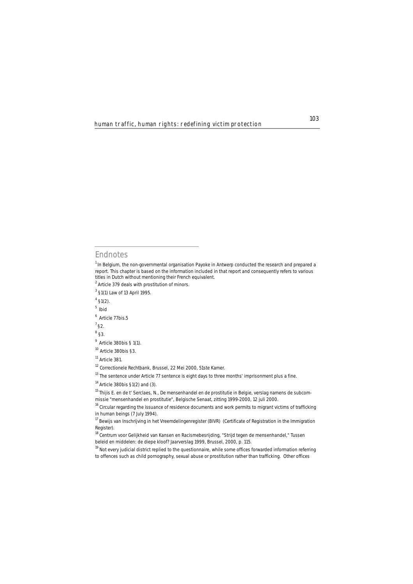# **Endnotes**

 $1$  In Belgium, the non-governmental organisation Payoke in Antwerp conducted the research and prepared a report. This chapter is based on the information included in that report and consequently refers to various titles in Dutch without mentioning their French equivalent.

- $2$  Article 379 deals with prostitution of minors.
- <sup>3</sup> §1(1) Law of 13 April 1995.
- $4$  §1(2).
- <sup>5</sup>*Ibid*
- 6 Article 77*bis*.5
- 7 §2.

<sup>8</sup> §3.

- $9$  Article 380bis § 1(1).
- <sup>10</sup> Article 380bis §3.
- <sup>11</sup> Article 381.

<sup>12</sup> Correctionele Rechtbank, Brussel, 22 Mei 2000, 51ste Kamer.

<sup>13</sup> The sentence under Article 77 sentence is eight days to three months' imprisonment plus a fine.

 $14$  Article 380bis §1(2) and (3).

<sup>15</sup> Thijis E. en de t' Serclaes, N., *De mensenhandel en de prostitutie in Belgie*, verslag namens de subcommissie "mensenhandel en prostitutie", Belgische Senaat, zitting 1999-2000, 12 juli 2000.

<sup>&</sup>lt;sup>16</sup> Circular regarding the issuance of residence documents and work permits to migrant victims of trafficking in human beings (7 July 1994).

<sup>&</sup>lt;sup>17</sup> Bewijs van Inschrijving in het Vreemdelingenregister (BIVR) (Certificate of Registration in the Immigration Register).

<sup>&</sup>lt;sup>18</sup> Centrum voor Gelijkheid van Kansen en Racismebesrijding, "Strijd tegen de mensenhandel," Tussen beleid en middelen: de diepe kloof? Jaarverslag 1999, Brussel, 2000, p. 115.

<sup>&</sup>lt;sup>19</sup> Not every judicial district replied to the questionnaire, while some offices forwarded information referring to offences such as child pornography, sexual abuse or prostitution rather than trafficking. Other offices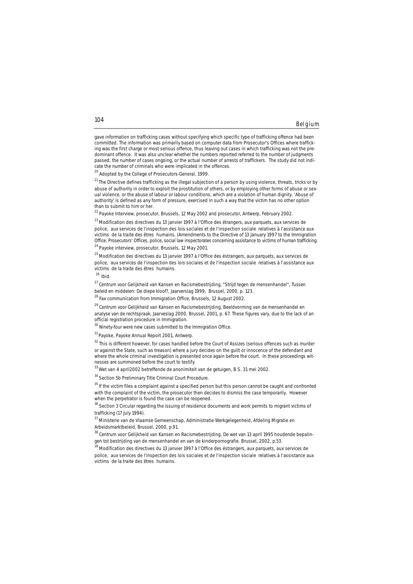Belgium

gave information on trafficking cases without specifying which specific type of trafficking offence had been committed. The information was primarily based on computer data from Prosecutor's Offices where trafficking was the first charge or most serious offence, thus leaving out cases in which trafficking was not the predominant offence. It was also unclear whether the numbers reported referred to the number of judgments passed, the number of cases ongoing, or the actual number of arrests of traffickers. The study did not indicate the number of criminals who were implicated in the offences.

<sup>20</sup> Adopted by the College of Prosecutors-General, 1999.

 $^{21}$  The Directive defines trafficking as the illegal subjection of a person by using violence, threats, tricks or by abuse of authority in order to exploit the prostitution of others, or by employing other forms of abuse or sexual violence, or the abuse of labour or labour conditions, which are a violation of human dignity. 'Abuse of authority' is defined as any form of pressure, exercised in such a way that the victim has no other option than to submit to him or her.

<sup>22</sup> Payoke Interview, prosecutor, Brussels, 12 May 2002 and prosecutor, Antwerp, February 2002.

<sup>23</sup> Modification des directives du 13 janvier 1997 à l'Office des étrangers, aux parquets, aux services de police, aux services de l'inspection des lois sociales et de l'inspection sociale relatives à l'assistance aux victims de la traite des êtres humains. (Amendments to the Directive of 13 January 1997 to the Immigration Office, Prosecutors' Offices, police, social law inspectorates concerning assistance to victims of human trafficking. <sup>24</sup> Pavoke interview, prosecutor, Brussels, 12 May 2001.

<sup>25</sup> Modification des directives du 13 janvier 1997 à l'Office des éstrangers, aux parquets, aux services de police, aux services de l'inspection des lois sociales et de l'inspection sociale relatives à l'assistance aux victims de la traite des êtres humains.

<sup>26</sup>*Ibid.*

27 Centrum voor Gelijkheid van Kansen en Racismebestrijding, "Strijd tegen de mensenhandel", *Tussen beleid en middelen: De diepe kloof?*, Jaarverslag 1999, Brussel, 2000, p. 123.<br><sup>28</sup> Fax communication from Immigration Office, Brussels, 12 August 2002.

29 Centrum voor Gelijkheid van Kansen en Racismebestrijding, *Beeldvorming van de mensenhandel en analyse van de rechtspraak, Jaarveslag 2000,* Brussel, 2001, p. 67. These figures vary, due to the lack of an official registration procedure in Immigration.

<sup>30</sup> Ninety-four were new cases submitted to the Immigration Office.

<sup>31</sup> Payoke, Payoke Annual Report 2001, Antwerp.

<sup>32</sup> This is different however, for cases handled before the Court of Assizes (serious offences such as murder or against the State, such as treason) where a jury decides on the guilt or innocence of the defendant and where the whole criminal investigation is presented once again before the court. In these proceedings witnesses are summoned before the court to testify.

33 Wet van 4 april2002 betreffende de anonimiteit van de getuigen, B.S. 31 mei 2002.

34 Section 5b Preliminary Title Criminal Court Procedure.

<sup>35</sup> If the victim files a complaint against a specified person but this person cannot be caught and confronted with the complaint of the victim, the prosecutor then decides to dismiss the case temporarily. However when the perpetrator is found the case can be reopened.

<sup>36</sup> Section 3 Circular regarding the issuing of residence documents and work permits to migrant victims of trafficking (17 July 1994).

<sup>37</sup> Ministerie van de Vlaamse Gemeenschap, Administratie Werkgelegenheid, Afdeling Migratie en Arbeidsmarktbeleid, Brussel, 2000, p.91.

<sup>38</sup> Centrum voor Gelijkheid van Kansen en Racismebestrijding, De wet van 13 april 1995 houdende bepalingen tot bestrijding van de mensenhandel en van de kinderpornografie. Brussel, 2002, p.53.

<sup>39</sup> Modification des directives du 13 janvier 1997 à l'Office des éstrangers, aux parquets, aux services de police, aux services de l'inspection des lois sociales et de l'inspection sociale relatives à l'assistance aux victims de la traite des êtres humains.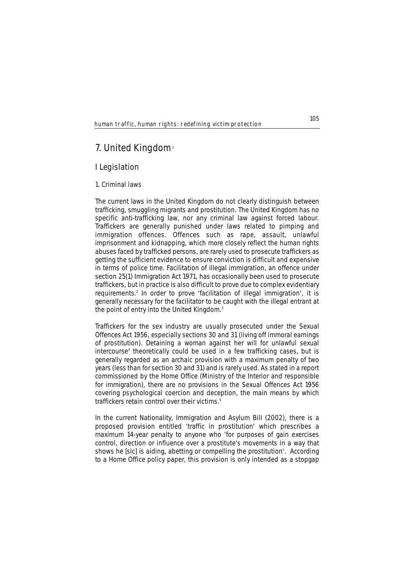# **7. United Kingdom**<sup>1</sup>

# **I Legislation**

### **1. Criminal laws**

The current laws in the United Kingdom do not clearly distinguish between trafficking, smuggling migrants and prostitution. The United Kingdom has no specific anti-trafficking law, nor any criminal law against forced labour. Traffickers are generally punished under laws related to pimping and immigration offences. Offences such as rape, assault, unlawful imprisonment and kidnapping, which more closely reflect the human rights abuses faced by trafficked persons, are rarely used to prosecute traffickers as getting the sufficient evidence to ensure conviction is difficult and expensive in terms of police time. Facilitation of illegal immigration, an offence under section 25(1) Immigration Act 1971, has occasionally been used to prosecute traffickers, but in practice is also difficult to prove due to complex evidentiary requirements.2 In order to prove 'facilitation of illegal immigration', it is generally necessary for the facilitator to be caught with the illegal entrant at the point of entry into the United Kingdom.<sup>3</sup>

Traffickers for the sex industry are usually prosecuted under the Sexual Offences Act 1956, especially sections 30 and 31 (living off immoral earnings of prostitution). Detaining a woman against her will for unlawful sexual intercourse<sup>4</sup> theoretically could be used in a few trafficking cases, but is generally regarded as an archaic provision with a maximum penalty of two years (less than for section 30 and 31) and is rarely used. As stated in a report commissioned by the Home Office (Ministry of the Interior and responsible for immigration), there are no provisions in the Sexual Offences Act 1956 covering psychological coercion and deception, the main means by which traffickers retain control over their victims.<sup>5</sup>

In the current Nationality, Immigration and Asylum Bill (2002), there is a proposed provision entitled 'traffic in prostitution' which prescribes a maximum 14-year penalty to anyone who 'for purposes of gain exercises control, direction or influence over a prostitute's movements in a way that shows he *[sic]* is aiding, abetting or compelling the prostitution'. According to a Home Office policy paper, this provision is only intended as a stopgap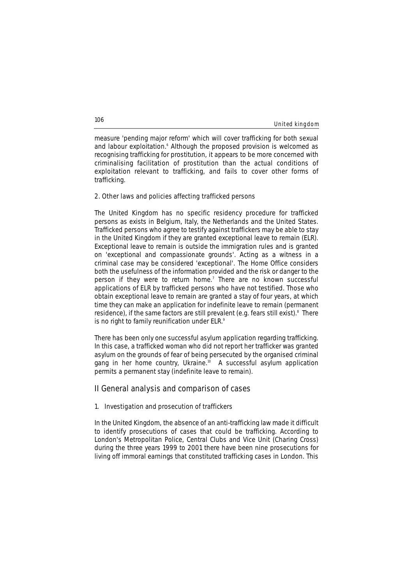#### United kingdom

measure 'pending major reform' which will cover trafficking for both sexual and labour exploitation.<sup>6</sup> Although the proposed provision is welcomed as recognising trafficking for prostitution, it appears to be more concerned with criminalising facilitation of prostitution than the actual conditions of exploitation relevant to trafficking, and fails to cover other forms of trafficking.

#### **2. Other laws and policies affecting trafficked persons**

The United Kingdom has no specific residency procedure for trafficked persons as exists in Belgium, Italy, the Netherlands and the United States. Trafficked persons who agree to testify against traffickers may be able to stay in the United Kingdom if they are granted exceptional leave to remain (ELR). Exceptional leave to remain is outside the immigration rules and is granted on 'exceptional and compassionate grounds'. Acting as a witness in a criminal case may be considered 'exceptional'. The Home Office considers both the usefulness of the information provided and the risk or danger to the person if they were to return home.<sup>7</sup> There are no known successful applications of ELR by trafficked persons who have not testified. Those who obtain exceptional leave to remain are granted a stay of four years, at which time they can make an application for indefinite leave to remain (permanent residence), if the same factors are still prevalent (e.g. fears still exist).<sup>8</sup> There is no right to family reunification under ELR.<sup>9</sup>

There has been only one successful asylum application regarding trafficking. In this case, a trafficked woman who did not report her trafficker was granted asylum on the grounds of fear of being persecuted by the organised criminal gang in her home country, Ukraine.<sup>10</sup> A successful asylum application permits a permanent stay (indefinite leave to remain).

### **II General analysis and comparison of cases**

### **1. Investigation and prosecution of traffickers**

In the United Kingdom, the absence of an anti-trafficking law made it difficult to identify prosecutions of cases that could be trafficking. According to London's Metropolitan Police, Central Clubs and Vice Unit (Charing Cross) during the three years 1999 to 2001 there have been nine prosecutions for living off immoral earnings that constituted trafficking cases in London. This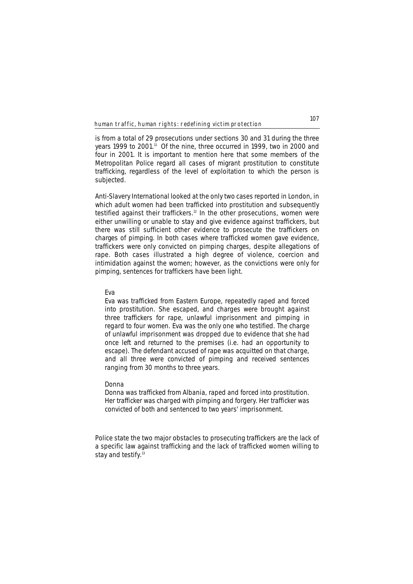is from a total of 29 prosecutions under sections 30 and 31 during the three years 1999 to 2001.<sup>11</sup> Of the nine, three occurred in 1999, two in 2000 and four in 2001. It is important to mention here that some members of the Metropolitan Police regard all cases of migrant prostitution to constitute trafficking, regardless of the level of exploitation to which the person is subjected.

Anti-Slavery International looked at the only two cases reported in London, in which adult women had been trafficked into prostitution and subsequently testified against their traffickers.<sup>12</sup> In the other prosecutions, women were either unwilling or unable to stay and give evidence against traffickers, but there was still sufficient other evidence to prosecute the traffickers on charges of pimping. In both cases where trafficked women gave evidence, traffickers were only convicted on pimping charges, despite allegations of rape. Both cases illustrated a high degree of violence, coercion and intimidation against the women; however, as the convictions were only for pimping, sentences for traffickers have been light.

### **Eva**

*Eva was trafficked from Eastern Europe, repeatedly raped and forced into prostitution. She escaped, and charges were brought against three traffickers for rape, unlawful imprisonment and pimping in regard to four women. Eva was the only one who testified. The charge of unlawful imprisonment was dropped due to evidence that she had once left and returned to the premises (i.e. had an opportunity to escape). The defendant accused of rape was acquitted on that charge, and all three were convicted of pimping and received sentences ranging from 30 months to three years.* 

### **Donna**

*Donna was trafficked from Albania, raped and forced into prostitution. Her trafficker was charged with pimping and forgery. Her trafficker was convicted of both and sentenced to two years' imprisonment.*

Police state the two major obstacles to prosecuting traffickers are the lack of a specific law against trafficking and the lack of trafficked women willing to stay and testify.<sup>13</sup>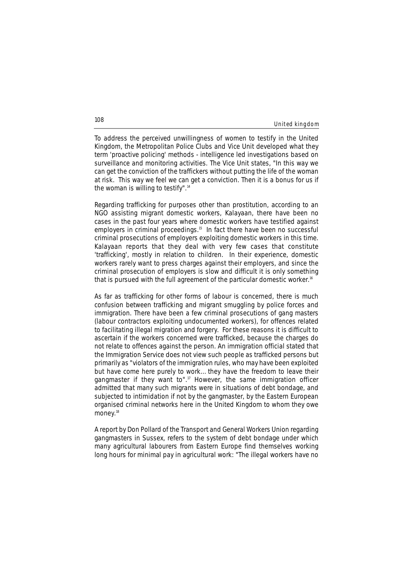#### United kingdom

To address the perceived unwillingness of women to testify in the United Kingdom, the Metropolitan Police Clubs and Vice Unit developed what they term 'proactive policing' methods - intelligence led investigations based on surveillance and monitoring activities. The Vice Unit states, "In this way we can get the conviction of the traffickers without putting the life of the woman at risk. This way we feel we can get a conviction. Then it is a bonus for us if the woman is willing to testify".<sup>14</sup>

Regarding trafficking for purposes other than prostitution, according to an NGO assisting migrant domestic workers, Kalayaan, there have been no cases in the past four years where domestic workers have testified against employers in criminal proceedings.<sup>15</sup> In fact there have been no successful criminal prosecutions of employers exploiting domestic workers in this time. Kalayaan reports that they deal with very few cases that constitute 'trafficking', mostly in relation to children. In their experience, domestic workers rarely want to press charges against their employers, and since the criminal prosecution of employers is slow and difficult it is only something that is pursued with the full agreement of the particular domestic worker.<sup>16</sup>

As far as trafficking for other forms of labour is concerned, there is much confusion between trafficking and migrant smuggling by police forces and immigration. There have been a few criminal prosecutions of gang masters (labour contractors exploiting undocumented workers), for offences related to facilitating illegal migration and forgery. For these reasons it is difficult to ascertain if the workers concerned were trafficked, because the charges do not relate to offences against the person. An immigration official stated that the Immigration Service does not view such people as trafficked persons but primarily as "violators of the immigration rules, who may have been exploited but have come here purely to work… they have the freedom to leave their gangmaster if they want to".<sup>17</sup> However, the same immigration officer admitted that many such migrants were in situations of debt bondage, and subjected to intimidation if not by the gangmaster, by the Eastern European organised criminal networks here in the United Kingdom to whom they owe money.<sup>18</sup>

A report by Don Pollard of the Transport and General Workers Union regarding gangmasters in Sussex, refers to the system of debt bondage under which many agricultural labourers from Eastern Europe find themselves working long hours for minimal pay in agricultural work: "The illegal workers have no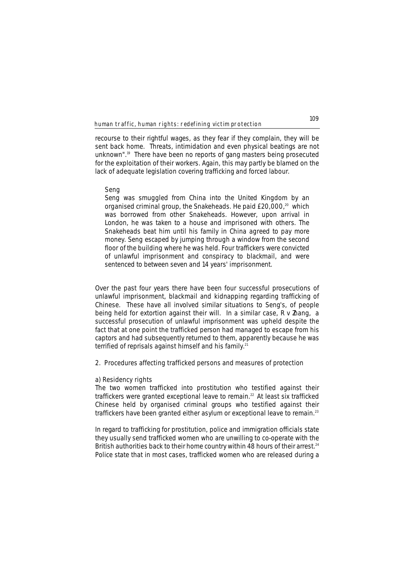recourse to their rightful wages, as they fear if they complain, they will be sent back home. Threats, intimidation and even physical beatings are not unknown".<sup>19</sup> There have been no reports of gang masters being prosecuted for the exploitation of their workers. Again, this may partly be blamed on the lack of adequate legislation covering trafficking and forced labour.

### **Seng**

*Seng was smuggled from China into the United Kingdom by an organised criminal group, the Snakeheads. He paid £20,000,20 which was borrowed from other Snakeheads. However, upon arrival in London, he was taken to a house and imprisoned with others. The Snakeheads beat him until his family in China agreed to pay more money. Seng escaped by jumping through a window from the second floor of the building where he was held. Four traffickers were convicted of unlawful imprisonment and conspiracy to blackmail, and were sentenced to between seven and 14 years' imprisonment.*

Over the past four years there have been four successful prosecutions of unlawful imprisonment, blackmail and kidnapping regarding trafficking of Chinese. These have all involved similar situations to Seng's, of people being held for extortion against their will. In a similar case, *R v Zhang,* a successful prosecution of unlawful imprisonment was upheld despite the fact that at one point the trafficked person had managed to escape from his captors and had subsequently returned to them, apparently because he was terrified of reprisals against himself and his family.<sup>21</sup>

### **2. Procedures affecting trafficked persons and measures of protection**

#### **a) Residency rights**

The two women trafficked into prostitution who testified against their traffickers were granted exceptional leave to remain.<sup>22</sup> At least six trafficked Chinese held by organised criminal groups who testified against their traffickers have been granted either asylum or exceptional leave to remain.<sup>23</sup>

In regard to trafficking for prostitution, police and immigration officials state they usually send trafficked women who are unwilling to co-operate with the British authorities back to their home country within 48 hours of their arrest.<sup>24</sup> Police state that in most cases, trafficked women who are released during a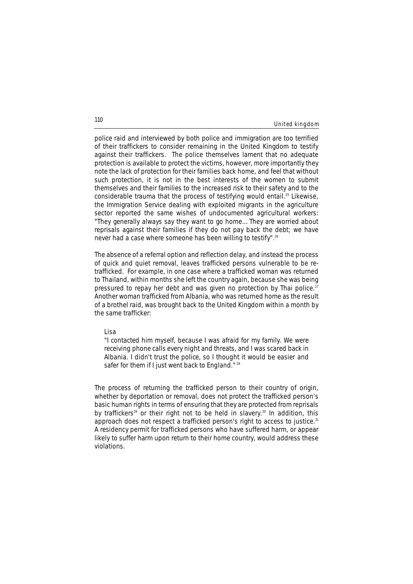#### United kingdom

police raid and interviewed by both police and immigration are too terrified of their traffickers to consider remaining in the United Kingdom to testify against their traffickers. The police themselves lament that no adequate protection is available to protect the victims, however, more importantly they note the lack of protection for their families back home, and feel that without such protection, it is not in the best interests of the women to submit themselves and their families to the increased risk to their safety and to the considerable trauma that the process of testifying would entail.25 Likewise, the Immigration Service dealing with exploited migrants in the agriculture sector reported the same wishes of undocumented agricultural workers: "They generally always say they want to go home… They are worried about reprisals against their families if they do not pay back the debt; we have never had a case where someone has been willing to testify".26

The absence of a referral option and reflection delay, and instead the process of quick and quiet removal, leaves trafficked persons vulnerable to be retrafficked. For example, in one case where a trafficked woman was returned to Thailand, within months she left the country again, because she was being pressured to repay her debt and was given no protection by Thai police.<sup>2</sup> Another woman trafficked from Albania, who was returned home as the result of a brothel raid, was brought back to the United Kingdom within a month by the same trafficker:

#### **Lisa**

*"I contacted him myself, because I was afraid for my family. We were receiving phone calls every night and threats, and I was scared back in Albania. I didn't trust the police, so I thought it would be easier and safer for them if I just went back to England." <sup>28</sup>*

The process of returning the trafficked person to their country of origin, whether by deportation or removal, does not protect the trafficked person's basic human rights in terms of ensuring that they are protected from reprisals by traffickers<sup>29</sup> or their right not to be held in slavery.<sup>30</sup> In addition, this approach does not respect a trafficked person's right to access to justice.<sup>31</sup> A residency permit for trafficked persons who have suffered harm, or appear likely to suffer harm upon return to their home country, would address these violations.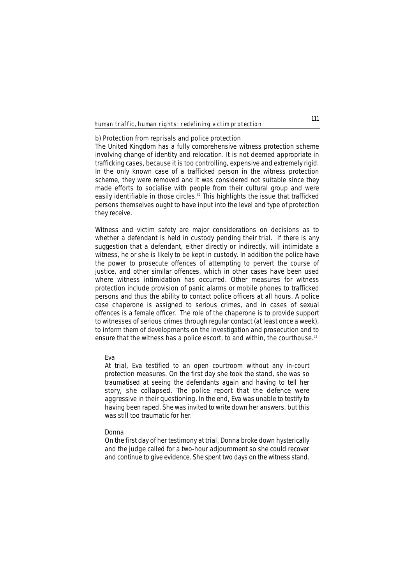#### **b) Protection from reprisals and police protection**

The United Kingdom has a fully comprehensive witness protection scheme involving change of identity and relocation. It is not deemed appropriate in trafficking cases, because it is too controlling, expensive and extremely rigid. In the only known case of a trafficked person in the witness protection scheme, they were removed and it was considered not suitable since they made efforts to socialise with people from their cultural group and were easily identifiable in those circles.<sup>32</sup> This highlights the issue that trafficked persons themselves ought to have input into the level and type of protection they receive.

Witness and victim safety are major considerations on decisions as to whether a defendant is held in custody pending their trial. If there is any suggestion that a defendant, either directly or indirectly, will intimidate a witness, he or she is likely to be kept in custody. In addition the police have the power to prosecute offences of attempting to pervert the course of justice, and other similar offences, which in other cases have been used where witness intimidation has occurred. Other measures for witness protection include provision of panic alarms or mobile phones to trafficked persons and thus the ability to contact police officers at all hours. A police case chaperone is assigned to serious crimes, and in cases of sexual offences is a female officer. The role of the chaperone is to provide support to witnesses of serious crimes through regular contact (at least once a week), to inform them of developments on the investigation and prosecution and to ensure that the witness has a police escort, to and within, the courthouse.<sup>33</sup>

#### **Eva**

*At trial, Eva testified to an open courtroom without any in-court protection measures. On the first day she took the stand, she was so traumatised at seeing the defendants again and having to tell her story, she collapsed. The police report that the defence were aggressive in their questioning. In the end, Eva was unable to testify to having been raped. She was invited to write down her answers, but this was still too traumatic for her.*

### **Donna**

*On the first day of her testimony at trial, Donna broke down hysterically and the judge called for a two-hour adjournment so she could recover and continue to give evidence. She spent two days on the witness stand.*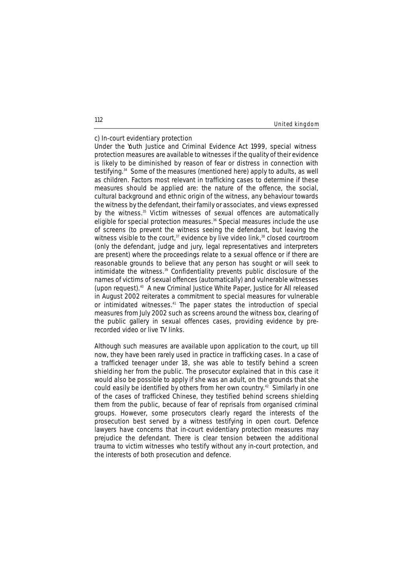#### United kingdom

### **c) In-court evidentiary protection**

Under the Youth Justice and Criminal Evidence Act 1999, special witness protection measures are available to witnesses if the quality of their evidence is likely to be diminished by reason of fear or distress in connection with testifying.34 Some of the measures (mentioned here) apply to adults, as well as children. Factors most relevant in trafficking cases to determine if these measures should be applied are: the nature of the offence, the social, cultural background and ethnic origin of the witness, any behaviour towards the witness by the defendant, their family or associates, and views expressed by the witness.<sup>35</sup> Victim witnesses of sexual offences are automatically eligible for special protection measures.<sup>36</sup> Special measures include the use of screens (to prevent the witness seeing the defendant, but leaving the witness visible to the court,<sup>37</sup> evidence by live video link,<sup>38</sup> closed courtroom (only the defendant, judge and jury, legal representatives and interpreters are present) where the proceedings relate to a sexual offence or if there are reasonable grounds to believe that any person has sought or will seek to intimidate the witness.<sup>39</sup> Confidentiality prevents public disclosure of the names of victims of sexual offences (automatically) and vulnerable witnesses (upon request).40 A new Criminal Justice White Paper, *Justice for All* released in August 2002 reiterates a commitment to special measures for vulnerable or intimidated witnesses.<sup>41</sup> The paper states the introduction of special measures from July 2002 such as screens around the witness box, clearing of the public gallery in sexual offences cases, providing evidence by prerecorded video or live TV links.

Although such measures are available upon application to the court, up till now, they have been rarely used in practice in trafficking cases. In a case of a trafficked teenager under 18, she was able to testify behind a screen shielding her from the public. The prosecutor explained that in this case it would also be possible to apply if she was an adult, on the grounds that she could easily be identified by others from her own country.<sup>42</sup> Similarly in one of the cases of trafficked Chinese, they testified behind screens shielding them from the public, because of fear of reprisals from organised criminal groups. However, some prosecutors clearly regard the interests of the prosecution best served by a witness testifying in open court. Defence lawyers have concerns that in-court evidentiary protection measures may prejudice the defendant. There is clear tension between the additional trauma to victim witnesses who testify without any in-court protection, and the interests of both prosecution and defence.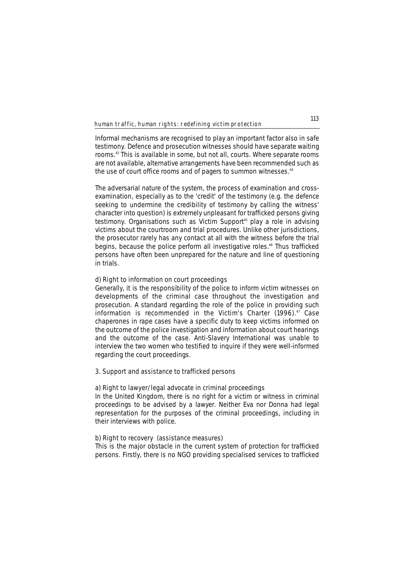Informal mechanisms are recognised to play an important factor also in safe testimony. Defence and prosecution witnesses should have separate waiting rooms.43 This is available in some, but not all, courts. Where separate rooms are not available, alternative arrangements have been recommended such as the use of court office rooms and of pagers to summon witnesses.<sup>44</sup>

The adversarial nature of the system, the process of examination and crossexamination, especially as to the 'credit' of the testimony (e.g. the defence seeking to undermine the credibility of testimony by calling the witness' character into question) is extremely unpleasant for trafficked persons giving testimony. Organisations such as Victim Support<sup>45</sup> play a role in advising victims about the courtroom and trial procedures. Unlike other jurisdictions, the prosecutor rarely has any contact at all with the witness before the trial begins, because the police perform all investigative roles.<sup>46</sup> Thus trafficked persons have often been unprepared for the nature and line of questioning in trials.

#### **d) Right to information on court proceedings**

Generally, it is the responsibility of the police to inform victim witnesses on developments of the criminal case throughout the investigation and prosecution. A standard regarding the role of the police in providing such information is recommended in the Victim's Charter (1996).<sup>47</sup> Case chaperones in rape cases have a specific duty to keep victims informed on the outcome of the police investigation and information about court hearings and the outcome of the case. Anti-Slavery International was unable to interview the two women who testified to inquire if they were well-informed regarding the court proceedings.

### **3. Support and assistance to trafficked persons**

### **a) Right to lawyer/legal advocate in criminal proceedings**

In the United Kingdom, there is no right for a victim or witness in criminal proceedings to be advised by a lawyer. Neither Eva nor Donna had legal representation for the purposes of the criminal proceedings, including in their interviews with police.

### **b) Right to recovery (assistance measures)**

This is the major obstacle in the current system of protection for trafficked persons. Firstly, there is no NGO providing specialised services to trafficked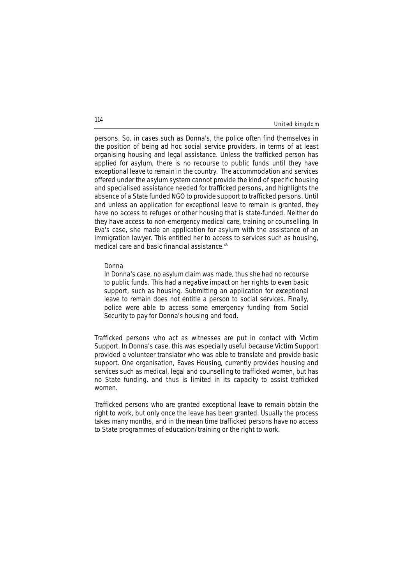#### United kingdom

persons. So, in cases such as Donna's, the police often find themselves in the position of being ad hoc social service providers, in terms of at least organising housing and legal assistance. Unless the trafficked person has applied for asylum, there is no recourse to public funds until they have exceptional leave to remain in the country. The accommodation and services offered under the asylum system cannot provide the kind of specific housing and specialised assistance needed for trafficked persons, and highlights the absence of a State funded NGO to provide support to trafficked persons. Until and unless an application for exceptional leave to remain is granted, they have no access to refuges or other housing that is state-funded. Neither do they have access to non-emergency medical care, training or counselling. In Eva's case, she made an application for asylum with the assistance of an immigration lawyer. This entitled her to access to services such as housing, medical care and basic financial assistance.<sup>48</sup>

#### **Donna**

*In Donna's case, no asylum claim was made, thus she had no recourse to public funds. This had a negative impact on her rights to even basic support, such as housing. Submitting an application for exceptional leave to remain does not entitle a person to social services. Finally, police were able to access some emergency funding from Social Security to pay for Donna's housing and food.* 

Trafficked persons who act as witnesses are put in contact with Victim Support. In Donna's case, this was especially useful because Victim Support provided a volunteer translator who was able to translate and provide basic support. One organisation, Eaves Housing, currently provides housing and services such as medical, legal and counselling to trafficked women, but has no State funding, and thus is limited in its capacity to assist trafficked women.

Trafficked persons who are granted exceptional leave to remain obtain the right to work, but only once the leave has been granted. Usually the process takes many months, and in the mean time trafficked persons have no access to State programmes of education/training or the right to work.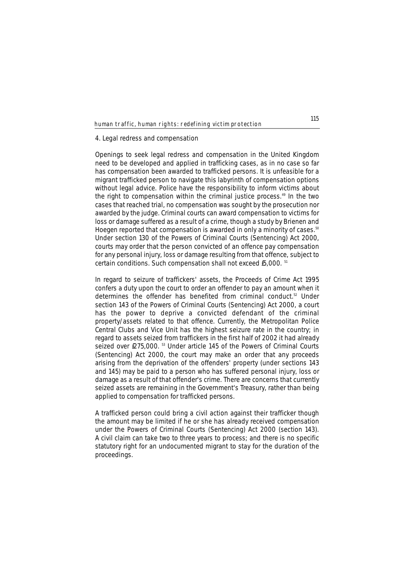#### **4. Legal redress and compensation**

Openings to seek legal redress and compensation in the United Kingdom need to be developed and applied in trafficking cases, as in no case so far has compensation been awarded to trafficked persons. It is unfeasible for a migrant trafficked person to navigate this labyrinth of compensation options without legal advice. Police have the responsibility to inform victims about the right to compensation within the criminal justice process.<sup>49</sup> In the two cases that reached trial, no compensation was sought by the prosecution nor awarded by the judge. Criminal courts can award compensation to victims for loss or damage suffered as a result of a crime, though a study by Brienen and Hoegen reported that compensation is awarded in only a minority of cases.<sup>50</sup> Under section 130 of the Powers of Criminal Courts (Sentencing) Act 2000, courts may order that the person convicted of an offence pay compensation for any personal injury, loss or damage resulting from that offence, subject to certain conditions. Such compensation shall not exceed £5,000. <sup>51</sup>

In regard to seizure of traffickers' assets, the Proceeds of Crime Act 1995 confers a duty upon the court to order an offender to pay an amount when it determines the offender has benefited from criminal conduct.<sup>52</sup> Under section 143 of the Powers of Criminal Courts (Sentencing) Act 2000, a court has the power to deprive a convicted defendant of the criminal property/assets related to that offence. Currently, the Metropolitan Police Central Clubs and Vice Unit has the highest seizure rate in the country; in regard to assets seized from traffickers in the first half of 2002 it had already seized over £275,000.<sup>53</sup> Under article 145 of the Powers of Criminal Courts (Sentencing) Act 2000, the court may make an order that any proceeds arising from the deprivation of the offenders' property (under sections 143 and 145) may be paid to a person who has suffered personal injury, loss or damage as a result of that offender's crime. There are concerns that currently seized assets are remaining in the Government's Treasury, rather than being applied to compensation for trafficked persons.

A trafficked person could bring a civil action against their trafficker though the amount may be limited if he or she has already received compensation under the Powers of Criminal Courts (Sentencing) Act 2000 (section 143). A civil claim can take two to three years to process; and there is no specific statutory right for an undocumented migrant to stay for the duration of the proceedings.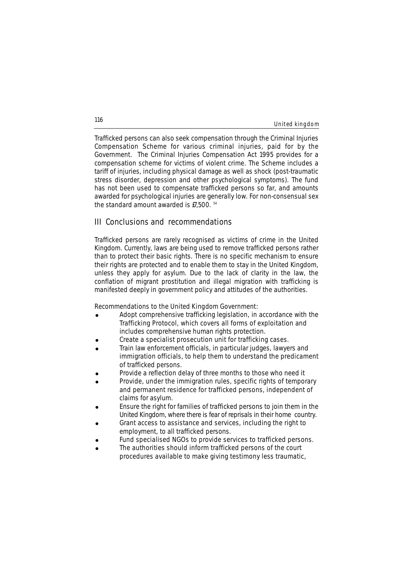#### United kingdom

Trafficked persons can also seek compensation through the Criminal Injuries Compensation Scheme for various criminal injuries, paid for by the Government. The Criminal Injuries Compensation Act 1995 provides for a compensation scheme for victims of violent crime. The Scheme includes a tariff of injuries, including physical damage as well as shock (post-traumatic stress disorder, depression and other psychological symptoms). The fund has not been used to compensate trafficked persons so far, and amounts awarded for psychological injuries are generally low. For non-consensual sex the standard amount awarded is £7,500. <sup>54</sup>

### **III Conclusions and recommendations**

Trafficked persons are rarely recognised as victims of crime in the United Kingdom. Currently, laws are being used to remove trafficked persons rather than to protect their basic rights. There is no specific mechanism to ensure their rights are protected and to enable them to stay in the United Kingdom, unless they apply for asylum. Due to the lack of clarity in the law, the conflation of migrant prostitution and illegal migration with trafficking is manifested deeply in government policy and attitudes of the authorities.

#### **Recommendations to the United Kingdom Government:**

- Adopt comprehensive trafficking legislation, in accordance with the Trafficking Protocol, which covers all forms of exploitation and includes comprehensive human rights protection.
- ! Create a specialist prosecution unit for trafficking cases.
- ! Train law enforcement officials, in particular judges, lawyers and immigration officials, to help them to understand the predicament of trafficked persons.
- Provide a reflection delay of three months to those who need it
- ! Provide, under the immigration rules, specific rights of temporary and permanent residence for trafficked persons, independent of claims for asylum.
- Ensure the right for families of trafficked persons to join them in the United Kingdom, where there is fear of reprisals in their home country.
- ! Grant access to assistance and services, including the right to employment, to all trafficked persons.
- Fund specialised NGOs to provide services to trafficked persons.
- The authorities should inform trafficked persons of the court procedures available to make giving testimony less traumatic,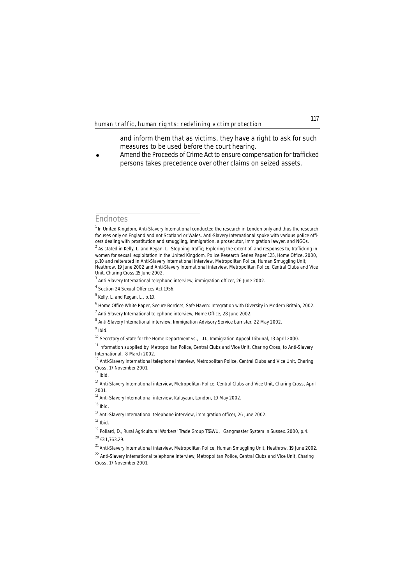and inform them that as victims, they have a right to ask for such measures to be used before the court hearing.

Amend the Proceeds of Crime Act to ensure compensation for trafficked persons takes precedence over other claims on seized assets.

### **Endnotes**

<sup>9</sup> *Ibid.*

<sup>&</sup>lt;sup>1</sup> In United Kingdom, Anti-Slavery International conducted the research in London only and thus the research focuses only on England and not Scotland or Wales. Anti-Slavery International spoke with various police officers dealing with prostitution and smuggling, immigration, a prosecutor, immigration lawyer, and NGOs.

<sup>2</sup> As stated in Kelly, L. and Regan, L. *Stopping Traffic; Exploring the extent of, and responses to, trafficking in women for sexual exploitation in the United Kingdom*, Police Research Series Paper 125, Home Office, 2000, p.10 and reiterated in Anti-Slavery International interview, Metropolitan Police, Human Smuggling Unit, Heathrow, 19 June 2002 and Anti-Slavery International interview, Metropolitan Police, Central Clubs and Vice Unit, Charing Cross,15 June 2002.

<sup>&</sup>lt;sup>3</sup> Anti-Slavery International telephone interview, immigration officer, 26 June 2002.

<sup>4</sup> Section 24 Sexual Offences Act 1956.

 $<sup>5</sup>$  Kelly, L. and Regan, L., p.10.</sup>

<sup>6</sup> Home Office White Paper, *Secure Borders, Safe Haven: Integration with Diversity in Modern Britain*, 2002.

 $7$  Anti-Slavery International telephone interview, Home Office, 28 June 2002.

<sup>&</sup>lt;sup>8</sup> Anti-Slavery International interview, Immigration Advisory Service barrister, 22 May 2002.

<sup>&</sup>lt;sup>10</sup> Secretary of State for the Home Department vs., L.D., Immigration Appeal Tribunal, 13 April 2000.

<sup>&</sup>lt;sup>11</sup> Information supplied by Metropolitan Police, Central Clubs and Vice Unit, Charing Cross, to Anti-Slavery International, 8 March 2002.

<sup>&</sup>lt;sup>12</sup> Anti-Slavery International telephone interview, Metropolitan Police, Central Clubs and Vice Unit, Charing Cross, 17 November 2001.

<sup>13</sup> *Ibid.* 

<sup>&</sup>lt;sup>14</sup> Anti-Slavery International interview, Metropolitan Police, Central Clubs and Vice Unit, Charing Cross, April 2001.

<sup>&</sup>lt;sup>15</sup> Anti-Slavery International interview, Kalayaan, London, 10 May 2002.

<sup>16</sup> *Ibid.*

 $17$  Anti-Slavery International telephone interview, immigration officer, 26 June 2002.

<sup>18</sup> *Ibid.*

<sup>&</sup>lt;sup>19</sup> Pollard, D., Rural Agricultural Workers' Trade Group T&GWU, *Gangmaster System in Sussex*, 2000, p.4.  $^{20}$   $f$ 31,763.29.

<sup>&</sup>lt;sup>21</sup> Anti-Slavery International interview, Metropolitan Police, Human Smuggling Unit, Heathrow, 19 June 2002.

<sup>&</sup>lt;sup>22</sup> Anti-Slavery International telephone interview, Metropolitan Police, Central Clubs and Vice Unit, Charing Cross, 17 November 2001.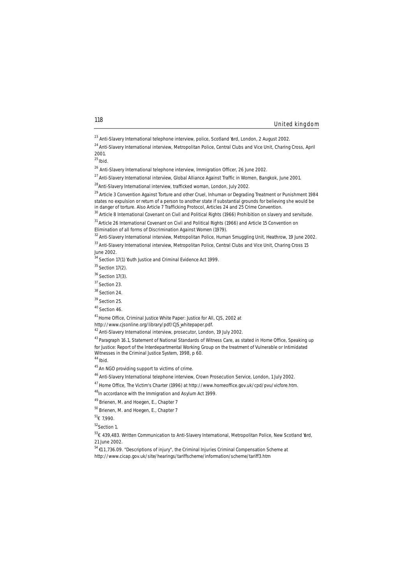<sup>44</sup>*Ibid.*

<sup>52</sup>Section 1.

53€ 439,483. Written Communication to Anti-Slavery International, Metropolitan Police, New Scotland Yard, 21 June 2002.

United kingdom

<sup>&</sup>lt;sup>23</sup> Anti-Slavery International telephone interview, police, Scotland Yard, London, 2 August 2002.

<sup>&</sup>lt;sup>24</sup> Anti-Slavery International interview, Metropolitan Police, Central Clubs and Vice Unit, Charing Cross, April 2001.

<sup>25</sup>*Ibid.*

<sup>&</sup>lt;sup>26</sup> Anti-Slavery International telephone interview, Immigration Officer, 26 June 2002.

 $^{27}$  Anti-Slavery International interview, Global Alliance Against Traffic in Women, Bangkok, June 2001.

 $^{28}$ Anti-Slavery International interview, trafficked woman, London, July 2002.

<sup>&</sup>lt;sup>29</sup> Article 3 Convention Against Torture and other Cruel, Inhuman or Degrading Treatment or Punishment 1984 states no expulsion or return of a person to another state if substantial grounds for believing she would be in danger of torture. Also Article 7 Trafficking Protocol, Articles 24 and 25 Crime Convention.

<sup>&</sup>lt;sup>30</sup> Article 8 International Covenant on Civil and Political Rights (1966) Prohibition on slavery and servitude.

<sup>&</sup>lt;sup>31</sup> Article 26 International Covenant on Civil and Political Rights (1966) and Article 15 Convention on

Elimination of all forms of Discrimination Against Women (1979).

<sup>&</sup>lt;sup>32</sup> Anti-Slavery International interview, Metropolitan Police, Human Smuggling Unit, Heathrow, 19 June 2002.

<sup>33</sup> Anti-Slavery International interview, Metropolitan Police, Central Clubs and Vice Unit, Charing Cross 15 June 2002.

 $34$  Section 17(1) Youth Justice and Criminal Evidence Act 1999.

 $35$  Section 17(2).

<sup>36</sup> Section 17(3).

<sup>37</sup> Section 23.

<sup>38</sup> Section 24.

<sup>&</sup>lt;sup>39</sup> Section 25.

<sup>40</sup> Section 46.

<sup>41</sup> Home Office, *Criminal Justice White Paper: Justice for All*, CJS, 2002 at

http://www.cjsonline.org/library/pdf/CJS\_whitepaper.pdf.

<sup>42</sup> Anti-Slavery International interview, prosecutor, London, 19 July 2002.

<sup>43</sup> Paragraph 16.1, Statement of National Standards of Witness Care, as stated in Home Office, *Speaking up for Justice: Report of the Interdepartmental Working Group on the treatment of Vulnerable or Intimidated Witnesses in the Criminal Justice System*, 1998, p 60.

<sup>45</sup> An NGO providing support to victims of crime.

<sup>46</sup> Anti-Slavery International telephone interview, Crown Prosecution Service, London, 1 July 2002.

<sup>47</sup> Home Office, *The Victim's Charter* (1996) at http://www.homeoffice.gov.uk/cpd/pvu/vicfore.htm.

<sup>48</sup>In accordance with the Immigration and Asylum Act 1999.

<sup>49</sup> Brienen, M. and Hoegen, E., Chapter 7

<sup>50</sup> Brienen, M. and Hoegen, E., Chapter 7

 $51$ <sub>€</sub> 7,990.

<sup>54 € 1 1 ,736.09. &</sup>quot;Descriptions of injury", *the Criminal Injuries Criminal Compensation Scheme* at

http://www.cicap.gov.uk/site/hearings/tariffscheme/information/scheme/tariff3.htm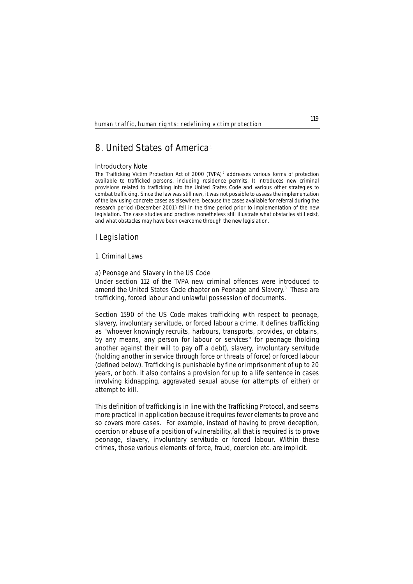# **8. United States of America**<sup>1</sup>

#### **Introductory Note**

*The Trafficking Victim Protection Act of 2000 (TVPA) <sup>2</sup> addresses various forms of protection available to trafficked persons, including residence permits. It introduces new criminal provisions related to trafficking into the United States Code and various other strategies to combat trafficking. Since the law was still new, it was not possible to assess the implementation of the law using concrete cases as elsewhere, because the cases available for referral during the research period (December 2001) fell in the time period prior to implementation of the new legislation. The case studies and practices nonetheless still illustrate what obstacles still exist, and what obstacles may have been overcome through the new legislation.*

## **I Legislation**

### **1. Criminal Laws**

#### **a) Peonage and Slavery in the US Cod**e

Under section 112 of the TVPA new criminal offences were introduced to amend the United States Code chapter on Peonage and Slavery.<sup>3</sup> These are trafficking, forced labour and unlawful possession of documents.

Section 1590 of the US Code makes trafficking with respect to peonage, slavery, involuntary servitude, or forced labour a crime. It defines trafficking as "whoever knowingly recruits, harbours, transports, provides, or obtains, by any means, any person for labour or services" for peonage (holding another against their will to pay off a debt), slavery, involuntary servitude (holding another in service through force or threats of force) or forced labour (defined below). Trafficking is punishable by fine or imprisonment of up to 20 years, or both. It also contains a provision for up to a life sentence in cases involving kidnapping, aggravated sexual abuse (or attempts of either) or attempt to kill.

This definition of trafficking is in line with the Trafficking Protocol, and seems more practical in application because it requires fewer elements to prove and so covers more cases. For example, instead of having to prove deception, coercion or abuse of a position of vulnerability, all that is required is to prove peonage, slavery, involuntary servitude or forced labour. Within these crimes, those various elements of force, fraud, coercion etc. are implicit.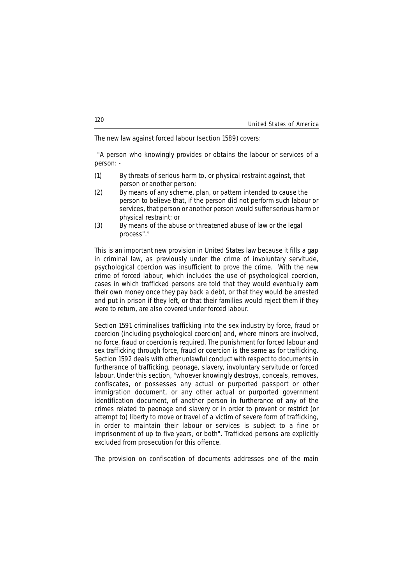The new law against forced labour (section 1589) covers:

"A person who knowingly provides or obtains the labour or services of a person: -

- (1) By threats of serious harm to, or physical restraint against, that person or another person;
- (2) By means of any scheme, plan, or pattern intended to cause the person to believe that, if the person did not perform such labour or services, that person or another person would suffer serious harm or physical restraint; or
- (3) By means of the abuse or threatened abuse of law or the legal process".4

This is an important new provision in United States law because it fills a gap in criminal law, as previously under the crime of involuntary servitude, psychological coercion was insufficient to prove the crime. With the new crime of forced labour, which includes the use of psychological coercion, cases in which trafficked persons are told that they would eventually earn their own money once they pay back a debt, or that they would be arrested and put in prison if they left, or that their families would reject them if they were to return, are also covered under forced labour.

Section 1591 criminalises trafficking into the sex industry by force, fraud or coercion (including psychological coercion) and, where minors are involved, no force, fraud or coercion is required. The punishment for forced labour and sex trafficking through force, fraud or coercion is the same as for trafficking. Section 1592 deals with other unlawful conduct with respect to documents in furtherance of trafficking, peonage, slavery, involuntary servitude or forced labour. Under this section, "whoever knowingly destroys, conceals, removes, confiscates, or possesses any actual or purported passport or other immigration document, or any other actual or purported government identification document, of another person in furtherance of any of the crimes related to peonage and slavery or in order to prevent or restrict (or attempt to) liberty to move or travel of a victim of severe form of trafficking, in order to maintain their labour or services is subject to a fine or imprisonment of up to five years, or both". Trafficked persons are explicitly excluded from prosecution for this offence.

The provision on confiscation of documents addresses one of the main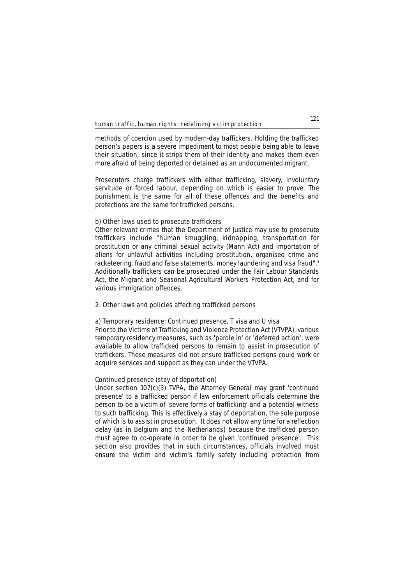methods of coercion used by modern-day traffickers. Holding the trafficked person's papers is a severe impediment to most people being able to leave their situation, since it strips them of their identity and makes them even more afraid of being deported or detained as an undocumented migrant.

Prosecutors charge traffickers with either trafficking, slavery, involuntary servitude or forced labour, depending on which is easier to prove. The punishment is the same for all of these offences and the benefits and protections are the same for trafficked persons.

### **b) Other laws used to prosecute traffickers**

Other relevant crimes that the Department of Justice may use to prosecute traffickers include "human smuggling, kidnapping, transportation for prostitution or any criminal sexual activity (Mann Act) and importation of aliens for unlawful activities including prostitution, organised crime and racketeering, fraud and false statements, money laundering and visa fraud".5 Additionally traffickers can be prosecuted under the Fair Labour Standards Act, the Migrant and Seasonal Agricultural Workers Protection Act, and for various immigration offences.

#### **2. Other laws and policies affecting trafficked persons**

#### **a) Temporary residence: Continued presence, T visa and U visa**

Prior to the Victims of Trafficking and Violence Protection Act (VTVPA), various temporary residency measures, such as 'parole in' or 'deferred action', were available to allow trafficked persons to remain to assist in prosecution of traffickers. These measures did not ensure trafficked persons could work or acquire services and support as they can under the VTVPA.

#### **Continued presence (stay of deportation)**

Under section 107(c)(3) TVPA, the Attorney General may grant 'continued presence' to a trafficked person if law enforcement officials determine the person to be a victim of 'severe forms of trafficking' and a potential witness to such trafficking. This is effectively a stay of deportation, the sole purpose of which is to assist in prosecution. It does not allow any time for a reflection delay (as in Belgium and the Netherlands) because the trafficked person must agree to co-operate in order to be given 'continued presence'. This section also provides that in such circumstances, officials involved must ensure the victim and victim's family safety including protection from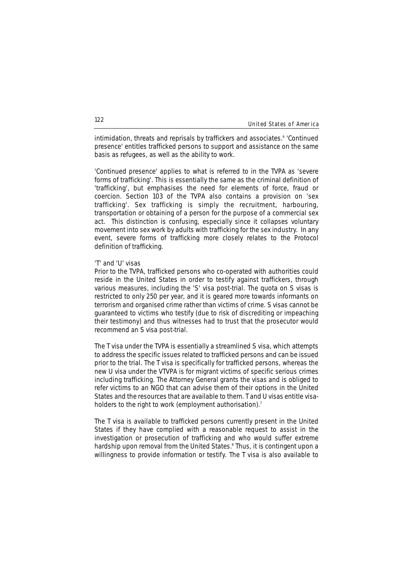intimidation, threats and reprisals by traffickers and associates.<sup>6</sup> 'Continued presence' entitles trafficked persons to support and assistance on the same basis as refugees, as well as the ability to work.

'Continued presence' applies to what is referred to in the TVPA as 'severe forms of trafficking'. This is essentially the same as the criminal definition of 'trafficking', but emphasises the need for elements of force, fraud or coercion. Section 103 of the TVPA also contains a provision on 'sex trafficking'. Sex trafficking is simply the recruitment, harbouring, transportation or obtaining of a person for the purpose of a commercial sex act. This distinction is confusing, especially since it collapses voluntary movement into sex work by adults with trafficking for the sex industry. In any event, severe forms of trafficking more closely relates to the Protocol definition of trafficking.

### **'T' and 'U' visas**

Prior to the TVPA, trafficked persons who co-operated with authorities could reside in the United States in order to testify against traffickers, through various measures, including the 'S' visa post-trial. The quota on S visas is restricted to only 250 per year, and it is geared more towards informants on terrorism and organised crime rather than victims of crime. S visas cannot be guaranteed to victims who testify (due to risk of discrediting or impeaching their testimony) and thus witnesses had to trust that the prosecutor would recommend an S visa post-trial.

The T visa under the TVPA is essentially a streamlined S visa, which attempts to address the specific issues related to trafficked persons and can be issued prior to the trial. The T visa is specifically for trafficked persons, whereas the new U visa under the VTVPA is for migrant victims of specific serious crimes including trafficking. The Attorney General grants the visas and is obliged to refer victims to an NGO that can advise them of their options in the United States and the resources that are available to them. T and U visas entitle visaholders to the right to work (employment authorisation).<sup>7</sup>

The T visa is available to trafficked persons currently present in the United States if they have complied with a reasonable request to assist in the investigation or prosecution of trafficking and who would suffer extreme hardship upon removal from the United States.<sup>8</sup> Thus, it is contingent upon a willingness to provide information or testify. The T visa is also available to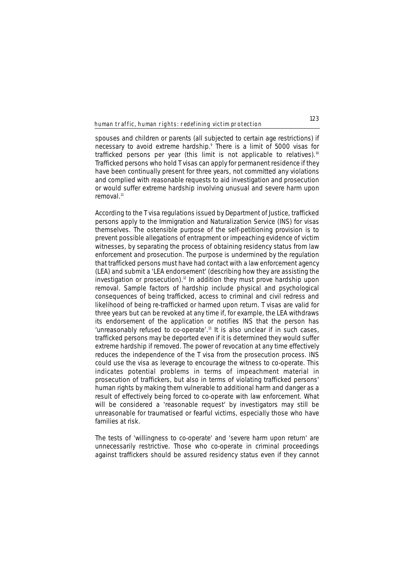spouses and children or parents (all subjected to certain age restrictions) if necessary to avoid extreme hardship.<sup>9</sup> There is a limit of 5000 visas for trafficked persons per year (this limit is not applicable to relatives).<sup>10</sup> Trafficked persons who hold T visas can apply for permanent residence if they have been continually present for three years, not committed any violations and complied with reasonable requests to aid investigation and prosecution or would suffer extreme hardship involving unusual and severe harm upon removal<sup>11</sup>

According to the T visa regulations issued by Department of Justice, trafficked persons apply to the Immigration and Naturalization Service (INS) for visas themselves. The ostensible purpose of the self-petitioning provision is to prevent possible allegations of entrapment or impeaching evidence of victim witnesses, by separating the process of obtaining residency status from law enforcement and prosecution. The purpose is undermined by the regulation that trafficked persons must have had contact with a law enforcement agency (LEA) and submit a 'LEA endorsement' (describing how they are assisting the investigation or prosecution).<sup>12</sup> In addition they must prove hardship upon removal. Sample factors of hardship include physical and psychological consequences of being trafficked, access to criminal and civil redress and likelihood of being re-trafficked or harmed upon return. T visas are valid for three years but can be revoked at any time if, for example, the LEA withdraws its endorsement of the application or notifies INS that the person has 'unreasonably refused to co-operate'.<sup>13</sup> It is also unclear if in such cases, trafficked persons may be deported even if it is determined they would suffer extreme hardship if removed. The power of revocation at any time effectively reduces the independence of the T visa from the prosecution process. INS could use the visa as leverage to encourage the witness to co-operate. This indicates potential problems in terms of impeachment material in prosecution of traffickers, but also in terms of violating trafficked persons' human rights by making them vulnerable to additional harm and danger as a result of effectively being forced to co-operate with law enforcement. What will be considered a 'reasonable request' by investigators may still be unreasonable for traumatised or fearful victims, especially those who have families at risk.

The tests of 'willingness to co-operate' and 'severe harm upon return' are unnecessarily restrictive. Those who co-operate in criminal proceedings against traffickers should be assured residency status even if they cannot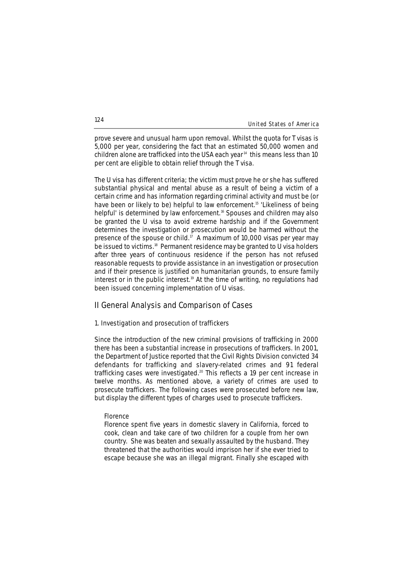|  | United States of America |  |  |  |
|--|--------------------------|--|--|--|
|--|--------------------------|--|--|--|

prove severe and unusual harm upon removal. Whilst the quota for T visas is 5,000 per year, considering the fact that an estimated 50,000 women and children alone are trafficked into the USA each year<sup>14</sup> this means less than 10 per cent are eligible to obtain relief through the T visa.

The U visa has different criteria; the victim must prove he or she has suffered substantial physical and mental abuse as a result of being a victim of a certain crime and has information regarding criminal activity and must be (or have been or likely to be) helpful to law enforcement.<sup>15</sup> 'Likeliness of being helpful' is determined by law enforcement.<sup>16</sup> Spouses and children may also be granted the U visa to avoid extreme hardship and if the Government determines the investigation or prosecution would be harmed without the presence of the spouse or child.<sup>17</sup> A maximum of 10,000 visas per year may be issued to victims.<sup>18</sup> Permanent residence may be granted to U visa holders after three years of continuous residence if the person has not refused reasonable requests to provide assistance in an investigation or prosecution and if their presence is justified on humanitarian grounds, to ensure family interest or in the public interest.<sup>19</sup> At the time of writing, no regulations had been issued concerning implementation of U visas.

### **II General Analysis and Comparison of Cases**

### **1. Investigation and prosecution of traffickers**

Since the introduction of the new criminal provisions of trafficking in 2000 there has been a substantial increase in prosecutions of traffickers. In 2001, the Department of Justice reported that the Civil Rights Division convicted 34 defendants for trafficking and slavery-related crimes and 91 federal trafficking cases were investigated.<sup>20</sup> This reflects a 19 per cent increase in twelve months. As mentioned above, a variety of crimes are used to prosecute traffickers. The following cases were prosecuted before new law, but display the different types of charges used to prosecute traffickers.

#### **Florence**

*Florence spent five years in domestic slavery in California, forced to cook, clean and take care of two children for a couple from her own country. She was beaten and sexually assaulted by the husband. They threatened that the authorities would imprison her if she ever tried to escape because she was an illegal migrant. Finally she escaped with*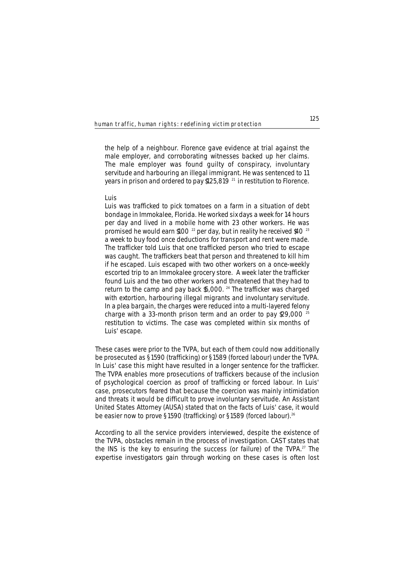*the help of a neighbour. Florence gave evidence at trial against the male employer, and corroborating witnesses backed up her claims. The male employer was found guilty of conspiracy, involuntary servitude and harbouring an illegal immigrant. He was sentenced to 11 years in prison and ordered to pay \$125,819 <sup>21</sup> in restitution to Florence.* 

### **Luis**

*Luis was trafficked to pick tomatoes on a farm in a situation of debt bondage in Immokalee, Florida. He worked six days a week for 14 hours per day and lived in a mobile home with 23 other workers. He was promised he would earn \$100 <sup>22</sup> per day, but in reality he received \$40 <sup>23</sup> a week to buy food once deductions for transport and rent were made. The trafficker told Luis that one trafficked person who tried to escape was caught. The traffickers beat that person and threatened to kill him if he escaped. Luis escaped with two other workers on a once-weekly escorted trip to an Immokalee grocery store. A week later the trafficker found Luis and the two other workers and threatened that they had to return to the camp and pay back \$5,000. <sup>24</sup> The trafficker was charged with extortion, harbouring illegal migrants and involuntary servitude. In a plea bargain, the charges were reduced into a multi-layered felony charge with a 33-month prison term and an order to pay \$29,000 <sup>25</sup> restitution to victims. The case was completed within six months of Luis' escape.*

These cases were prior to the TVPA, but each of them could now additionally be prosecuted as §1590 (trafficking) or §1589 (forced labour) under the TVPA. In Luis' case this might have resulted in a longer sentence for the trafficker. The TVPA enables more prosecutions of traffickers because of the inclusion of psychological coercion as proof of trafficking or forced labour. In Luis' case, prosecutors feared that because the coercion was mainly intimidation and threats it would be difficult to prove involuntary servitude. An Assistant United States Attorney (AUSA) stated that on the facts of Luis' case, it would be easier now to prove §1590 (trafficking) or §1589 (forced labour).<sup>26</sup>

According to all the service providers interviewed, despite the existence of the TVPA, obstacles remain in the process of investigation. CAST states that the INS is the key to ensuring the success (or failure) of the TVPA.<sup>27</sup> The expertise investigators gain through working on these cases is often lost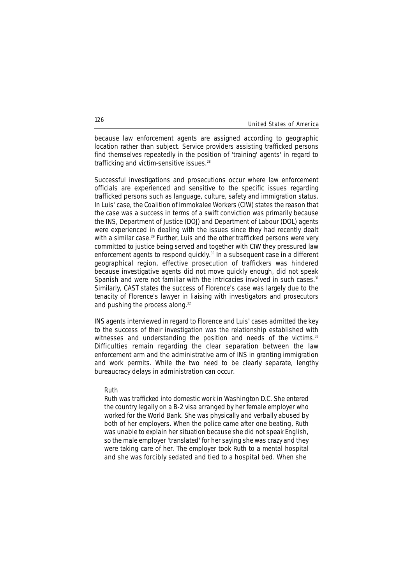because law enforcement agents are assigned according to geographic location rather than subject. Service providers assisting trafficked persons find themselves repeatedly in the position of 'training' agents' in regard to trafficking and victim-sensitive issues.<sup>28</sup>

Successful investigations and prosecutions occur where law enforcement officials are experienced and sensitive to the specific issues regarding trafficked persons such as language, culture, safety and immigration status. In Luis' case, the Coalition of Immokalee Workers (CIW) states the reason that the case was a success in terms of a swift conviction was primarily because the INS, Department of Justice (DOJ) and Department of Labour (DOL) agents were experienced in dealing with the issues since they had recently dealt with a similar case.<sup>29</sup> Further, Luis and the other trafficked persons were very committed to justice being served and together with CIW they pressured law enforcement agents to respond quickly.30 In a subsequent case in a different geographical region, effective prosecution of traffickers was hindered because investigative agents did not move quickly enough, did not speak Spanish and were not familiar with the intricacies involved in such cases.<sup>31</sup> Similarly, CAST states the success of Florence's case was largely due to the tenacity of Florence's lawyer in liaising with investigators and prosecutors and pushing the process along.<sup>32</sup>

INS agents interviewed in regard to Florence and Luis' cases admitted the key to the success of their investigation was the relationship established with witnesses and understanding the position and needs of the victims.<sup>33</sup> Difficulties remain regarding the clear separation between the law enforcement arm and the administrative arm of INS in granting immigration and work permits. While the two need to be clearly separate, lengthy bureaucracy delays in administration can occur.

#### **Ruth**

*Ruth was trafficked into domestic work in Washington D.C. She entered the country legally on a B-2 visa arranged by her female employer who worked for the World Bank. She was physically and verbally abused by both of her employers. When the police came after one beating, Ruth was unable to explain her situation because she did not speak English, so the male employer 'translated' for her saying she was crazy and they were taking care of her. The employer took Ruth to a mental hospital and she was forcibly sedated and tied to a hospital bed. When she*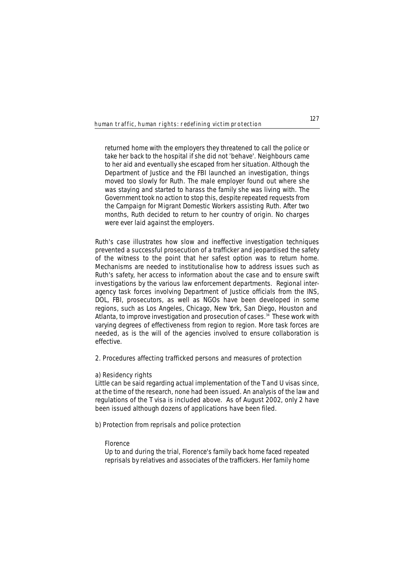*returned home with the employers they threatened to call the police or take her back to the hospital if she did not 'behave'. Neighbours came to her aid and eventually she escaped from her situation. Although the Department of Justice and the FBI launched an investigation, things moved too slowly for Ruth. The male employer found out where she was staying and started to harass the family she was living with. The Government took no action to stop this, despite repeated requests from the Campaign for Migrant Domestic Workers assisting Ruth. After two months, Ruth decided to return to her country of origin. No charges were ever laid against the employers.* 

Ruth's case illustrates how slow and ineffective investigation techniques prevented a successful prosecution of a trafficker and jeopardised the safety of the witness to the point that her safest option was to return home. Mechanisms are needed to institutionalise how to address issues such as Ruth's safety, her access to information about the case and to ensure swift investigations by the various law enforcement departments. Regional interagency task forces involving Department of Justice officials from the INS, DOL, FBI, prosecutors, as well as NGOs have been developed in some regions, such as Los Angeles, Chicago, New York, San Diego, Houston and Atlanta, to improve investigation and prosecution of cases.<sup>34</sup> These work with varying degrees of effectiveness from region to region. More task forces are needed, as is the will of the agencies involved to ensure collaboration is effective.

### **2. Procedures affecting trafficked persons and measures of protection**

### **a) Residency rights**

Little can be said regarding actual implementation of the T and U visas since, at the time of the research, none had been issued. An analysis of the law and regulations of the T visa is included above. As of August 2002, only 2 have been issued although dozens of applications have been filed.

### **b) Protection from reprisals and police protection**

#### **Florence**

*Up to and during the trial, Florence's family back home faced repeated reprisals by relatives and associates of the traffickers. Her family home*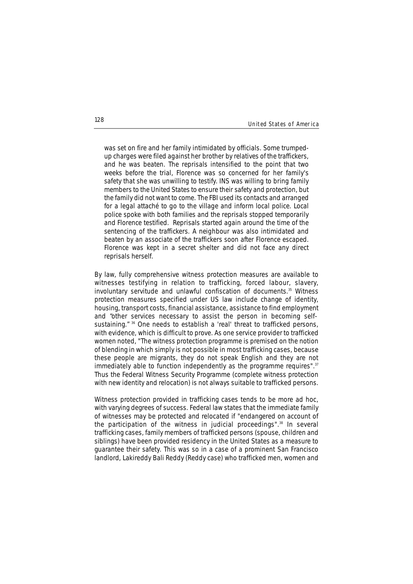*was set on fire and her family intimidated by officials. Some trumpedup charges were filed against her brother by relatives of the traffickers, and he was beaten. The reprisals intensified to the point that two weeks before the trial, Florence was so concerned for her family's safety that she was unwilling to testify. INS was willing to bring family members to the United States to ensure their safety and protection, but the family did not want to come. The FBI used its contacts and arranged for a legal attaché to go to the village and inform local police. Local police spoke with both families and the reprisals stopped temporarily and Florence testified. Reprisals started again around the time of the sentencing of the traffickers. A neighbour was also intimidated and beaten by an associate of the traffickers soon after Florence escaped. Florence was kept in a secret shelter and did not face any direct reprisals herself.*

By law, fully comprehensive witness protection measures are available to witnesses testifying in relation to trafficking, forced labour, slavery, involuntary servitude and unlawful confiscation of documents.<sup>35</sup> Witness protection measures specified under US law include change of identity, housing, transport costs, financial assistance, assistance to find employment and "other services necessary to assist the person in becoming selfsustaining." <sup>36</sup> One needs to establish a 'real' threat to trafficked persons, with evidence, which is difficult to prove. As one service provider to trafficked women noted, "The witness protection programme is premised on the notion of blending in which simply is not possible in most trafficking cases, because these people are migrants, they do not speak English and they are not immediately able to function independently as the programme requires".<sup>37</sup> Thus the Federal Witness Security Programme (complete witness protection with new identity and relocation) is not always suitable to trafficked persons.

Witness protection provided in trafficking cases tends to be more ad hoc, with varying degrees of success. Federal law states that the immediate family of witnesses may be protected and relocated if "endangered on account of the participation of the witness in judicial proceedings".<sup>38</sup> In several trafficking cases, family members of trafficked persons (spouse, children and siblings) have been provided residency in the United States as a measure to guarantee their safety. This was so in a case of a prominent San Francisco landlord, Lakireddy Bali Reddy (Reddy case) who trafficked men, women and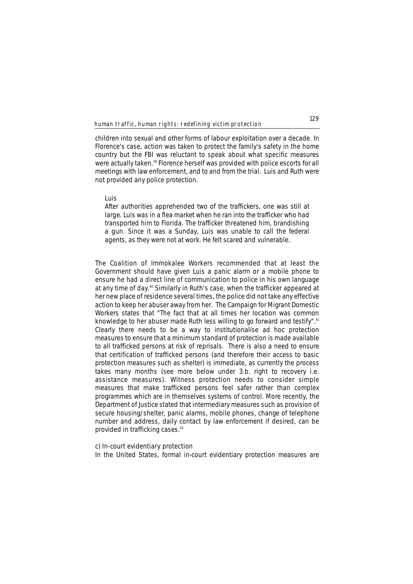children into sexual and other forms of labour exploitation over a decade. In Florence's case, action was taken to protect the family's safety in the home country but the FBI was reluctant to speak about what specific measures were actually taken.<sup>39</sup> Florence herself was provided with police escorts for all meetings with law enforcement, and to and from the trial. Luis and Ruth were not provided any police protection.

#### **Luis**

*After authorities apprehended two of the traffickers, one was still at large. Luis was in a flea market when he ran into the trafficker who had transported him to Florida. The trafficker threatened him, brandishing a gun. Since it was a Sunday, Luis was unable to call the federal agents, as they were not at work. He felt scared and vulnerable.*

The Coalition of Immokalee Workers recommended that at least the Government should have given Luis a panic alarm or a mobile phone to ensure he had a direct line of communication to police in his own language at any time of day.<sup>40</sup> Similarly in Ruth's case, when the trafficker appeared at her new place of residence several times, the police did not take any effective action to keep her abuser away from her. The Campaign for Migrant Domestic Workers states that "The fact that at all times her location was common knowledge to her abuser made Ruth less willing to go forward and testify".<sup>41</sup> Clearly there needs to be a way to institutionalise ad hoc protection measures to ensure that a minimum standard of protection is made available to all trafficked persons at risk of reprisals. There is also a need to ensure that certification of trafficked persons (and therefore their access to basic protection measures such as shelter) is immediate, as currently the process takes many months (see more below under 3.b. right to recovery i.e. assistance measures). Witness protection needs to consider simple measures that make trafficked persons feel safer rather than complex programmes which are in themselves systems of control. More recently, the Department of Justice stated that intermediary measures such as provision of secure housing/shelter, panic alarms, mobile phones, change of telephone number and address, daily contact by law enforcement if desired, can be provided in trafficking cases.42

### **c) In-court evidentiary protection**

In the United States, formal in-court evidentiary protection measures are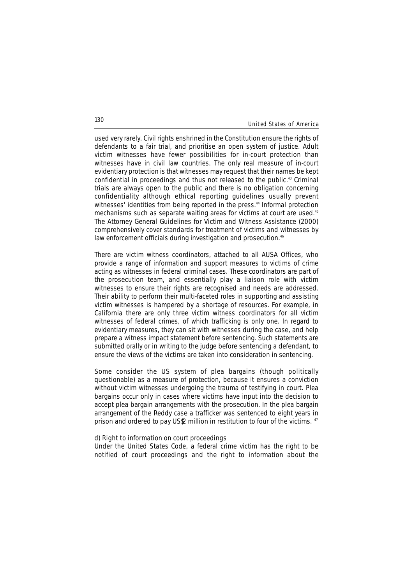used very rarely. Civil rights enshrined in the Constitution ensure the rights of defendants to a fair trial, and prioritise an open system of justice. Adult victim witnesses have fewer possibilities for in-court protection than witnesses have in civil law countries. The only real measure of in-court evidentiary protection is that witnesses may request that their names be kept confidential in proceedings and thus not released to the public.<sup>43</sup> Criminal trials are always open to the public and there is no obligation concerning confidentiality although ethical reporting guidelines usually prevent witnesses' identities from being reported in the press.<sup>44</sup> Informal protection mechanisms such as separate waiting areas for victims at court are used.45 The Attorney General Guidelines for Victim and Witness Assistance (2000) comprehensively cover standards for treatment of victims and witnesses by law enforcement officials during investigation and prosecution.<sup>46</sup>

There are victim witness coordinators, attached to all AUSA Offices, who provide a range of information and support measures to victims of crime acting as witnesses in federal criminal cases. These coordinators are part of the prosecution team, and essentially play a liaison role with victim witnesses to ensure their rights are recognised and needs are addressed. Their ability to perform their multi-faceted roles in supporting and assisting victim witnesses is hampered by a shortage of resources. For example, in California there are only three victim witness coordinators for all victim witnesses of federal crimes, of which trafficking is only one. In regard to evidentiary measures, they can sit with witnesses during the case, and help prepare a witness impact statement before sentencing. Such statements are submitted orally or in writing to the judge before sentencing a defendant, to ensure the views of the victims are taken into consideration in sentencing.

Some consider the US system of plea bargains (though politically questionable) as a measure of protection, because it ensures a conviction without victim witnesses undergoing the trauma of testifying in court. Plea bargains occur only in cases where victims have input into the decision to accept plea bargain arrangements with the prosecution. In the plea bargain arrangement of the Reddy case a trafficker was sentenced to eight years in prison and ordered to pay US\$2 million in restitution to four of the victims. 47

#### **d) Right to information on court proceedings**

Under the United States Code, a federal crime victim has the right to be notified of court proceedings and the right to information about the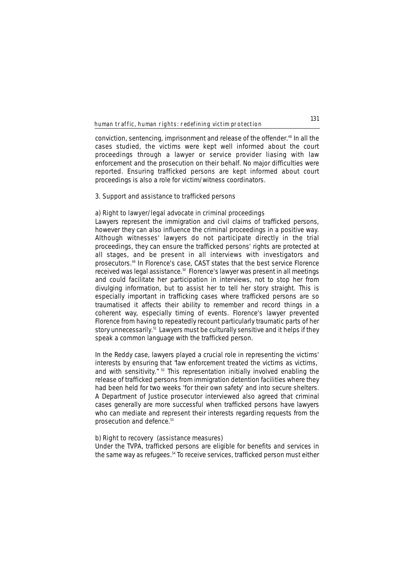conviction, sentencing, imprisonment and release of the offender.<sup>48</sup> In all the cases studied, the victims were kept well informed about the court proceedings through a lawyer or service provider liasing with law enforcement and the prosecution on their behalf. No major difficulties were reported. Ensuring trafficked persons are kept informed about court proceedings is also a role for victim/witness coordinators.

### **3. Support and assistance to trafficked persons**

### **a) Right to lawyer/legal advocate in criminal proceedings**

Lawyers represent the immigration and civil claims of trafficked persons, however they can also influence the criminal proceedings in a positive way. Although witnesses' lawyers do not participate directly in the trial proceedings, they can ensure the trafficked persons' rights are protected at all stages, and be present in all interviews with investigators and prosecutors.49 In Florence's case, CAST states that the best service Florence received was legal assistance.50 Florence's lawyer was present in all meetings and could facilitate her participation in interviews, not to stop her from divulging information, but to assist her to tell her story straight. This is especially important in trafficking cases where trafficked persons are so traumatised it affects their ability to remember and record things in a coherent way, especially timing of events. Florence's lawyer prevented Florence from having to repeatedly recount particularly traumatic parts of her story unnecessarily.<sup>51</sup> Lawyers must be culturally sensitive and it helps if they speak a common language with the trafficked person.

In the Reddy case, lawyers played a crucial role in representing the victims' interests by ensuring that "law enforcement treated the victims as victims, and with sensitivity.<sup>" 52</sup> This representation initially involved enabling the release of trafficked persons from immigration detention facilities where they had been held for two weeks 'for their own safety' and into secure shelters. A Department of Justice prosecutor interviewed also agreed that criminal cases generally are more successful when trafficked persons have lawyers who can mediate and represent their interests regarding requests from the prosecution and defence.<sup>53</sup>

#### **b) Right to recovery (assistance measures)**

Under the TVPA, trafficked persons are eligible for benefits and services in the same way as refugees.<sup>54</sup> To receive services, trafficked person must either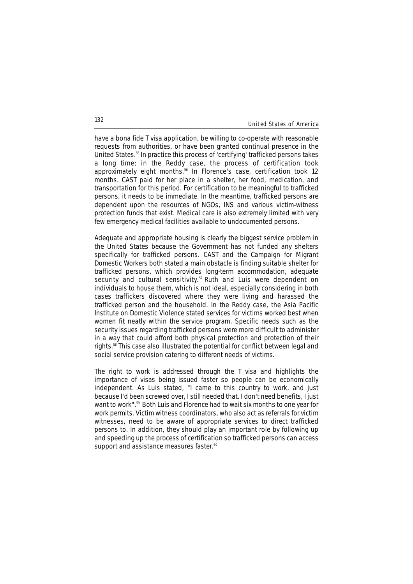have a bona fide T visa application, be willing to co-operate with reasonable requests from authorities, or have been granted continual presence in the United States.55 In practice this process of 'certifying' trafficked persons takes a long time; in the Reddy case, the process of certification took approximately eight months.<sup>56</sup> In Florence's case, certification took 12 months. CAST paid for her place in a shelter, her food, medication, and transportation for this period. For certification to be meaningful to trafficked persons, it needs to be immediate. In the meantime, trafficked persons are dependent upon the resources of NGOs, INS and various victim-witness protection funds that exist. Medical care is also extremely limited with very few emergency medical facilities available to undocumented persons.

Adequate and appropriate housing is clearly the biggest service problem in the United States because the Government has not funded any shelters specifically for trafficked persons. CAST and the Campaign for Migrant Domestic Workers both stated a main obstacle is finding suitable shelter for trafficked persons, which provides long-term accommodation, adequate security and cultural sensitivity.<sup>57</sup> Ruth and Luis were dependent on individuals to house them, which is not ideal, especially considering in both cases traffickers discovered where they were living and harassed the trafficked person and the household. In the Reddy case, the Asia Pacific Institute on Domestic Violence stated services for victims worked best when women fit neatly within the service program. Specific needs such as the security issues regarding trafficked persons were more difficult to administer in a way that could afford both physical protection and protection of their rights.58 This case also illustrated the potential for conflict between legal and social service provision catering to different needs of victims.

The right to work is addressed through the T visa and highlights the importance of visas being issued faster so people can be economically independent. As Luis stated, "I came to this country to work, and just because I'd been screwed over, I still needed that. I don't need benefits, I just want to work".<sup>59</sup> Both Luis and Florence had to wait six months to one year for work permits. Victim witness coordinators, who also act as referrals for victim witnesses, need to be aware of appropriate services to direct trafficked persons to. In addition, they should play an important role by following up and speeding up the process of certification so trafficked persons can access support and assistance measures faster.<sup>60</sup>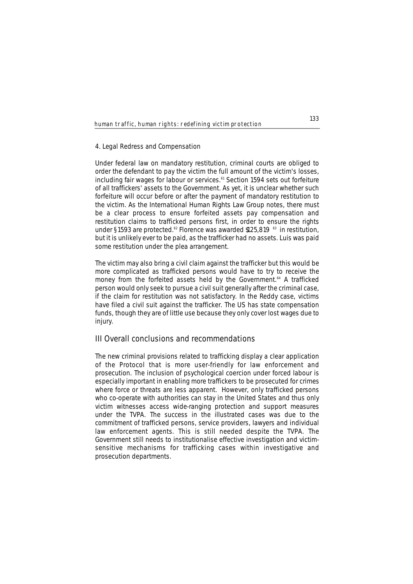### **4. Legal Redress and Compensation**

Under federal law on mandatory restitution, criminal courts are obliged to order the defendant to pay the victim the full amount of the victim's losses, including fair wages for labour or services.<sup>61</sup> Section 1594 sets out forfeiture of all traffickers' assets to the Government. As yet, it is unclear whether such forfeiture will occur before or after the payment of mandatory restitution to the victim. As the International Human Rights Law Group notes, there must be a clear process to ensure forfeited assets pay compensation and restitution claims to trafficked persons first, in order to ensure the rights under §1593 are protected.<sup>62</sup> Florence was awarded \$125,819 <sup>63</sup> in restitution, but it is unlikely ever to be paid, as the trafficker had no assets. Luis was paid some restitution under the plea arrangement.

The victim may also bring a civil claim against the trafficker but this would be more complicated as trafficked persons would have to try to receive the money from the forfeited assets held by the Government.<sup>64</sup> A trafficked person would only seek to pursue a civil suit generally after the criminal case, if the claim for restitution was not satisfactory. In the Reddy case, victims have filed a civil suit against the trafficker. The US has state compensation funds, though they are of little use because they only cover lost wages due to injury.

### **III Overall conclusions and recommendations**

The new criminal provisions related to trafficking display a clear application of the Protocol that is more user-friendly for law enforcement and prosecution. The inclusion of psychological coercion under forced labour is especially important in enabling more traffickers to be prosecuted for crimes where force or threats are less apparent. However, only trafficked persons who co-operate with authorities can stay in the United States and thus only victim witnesses access wide-ranging protection and support measures under the TVPA. The success in the illustrated cases was due to the commitment of trafficked persons, service providers, lawyers and individual law enforcement agents. This is still needed despite the TVPA. The Government still needs to institutionalise effective investigation and victimsensitive mechanisms for trafficking cases within investigative and prosecution departments.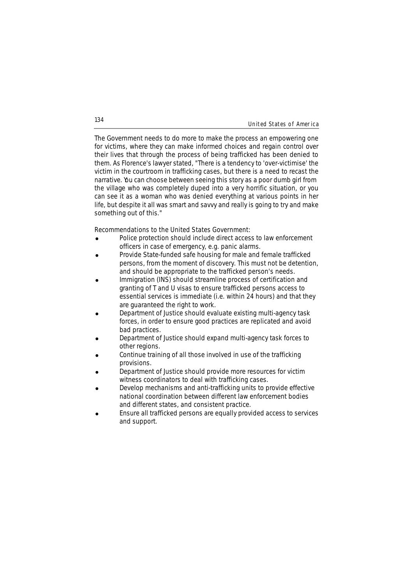The Government needs to do more to make the process an empowering one for victims, where they can make informed choices and regain control over their lives that through the process of being trafficked has been denied to them. As Florence's lawyer stated, "There is a tendency to 'over-victimise' the victim in the courtroom in trafficking cases, but there is a need to recast the narrative. You can choose between seeing this story as a poor dumb girl from the village who was completely duped into a very horrific situation, or you can see it as a woman who was denied everything at various points in her life, but despite it all was smart and savvy and really is going to try and make something out of this."

#### **Recommendations to the United States Government:**

- Police protection should include direct access to law enforcement officers in case of emergency, e.g. panic alarms.
- ! Provide State-funded safe housing for male and female trafficked persons, from the moment of discovery. This must not be detention, and should be appropriate to the trafficked person's needs.
- Immigration (INS) should streamline process of certification and granting of T and U visas to ensure trafficked persons access to essential services is immediate (i.e. within 24 hours) and that they are guaranteed the right to work.
- ! Department of Justice should evaluate existing multi-agency task forces, in order to ensure good practices are replicated and avoid bad practices.
- ! Department of Justice should expand multi-agency task forces to other regions.
- Continue training of all those involved in use of the trafficking provisions.
- ! Department of Justice should provide more resources for victim witness coordinators to deal with trafficking cases.
- Develop mechanisms and anti-trafficking units to provide effective national coordination between different law enforcement bodies and different states, and consistent practice.
- Ensure all trafficked persons are equally provided access to services and support.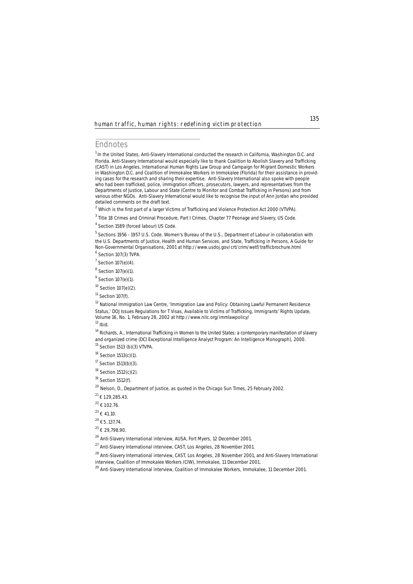### **Endnotes**

<sup>1</sup> In the United States, Anti-Slavery International conducted the research in California, Washington D.C. and Florida. Anti-Slavery International would especially like to thank Coalition to Abolish Slavery and Trafficking (CAST) in Los Angeles, International Human Rights Law Group and Campaign for Migrant Domestic Workers in Washington D.C. and Coalition of Immokalee Workers in Immokalee (Florida) for their assistance in providing cases for the research and sharing their expertise. Anti-Slavery International also spoke with people who had been trafficked, police, immigration officers, prosecutors, lawyers, and representatives from the Departments of Justice, Labour and State (Centre to Monitor and Combat Trafficking in Persons) and from various other NGOs. Anti-Slavery International would like to recognise the input of Ann Jordan who provided detailed comments on the draft text.

 $^{2}$  Which is the first part of a larger Victims of Trafficking and Violence Protection Act 2000 (VTVPA).

<sup>3</sup> Title 18 Crimes and Criminal Procedure, Part I Crimes, Chapter 77 Peonage and Slavery, US Code.

<sup>4</sup> Section 1589 (forced labour) US Code.

<sup>5</sup> Sections 1956 - 1957 U.S. Code. Women's Bureau of the U.S., Department of Labour in collaboration with the U.S. Departments of Justice, Health and Human Services, and State, *Trafficking in Persons, A Guide for Non-Governmental Organisations*, 2001 at http://www.usdoj.gov/crt/crim/wetf/trafficbrochure.html  $<sup>6</sup>$  Section 107(3) TVPA.</sup>

 $7$  Section 107(e)(4).

 $8$  Section 107(e)(1).

<sup>9</sup> Section 107(e)(1).

<sup>10</sup> Section 107(e)(2).

 $11$  Section 107(f).

<sup>12</sup> National Immigration Law Centre, 'Immigration Law and Policy: Obtaining Lawful Permanent Residence Status,' *DOJ Issues Regulations for T Visas, Available to Victims of Trafficking, Immigrants' Rights Update*, Volume 16, No. 1, February 28, 2002 at http://www.nilc.org/immlawpolicy/ <sup>13</sup> *Ibid.*

<sup>14</sup> Richards, A., *International Trafficking in Women to the United States: a contemporary manifestation of slavery and organized crime* (DCI Exceptional Intelligence Analyst Program: An Intelligence Monograph), 2000.<br><sup>15</sup> Section 1513 (b)(3) VTVPA.

<sup>16</sup> Section 1513(c)(1).

<sup>17</sup> Section 1513(b)(3).

<sup>18</sup> Section 1512(c)(2).

<sup>19</sup> Section 1512(f).

<sup>20</sup> Nelson, D., Department of Justice, as quoted in the *Chicago Sun Times*, 25 February 2002.

 $21 \t{129,285.43.}$ 

 $22 \t+ 102.76$ .

 $^{23}$   $\neq$  41.10.

 $^{24}$   $\epsilon$  5, 137.74.

 $^{25}$  { 29,798.90.

<sup>26</sup> Anti-Slavery International interview, AUSA, Fort Myers, 12 December 2001.

<sup>27</sup> Anti-Slavery International interview, CAST, Los Angeles, 28 November 2001.

<sup>28</sup> Anti-Slavery International interview, CAST, Los Angeles, 28 November 2001, and Anti-Slavery International

interview, Coalition of Immokalee Workers (CIW), Immokalee, 11 December 2001.

<sup>29</sup> Anti-Slavery International interview, Coalition of Immokalee Workers, Immokalee, 11 December 2001.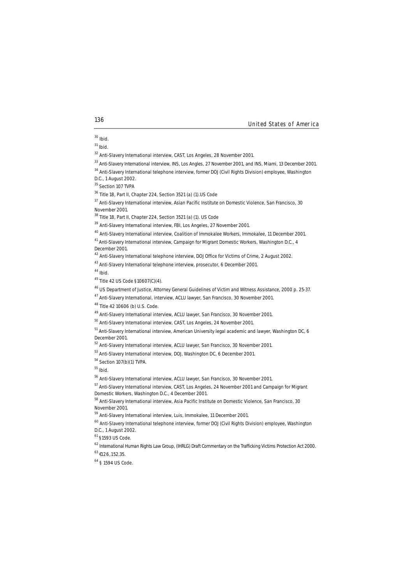<sup>31</sup> *Ibid.*

<sup>32</sup> Anti-Slavery International interview, CAST, Los Angeles, 28 November 2001.

<sup>33</sup> Anti-Slavery International interview, INS, Los Angles, 27 November 2001, and INS, Miami, 13 December 2001.

<sup>34</sup> Anti-Slavery International telephone interview, former DOJ (Civil Rights Division) employee, Washington

D.C., 1 August 2002.

<sup>35</sup> Section 107 TVPA

<sup>36</sup> Title 18, Part II, Chapter 224, Section 3521 (a) (1).US Code

<sup>37</sup> Anti-Slavery International interview, Asian Pacific Institute on Domestic Violence, San Francisco, 30 November 2001.

<sup>38</sup> Title 18, Part II, Chapter 224, Section 3521 (a) (1). US Code

<sup>39</sup> Anti-Slavery International interview, FBI, Los Angeles, 27 November 2001.

<sup>40</sup> Anti-Slavery International interview, Coalition of Immokalee Workers, Immokalee, 11 December 2001.

<sup>41</sup> Anti-Slavery International interview, Campaign for Migrant Domestic Workers, Washington D.C., 4 December 2001.

<sup>42</sup> Anti-Slavery International telephone interview, DOJ Office for Victims of Crime, 2 August 2002.

43 Anti-Slavery International telephone interview, prosecutor, 6 December 2001.

<sup>44</sup> *Ibid.*

<sup>46</sup> US Department of Justice, *Attorney General Guidelines of Victim and Witness Assistance,* 2000 p. 25-37.

<sup>47</sup> Anti-Slavery International, interview, ACLU lawyer, San Francisco, 30 November 2001.

<sup>48</sup> Title 42 10606 (b) U.S. Code.

<sup>49</sup> Anti-Slavery International interview, ACLU lawyer, San Francisco, 30 November 2001.

<sup>50</sup> Anti-Slavery International interview, CAST, Los Angeles, 24 November 2001.

<sup>52</sup> Anti-Slavery International interview, ACLU lawyer, San Francisco, 30 November 2001.

<sup>53</sup> Anti-Slavery International interview, DOJ, Washington DC, 6 December 2001.

<sup>54</sup> Section 107(b)(1) TVPA.

<sup>55</sup> *Ibid.*

<sup>56</sup> Anti-Slavery International interview, ACLU lawyer, San Francisco, 30 November 2001.

<sup>57</sup> Anti-Slavery International interview, CAST, Los Angeles, 24 November 2001 and Campaign for Migrant Domestic Workers, Washington D.C., 4 December 2001.

<sup>58</sup> Anti-Slavery International interview, Asia Pacific Institute on Domestic Violence, San Francisco, 30 November 2001.

<sup>59</sup> Anti-Slavery International interview, *Luis*, Immokalee, 11 December 2001.

<sup>60</sup> Anti-Slavery International telephone interview, former DOJ (Civil Rights Division) employee, Washington D.C., 1 August 2002.

<sup>61</sup> §1593 US Code.

<sup>62</sup> International Human Rights Law Group, (IHRLG) Draft Commentary on the Trafficking Victims Protection Act 2000.

 $^{63}$  £126, 152.35.

<sup>64</sup> § 1594 US Code.

<sup>30</sup> *Ibid.*

<sup>45</sup> Title 42 US Code §10607(C)(4).

<sup>51</sup> Anti-Slavery International interview, American University legal academic and lawyer, Washington DC, 6 December 2001.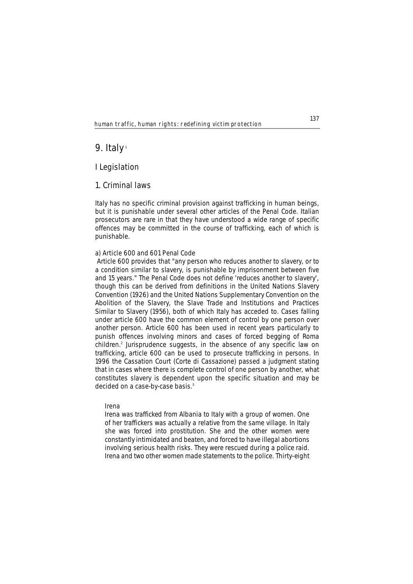# **9. Italy**<sup>1</sup>

## **I Legislation**

## **1. Criminal laws**

Italy has no specific criminal provision against trafficking in human beings, but it is punishable under several other articles of the Penal Code. Italian prosecutors are rare in that they have understood a wide range of specific offences may be committed in the course of trafficking, each of which is punishable.

### **a) Article 600 and 601 Penal Code**

Article 600 provides that "any person who reduces another to slavery, or to a condition similar to slavery, is punishable by imprisonment between five and 15 years." The Penal Code does not define 'reduces another to slavery', though this can be derived from definitions in the United Nations Slavery Convention (1926) and the United Nations Supplementary Convention on the Abolition of the Slavery, the Slave Trade and Institutions and Practices Similar to Slavery (1956), both of which Italy has acceded to. Cases falling under article 600 have the common element of control by one person over another person. Article 600 has been used in recent years particularly to punish offences involving minors and cases of forced begging of Roma children.<sup>2</sup> Jurisprudence suggests, in the absence of any specific law on trafficking, article 600 can be used to prosecute trafficking in persons. In 1996 the Cassation Court (*Corte di Cassazione*) passed a judgment stating that in cases where there is complete control of one person by another, what constitutes slavery is dependent upon the specific situation and may be decided on a case-by-case basis.<sup>3</sup>

### **Irena**

*Irena was trafficked from Albania to Italy with a group of women. One of her traffickers was actually a relative from the same village. In Italy she was forced into prostitution. She and the other women were constantly intimidated and beaten, and forced to have illegal abortions involving serious health risks. They were rescued during a police raid. Irena and two other women made statements to the police. Thirty-eight*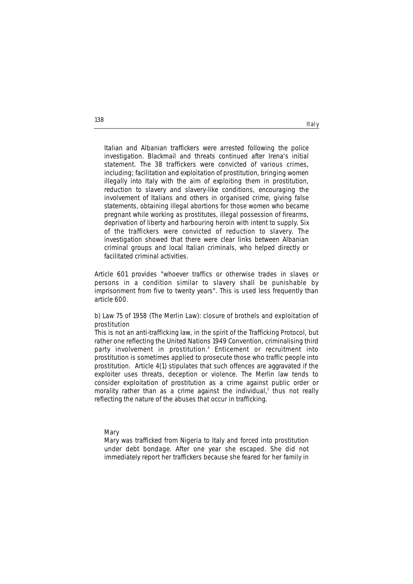*Italian and Albanian traffickers were arrested following the police investigation. Blackmail and threats continued after Irena's initial statement. The 38 traffickers were convicted of various crimes, including; facilitation and exploitation of prostitution, bringing women illegally into Italy with the aim of exploiting them in prostitution, reduction to slavery and slavery-like conditions, encouraging the involvement of Italians and others in organised crime, giving false statements, obtaining illegal abortions for those women who became pregnant while working as prostitutes, illegal possession of firearms, deprivation of liberty and harbouring heroin with intent to supply. Six of the traffickers were convicted of reduction to slavery. The investigation showed that there were clear links between Albanian criminal groups and local Italian criminals, who helped directly or facilitated criminal activities.*

Article 601 provides "whoever traffics or otherwise trades in slaves or persons in a condition similar to slavery shall be punishable by imprisonment from five to twenty years". This is used less frequently than article 600.

### **b) Law 75 of 1958 (The Merlin Law): closure of brothels and exploitation of prostitution**

This is not an anti-trafficking law, in the spirit of the Trafficking Protocol, but rather one reflecting the United Nations 1949 Convention, criminalising third party involvement in prostitution.4 Enticement or recruitment into prostitution is sometimes applied to prosecute those who traffic people into prostitution. Article 4(1) stipulates that such offences are aggravated if the exploiter uses threats, deception or violence. The Merlin law tends to consider exploitation of prostitution as a crime against public order or morality rather than as a crime against the individual, $5$  thus not really reflecting the nature of the abuses that occur in trafficking.

#### **Mary**

*Mary was trafficked from Nigeria to Italy and forced into prostitution under debt bondage. After one year she escaped. She did not immediately report her traffickers because she feared for her family in*

**138**

Italy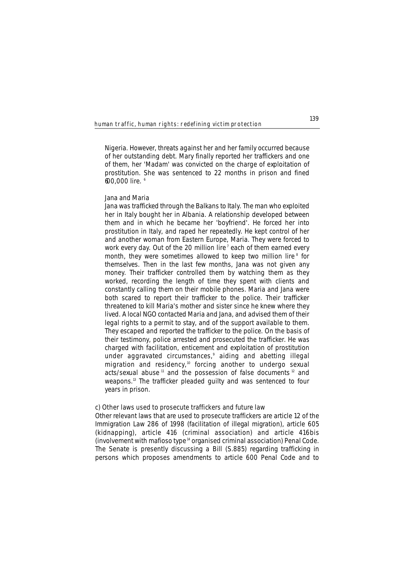*Nigeria. However, threats against her and her family occurred because of her outstanding debt. Mary finally reported her traffickers and one of them, her 'Madam' was convicted on the charge of exploitation of prostitution. She was sentenced to 22 months in prison and fined 600,000 lire. <sup>6</sup>*

#### **Jana and Maria**

*Jana was trafficked through the Balkans to Italy. The man who exploited her in Italy bought her in Albania. A relationship developed between them and in which he became her 'boyfriend'. He forced her into prostitution in Italy, and raped her repeatedly. He kept control of her and another woman from Eastern Europe, Maria. They were forced to work every day. Out of the 20 million lire <sup>7</sup> each of them earned every month, they were sometimes allowed to keep two million lire <sup>8</sup> for themselves. Then in the last few months, Jana was not given any money. Their trafficker controlled them by watching them as they worked, recording the length of time they spent with clients and constantly calling them on their mobile phones. Maria and Jana were both scared to report their trafficker to the police. Their trafficker threatened to kill Maria's mother and sister since he knew where they lived. A local NGO contacted Maria and Jana, and advised them of their legal rights to a permit to stay, and of the support available to them. They escaped and reported the trafficker to the police. On the basis of their testimony, police arrested and prosecuted the trafficker. He was charged with facilitation, enticement and exploitation of prostitution under aggravated circumstances,9 aiding and abetting illegal migration and residency,10 forcing another to undergo sexual acts/sexual abuse <sup>11</sup> and the possession of false documents <sup>12</sup> and weapons.13 The trafficker pleaded guilty and was sentenced to four years in prison.* 

#### **c) Other laws used to prosecute traffickers and future law**

Other relevant laws that are used to prosecute traffickers are article 12 of the Immigration Law 286 of 1998 (facilitation of illegal migration), article 605 (kidnapping), article 416 (criminal association) and article 416*bis* (involvement with *mafioso* type14 organised criminal association) Penal Code. The Senate is presently discussing a Bill (S.885) regarding trafficking in persons which proposes amendments to article 600 Penal Code and to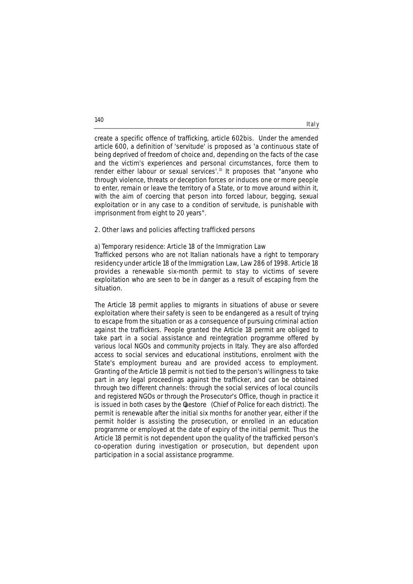create a specific offence of trafficking, article 602*bis*. Under the amended article 600, a definition of 'servitude' is proposed as 'a continuous state of being deprived of freedom of choice and, depending on the facts of the case and the victim's experiences and personal circumstances, force them to render either labour or sexual services'.<sup>15</sup> It proposes that "anyone who through violence, threats or deception forces or induces one or more people to enter, remain or leave the territory of a State, or to move around within it, with the aim of coercing that person into forced labour, begging, sexual exploitation or in any case to a condition of servitude, is punishable with imprisonment from eight to 20 years".

# **2. Other laws and policies affecting trafficked persons**

# **a) Temporary residence: Article 18 of the Immigration Law**

Trafficked persons who are not Italian nationals have a right to temporary residency under article 18 of the Immigration Law, Law 286 of 1998. Article 18 provides a renewable six-month permit to stay to victims of severe exploitation who are seen to be in danger as a result of escaping from the situation.

The Article 18 permit applies to migrants in situations of abuse or severe exploitation where their safety is seen to be endangered as a result of trying to escape from the situation or as a consequence of pursuing criminal action against the traffickers. People granted the Article 18 permit are obliged to take part in a social assistance and reintegration programme offered by various local NGOs and community projects in Italy. They are also afforded access to social services and educational institutions, enrolment with the State's employment bureau and are provided access to employment. Granting of the Article 18 permit is not tied to the person's willingness to take part in any legal proceedings against the trafficker, and can be obtained through two different channels: through the social services of local councils and registered NGOs or through the Prosecutor's Office, though in practice it is issued in both cases by the *luestore* (Chief of Police for each district). The permit is renewable after the initial six months for another year, either if the permit holder is assisting the prosecution, or enrolled in an education programme or employed at the date of expiry of the initial permit. Thus the Article 18 permit is not dependent upon the quality of the trafficked person's co-operation during investigation or prosecution, but dependent upon participation in a social assistance programme.

**140**

# Italy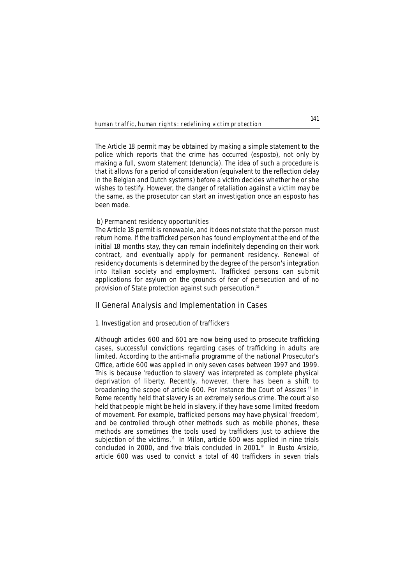The Article 18 permit may be obtained by making a simple statement to the police which reports that the crime has occurred (*esposto*), not only by making a full, sworn statement (*denuncia*). The idea of such a procedure is that it allows for a period of consideration (equivalent to the reflection delay in the Belgian and Dutch systems) before a victim decides whether he or she wishes to testify. However, the danger of retaliation against a victim may be the same, as the prosecutor can start an investigation once an esposto has been made.

# **b) Permanent residency opportunities**

The Article 18 permit is renewable, and it does not state that the person must return home. If the trafficked person has found employment at the end of the initial 18 months stay, they can remain indefinitely depending on their work contract, and eventually apply for permanent residency. Renewal of residency documents is determined by the degree of the person's integration into Italian society and employment. Trafficked persons can submit applications for asylum on the grounds of fear of persecution and of no provision of State protection against such persecution.16

# **II General Analysis and Implementation in Cases**

### **1. Investigation and prosecution of traffickers**

Although articles 600 and 601 are now being used to prosecute trafficking cases, successful convictions regarding cases of trafficking in adults are limited. According to the anti-*mafia* programme of the national Prosecutor's Office, article 600 was applied in only seven cases between 1997 and 1999. This is because 'reduction to slavery' was interpreted as complete physical deprivation of liberty. Recently, however, there has been a shift to broadening the scope of article 600. For instance the Court of Assizes<sup>17</sup> in Rome recently held that slavery is an extremely serious crime. The court also held that people might be held in slavery, if they have some limited freedom of movement. For example, trafficked persons may have physical 'freedom', and be controlled through other methods such as mobile phones, these methods are sometimes the tools used by traffickers just to achieve the subjection of the victims.<sup>18</sup> In Milan, article 600 was applied in nine trials concluded in 2000, and five trials concluded in 2001.<sup>19</sup> In Busto Arsizio, article 600 was used to convict a total of 40 traffickers in seven trials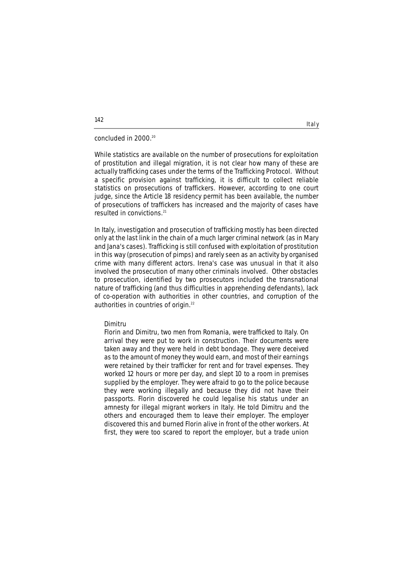# concluded in 2000.20

While statistics are available on the number of prosecutions for exploitation of prostitution and illegal migration, it is not clear how many of these are actually trafficking cases under the terms of the Trafficking Protocol. Without a specific provision against trafficking, it is difficult to collect reliable statistics on prosecutions of traffickers. However, according to one court judge, since the Article 18 residency permit has been available, the number of prosecutions of traffickers has increased and the majority of cases have resulted in convictions.<sup>21</sup>

In Italy, investigation and prosecution of trafficking mostly has been directed only at the last link in the chain of a much larger criminal network (as in Mary and Jana's cases). Trafficking is still confused with exploitation of prostitution in this way (prosecution of pimps) and rarely seen as an activity by organised crime with many different actors. Irena's case was unusual in that it also involved the prosecution of many other criminals involved. Other obstacles to prosecution, identified by two prosecutors included the transnational nature of trafficking (and thus difficulties in apprehending defendants), lack of co-operation with authorities in other countries, and corruption of the authorities in countries of origin.<sup>22</sup>

## **Dimitru**

*Florin and Dimitru, two men from Romania, were trafficked to Italy. On arrival they were put to work in construction. Their documents were taken away and they were held in debt bondage. They were deceived as to the amount of money they would earn, and most of their earnings were retained by their trafficker for rent and for travel expenses. They worked 12 hours or more per day, and slept 10 to a room in premises supplied by the employer. They were afraid to go to the police because they were working illegally and because they did not have their passports. Florin discovered he could legalise his status under an amnesty for illegal migrant workers in Italy. He told Dimitru and the others and encouraged them to leave their employer. The employer discovered this and burned Florin alive in front of the other workers. At first, they were too scared to report the employer, but a trade union*

# **142**

Italy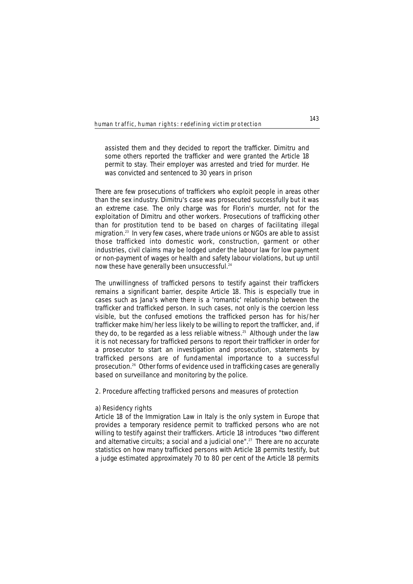*assisted them and they decided to report the trafficker. Dimitru and some others reported the trafficker and were granted the Article 18 permit to stay. Their employer was arrested and tried for murder. He was convicted and sentenced to 30 years in prison*

There are few prosecutions of traffickers who exploit people in areas other than the sex industry. Dimitru's case was prosecuted successfully but it was an extreme case. The only charge was for Florin's murder, not for the exploitation of Dimitru and other workers. Prosecutions of trafficking other than for prostitution tend to be based on charges of facilitating illegal migration.23 In very few cases, where trade unions or NGOs are able to assist those trafficked into domestic work, construction, garment or other industries, civil claims may be lodged under the labour law for low payment or non-payment of wages or health and safety labour violations, but up until now these have generally been unsuccessful.<sup>24</sup>

The unwillingness of trafficked persons to testify against their traffickers remains a significant barrier, despite Article 18. This is especially true in cases such as Jana's where there is a 'romantic' relationship between the trafficker and trafficked person. In such cases, not only is the coercion less visible, but the confused emotions the trafficked person has for his/her trafficker make him/her less likely to be willing to report the trafficker, and, if they do, to be regarded as a less reliable witness.<sup>25</sup> Although under the law it is not necessary for trafficked persons to report their trafficker in order for a prosecutor to start an investigation and prosecution, statements by trafficked persons are of fundamental importance to a successful prosecution.26 Other forms of evidence used in trafficking cases are generally based on surveillance and monitoring by the police.

# **2. Procedure affecting trafficked persons and measures of protection**

#### **a) Residency rights**

Article 18 of the Immigration Law in Italy is the only system in Europe that provides a temporary residence permit to trafficked persons who are not willing to testify against their traffickers. Article 18 introduces "two different and alternative circuits; a social and a judicial one".<sup>27</sup> There are no accurate statistics on how many trafficked persons with Article 18 permits testify, but a judge estimated approximately 70 to 80 per cent of the Article 18 permits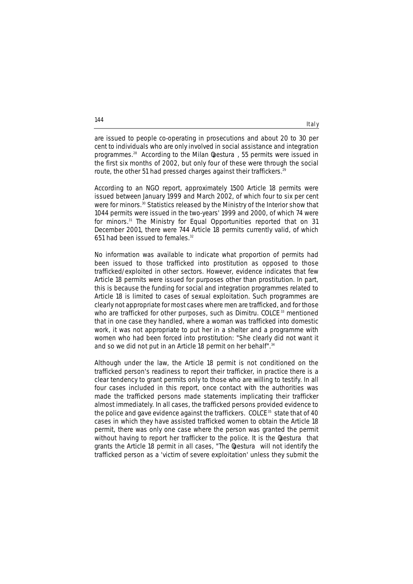are issued to people co-operating in prosecutions and about 20 to 30 per cent to individuals who are only involved in social assistance and integration programmes.28 According to the Milan *Questura* , 55 permits were issued in the first six months of 2002, but only four of these were through the social route, the other 51 had pressed charges against their traffickers.<sup>29</sup>

According to an NGO report, approximately 1500 Article 18 permits were issued between January 1999 and March 2002, of which four to six per cent were for minors.<sup>30</sup> Statistics released by the Ministry of the Interior show that 1044 permits were issued in the two-years' 1999 and 2000, of which 74 were for minors.31 The Ministry for Equal Opportunities reported that on 31 December 2001, there were 744 Article 18 permits currently valid, of which 651 had been issued to females.<sup>32</sup>

No information was available to indicate what proportion of permits had been issued to those trafficked into prostitution as opposed to those trafficked/exploited in other sectors. However, evidence indicates that few Article 18 permits were issued for purposes other than prostitution. In part, this is because the funding for social and integration programmes related to Article 18 is limited to cases of sexual exploitation. Such programmes are clearly not appropriate for most cases where men are trafficked, and for those who are trafficked for other purposes, such as Dimitru. COLCE <sup>33</sup> mentioned that in one case they handled, where a woman was trafficked into domestic work, it was not appropriate to put her in a shelter and a programme with women who had been forced into prostitution: "She clearly did not want it and so we did not put in an Article 18 permit on her behalf".<sup>34</sup>

Although under the law, the Article 18 permit is not conditioned on the trafficked person's readiness to report their trafficker, in practice there is a clear tendency to grant permits only to those who are willing to testify. In all four cases included in this report, once contact with the authorities was made the trafficked persons made statements implicating their trafficker almost immediately. In all cases, the trafficked persons provided evidence to the police and gave evidence against the traffickers. COLCE<sup>35</sup> state that of 40 cases in which they have assisted trafficked women to obtain the Article 18 permit, there was only one case where the person was granted the permit without having to report her trafficker to the police. It is the *luestura* that grants the Article 18 permit in all cases, "The *Questura* will not identify the trafficked person as a 'victim of severe exploitation' unless they submit the

**144**

# Italy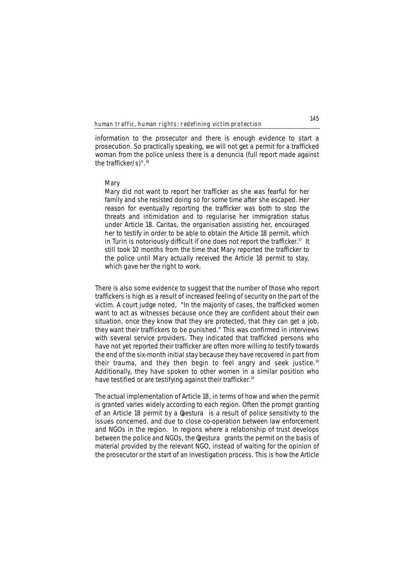information to the prosecutor and there is enough evidence to start a prosecution. So practically speaking, we will not get a permit for a trafficked woman from the police unless there is a denuncia (full report made against the trafficker/s)". $36$ 

### **Mary**

*Mary did not want to report her trafficker as she was fearful for her family and she resisted doing so for some time after she escaped. Her reason for eventually reporting the trafficker was both to stop the threats and intimidation and to regularise her immigration status under Article 18. Caritas, the organisation assisting her, encouraged her to testify in order to be able to obtain the Article 18 permit, which in Turin is notoriously difficult if one does not report the trafficker.37 It still took 10 months from the time that Mary reported the trafficker to the police until Mary actually received the Article 18 permit to stay, which gave her the right to work.*

There is also some evidence to suggest that the number of those who report traffickers is high as a result of increased feeling of security on the part of the victim. A court judge noted, "In the majority of cases, the trafficked women want to act as witnesses because once they are confident about their own situation, once they know that they are protected, that they can get a job, they want their traffickers to be punished." This was confirmed in interviews with several service providers. They indicated that trafficked persons who have not yet reported their trafficker are often more willing to testify towards the end of the six-month initial stay because they have recovered in part from their trauma, and they then begin to feel angry and seek justice.<sup>38</sup> Additionally, they have spoken to other women in a similar position who have testified or are testifying against their trafficker.<sup>39</sup>

The actual implementation of Article 18, in terms of how and when the permit is granted varies widely according to each region. Often the prompt granting of an Article 18 permit by a *luestura* is a result of police sensitivity to the issues concerned, and due to close co-operation between law enforcement and NGOs in the region. In regions where a relationship of trust develops between the police and NGOs, the *Questura* grants the permit on the basis of material provided by the relevant NGO, instead of waiting for the opinion of the prosecutor or the start of an investigation process. This is how the Article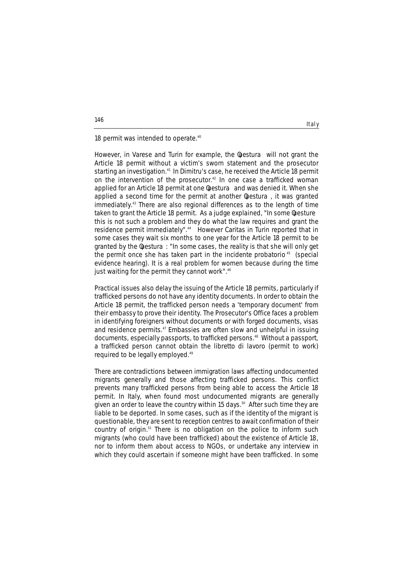18 permit was intended to operate.<sup>40</sup>

However, in Varese and Turin for example, the *luestura* will not grant the Article 18 permit without a victim's sworn statement and the prosecutor starting an investigation.<sup>41</sup> In Dimitru's case, he received the Article 18 permit on the intervention of the prosecutor.<sup>42</sup> In one case a trafficked woman applied for an Article 18 permit at one *luestura* and was denied it. When she applied a second time for the permit at another *luestura*, it was granted immediately.43 There are also regional differences as to the length of time taken to grant the Article 18 permit. As a judge explained, "In some luesture this is not such a problem and they do what the law requires and grant the residence permit immediately".44 However Caritas in Turin reported that in some cases they wait six months to one year for the Article 18 permit to be granted by the *luestura* : "In some cases, the reality is that she will only get the permit once she has taken part in the *incidente probatorio* <sup>45</sup> (special evidence hearing). It is a real problem for women because during the time just waiting for the permit they cannot work".<sup>46</sup>

Practical issues also delay the issuing of the Article 18 permits, particularly if trafficked persons do not have any identity documents. In order to obtain the Article 18 permit, the trafficked person needs a 'temporary document' from their embassy to prove their identity. The Prosecutor's Office faces a problem in identifying foreigners without documents or with forged documents, visas and residence permits.<sup>47</sup> Embassies are often slow and unhelpful in issuing documents, especially passports, to trafficked persons.48 Without a passport, a trafficked person cannot obtain the *libretto di lavoro* (permit to work) required to be legally employed.<sup>49</sup>

There are contradictions between immigration laws affecting undocumented migrants generally and those affecting trafficked persons. This conflict prevents many trafficked persons from being able to access the Article 18 permit. In Italy, when found most undocumented migrants are generally given an order to leave the country within 15 days.<sup>50</sup> After such time they are liable to be deported. In some cases, such as if the identity of the migrant is questionable, they are sent to reception centres to await confirmation of their country of origin.51 There is no obligation on the police to inform such migrants (who could have been trafficked) about the existence of Article 18, nor to inform them about access to NGOs, or undertake any interview in which they could ascertain if someone might have been trafficked. In some

**146**

## Italy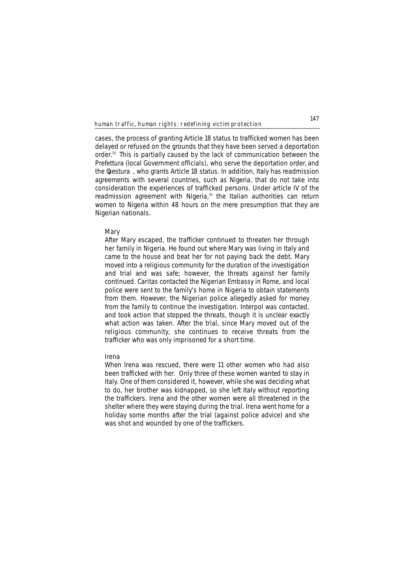cases, the process of granting Article 18 status to trafficked women has been delayed or refused on the grounds that they have been served a deportation order.52 This is partially caused by the lack of communication between the *Prefettura* (local Government officials), who serve the deportation order, and the *Questura* , who grants Article 18 status. In addition, Italy has readmission agreements with several countries, such as Nigeria, that do not take into consideration the experiences of trafficked persons. Under article IV of the readmission agreement with Nigeria,<sup>53</sup> the Italian authorities can return women to Nigeria within 48 hours on the mere presumption that they are Nigerian nationals.

# **Mary**

*After Mary escaped, the trafficker continued to threaten her through her family in Nigeria. He found out where Mary was living in Italy and came to the house and beat her for not paying back the debt. Mary moved into a religious community for the duration of the investigation and trial and was safe; however, the threats against her family continued. Caritas contacted the Nigerian Embassy in Rome, and local police were sent to the family's home in Nigeria to obtain statements from them. However, the Nigerian police allegedly asked for money from the family to continue the investigation. Interpol was contacted, and took action that stopped the threats, though it is unclear exactly what action was taken. After the trial, since Mary moved out of the religious community, she continues to receive threats from the trafficker who was only imprisoned for a short time.* 

# **Irena**

*When Irena was rescued, there were 11 other women who had also been trafficked with her. Only three of these women wanted to stay in Italy. One of them considered it, however, while she was deciding what to do, her brother was kidnapped, so she left Italy without reporting the traffickers. Irena and the other women were all threatened in the shelter where they were staying during the trial. Irena went home for a holiday some months after the trial (against police advice) and she was shot and wounded by one of the traffickers.*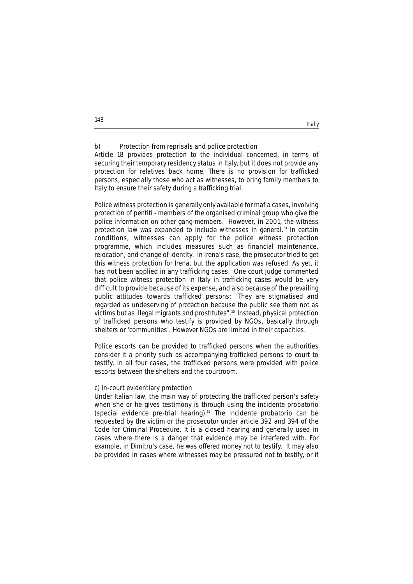# **b) Protection from reprisals and police protection**

Article 18 provides protection to the individual concerned, in terms of securing their temporary residency status in Italy, but it does not provide any protection for relatives back home. There is no provision for trafficked persons, especially those who act as witnesses, to bring family members to Italy to ensure their safety during a trafficking trial.

Italy

Police witness protection is generally only available for *mafia* cases, involving protection of *pentiti* - members of the organised criminal group who give the police information on other gang-members. However, in 2001, the witness protection law was expanded to include witnesses in general.<sup>54</sup> In certain conditions, witnesses can apply for the police witness protection programme, which includes measures such as financial maintenance, relocation, and change of identity. In Irena's case, the prosecutor tried to get this witness protection for Irena, but the application was refused. As yet, it has not been applied in any trafficking cases. One court judge commented that police witness protection in Italy in trafficking cases would be very difficult to provide because of its expense, and also because of the prevailing public attitudes towards trafficked persons: "They are stigmatised and regarded as undeserving of protection because the public see them not as victims but as illegal migrants and prostitutes".55 Instead, physical protection of trafficked persons who testify is provided by NGOs, basically through shelters or 'communities'. However NGOs are limited in their capacities.

Police escorts can be provided to trafficked persons when the authorities consider it a priority such as accompanying trafficked persons to court to testify. In all four cases, the trafficked persons were provided with police escorts between the shelters and the courtroom.

### **c) In-court evidentiary protection**

Under Italian law, the main way of protecting the trafficked person's safety when she or he gives testimony is through using the *incidente probatorio* (special evidence pre-trial hearing).56 The *incidente probatorio* can be requested by the victim or the prosecutor under article 392 and 394 of the Code for Criminal Procedure. It is a closed hearing and generally used in cases where there is a danger that evidence may be interfered with. For example, in Dimitru's case, he was offered money not to testify. It may also be provided in cases where witnesses may be pressured not to testify, or if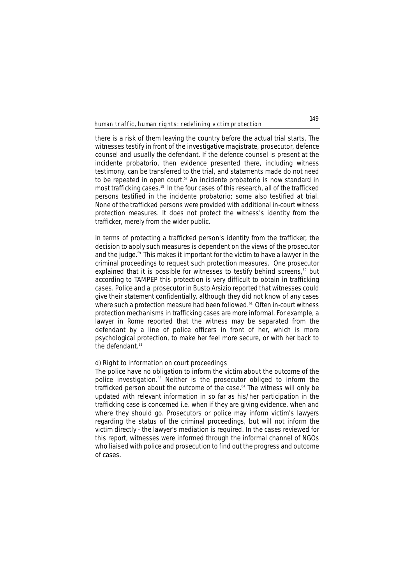there is a risk of them leaving the country before the actual trial starts. The witnesses testify in front of the investigative magistrate, prosecutor, defence counsel and usually the defendant. If the defence counsel is present at the *incidente probatorio*, then evidence presented there, including witness testimony, can be transferred to the trial, and statements made do not need to be repeated in open court.57 An *incidente probatorio* is now standard in most trafficking cases.58 In the four cases of this research, all of the trafficked persons testified in the *incidente probatorio*; some also testified at trial. None of the trafficked persons were provided with additional in-court witness protection measures. It does not protect the witness's identity from the trafficker, merely from the wider public.

In terms of protecting a trafficked person's identity from the trafficker, the decision to apply such measures is dependent on the views of the prosecutor and the judge.59 This makes it important for the victim to have a lawyer in the criminal proceedings to request such protection measures. One prosecutor explained that it is possible for witnesses to testify behind screens,<sup>60</sup> but according to TAMPEP this protection is very difficult to obtain in trafficking cases. Police and a prosecutor in Busto Arsizio reported that witnesses could give their statement confidentially, although they did not know of any cases where such a protection measure had been followed.<sup>61</sup> Often in-court witness protection mechanisms in trafficking cases are more informal. For example, a lawyer in Rome reported that the witness may be separated from the defendant by a line of police officers in front of her, which is more psychological protection, to make her feel more secure, or with her back to the defendant. $62$ 

# **d) Right to information on court proceedings**

The police have no obligation to inform the victim about the outcome of the police investigation.<sup>63</sup> Neither is the prosecutor obliged to inform the trafficked person about the outcome of the case.<sup>64</sup> The witness will only be updated with relevant information in so far as his/her participation in the trafficking case is concerned i.e. when if they are giving evidence, when and where they should go. Prosecutors or police may inform victim's lawyers regarding the status of the criminal proceedings, but will not inform the victim directly - the lawyer's mediation is required. In the cases reviewed for this report, witnesses were informed through the informal channel of NGOs who liaised with police and prosecution to find out the progress and outcome of cases.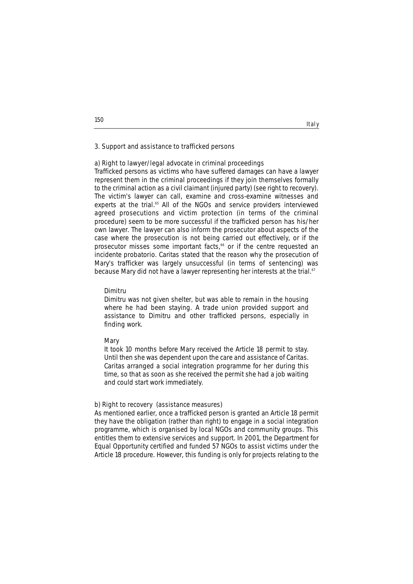# **3. Support and assistance to trafficked persons**

# **a) Right to lawyer/legal advocate in criminal proceedings**

Trafficked persons as victims who have suffered damages can have a lawyer represent them in the criminal proceedings if they join themselves formally to the criminal action as a civil claimant (injured party) (see right to recovery). The victim's lawyer can call, examine and cross-examine witnesses and experts at the trial.<sup>65</sup> All of the NGOs and service providers interviewed agreed prosecutions and victim protection (in terms of the criminal procedure) seem to be more successful if the trafficked person has his/her own lawyer. The lawyer can also inform the prosecutor about aspects of the case where the prosecution is not being carried out effectively, or if the prosecutor misses some important facts,<sup>66</sup> or if the centre requested an *incidente probatorio*. Caritas stated that the reason why the prosecution of Mary's trafficker was largely unsuccessful (in terms of sentencing) was because Mary did not have a lawyer representing her interests at the trial.<sup>67</sup>

### **Dimitru**

*Dimitru was not given shelter, but was able to remain in the housing where he had been staying. A trade union provided support and assistance to Dimitru and other trafficked persons, especially in finding work.* 

#### **Mary**

*It took 10 months before Mary received the Article 18 permit to stay. Until then she was dependent upon the care and assistance of Caritas. Caritas arranged a social integration programme for her during this time, so that as soon as she received the permit she had a job waiting and could start work immediately.* 

#### **b) Right to recovery (assistance measures)**

As mentioned earlier, once a trafficked person is granted an Article 18 permit they have the obligation (rather than right) to engage in a social integration programme, which is organised by local NGOs and community groups. This entitles them to extensive services and support. In 2001, the Department for Equal Opportunity certified and funded 57 NGOs to assist victims under the Article 18 procedure. However, this funding is only for projects relating to the

**150**

# Italy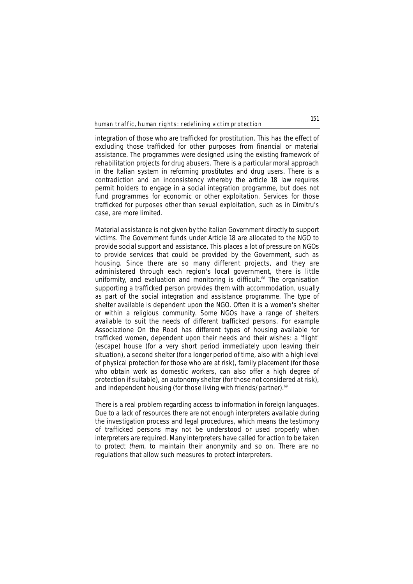integration of those who are trafficked for prostitution. This has the effect of excluding those trafficked for other purposes from financial or material assistance. The programmes were designed using the existing framework of rehabilitation projects for drug abusers. There is a particular moral approach in the Italian system in reforming prostitutes and drug users. There is a contradiction and an inconsistency whereby the article 18 law requires permit holders to engage in a social integration programme, but does not fund programmes for economic or other exploitation. Services for those trafficked for purposes other than sexual exploitation, such as in Dimitru's case, are more limited.

Material assistance is not given by the Italian Government directly to support victims. The Government funds under Article 18 are allocated to the NGO to provide social support and assistance. This places a lot of pressure on NGOs to provide services that could be provided by the Government, such as housing. Since there are so many different projects, and they are administered through each region's local government, there is little uniformity, and evaluation and monitoring is difficult.<sup>68</sup> The organisation supporting a trafficked person provides them with accommodation, usually as part of the social integration and assistance programme. The type of shelter available is dependent upon the NGO. Often it is a women's shelter or within a religious community. Some NGOs have a range of shelters available to suit the needs of different trafficked persons. For example Associazione On the Road has different types of housing available for trafficked women, dependent upon their needs and their wishes: a 'flight' (escape) house (for a very short period immediately upon leaving their situation), a second shelter (for a longer period of time, also with a high level of physical protection for those who are at risk), family placement (for those who obtain work as domestic workers, can also offer a high degree of protection if suitable), an autonomy shelter (for those not considered at risk), and independent housing (for those living with friends/partner).<sup>69</sup>

There is a real problem regarding access to information in foreign languages. Due to a lack of resources there are not enough interpreters available during the investigation process and legal procedures, which means the testimony of trafficked persons may not be understood or used properly when interpreters are required. Many interpreters have called for action to be taken to protect them, to maintain their anonymity and so on. There are no regulations that allow such measures to protect interpreters.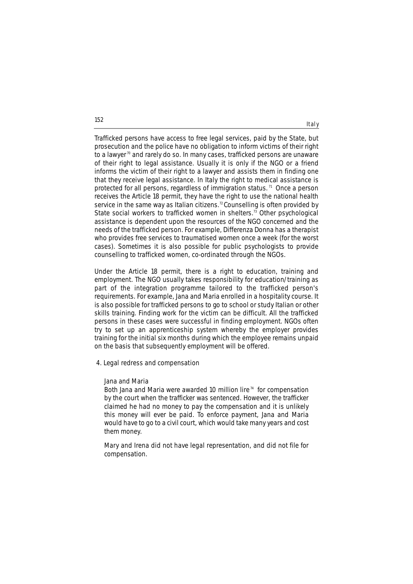Trafficked persons have access to free legal services, paid by the State, but prosecution and the police have no obligation to inform victims of their right to a lawyer<sup>70</sup> and rarely do so. In many cases, trafficked persons are unaware of their right to legal assistance. Usually it is only if the NGO or a friend informs the victim of their right to a lawyer and assists them in finding one that they receive legal assistance. In Italy the right to medical assistance is protected for all persons, regardless of immigration status.<sup> $n$ </sup> Once a person receives the Article 18 permit, they have the right to use the national health service in the same way as Italian citizens.<sup>72</sup> Counselling is often provided by State social workers to trafficked women in shelters.<sup>73</sup> Other psychological assistance is dependent upon the resources of the NGO concerned and the needs of the trafficked person. For example, Differenza Donna has a therapist who provides free services to traumatised women once a week (for the worst cases). Sometimes it is also possible for public psychologists to provide counselling to trafficked women, co-ordinated through the NGOs.

Italy

Under the Article 18 permit, there is a right to education, training and employment. The NGO usually takes responsibility for education/training as part of the integration programme tailored to the trafficked person's requirements. For example, Jana and Maria enrolled in a hospitality course. It is also possible for trafficked persons to go to school or study Italian or other skills training. Finding work for the victim can be difficult. All the trafficked persons in these cases were successful in finding employment. NGOs often try to set up an apprenticeship system whereby the employer provides training for the initial six months during which the employee remains unpaid on the basis that subsequently employment will be offered.

# **4. Legal redress and compensation**

#### **Jana and Maria**

*Both Jana and Maria were awarded 10 million lire <sup>74</sup> for compensation by the court when the trafficker was sentenced. However, the trafficker claimed he had no money to pay the compensation and it is unlikely this money will ever be paid. To enforce payment, Jana and Maria would have to go to a civil court, which would take many years and cost them money.*

*Mary and Irena did not have legal representation, and did not file for compensation.*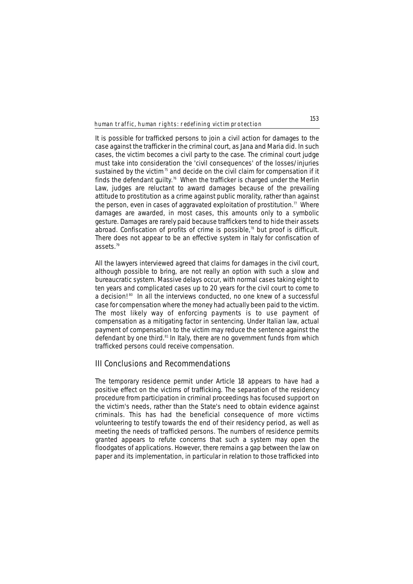It is possible for trafficked persons to join a civil action for damages to the case against the trafficker in the criminal court, as Jana and Maria did. In such cases, the victim becomes a civil party to the case. The criminal court judge must take into consideration the 'civil consequences' of the losses/injuries sustained by the victim $75$  and decide on the civil claim for compensation if it finds the defendant quilty.<sup>76</sup> When the trafficker is charged under the Merlin Law, judges are reluctant to award damages because of the prevailing attitude to prostitution as a crime against public morality, rather than against the person, even in cases of aggravated exploitation of prostitution.<sup>77</sup> Where damages are awarded, in most cases, this amounts only to a symbolic gesture. Damages are rarely paid because traffickers tend to hide their assets abroad. Confiscation of profits of crime is possible,<sup>78</sup> but proof is difficult. There does not appear to be an effective system in Italy for confiscation of assets.79

All the lawyers interviewed agreed that claims for damages in the civil court, although possible to bring, are not really an option with such a slow and bureaucratic system. Massive delays occur, with normal cases taking eight to ten years and complicated cases up to 20 years for the civil court to come to a decision!<sup>80</sup> In all the interviews conducted, no one knew of a successful case for compensation where the money had actually been paid to the victim. The most likely way of enforcing payments is to use payment of compensation as a mitigating factor in sentencing. Under Italian law, actual payment of compensation to the victim may reduce the sentence against the defendant by one third.<sup>81</sup> In Italy, there are no government funds from which trafficked persons could receive compensation.

# **III Conclusions and Recommendations**

The temporary residence permit under Article 18 appears to have had a positive effect on the victims of trafficking. The separation of the residency procedure from participation in criminal proceedings has focused support on the victim's needs, rather than the State's need to obtain evidence against criminals. This has had the beneficial consequence of more victims volunteering to testify towards the end of their residency period, as well as meeting the needs of trafficked persons. The numbers of residence permits granted appears to refute concerns that such a system may open the floodgates of applications. However, there remains a gap between the law on paper and its implementation, in particular in relation to those trafficked into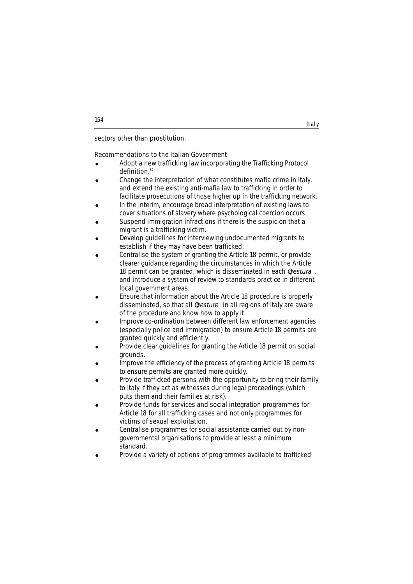sectors other than prostitution.

# **Recommendations to the Italian Government**

• Adopt a new trafficking law incorporating the Trafficking Protocol definition.<sup>82</sup>

Italy

- Change the interpretation of what constitutes mafia crime in Italy, and extend the existing anti-mafia law to trafficking in order to facilitate prosecutions of those higher up in the trafficking network.
- In the interim, encourage broad interpretation of existing laws to cover situations of slavery where psychological coercion occurs.
- Suspend immigration infractions if there is the suspicion that a migrant is a trafficking victim.
- Develop guidelines for interviewing undocumented migrants to establish if they may have been trafficked.
- Centralise the system of granting the Article 18 permit, or provide clearer guidance regarding the circumstances in which the Article 18 permit can be granted, which is disseminated in each luestura, and introduce a system of review to standards practice in different local government areas.
- Ensure that information about the Article 18 procedure is properly disseminated, so that all luesture in all regions of Italy are aware of the procedure and know how to apply it.
- ! Improve co-ordination between different law enforcement agencies (especially police and immigration) to ensure Article 18 permits are granted quickly and efficiently.
- Provide clear guidelines for granting the Article 18 permit on social grounds.
- Improve the efficiency of the process of granting Article 18 permits to ensure permits are granted more quickly.
- Provide trafficked persons with the opportunity to bring their family to Italy if they act as witnesses during legal proceedings (which puts them and their families at risk).
- ! Provide funds for services and social integration programmes for Article 18 for all trafficking cases and not only programmes for victims of sexual exploitation.
- ! Centralise programmes for social assistance carried out by nongovernmental organisations to provide at least a minimum standard.
- Provide a variety of options of programmes available to trafficked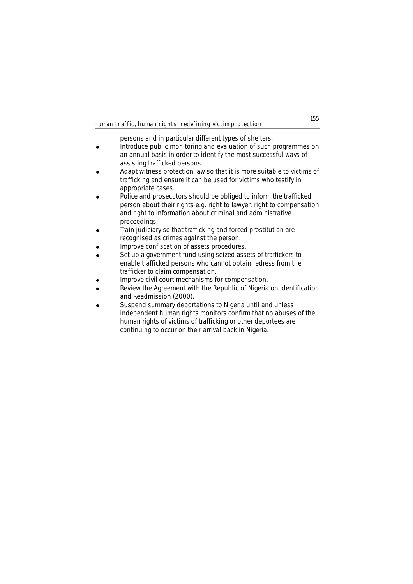persons and in particular different types of shelters.

- **.** Introduce public monitoring and evaluation of such programmes on an annual basis in order to identify the most successful ways of assisting trafficked persons.
- ! Adapt witness protection law so that it is more suitable to victims of trafficking and ensure it can be used for victims who testify in appropriate cases.
- Police and prosecutors should be obliged to inform the trafficked person about their rights e.g. right to lawyer, right to compensation and right to information about criminal and administrative proceedings.
- ! Train judiciary so that trafficking and forced prostitution are recognised as crimes against the person.
- ! Improve confiscation of assets procedures.
- Set up a government fund using seized assets of traffickers to enable trafficked persons who cannot obtain redress from the trafficker to claim compensation.
- Improve civil court mechanisms for compensation.
- Review the Agreement with the Republic of Nigeria on Identification and Readmission (2000).
- Suspend summary deportations to Nigeria until and unless independent human rights monitors confirm that no abuses of the human rights of victims of trafficking or other deportees are continuing to occur on their arrival back in Nigeria.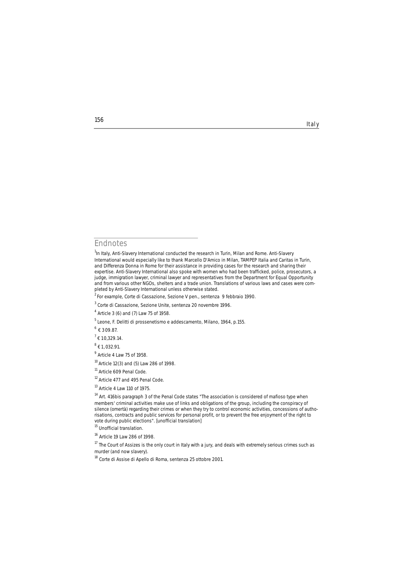#### **Endnotes**

 $^{2}$ For example, Corte di Cassazione, Sezione V pen., sentenza 9 febbraio 1990.

 $6 + 309.87$ 

 $8$   $\epsilon$  1,032.91.

<sup>9</sup> Article 4 Law 75 of 1958.

<sup>10</sup> Article 12(3) and (5) Law 286 of 1998.

<sup>11</sup> Article 609 Penal Code.

<sup>12</sup> Article 477 and 495 Penal Code.

<sup>13</sup> Article 4 Law 110 of 1975.

<sup>14</sup> Art. 416*bis* paragraph 3 of the Penal Code states "The association is considered of *mafioso* type when members' criminal activities make use of links and obligations of the group, including the conspiracy of silence (*omertà*) regarding their crimes or when they try to control economic activities, concessions of authorisations, contracts and public services for personal profit, or to prevent the free enjoyment of the right to vote during public elections". [unofficial translation]

<sup>15</sup> Unofficial translation.

<sup>16</sup> Article 19 Law 286 of 1998.

 $17$  The Court of Assizes is the only court in Italy with a jury, and deals with extremely serious crimes such as murder (and now slavery).

<sup>18</sup> Corte di Assise di Apello di Roma, sentenza 25 ottobre 2001.

**156**

Italy

<sup>&</sup>lt;sup>1</sup>In Italy, Anti-Slavery International conducted the research in Turin, Milan and Rome. Anti-Slavery International would especially like to thank Marcello D'Amico in Milan, *TAMPEP Italia* and *Caritas* in Turin, and *Differenza Donna* in Rome for their assistance in providing cases for the research and sharing their expertise. Anti-Slavery International also spoke with women who had been trafficked, police, prosecutors, a judge, immigration lawyer, criminal lawyer and representatives from the Department for Equal Opportunity and from various other NGOs, shelters and a trade union. Translations of various laws and cases were completed by Anti-Slavery International unless otherwise stated.

<sup>3</sup> Corte di Cassazione, Sezione Unite, sentenza 20 novembre 1996.

<sup>4</sup> Article 3 (6) and (7) Law 75 of 1958.

<sup>5</sup> Leone, F. Delitti di prossenetismo e addescamento, Milano, 1964, p.155.

 $7 + 10,329.14$ .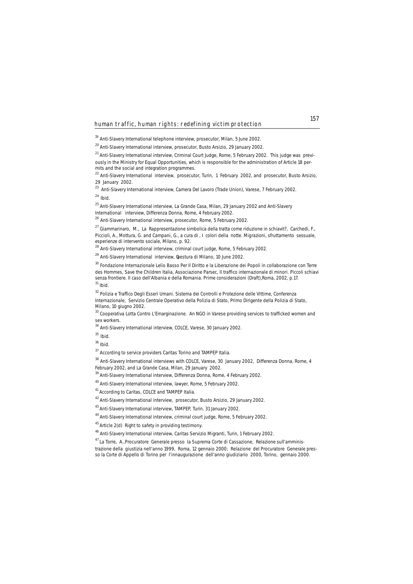<sup>19</sup> Anti-Slavery International telephone interview, prosecutor, Milan, 5 June 2002.

<sup>20</sup> Anti-Slavery International interview, prosecutor, Busto Arsizio, 29 January 2002.

<sup>21</sup> Anti-Slavery International interview, Criminal Court Judge, Rome, 5 February 2002. This judge was previously in the Ministry for Equal Opportunities, which is responsible for the administration of Article 18 permits and the social and integration programmes.

<sup>22</sup> Anti-Slavery International interview, prosecutor, Turin, 1 February 2002, and prosecutor, Busto Arsizio, 29 January 2002.

<sup>23</sup> Anti-Slavery International interview, *Camera Del Lavoro* (Trade Union), Varese, 7 February 2002.

<sup>24</sup>*Ibid.*

<sup>25</sup> Anti-Slavery International interview, La Grande Casa, Milan, 29 January 2002 and Anti-Slavery International interview, Differenza Donna, Rome, 4 February 2002.

<sup>26</sup> Anti-Slavery International interview, prosecutor, Rome, 5 February 2002.

<sup>27</sup> Giammarinaro, M., *La Rappresentazione simbolica della tratta come riduzione in schiavit?*, Carchedi, F., Piccioli, A., Mottura, G. and Campani, G., a cura di , *I colori della notte. Migrazioni, sfruttamento sessuale,*

<sup>28</sup> Anti-Slavery International interview, criminal court judge, Rome, 5 February 2002.

<sup>29</sup> Anti-Slavery International interview, luestura di Milano, 10 June 2002.

<sup>30</sup> Fondazione Internazionale Lelio Basso Per Il Diritto e la Liberazione dei Popoli in collaborazione con Terre des Hommes, Save the Children Italia, Associazione Parsec, *Il traffico internazionale di minori. Piccoli schiavi senza frontiere. Il caso dell'Albania e della Romania. Prime considerazioni* (Draft),Roma, 2002, p.17. <sup>31</sup> *Ibid.*

<sup>32</sup> *Polizia e Traffico Degli Esseri Umani. Sistema dei Controlli e Protezione delle Vittime*, Conferenza Internazionale, Servizio Centrale Operativo della Polizia di Stato, Primo Dirigente della Polizia di Stato, Milano, 10 giugno 2002.

<sup>33</sup> Cooperativa Lotta Contro L'Emarginazione. An NGO in Varese providing services to trafficked women and sex workers.

<sup>34</sup> Anti-Slavery International interview, COLCE, Varese, 30 January 2002.

<sup>35</sup>*Ibid.*

<sup>36</sup> *Ibid.*

 $37$  According to service providers Caritas Torino and TAMPEP Italia.

<sup>38</sup> Anti-Slavery International interviews with COLCE, Varese, 30 January 2002, Differenza Donna, Rome, 4 February 2002, and La Grande Casa, Milan, 29 January 2002.

<sup>39</sup> Anti-Slavery International interview, Differenza Donna, Rome, 4 February 2002.

40 Anti-Slavery International interview, lawyer, Rome, 5 February 2002.

41 According to Caritas, COLCE and TAMPEP Italia.

42 Anti-Slavery International interview, prosecutor, Busto Arsizio, 29 January 2002.

43 Anti-Slavery International interview, TAMPEP, Turin, 31 January 2002.

44 Anti-Slavery International interview, criminal court judge, Rome, 5 February 2002.

<sup>45</sup> Article 2(d) Right to safety in providing testimony.

46 Anti-Slavery International interview, Caritas Servizio Migranti, Turin, 1 February 2002.

47 La Torre, A.,Procuratore Generale presso la Suprema Corte di Cassazione, *Relazione sull'amminis-*

*trazione della giustizia nell'anno 1999*, Roma, 12 gennaio 2000; Relazione del Procuratore Generale presso la Corte di Appello di Torino per l'innaugurazione dell'anno giudiziario 2000, Torino, gennaio 2000.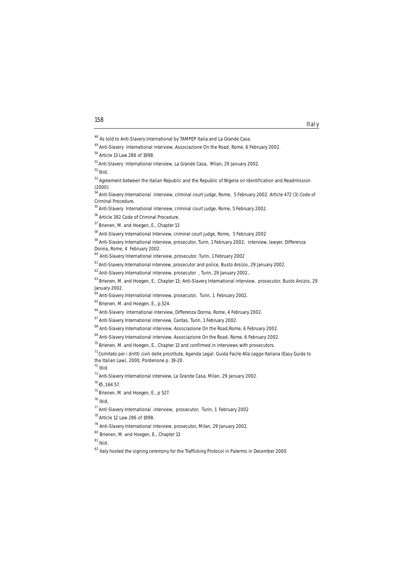- <sup>79</sup> Anti-Slavery International interview, prosecutor, Milan, 29 January 2002.
- 80 Brienen, M. and Hoegen, E., Chapter 13

**<sup>158</sup>** Italy

<sup>48</sup> As told to Anti-Slavery International by TAMPEP Italia and La Grande Casa.

<sup>49</sup> Anti-Slavery International interview, Associazione On the Road, Rome, 6 February 2002.

<sup>50</sup> Article 13 Law 286 of 1998.

<sup>&</sup>lt;sup>51</sup> Anti-Slavery International interview, La Grande Casa, Milan, 29 January 2002.

<sup>52</sup> *Ibid.*

<sup>53</sup> Agreement between the Italian Republic and the Republic of Nigeria on Identification and Readmission  $(2000)$ .

<sup>&</sup>lt;sup>54</sup> Anti-Slavery International interview, criminal court judge, Rome, 5 February 2002. Article 472 (3) Code of Criminal Procedure.

<sup>55</sup> Anti-Slavery International interview, criminal court judge, Rome, 5 February 2002.

<sup>56</sup> Article 392 Code of Criminal Procedure.

<sup>57</sup> Brienen, M. and Hoegen, E., Chapter 13

<sup>58</sup> Anti-Slavery International Interview, criminal court judge, Rome, 5 February 2002

<sup>59</sup> Anti-Slavery International interview, prosecutor, Turin, 1 February 2002; interview, lawyer, Differenza Donna, Rome, 4 February 2002.

<sup>60</sup> Anti-Slavery International interview, prosecutor, Turin, 1 February 2002

<sup>&</sup>lt;sup>61</sup> Anti-Slavery International interview, prosecutor and police, Busto Arsizio, 29 January 2002.

<sup>62</sup> Anti-Slavery International interview, prosecutor , Turin, 29 January 2002..

<sup>63</sup> Brienen, M. and Hoegen, E., Chapter 13; Anti-Slavery International interview, prosecutor, Busto Arsizio, 29 January 2002.

<sup>64</sup> Anti-Slavery International interview, prosecutor, Turin, 1 February 2002.

<sup>65</sup> Brienen, M. and Hoegen, E., p.524.

<sup>66</sup> Anti-Slavery International interview, Differenza Donna, Rome, 4 February 2002.

<sup>67</sup> Anti-Slavery International interview, Caritas, Turin, 1 February 2002.

<sup>&</sup>lt;sup>68</sup> Anti-Slavery International interview, Associazione On the Road, Rome, 6 February 2002.

<sup>&</sup>lt;sup>69</sup> Anti-Slavery International interview, Associazione On the Road, Rome, 6 February 2002.

 $70$  Brienen, M. and Hoegen, E., Chapter 13 and confirmed in interviews with prosecutors.

<sup>71</sup> Comitato per i diritti civili delle prostitute, *Agenda Legal: Guida Facile Alla Legge Italiana* (Easy Guide to the Italian Law), 2000, Pordenone p. 19-20.

<sup>72</sup> *Ibid.* 

<sup>73</sup> Anti-Slavery International interview, La Grande Casa, Milan, 29 January 2002.

 $^{74}$   $\pm$  5.164.57.

<sup>75</sup> Brienen, M. and Hoegen, E., p 527.

<sup>76</sup> *Ibid*,

<sup>77</sup> Anti-Slavery International interview, prosecutor, Turin, 1 February 2002

<sup>78</sup> Article 12 Law 286 of 1998.

<sup>81</sup> *Ibid.*

<sup>&</sup>lt;sup>82</sup> Italy hosted the signing ceremony for the Trafficking Protocol in Palermo in December 2000.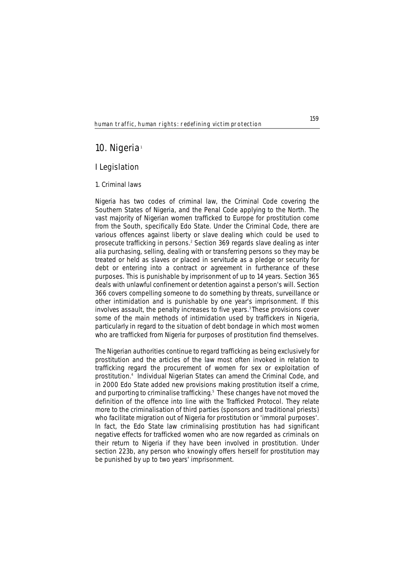# **10. Nigeria**<sup>1</sup>

# **I Legislation**

# **1. Criminal laws**

Nigeria has two codes of criminal law, the Criminal Code covering the Southern States of Nigeria, and the Penal Code applying to the North. The vast majority of Nigerian women trafficked to Europe for prostitution come from the South, specifically Edo State. Under the Criminal Code, there are various offences against liberty or slave dealing which could be used to prosecute trafficking in persons.2 Section 369 regards slave dealing as *inter alia* purchasing, selling, dealing with or transferring persons so they may be treated or held as slaves or placed in servitude as a pledge or security for debt or entering into a contract or agreement in furtherance of these purposes. This is punishable by imprisonment of up to 14 years. Section 365 deals with unlawful confinement or detention against a person's will. Section 366 covers compelling someone to do something by threats, surveillance or other intimidation and is punishable by one year's imprisonment. If this involves assault, the penalty increases to five years.<sup>3</sup> These provisions cover some of the main methods of intimidation used by traffickers in Nigeria, particularly in regard to the situation of debt bondage in which most women who are trafficked from Nigeria for purposes of prostitution find themselves.

The Nigerian authorities continue to regard trafficking as being exclusively for prostitution and the articles of the law most often invoked in relation to trafficking regard the procurement of women for sex or exploitation of prostitution.4 Individual Nigerian States can amend the Criminal Code, and in 2000 Edo State added new provisions making prostitution itself a crime, and purporting to criminalise trafficking.<sup>5</sup> These changes have not moved the definition of the offence into line with the Trafficked Protocol. They relate more to the criminalisation of third parties (sponsors and traditional priests) who facilitate migration out of Nigeria for prostitution or 'immoral purposes'. In fact, the Edo State law criminalising prostitution has had significant negative effects for trafficked women who are now regarded as criminals on their return to Nigeria if they have been involved in prostitution. Under section 223b, any person who knowingly offers herself for prostitution may be punished by up to two years' imprisonment.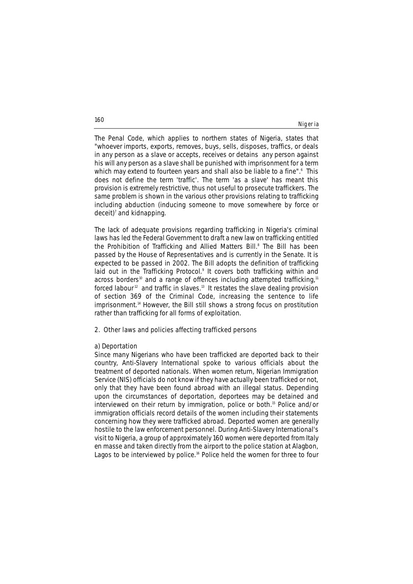Nigeria

The Penal Code, which applies to northern states of Nigeria, states that "whoever imports, exports, removes, buys, sells, disposes, traffics, or deals in any person as a slave or accepts, receives or detains any person against his will any person as a slave shall be punished with imprisonment for a term which may extend to fourteen years and shall also be liable to a fine".<sup>6</sup> This does not define the term 'traffic'. The term 'as a slave' has meant this provision is extremely restrictive, thus not useful to prosecute traffickers. The same problem is shown in the various other provisions relating to trafficking including abduction (inducing someone to move somewhere by force or  $deceit$ )<sup>7</sup> and kidnapping.

The lack of adequate provisions regarding trafficking in Nigeria's criminal laws has led the Federal Government to draft a new law on trafficking entitled the Prohibition of Trafficking and Allied Matters Bill.<sup>8</sup> The Bill has been passed by the House of Representatives and is currently in the Senate. It is expected to be passed in 2002. The Bill adopts the definition of trafficking laid out in the Trafficking Protocol.<sup>9</sup> It covers both trafficking within and across borders<sup>10</sup> and a range of offences including attempted trafficking,<sup>11</sup> forced labour<sup>12</sup> and traffic in slaves.<sup>13</sup> It restates the slave dealing provision of section 369 of the Criminal Code, increasing the sentence to life imprisonment.<sup>14</sup> However, the Bill still shows a strong focus on prostitution rather than trafficking for all forms of exploitation.

## **2. Other laws and policies affecting trafficked persons**

# **a) Deportation**

Since many Nigerians who have been trafficked are deported back to their country, Anti-Slavery International spoke to various officials about the treatment of deported nationals. When women return, Nigerian Immigration Service (NIS) officials do not know if they have actually been trafficked or not, only that they have been found abroad with an illegal status. Depending upon the circumstances of deportation, deportees may be detained and interviewed on their return by immigration, police or both.<sup>15</sup> Police and/or immigration officials record details of the women including their statements concerning how they were trafficked abroad. Deported women are generally hostile to the law enforcement personnel. During Anti-Slavery International's visit to Nigeria, a group of approximately 160 women were deported from Italy *en masse* and taken directly from the airport to the police station at Alagbon, Lagos to be interviewed by police.<sup>16</sup> Police held the women for three to four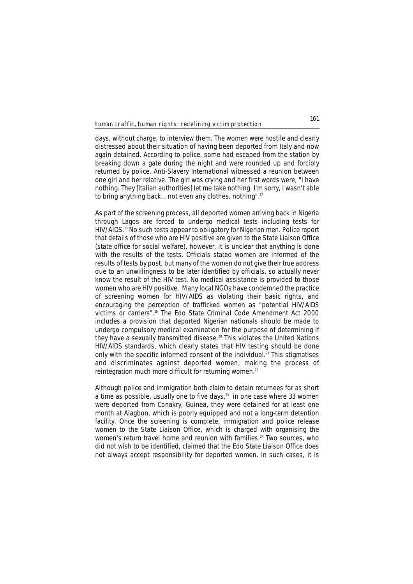days, without charge, to interview them. The women were hostile and clearly distressed about their situation of having been deported from Italy and now again detained. According to police, some had escaped from the station by breaking down a gate during the night and were rounded up and forcibly returned by police. Anti-Slavery International witnessed a reunion between one girl and her relative. The girl was crying and her first words were, "I have nothing. They [Italian authorities] let me take nothing. I'm sorry, I wasn't able to bring anything back… not even any clothes, nothing".17

As part of the screening process, all deported women arriving back in Nigeria through Lagos are forced to undergo medical tests including tests for HIV/AIDS.<sup>18</sup> No such tests appear to obligatory for Nigerian men. Police report that details of those who are HIV positive are given to the State Liaison Office (state office for social welfare), however, it is unclear that anything is done with the results of the tests. Officials stated women are informed of the results of tests by post, but many of the women do not give their true address due to an unwillingness to be later identified by officials, so actually never know the result of the HIV test. No medical assistance is provided to those women who are HIV positive. Many local NGOs have condemned the practice of screening women for HIV/AIDS as violating their basic rights, and encouraging the perception of trafficked women as "potential HIV/AIDS victims or carriers".19 The Edo State Criminal Code Amendment Act 2000 includes a provision that deported Nigerian nationals should be made to undergo compulsory medical examination for the purpose of determining if they have a sexually transmitted disease.<sup>20</sup> This violates the United Nations HIV/AIDS standards, which clearly states that HIV testing should be done only with the specific informed consent of the individual.<sup>21</sup> This stigmatises and discriminates against deported women, making the process of reintegration much more difficult for returning women.<sup>22</sup>

Although police and immigration both claim to detain returnees for as short a time as possible, usually one to five days, $23$  in one case where 33 women were deported from Conakry, Guinea, they were detained for at least one month at Alagbon, which is poorly equipped and not a long-term detention facility. Once the screening is complete, immigration and police release women to the State Liaison Office, which is charged with organising the women's return travel home and reunion with families.<sup>24</sup> Two sources, who did not wish to be identified, claimed that the Edo State Liaison Office does not always accept responsibility for deported women. In such cases, it is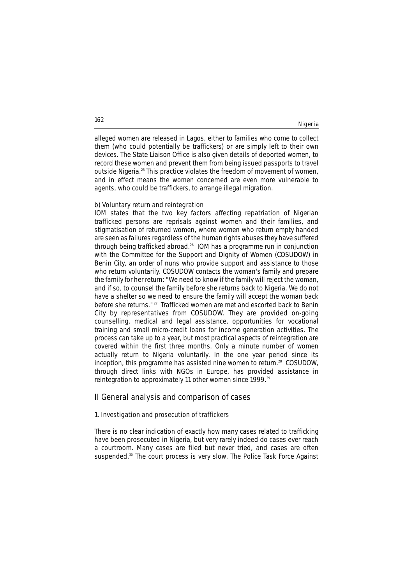alleged women are released in Lagos, either to families who come to collect them (who could potentially be traffickers) or are simply left to their own devices. The State Liaison Office is also given details of deported women, to record these women and prevent them from being issued passports to travel outside Nigeria.25 This practice violates the freedom of movement of women, and in effect means the women concerned are even more vulnerable to agents, who could be traffickers, to arrange illegal migration.

# **b) Voluntary return and reintegration**

IOM states that the two key factors affecting repatriation of Nigerian trafficked persons are reprisals against women and their families, and stigmatisation of returned women, where women who return empty handed are seen as failures regardless of the human rights abuses they have suffered through being trafficked abroad.26 IOM has a programme run in conjunction with the Committee for the Support and Dignity of Women (COSUDOW) in Benin City, an order of nuns who provide support and assistance to those who return voluntarily. COSUDOW contacts the woman's family and prepare the family for her return: "We need to know if the family will reject the woman, and if so, to counsel the family before she returns back to Nigeria. We do not have a shelter so we need to ensure the family will accept the woman back before she returns." <sup>27</sup> Trafficked women are met and escorted back to Benin City by representatives from COSUDOW. They are provided on-going counselling, medical and legal assistance, opportunities for vocational training and small micro-credit loans for income generation activities. The process can take up to a year, but most practical aspects of reintegration are covered within the first three months. Only a minute number of women actually return to Nigeria voluntarily. In the one year period since its inception, this programme has assisted nine women to return.28 COSUDOW, through direct links with NGOs in Europe, has provided assistance in reintegration to approximately 11 other women since 1999.<sup>29</sup>

# **II General analysis and comparison of cases**

### **1. Investigation and prosecution of traffickers**

There is no clear indication of exactly how many cases related to trafficking have been prosecuted in Nigeria, but very rarely indeed do cases ever reach a courtroom. Many cases are filed but never tried, and cases are often suspended.<sup>30</sup> The court process is very slow. The Police Task Force Against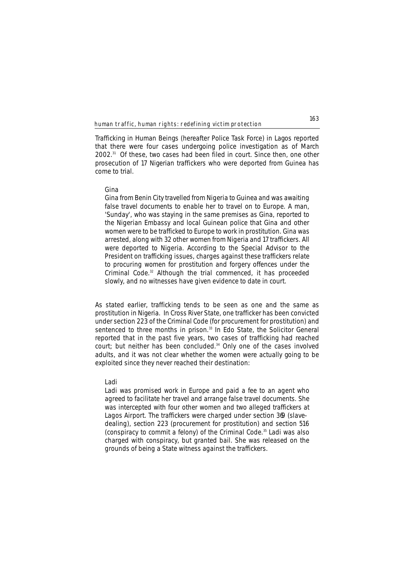Trafficking in Human Beings (hereafter Police Task Force) in Lagos reported that there were four cases undergoing police investigation as of March 2002.31 Of these, two cases had been filed in court. Since then, one other prosecution of 17 Nigerian traffickers who were deported from Guinea has come to trial.

## **Gina**

*Gina from Benin City travelled from Nigeria to Guinea and was awaiting false travel documents to enable her to travel on to Europe. A man, 'Sunday', who was staying in the same premises as Gina, reported to the Nigerian Embassy and local Guinean police that Gina and other women were to be trafficked to Europe to work in prostitution. Gina was arrested, along with 32 other women from Nigeria and 17 traffickers. All were deported to Nigeria. According to the Special Advisor to the President on trafficking issues, charges against these traffickers relate to procuring women for prostitution and forgery offences under the Criminal Code.*<sup>32</sup> *Although the trial commenced, it has proceeded slowly, and no witnesses have given evidence to date in court.*

As stated earlier, trafficking tends to be seen as one and the same as prostitution in Nigeria. In Cross River State, one trafficker has been convicted under section 223 of the Criminal Code (for procurement for prostitution) and sentenced to three months in prison.<sup>33</sup> In Edo State, the Solicitor General reported that in the past five years, two cases of trafficking had reached court; but neither has been concluded.<sup>34</sup> Only one of the cases involved adults, and it was not clear whether the women were actually going to be exploited since they never reached their destination:

### **Ladi**

*Ladi was promised work in Europe and paid a fee to an agent who agreed to facilitate her travel and arrange false travel documents. She was intercepted with four other women and two alleged traffickers at Lagos Airport. The traffickers were charged under section 369 (slavedealing), section 223 (procurement for prostitution) and section 516 (conspiracy to commit a felony) of the Criminal Code.*<sup>35</sup> *Ladi was also charged with conspiracy, but granted bail. She was released on the grounds of being a State witness against the traffickers.*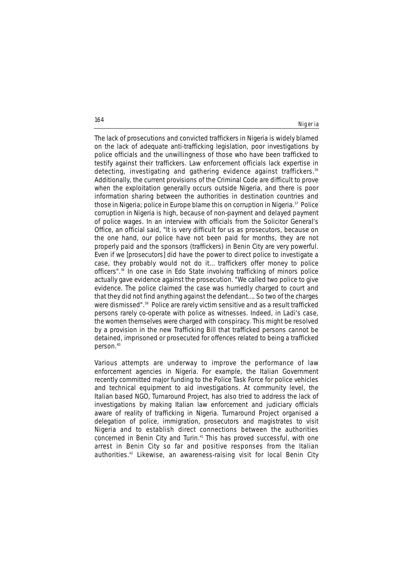Nigeria

The lack of prosecutions and convicted traffickers in Nigeria is widely blamed on the lack of adequate anti-trafficking legislation, poor investigations by police officials and the unwillingness of those who have been trafficked to testify against their traffickers. Law enforcement officials lack expertise in detecting, investigating and gathering evidence against traffickers.<sup>36</sup> Additionally, the current provisions of the Criminal Code are difficult to prove when the exploitation generally occurs outside Nigeria, and there is poor information sharing between the authorities in destination countries and those in Nigeria; police in Europe blame this on corruption in Nigeria.<sup>37</sup> Police corruption in Nigeria is high, because of non-payment and delayed payment of police wages. In an interview with officials from the Solicitor General's Office, an official said, "It is very difficult for us as prosecutors, because on the one hand, our police have not been paid for months, they are not properly paid and the sponsors (traffickers) in Benin City are very powerful. Even if we [prosecutors] did have the power to direct police to investigate a case, they probably would not do it… traffickers offer money to police officers".38 In one case in Edo State involving trafficking of minors police actually gave evidence against the prosecution. "We called two police to give evidence. The police claimed the case was hurriedly charged to court and that they did not find anything against the defendant…. So two of the charges were dismissed".39 Police are rarely victim sensitive and as a result trafficked persons rarely co-operate with police as witnesses. Indeed, in Ladi's case, the women themselves were charged with conspiracy. This might be resolved by a provision in the new Trafficking Bill that trafficked persons cannot be detained, imprisoned or prosecuted for offences related to being a trafficked person.40

Various attempts are underway to improve the performance of law enforcement agencies in Nigeria. For example, the Italian Government recently committed major funding to the Police Task Force for police vehicles and technical equipment to aid investigations. At community level, the Italian based NGO, Turnaround Project, has also tried to address the lack of investigations by making Italian law enforcement and judiciary officials aware of reality of trafficking in Nigeria. Turnaround Project organised a delegation of police, immigration, prosecutors and magistrates to visit Nigeria and to establish direct connections between the authorities concerned in Benin City and Turin.41 This has proved successful, with one arrest in Benin City so far and positive responses from the Italian authorities.42 Likewise, an awareness-raising visit for local Benin City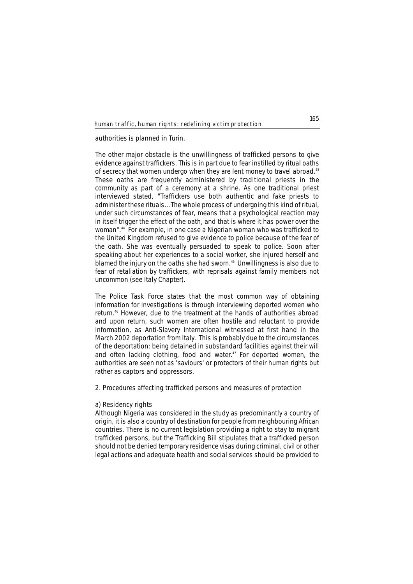authorities is planned in Turin.

The other major obstacle is the unwillingness of trafficked persons to give evidence against traffickers. This is in part due to fear instilled by ritual oaths of secrecy that women undergo when they are lent money to travel abroad.<sup>43</sup> These oaths are frequently administered by traditional priests in the community as part of a ceremony at a shrine. As one traditional priest interviewed stated, "Traffickers use both authentic and fake priests to administer these rituals… The whole process of undergoing this kind of ritual, under such circumstances of fear, means that a psychological reaction may in itself trigger the effect of the oath, and that is where it has power over the woman".44 For example, in one case a Nigerian woman who was trafficked to the United Kingdom refused to give evidence to police because of the fear of the oath. She was eventually persuaded to speak to police. Soon after speaking about her experiences to a social worker, she injured herself and blamed the injury on the oaths she had sworn.<sup>45</sup> Unwillingness is also due to fear of retaliation by traffickers, with reprisals against family members not uncommon (see Italy Chapter).

The Police Task Force states that the most common way of obtaining information for investigations is through interviewing deported women who return.46 However, due to the treatment at the hands of authorities abroad and upon return, such women are often hostile and reluctant to provide information, as Anti-Slavery International witnessed at first hand in the March 2002 deportation from Italy. This is probably due to the circumstances of the deportation: being detained in substandard facilities against their will and often lacking clothing, food and water.<sup>47</sup> For deported women, the authorities are seen not as 'saviours' or protectors of their human rights but rather as captors and oppressors.

# **2. Procedures affecting trafficked persons and measures of protection**

#### **a) Residency rights**

Although Nigeria was considered in the study as predominantly a country of origin, it is also a country of destination for people from neighbouring African countries. There is no current legislation providing a right to stay to migrant trafficked persons, but the Trafficking Bill stipulates that a trafficked person should not be denied temporary residence visas during criminal, civil or other legal actions and adequate health and social services should be provided to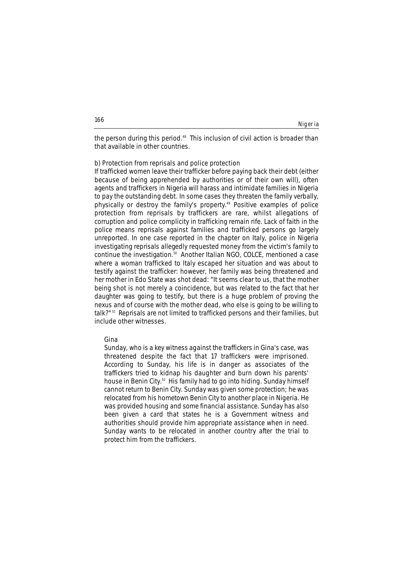Nigeria

the person during this period.<sup>48</sup> This inclusion of civil action is broader than that available in other countries.

#### **b) Protection from reprisals and police protection**

If trafficked women leave their trafficker before paying back their debt (either because of being apprehended by authorities or of their own will), often agents and traffickers in Nigeria will harass and intimidate families in Nigeria to pay the outstanding debt. In some cases they threaten the family verbally, physically or destroy the family's property.<sup>49</sup> Positive examples of police protection from reprisals by traffickers are rare, whilst allegations of corruption and police complicity in trafficking remain rife. Lack of faith in the police means reprisals against families and trafficked persons go largely unreported. In one case reported in the chapter on Italy, police in Nigeria investigating reprisals allegedly requested money from the victim's family to continue the investigation.50 Another Italian NGO, COLCE, mentioned a case where a woman trafficked to Italy escaped her situation and was about to testify against the trafficker: however, her family was being threatened and her mother in Edo State was shot dead: "It seems clear to us, that the mother being shot is not merely a coincidence, but was related to the fact that her daughter was going to testify, but there is a huge problem of proving the nexus and of course with the mother dead, who else is going to be willing to talk?"<sup>51</sup> Reprisals are not limited to trafficked persons and their families, but include other witnesses.

#### **Gina**

*Sunday, who is a key witness against the traffickers in Gina's case, was threatened despite the fact that 17 traffickers were imprisoned. According to Sunday, his life is in danger as associates of the traffickers tried to kidnap his daughter and burn down his parents' house in Benin City.*<sup>52</sup> *His family had to go into hiding. Sunday himself cannot return to Benin City. Sunday was given some protection; he was relocated from his hometown Benin City to another place in Nigeria. He was provided housing and some financial assistance. Sunday has also been given a card that states he is a Government witness and authorities should provide him appropriate assistance when in need. Sunday wants to be relocated in another country after the trial to protect him from the traffickers.*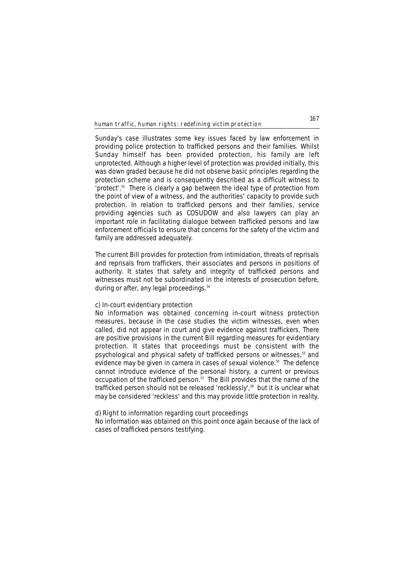Sunday's case illustrates some key issues faced by law enforcement in providing police protection to trafficked persons and their families. Whilst Sunday himself has been provided protection, his family are left unprotected. Although a higher level of protection was provided initially, this was down graded because he did not observe basic principles regarding the protection scheme and is consequently described as a difficult witness to 'protect'.53 There is clearly a gap between the ideal type of protection from the point of view of a witness, and the authorities' capacity to provide such protection. In relation to trafficked persons and their families, service providing agencies such as COSUDOW and also lawyers can play an important role in facilitating dialogue between trafficked persons and law enforcement officials to ensure that concerns for the safety of the victim and family are addressed adequately.

The current Bill provides for protection from intimidation, threats of reprisals and reprisals from traffickers, their associates and persons in positions of authority. It states that safety and integrity of trafficked persons and witnesses must not be subordinated in the interests of prosecution before, during or after, any legal proceedings.<sup>54</sup>

#### **c) In-court evidentiary protection**

No information was obtained concerning in-court witness protection measures, because in the case studies the victim witnesses, even when called, did not appear in court and give evidence against traffickers. There are positive provisions in the current Bill regarding measures for evidentiary protection. It states that proceedings must be consistent with the psychological and physical safety of trafficked persons or witnesses,<sup>55</sup> and evidence may be given *in camera* in cases of sexual violence.<sup>56</sup> The defence cannot introduce evidence of the personal history, a current or previous occupation of the trafficked person. $57$  The Bill provides that the name of the trafficked person should not be released 'recklessly',<sup>58</sup> but it is unclear what may be considered 'reckless' and this may provide little protection in reality.

# **d) Right to information regarding court proceedings**

No information was obtained on this point once again because of the lack of cases of trafficked persons testifying.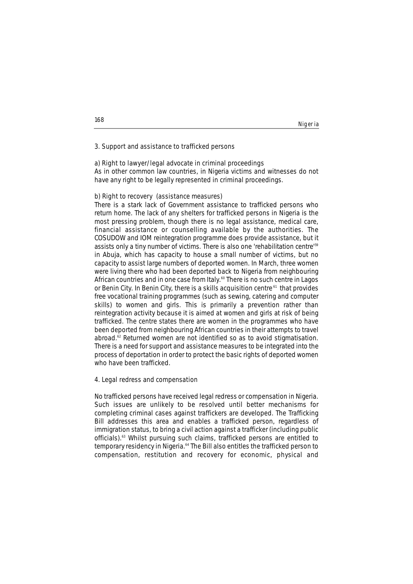#### Nigeria

# **3. Support and assistance to trafficked persons**

# **a) Right to lawyer/legal advocate in criminal proceedings**

As in other common law countries, in Nigeria victims and witnesses do not have any right to be legally represented in criminal proceedings.

# **b) Right to recovery (assistance measures)**

There is a stark lack of Government assistance to trafficked persons who return home. The lack of any shelters for trafficked persons in Nigeria is the most pressing problem, though there is no legal assistance, medical care, financial assistance or counselling available by the authorities. The COSUDOW and IOM reintegration programme does provide assistance, but it assists only a tiny number of victims. There is also one 'rehabilitation centre'<sup>59</sup> in Abuja, which has capacity to house a small number of victims, but no capacity to assist large numbers of deported women. In March, three women were living there who had been deported back to Nigeria from neighbouring African countries and in one case from Italy.<sup>60</sup> There is no such centre in Lagos or Benin City. In Benin City, there is a skills acquisition centre<sup>61</sup> that provides free vocational training programmes (such as sewing, catering and computer skills) to women and girls. This is primarily a prevention rather than reintegration activity because it is aimed at women and girls at risk of being trafficked. The centre states there are women in the programmes who have been deported from neighbouring African countries in their attempts to travel abroad.62 Returned women are not identified so as to avoid stigmatisation. There is a need for support and assistance measures to be integrated into the process of deportation in order to protect the basic rights of deported women who have been trafficked.

## **4. Legal redress and compensation**

No trafficked persons have received legal redress or compensation in Nigeria. Such issues are unlikely to be resolved until better mechanisms for completing criminal cases against traffickers are developed. The Trafficking Bill addresses this area and enables a trafficked person, regardless of immigration status, to bring a civil action against a trafficker (including public officials).63 Whilst pursuing such claims, trafficked persons are entitled to temporary residency in Nigeria.<sup>64</sup> The Bill also entitles the trafficked person to compensation, restitution and recovery for economic, physical and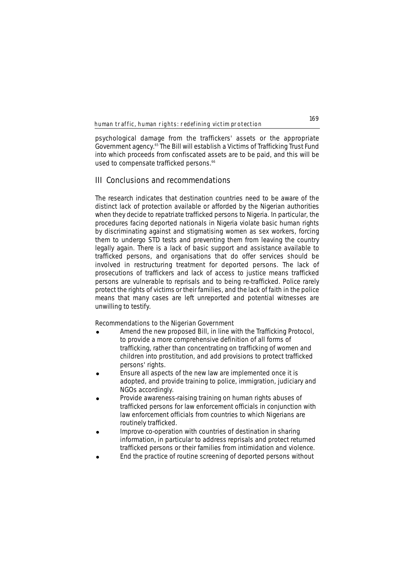psychological damage from the traffickers' assets or the appropriate Government agency.65 The Bill will establish a Victims of Trafficking Trust Fund into which proceeds from confiscated assets are to be paid, and this will be used to compensate trafficked persons.<sup>66</sup>

# **III Conclusions and recommendations**

The research indicates that destination countries need to be aware of the distinct lack of protection available or afforded by the Nigerian authorities when they decide to repatriate trafficked persons to Nigeria. In particular, the procedures facing deported nationals in Nigeria violate basic human rights by discriminating against and stigmatising women as sex workers, forcing them to undergo STD tests and preventing them from leaving the country legally again. There is a lack of basic support and assistance available to trafficked persons, and organisations that do offer services should be involved in restructuring treatment for deported persons. The lack of prosecutions of traffickers and lack of access to justice means trafficked persons are vulnerable to reprisals and to being re-trafficked. Police rarely protect the rights of victims or their families, and the lack of faith in the police means that many cases are left unreported and potential witnesses are unwilling to testify.

# **Recommendations to the Nigerian Government**

- Amend the new proposed Bill, in line with the Trafficking Protocol, to provide a more comprehensive definition of all forms of trafficking, rather than concentrating on trafficking of women and children into prostitution, and add provisions to protect trafficked persons' rights.
- Ensure all aspects of the new law are implemented once it is adopted, and provide training to police, immigration, judiciary and NGOs accordingly.
- Provide awareness-raising training on human rights abuses of trafficked persons for law enforcement officials in conjunction with law enforcement officials from countries to which Nigerians are routinely trafficked.
- ! Improve co-operation with countries of destination in sharing information, in particular to address reprisals and protect returned trafficked persons or their families from intimidation and violence.
- End the practice of routine screening of deported persons without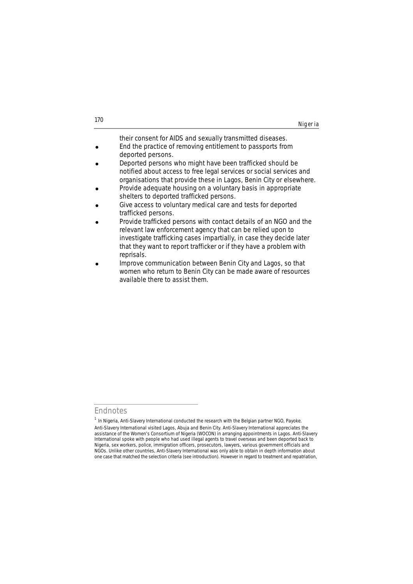| 170 |         |
|-----|---------|
|     | Nigeria |
|     |         |

their consent for AIDS and sexually transmitted diseases. End the practice of removing entitlement to passports from

- deported persons. Deported persons who might have been trafficked should be notified about access to free legal services or social services and
- organisations that provide these in Lagos, Benin City or elsewhere. Provide adequate housing on a voluntary basis in appropriate shelters to deported trafficked persons.
- Give access to voluntary medical care and tests for deported trafficked persons.
- Provide trafficked persons with contact details of an NGO and the relevant law enforcement agency that can be relied upon to investigate trafficking cases impartially, in case they decide later that they want to report trafficker or if they have a problem with reprisals.
- Improve communication between Benin City and Lagos, so that women who return to Benin City can be made aware of resources available there to assist them.

**Endnotes**

 $1$  In Nigeria, Anti-Slavery International conducted the research with the Belgian partner NGO, Payoke. Anti-Slavery International visited Lagos, Abuja and Benin City. Anti-Slavery International appreciates the assistance of the Women's Consortium of Nigeria (WOCON) in arranging appointments in Lagos. Anti-Slavery International spoke with people who had used illegal agents to travel overseas and been deported back to Nigeria, sex workers, police, immigration officers, prosecutors, lawyers, various government officials and NGOs. Unlike other countries, Anti-Slavery International was only able to obtain in depth information about one case that matched the selection criteria (see introduction). However in regard to treatment and repatriation,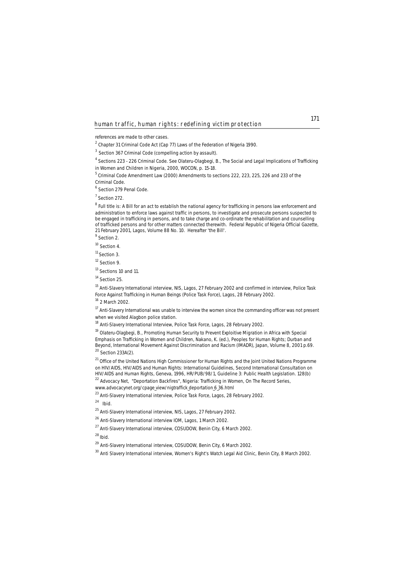references are made to other cases.

<sup>2</sup> Chapter 31 Criminal Code Act (Cap 77) Laws of the Federation of Nigeria 1990.

<sup>3</sup> Section 367 Criminal Code (compelling action by assault).

<sup>4</sup> Sections 223 - 226 Criminal Code. See Olateru-Olagbegi, B., *The Social and Legal Implications of Trafficking*

<sup>5</sup> Criminal Code Amendment Law (2000) Amendments to sections 222, 223, 225, 226 and 233 of the Criminal Code.

<sup>6</sup> Section 279 Penal Code.

<sup>7</sup> Section 272.

 $8$  Full title is: A Bill for an act to establish the national agency for trafficking in persons law enforcement and administration to enforce laws against traffic in persons, to investigate and prosecute persons suspected to be engaged in trafficking in persons, and to take charge and co-ordinate the rehabilitation and counselling of trafficked persons and for other matters connected therewith. Federal Republic of Nigeria Official Gazette, 21 February 2001, Lagos, Volume 88 No. 10. Hereafter 'the Bill'.

<sup>9</sup> Section 2.

<sup>10</sup> Section 4.

 $11$  Section 3.

<sup>12</sup> Section 9.

<sup>13</sup> Sections 10 and 11.

<sup>14</sup> Section 25.

<sup>15</sup> Anti-Slavery International interview, NIS, Lagos, 27 February 2002 and confirmed in interview, Police Task Force Against Trafficking in Human Beings (Police Task Force), Lagos, 28 February 2002.

 $16$  2 March 2002.

<sup>17</sup> Anti-Slavery International was unable to interview the women since the commanding officer was not present when we visited Alagbon police station.

<sup>18</sup> Anti-Slavery International Interview, Police Task Force, Lagos, 28 February 2002.

<sup>19</sup> Olateru-Olagbegi, B., *Promoting Human Security to Prevent Exploitive Migration in Africa with Special Emphasis on Trafficking in Women and Children,* Nakano, K. (ed.), Peoples for Human Rights; Durban and Beyond, International Movement Against Discrimination and Racism (IMADR), Japan, Volume 8, 2001 p.69. <sup>20</sup> Section 233A(2).

<sup>21</sup> Office of the United Nations High Commissioner for Human Rights and the Joint United Nations Programme on HIV/AIDS, *HIV/AIDS and Human Rights: International Guidelines*, Second International Consultation on HIV/AIDS and Human Rights, Geneva, 1996, HR/PUB/98/1, Guideline 3: Public Health Legislation. 128(b) <sup>22</sup> Advocacy Net, "Deportation Backfires", *Nigeria: Trafficking in Women*, On The Record Series,

www.advocacynet.org/cpage\_view/nigtraffick\_deportation 6\_36.html

<sup>23</sup> Anti-Slavery International interview, Police Task Force, Lagos, 28 February 2002.

<sup>24</sup> *Ibid.*

<sup>25</sup> Anti-Slavery International interview, NIS, Lagos, 27 February 2002.

<sup>26</sup> Anti-Slavery International interview IOM, Lagos, 1 March 2002.

 $^{27}$  Anti-Slavery International interview, COSUDOW, Benin City, 6 March 2002.

<sup>28</sup>*Ibid.*

<sup>29</sup> Anti-Slavery International interview, COSUDOW, Benin City, 6 March 2002.

<sup>30</sup> Anti Slavery International interview, Women's Right's Watch Legal Aid Clinic, Benin City, 8 March 2002.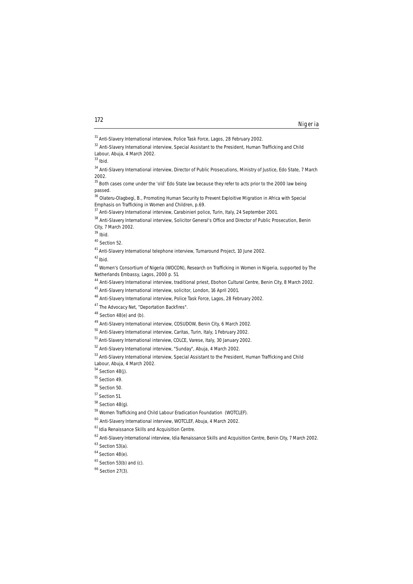**172**

<sup>34</sup> Anti-Slavery International interview, Director of Public Prosecutions, Ministry of Justice, Edo State, 7 March 2002.

<sup>35</sup> Both cases come under the 'old' Edo State law because they refer to acts prior to the 2000 law being passed.

<sup>36</sup> Olateru-Olagbegi, B., *Promoting Human Security to Prevent Exploitive Migration in Africa with Special Emphasis on Trafficking in Women and Children*, p.69.

<sup>39</sup> *Ibid.* 

<sup>42</sup>*Ibid.*

<sup>43</sup> Women's Consortium of Nigeria (WOCON), *Research on Trafficking in Women in Nigeria*, supported by The Netherlands Embassy, Lagos, 2000 p. 51.

<sup>44</sup> Anti-Slavery International interview, traditional priest, Ebohon Cultural Centre, Benin City, 8 March 2002.

 $48$  Section 48(e) and (b).

<sup>49</sup> Anti-Slavery International interview, COSUDOW, Benin City, 6 March 2002.

<sup>50</sup> Anti-Slavery International interview, Caritas, Turin, Italy, 1 February 2002.

<sup>51</sup> Anti-Slavery International interview, COLCE, Varese, Italy, 30 January 2002.

<sup>52</sup> Anti-Slavery International interview, "Sunday", Abuja, 4 March 2002.

<sup>53</sup> Anti-Slavery International interview, Special Assistant to the President, Human Trafficking and Child Labour, Abuja, 4 March 2002.

<sup>54</sup> Section 48(j).

<sup>56</sup> Section 50.

<sup>57</sup> Section 51.

 $58$  Section 48(g).

<sup>59</sup> Women Trafficking and Child Labour Eradication Foundation (WOTCLEF).

<sup>60</sup> Anti-Slavery International interview, WOTCLEF, Abuja, 4 March 2002.

<sup>61</sup> Idia Renaissance Skills and Acquisition Centre.

<sup>62</sup> Anti-Slavery International interview, Idia Renaissance Skills and Acquisition Centre, Benin City, 7 March 2002.

 $63$  Section 53(a).

 $64$  Section  $48(e)$ .

 $65$  Section 53(b) and (c).

<sup>66</sup> Section 27(3).

Nigeria

<sup>&</sup>lt;sup>31</sup> Anti-Slavery International interview, Police Task Force, Lagos, 28 February 2002.

<sup>&</sup>lt;sup>32</sup> Anti-Slavery International interview, Special Assistant to the President, Human Trafficking and Child Labour, Abuja, 4 March 2002.

<sup>33</sup> *Ibid.*

<sup>&</sup>lt;sup>37</sup> Anti-Slavery International interview, Carabinieri police, Turin, Italy, 24 September 2001.

<sup>&</sup>lt;sup>38</sup> Anti-Slavery International interview, Solicitor General's Office and Director of Public Prosecution, Benin City, 7 March 2002.

<sup>40</sup> Section 52.

<sup>&</sup>lt;sup>41</sup> Anti-Slavery International telephone interview, Turnaround Project, 10 June 2002.

<sup>45</sup> Anti-Slavery International interview, solicitor, London, 16 April 2001.

<sup>&</sup>lt;sup>46</sup> Anti-Slavery International interview, Police Task Force, Lagos, 28 February 2002.

<sup>&</sup>lt;sup>47</sup> The Advocacy Net, "Deportation Backfires".

<sup>55</sup> Section 49.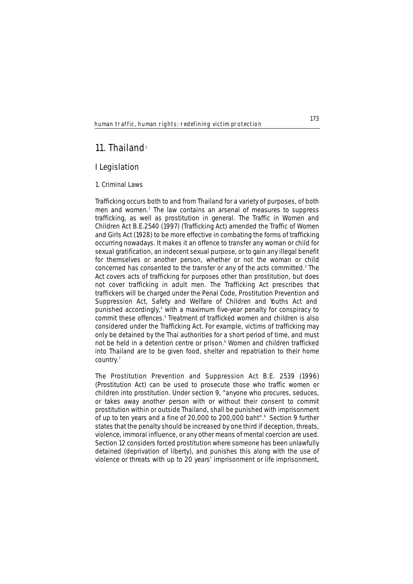# **11. Thailand**<sup>1</sup>

# **I Legislation**

# **1. Criminal Laws**

Trafficking occurs both to and from Thailand for a variety of purposes, of both men and women.<sup>2</sup> The law contains an arsenal of measures to suppress trafficking, as well as prostitution in general. The Traffic in Women and Children Act B.E.2540 (1997) (Trafficking Act) amended the Traffic of Women and Girls Act (1928) to be more effective in combating the forms of trafficking occurring nowadays. It makes it an offence to transfer any woman or child for sexual gratification, an indecent sexual purpose, or to gain any illegal benefit for themselves or another person, whether or not the woman or child concerned has consented to the transfer or any of the acts committed.3 The Act covers acts of trafficking for purposes other than prostitution, but does not cover trafficking in adult men. The Trafficking Act prescribes that traffickers will be charged under the Penal Code, Prostitution Prevention and Suppression Act, Safety and Welfare of Children and Youths Act and punished accordingly,4 with a maximum five-year penalty for conspiracy to commit these offences.<sup>5</sup> Treatment of trafficked women and children is also considered under the Trafficking Act. For example, victims of trafficking may only be detained by the Thai authorities for a short period of time, and must not be held in a detention centre or prison.<sup>6</sup> Women and children trafficked into Thailand are to be given food, shelter and repatriation to their home country.<sup>7</sup>

The Prostitution Prevention and Suppression Act B.E. 2539 (1996) (Prostitution Act) can be used to prosecute those who traffic women or children into prostitution. Under section 9, "anyone who procures, seduces, or takes away another person with or without their consent to commit prostitution within or outside Thailand, shall be punished with imprisonment of up to ten years and a fine of 20,000 to 200,000 baht".<sup>8</sup> Section 9 further states that the penalty should be increased by one third if deception, threats, violence, immoral influence, or any other means of mental coercion are used. Section 12 considers forced prostitution where someone has been unlawfully detained (deprivation of liberty), and punishes this along with the use of violence or threats with up to 20 years' imprisonment or life imprisonment,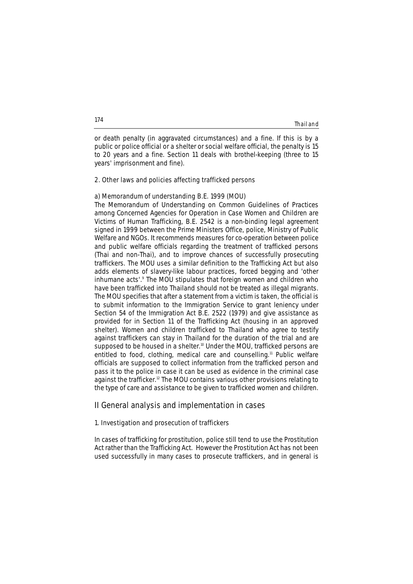**Thailand** 

or death penalty (in aggravated circumstances) and a fine. If this is by a public or police official or a shelter or social welfare official, the penalty is 15 to 20 years and a fine. Section 11 deals with brothel-keeping (three to 15 years' imprisonment and fine).

## **2. Other laws and policies affecting trafficked persons**

# **a) Memorandum of understanding B.E. 1999 (MOU)**

The Memorandum of Understanding on Common Guidelines of Practices among Concerned Agencies for Operation in Case Women and Children are Victims of Human Trafficking, B.E. 2542 is a non-binding legal agreement signed in 1999 between the Prime Ministers Office, police, Ministry of Public Welfare and NGOs. It recommends measures for co-operation between police and public welfare officials regarding the treatment of trafficked persons (Thai and non-Thai), and to improve chances of successfully prosecuting traffickers. The MOU uses a similar definition to the Trafficking Act but also adds elements of slavery-like labour practices, forced begging and 'other inhumane acts'.<sup>9</sup> The MOU stipulates that foreign women and children who have been trafficked into Thailand should not be treated as illegal migrants. The MOU specifies that after a statement from a victim is taken, the official is to submit information to the Immigration Service to grant leniency under Section 54 of the Immigration Act B.E. 2522 (1979) and give assistance as provided for in Section 11 of the Trafficking Act (housing in an approved shelter). Women and children trafficked to Thailand who agree to testify against traffickers can stay in Thailand for the duration of the trial and are supposed to be housed in a shelter.<sup>10</sup> Under the MOU, trafficked persons are entitled to food, clothing, medical care and counselling.<sup>11</sup> Public welfare officials are supposed to collect information from the trafficked person and pass it to the police in case it can be used as evidence in the criminal case against the trafficker.12 The MOU contains various other provisions relating to the type of care and assistance to be given to trafficked women and children.

# **II General analysis and implementation in cases**

#### **1. Investigation and prosecution of traffickers**

In cases of trafficking for prostitution, police still tend to use the Prostitution Act rather than the Trafficking Act. However the Prostitution Act has not been used successfully in many cases to prosecute traffickers, and in general is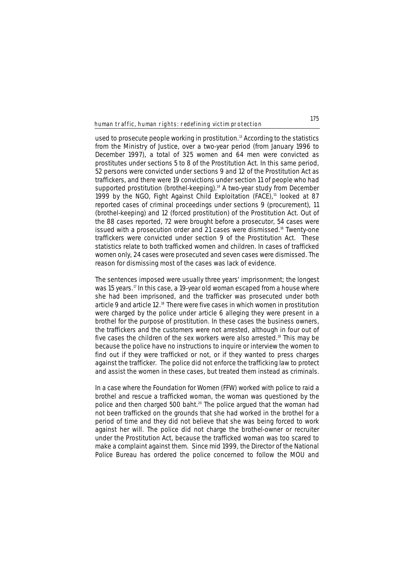used to prosecute people working in prostitution.<sup>13</sup> According to the statistics from the Ministry of Justice, over a two-year period (from January 1996 to December 1997), a total of 325 women and 64 men were convicted as prostitutes under sections 5 to 8 of the Prostitution Act. In this same period, 52 persons were convicted under sections 9 and 12 of the Prostitution Act as traffickers, and there were 19 convictions under section 11 of people who had supported prostitution (brothel-keeping).<sup>14</sup> A two-year study from December 1999 by the NGO, Fight Against Child Exploitation (FACE),<sup>15</sup> looked at 87 reported cases of criminal proceedings under sections 9 (procurement), 11 (brothel-keeping) and 12 (forced prostitution) of the Prostitution Act. Out of the 88 cases reported, 72 were brought before a prosecutor, 54 cases were issued with a prosecution order and 21 cases were dismissed.<sup>16</sup> Twenty-one traffickers were convicted under section 9 of the Prostitution Act. These statistics relate to both trafficked women and children. In cases of trafficked women only, 24 cases were prosecuted and seven cases were dismissed. The reason for dismissing most of the cases was lack of evidence.

The sentences imposed were usually three years' imprisonment; the longest was 15 years.<sup>17</sup> In this case, a 19-year old woman escaped from a house where she had been imprisoned, and the trafficker was prosecuted under both article 9 and article 12.<sup>18</sup> There were five cases in which women in prostitution were charged by the police under article 6 alleging they were present in a brothel for the purpose of prostitution. In these cases the business owners, the traffickers and the customers were not arrested, although in four out of five cases the children of the sex workers were also arrested.<sup>19</sup> This may be because the police have no instructions to inquire or interview the women to find out if they were trafficked or not, or if they wanted to press charges against the trafficker. The police did not enforce the trafficking law to protect and assist the women in these cases, but treated them instead as criminals.

In a case where the Foundation for Women (FFW) worked with police to raid a brothel and rescue a trafficked woman, the woman was questioned by the police and then charged 500 baht.<sup>20</sup> The police argued that the woman had not been trafficked on the grounds that she had worked in the brothel for a period of time and they did not believe that she was being forced to work against her will. The police did not charge the brothel-owner or recruiter under the Prostitution Act, because the trafficked woman was too scared to make a complaint against them. Since mid 1999, the Director of the National Police Bureau has ordered the police concerned to follow the MOU and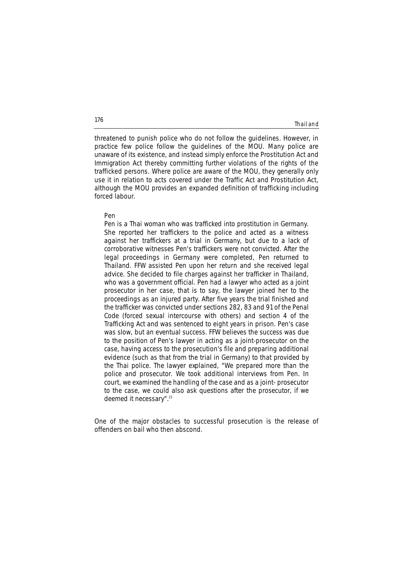### Thailand

threatened to punish police who do not follow the guidelines. However, in practice few police follow the guidelines of the MOU. Many police are unaware of its existence, and instead simply enforce the Prostitution Act and Immigration Act thereby committing further violations of the rights of the trafficked persons. Where police are aware of the MOU, they generally only use it in relation to acts covered under the Traffic Act and Prostitution Act, although the MOU provides an expanded definition of trafficking including forced labour.

### **Pen**

*Pen is a Thai woman who was trafficked into prostitution in Germany. She reported her traffickers to the police and acted as a witness against her traffickers at a trial in Germany, but due to a lack of corroborative witnesses Pen's traffickers were not convicted. After the legal proceedings in Germany were completed, Pen returned to Thailand. FFW assisted Pen upon her return and she received legal advice. She decided to file charges against her trafficker in Thailand, who was a government official. Pen had a lawyer who acted as a joint prosecutor in her case, that is to say, the lawyer joined her to the proceedings as an injured party. After five years the trial finished and the trafficker was convicted under sections 282, 83 and 91 of the Penal Code (forced sexual intercourse with others) and section 4 of the Trafficking Act and was sentenced to eight years in prison. Pen's case was slow, but an eventual success. FFW believes the success was due to the position of Pen's lawyer in acting as a joint-prosecutor on the case, having access to the prosecution's file and preparing additional evidence (such as that from the trial in Germany) to that provided by the Thai police. The lawyer explained, "We prepared more than the police and prosecutor. We took additional interviews from Pen. In court, we examined the handling of the case and as a joint- prosecutor to the case, we could also ask questions after the prosecutor, if we deemed it necessary".*21

One of the major obstacles to successful prosecution is the release of offenders on bail who then abscond.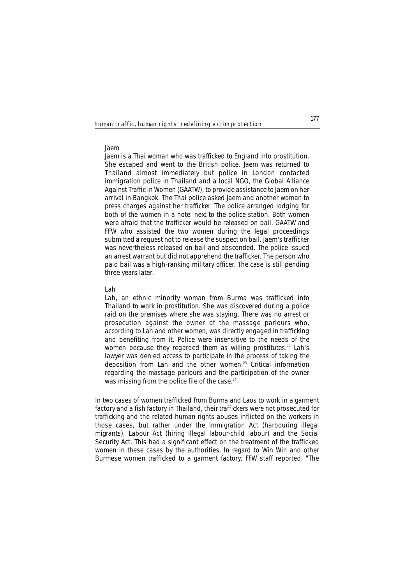### **Jaem**

*Jaem is a Thai woman who was trafficked to England into prostitution. She escaped and went to the British police. Jaem was returned to Thailand almost immediately but police in London contacted immigration police in Thailand and a local NGO, the Global Alliance Against Traffic in Women (GAATW), to provide assistance to Jaem on her arrival in Bangkok. The Thai police asked Jaem and another woman to press charges against her trafficker. The police arranged lodging for both of the women in a hotel next to the police station. Both women were afraid that the trafficker would be released on bail. GAATW and FFW who assisted the two women during the legal proceedings submitted a request not to release the suspect on bail. Jaem's trafficker was nevertheless released on bail and absconded. The police issued an arrest warrant but did not apprehend the trafficker. The person who paid bail was a high-ranking military officer. The case is still pending three years later.* 

## **Lah**

*Lah, an ethnic minority woman from Burma was trafficked into Thailand to work in prostitution. She was discovered during a police raid on the premises where she was staying. There was no arrest or prosecution against the owner of the massage parlours who, according to Lah and other women, was directly engaged in trafficking and benefiting from it. Police were insensitive to the needs of the women because they regarded them as willing prostitutes.*<sup>22</sup> *Lah's lawyer was denied access to participate in the process of taking the deposition from Lah and the other women.*<sup>23</sup> *Critical information regarding the massage parlours and the participation of the owner was missing from the police file of the case.*24

In two cases of women trafficked from Burma and Laos to work in a garment factory and a fish factory in Thailand, their traffickers were not prosecuted for trafficking and the related human rights abuses inflicted on the workers in those cases, but rather under the Immigration Act (harbouring illegal migrants), Labour Act (hiring illegal labour-child labour) and the Social Security Act. This had a significant effect on the treatment of the trafficked women in these cases by the authorities. In regard to Win Win and other Burmese women trafficked to a garment factory, FFW staff reported, "The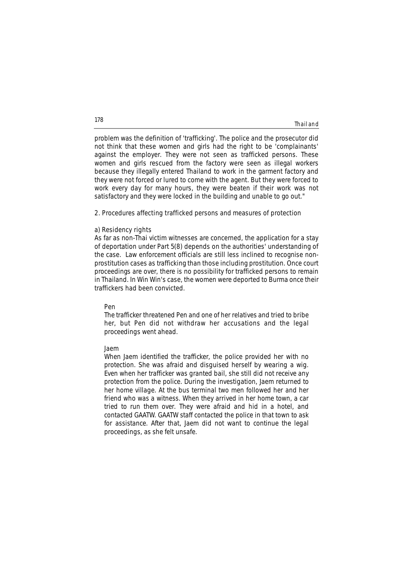| Thailand |  |  |
|----------|--|--|
|          |  |  |

problem was the definition of 'trafficking'. The police and the prosecutor did not think that these women and girls had the right to be 'complainants' against the employer. They were not seen as trafficked persons. These women and girls rescued from the factory were seen as illegal workers because they illegally entered Thailand to work in the garment factory and they were not forced or lured to come with the agent. But they were forced to work every day for many hours, they were beaten if their work was not satisfactory and they were locked in the building and unable to go out."

### **2. Procedures affecting trafficked persons and measures of protection**

### **a) Residency rights**

As far as non-Thai victim witnesses are concerned, the application for a stay of deportation under Part 5(8) depends on the authorities' understanding of the case. Law enforcement officials are still less inclined to recognise nonprostitution cases as trafficking than those including prostitution. Once court proceedings are over, there is no possibility for trafficked persons to remain in Thailand. In Win Win's case, the women were deported to Burma once their traffickers had been convicted.

# **Pen**

*The trafficker threatened Pen and one of her relatives and tried to bribe her, but Pen did not withdraw her accusations and the legal proceedings went ahead.*

### **Jaem**

*When Jaem identified the trafficker, the police provided her with no protection. She was afraid and disguised herself by wearing a wig. Even when her trafficker was granted bail, she still did not receive any protection from the police. During the investigation, Jaem returned to her home village. At the bus terminal two men followed her and her friend who was a witness. When they arrived in her home town, a car tried to run them over. They were afraid and hid in a hotel, and contacted GAATW. GAATW staff contacted the police in that town to ask for assistance. After that, Jaem did not want to continue the legal proceedings, as she felt unsafe.*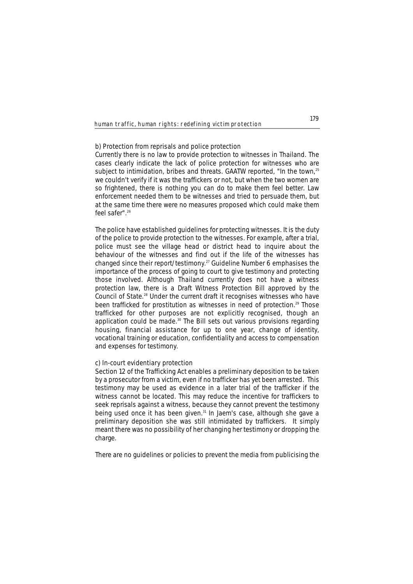### **b) Protection from reprisals and police protection**

Currently there is no law to provide protection to witnesses in Thailand. The cases clearly indicate the lack of police protection for witnesses who are subject to intimidation, bribes and threats. GAATW reported, "In the town,<sup>25</sup> we couldn't verify if it was the traffickers or not, but when the two women are so frightened, there is nothing you can do to make them feel better. Law enforcement needed them to be witnesses and tried to persuade them, but at the same time there were no measures proposed which could make them feel safer".26

The police have established guidelines for protecting witnesses. It is the duty of the police to provide protection to the witnesses. For example, after a trial, police must see the village head or district head to inquire about the behaviour of the witnesses and find out if the life of the witnesses has changed since their report/testimony.27 Guideline Number 6 emphasises the importance of the process of going to court to give testimony and protecting those involved. Although Thailand currently does not have a witness protection law, there is a Draft Witness Protection Bill approved by the Council of State.28 Under the current draft it recognises witnesses who have been trafficked for prostitution as witnesses in need of protection.<sup>29</sup> Those trafficked for other purposes are not explicitly recognised, though an application could be made.<sup>30</sup> The Bill sets out various provisions regarding housing, financial assistance for up to one year, change of identity, vocational training or education, confidentiality and access to compensation and expenses for testimony.

### **c) In-court evidentiary protection**

Section 12 of the Trafficking Act enables a preliminary deposition to be taken by a prosecutor from a victim, even if no trafficker has yet been arrested. This testimony may be used as evidence in a later trial of the trafficker if the witness cannot be located. This may reduce the incentive for traffickers to seek reprisals against a witness, because they cannot prevent the testimony being used once it has been given.<sup>31</sup> In Jaem's case, although she gave a preliminary deposition she was still intimidated by traffickers. It simply meant there was no possibility of her changing her testimony or dropping the charge.

There are no guidelines or policies to prevent the media from publicising the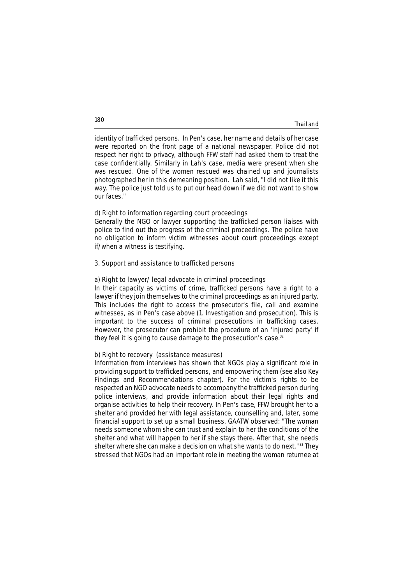### **Thailand**

identity of trafficked persons. In Pen's case, her name and details of her case were reported on the front page of a national newspaper. Police did not respect her right to privacy, although FFW staff had asked them to treat the case confidentially. Similarly in Lah's case, media were present when she was rescued. One of the women rescued was chained up and journalists photographed her in this demeaning position. Lah said, "I did not like it this way. The police just told us to put our head down if we did not want to show our faces."

### **d) Right to information regarding court proceedings**

Generally the NGO or lawyer supporting the trafficked person liaises with police to find out the progress of the criminal proceedings. The police have no obligation to inform victim witnesses about court proceedings except if/when a witness is testifying.

# **3. Support and assistance to trafficked persons**

## **a) Right to lawyer/ legal advocate in criminal proceedings**

In their capacity as victims of crime, trafficked persons have a right to a lawyer if they join themselves to the criminal proceedings as an injured party. This includes the right to access the prosecutor's file, call and examine witnesses, as in Pen's case above (1. Investigation and prosecution). This is important to the success of criminal prosecutions in trafficking cases. However, the prosecutor can prohibit the procedure of an 'injured party' if they feel it is going to cause damage to the prosecution's case.<sup>32</sup>

## **b) Right to recovery (assistance measures)**

Information from interviews has shown that NGOs play a significant role in providing support to trafficked persons, and empowering them (see also Key Findings and Recommendations chapter). For the victim's rights to be respected an NGO advocate needs to accompany the trafficked person during police interviews, and provide information about their legal rights and organise activities to help their recovery. In Pen's case, FFW brought her to a shelter and provided her with legal assistance, counselling and, later, some financial support to set up a small business. GAATW observed: "The woman needs someone whom she can trust and explain to her the conditions of the shelter and what will happen to her if she stays there. After that, she needs shelter where she can make a decision on what she wants to do next."<sup>33</sup> They stressed that NGOs had an important role in meeting the woman returnee at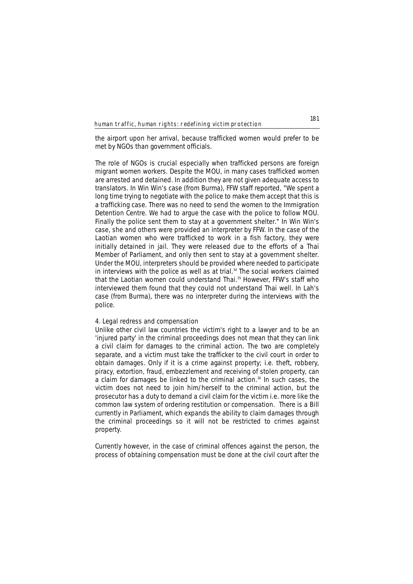the airport upon her arrival, because trafficked women would prefer to be met by NGOs than government officials.

The role of NGOs is crucial especially when trafficked persons are foreign migrant women workers. Despite the MOU, in many cases trafficked women are arrested and detained. In addition they are not given adequate access to translators. In Win Win's case (from Burma), FFW staff reported, "We spent a long time trying to negotiate with the police to make them accept that this is a trafficking case. There was no need to send the women to the Immigration Detention Centre. We had to argue the case with the police to follow MOU. Finally the police sent them to stay at a government shelter." In Win Win's case, she and others were provided an interpreter by FFW. In the case of the Laotian women who were trafficked to work in a fish factory, they were initially detained in jail. They were released due to the efforts of a Thai Member of Parliament, and only then sent to stay at a government shelter. Under the MOU, interpreters should be provided where needed to participate in interviews with the police as well as at trial.<sup>34</sup> The social workers claimed that the Laotian women could understand Thai.35 However, FFW's staff who interviewed them found that they could not understand Thai well. In Lah's case (from Burma), there was no interpreter during the interviews with the police.

# **4. Legal redress and compensation**

Unlike other civil law countries the victim's right to a lawyer and to be an 'injured party' in the criminal proceedings does not mean that they can link a civil claim for damages to the criminal action. The two are completely separate, and a victim must take the trafficker to the civil court in order to obtain damages. Only if it is a crime against property; i.e. theft, robbery, piracy, extortion, fraud, embezzlement and receiving of stolen property, can a claim for damages be linked to the criminal action.<sup>36</sup> In such cases, the victim does not need to join him/herself to the criminal action, but the prosecutor has a duty to demand a civil claim for the victim i.e. more like the common law system of ordering restitution or compensation. There is a Bill currently in Parliament, which expands the ability to claim damages through the criminal proceedings so it will not be restricted to crimes against property.

Currently however, in the case of criminal offences against the person, the process of obtaining compensation must be done at the civil court after the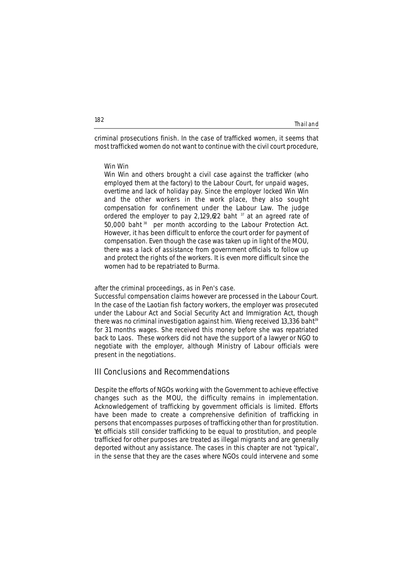| Thailand |  |  |
|----------|--|--|
|          |  |  |

criminal prosecutions finish. In the case of trafficked women, it seems that most trafficked women do not want to continue with the civil court procedure,

### **Win Win**

*Win Win and others brought a civil case against the trafficker (who employed them at the factory) to the Labour Court, for unpaid wages, overtime and lack of holiday pay. Since the employer locked Win Win and the other workers in the work place, they also sought compensation for confinement under the Labour Law. The judge ordered the employer to pay 2,129,622 baht* <sup>37</sup> *at an agreed rate of 50,000 baht* <sup>38</sup> *per month according to the Labour Protection Act. However, it has been difficult to enforce the court order for payment of compensation. Even though the case was taken up in light of the MOU, there was a lack of assistance from government officials to follow up and protect the rights of the workers. It is even more difficult since the women had to be repatriated to Burma.* 

### after the criminal proceedings, as in Pen's case.

Successful compensation claims however are processed in the Labour Court. In the case of the Laotian fish factory workers, the employer was prosecuted under the Labour Act and Social Security Act and Immigration Act, though there was no criminal investigation against him. Wieng received 13,336 baht<sup>39</sup> for 31 months wages. She received this money before she was repatriated back to Laos. These workers did not have the support of a lawyer or NGO to negotiate with the employer, although Ministry of Labour officials were present in the negotiations.

# **III Conclusions and Recommendations**

Despite the efforts of NGOs working with the Government to achieve effective changes such as the MOU, the difficulty remains in implementation. Acknowledgement of trafficking by government officials is limited. Efforts have been made to create a comprehensive definition of trafficking in persons that encompasses purposes of trafficking other than for prostitution. Yet officials still consider trafficking to be equal to prostitution, and people trafficked for other purposes are treated as illegal migrants and are generally deported without any assistance. The cases in this chapter are not 'typical', in the sense that they are the cases where NGOs could intervene and some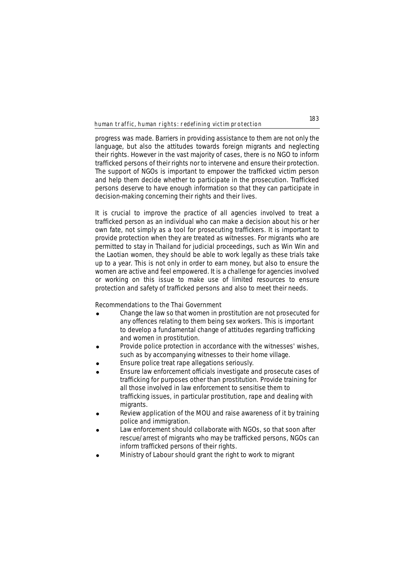progress was made. Barriers in providing assistance to them are not only the language, but also the attitudes towards foreign migrants and neglecting their rights. However in the vast majority of cases, there is no NGO to inform trafficked persons of their rights nor to intervene and ensure their protection. The support of NGOs is important to empower the trafficked victim person and help them decide whether to participate in the prosecution. Trafficked persons deserve to have enough information so that they can participate in decision-making concerning their rights and their lives.

It is crucial to improve the practice of all agencies involved to treat a trafficked person as an individual who can make a decision about his or her own fate, not simply as a tool for prosecuting traffickers. It is important to provide protection when they are treated as witnesses. For migrants who are permitted to stay in Thailand for judicial proceedings, such as Win Win and the Laotian women, they should be able to work legally as these trials take up to a year. This is not only in order to earn money, but also to ensure the women are active and feel empowered. It is a challenge for agencies involved or working on this issue to make use of limited resources to ensure protection and safety of trafficked persons and also to meet their needs.

### **Recommendations to the Thai Government**

- ! Change the law so that women in prostitution are not prosecuted for any offences relating to them being sex workers. This is important to develop a fundamental change of attitudes regarding trafficking and women in prostitution.
- Provide police protection in accordance with the witnesses' wishes. such as by accompanying witnesses to their home village.
- Ensure police treat rape allegations seriously.
- ! Ensure law enforcement officials investigate and prosecute cases of trafficking for purposes other than prostitution. Provide training for all those involved in law enforcement to sensitise them to trafficking issues, in particular prostitution, rape and dealing with migrants.
- Review application of the MOU and raise awareness of it by training police and immigration.
- Law enforcement should collaborate with NGOs, so that soon after rescue/arrest of migrants who may be trafficked persons, NGOs can inform trafficked persons of their rights.
- ! Ministry of Labour should grant the right to work to migrant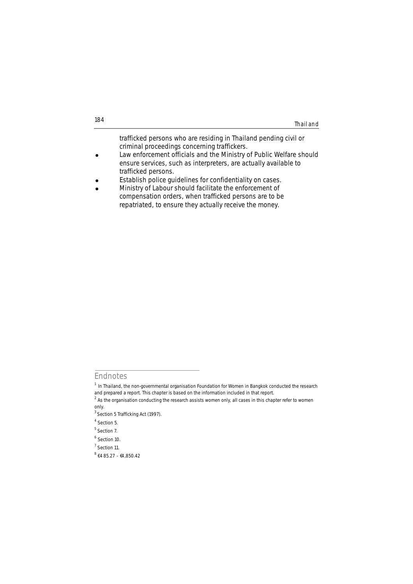trafficked persons who are residing in Thailand pending civil or criminal proceedings concerning traffickers. Law enforcement officials and the Ministry of Public Welfare should ensure services, such as interpreters, are actually available to trafficked persons.

- **.** Establish police quidelines for confidentiality on cases.
- Ministry of Labour should facilitate the enforcement of compensation orders, when trafficked persons are to be repatriated, to ensure they actually receive the money.

**Endnotes**

 $1$  In Thailand, the non-governmental organisation Foundation for Women in Bangkok conducted the research and prepared a report. This chapter is based on the information included in that report.

 $2$  As the organisation conducting the research assists women only, all cases in this chapter refer to women only.

<sup>&</sup>lt;sup>3</sup> Section 5 Trafficking Act (1997).

<sup>4</sup> Section 5.

<sup>&</sup>lt;sup>5</sup> Section 7.

<sup>6</sup> Section 10.

<sup>7</sup> Section 11.

 $8$   $\{485.27 - \{4,850.42\}$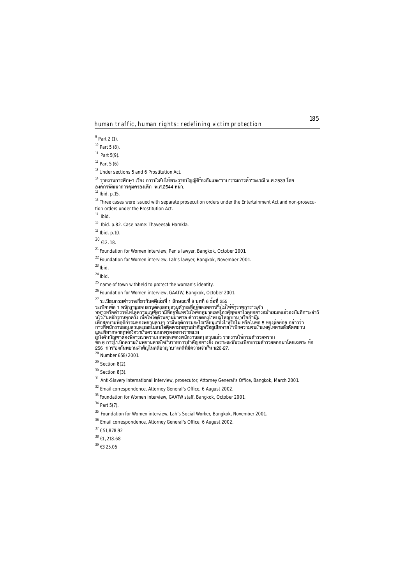<sup>9</sup> Part 2 (1).

 $10$  Part 5 (8).

 $11$  Part 5(9).

 $12$  Part 5 (6)

<sup>13</sup> Under sections 5 and 6 Prostitution Act.

 $^{14}$  รายงานการศึกษา เรื่อง การบังคับใช้พระราชบัญญัติ"้องกันและ"ราบ"รามการค<sup>้</sup>า"ระเวณี พ.ศ.2539 โดย องค์กรพัฒนาการคุ้มครองเด็ก พ.ศ.2544 หน้า.

 $15$  Ibid. p.15.

<sup>16</sup> Three cases were issued with separate prosecution orders under the Entertainment Act and non-prosecution orders under the Prostitution Act.

<sup>17</sup> *Ibid*.

<sup>18</sup> *Ibid*. p.82. Case name: Thaveesak Harnkla.

<sup>19</sup> *Ibid*. p.10.

 $^{20}$  f12.18

<sup>21</sup> Foundation for Women interview, Pen's lawyer, Bangkok, October 2001.

<sup>22</sup> Foundation for Women interview, Lah's lawyer, Bangkok, November 2001.

<sup>23</sup>*Ibid.* 

<sup>24</sup>*Ibid.* 

 $25$  name of town withheld to protect the woman's identity.

26 Foundation for Women interview, GAATW, Bangkok, October 2001.

 $^{27}$  ระเบียบกรมตำรวจเกี่ยวกับคดีเล่มที่ 1 ลักษณะที่ 8 บทที่ 6 ข<sup>้</sup>อที่ 255

ระเบียบขอ 1 พนักงานสอบสวนตองสอบสวนตัวบลที่อยู่ของพยาน"งไม่ไชขาราชการ"ระจำ<br>ทหารหรือตำรวจใหไดดความแนซัดวามีที่อยู่ที่แทจริงใหของมายเลขโทรศัพทเอาไวคุยอยางสม่ำเสมอแล้วลงบันทึก"ระจำวั<br>นไว้เจ็บบัญชาตองพิจารณาความบกพรองของพนักงา

<sup>28</sup> Number 658/2001.

 $29$  Section 8(2).

 $30$  Section 8(3).

<sup>31</sup> Anti-Slavery International interview, prosecutor, Attorney General's Office, Bangkok, March 2001.

<sup>32</sup> Email correspondence, Attorney General's Office, 6 August 2002.

33 Foundation for Women interview, GAATW staff, Bangkok, October 2001.

<sup>34</sup> Part 5(7).

<sup>35</sup> Foundation for Women interview, Lah's Social Worker, Bangkok, November 2001.

<sup>36</sup> Email correspondence, Attorney General's Office, 6 August 2002.

<sup>37</sup> € 51,878.92

 $38$   $(1, 218.68)$ 

 $39 + 325.05$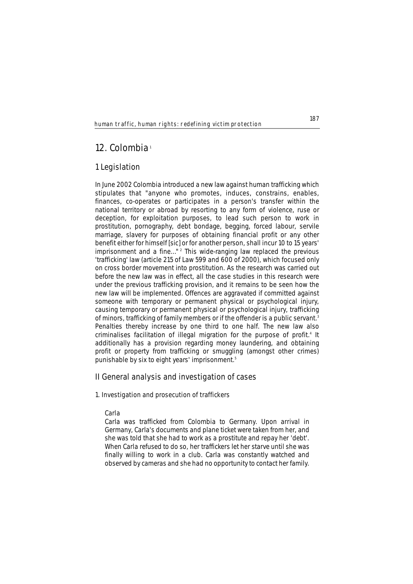# **12. Colombia**<sup>1</sup>

# **1 Legislation**

In June 2002 Colombia introduced a new law against human trafficking which stipulates that "anyone who promotes, induces, constrains, enables, finances, co-operates or participates in a person's transfer within the national territory or abroad by resorting to any form of violence, ruse or deception, for exploitation purposes, to lead such person to work in prostitution, pornography, debt bondage, begging, forced labour, servile marriage, slavery for purposes of obtaining financial profit or any other benefit either for himself [sic] or for another person, shall incur 10 to 15 years' imprisonment and a fine..."<sup>2</sup> This wide-ranging law replaced the previous 'trafficking' law (article 215 of Law 599 and 600 of 2000), which focused only on cross border movement into prostitution. As the research was carried out before the new law was in effect, all the case studies in this research were under the previous trafficking provision, and it remains to be seen how the new law will be implemented. Offences are aggravated if committed against someone with temporary or permanent physical or psychological injury, causing temporary or permanent physical or psychological injury, trafficking of minors, trafficking of family members or if the offender is a public servant.<sup>3</sup> Penalties thereby increase by one third to one half. The new law also criminalises facilitation of illegal migration for the purpose of profit.<sup>4</sup> It additionally has a provision regarding money laundering, and obtaining profit or property from trafficking or smuggling (amongst other crimes) punishable by six to eight years' imprisonment.<sup>5</sup>

# **II General analysis and investigation of cases**

# **1. Investigation and prosecution of traffickers**

# **Carla**

*Carla was trafficked from Colombia to Germany. Upon arrival in Germany, Carla's documents and plane ticket were taken from her, and she was told that she had to work as a prostitute and repay her 'debt'. When Carla refused to do so, her traffickers let her starve until she was finally willing to work in a club. Carla was constantly watched and observed by cameras and she had no opportunity to contact her family.*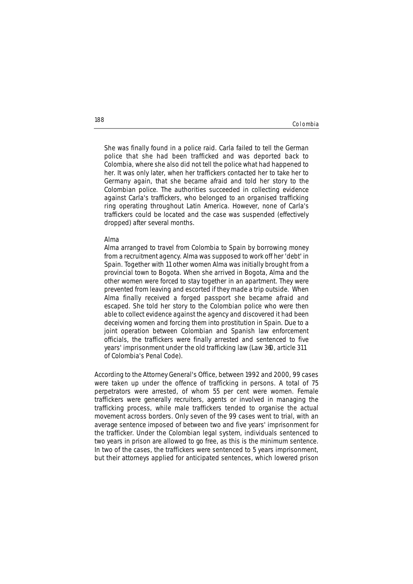Colombia

*She was finally found in a police raid. Carla failed to tell the German police that she had been trafficked and was deported back to Colombia, where she also did not tell the police what had happened to her. It was only later, when her traffickers contacted her to take her to Germany again, that she became afraid and told her story to the Colombian police. The authorities succeeded in collecting evidence against Carla's traffickers, who belonged to an organised trafficking ring operating throughout Latin America. However, none of Carla's traffickers could be located and the case was suspended (effectively dropped) after several months.*

### **Alma**

*Alma arranged to travel from Colombia to Spain by borrowing money from a recruitment agency. Alma was supposed to work off her 'debt' in Spain. Together with 11 other women Alma was initially brought from a provincial town to Bogota. When she arrived in Bogota, Alma and the other women were forced to stay together in an apartment. They were prevented from leaving and escorted if they made a trip outside. When Alma finally received a forged passport she became afraid and escaped. She told her story to the Colombian police who were then able to collect evidence against the agency and discovered it had been deceiving women and forcing them into prostitution in Spain. Due to a joint operation between Colombian and Spanish law enforcement officials, the traffickers were finally arrested and sentenced to five years' imprisonment under the old trafficking law (Law 360, article 311 of Colombia's Penal Code).*

According to the Attorney General's Office, between 1992 and 2000, 99 cases were taken up under the offence of trafficking in persons. A total of 75 perpetrators were arrested, of whom 55 per cent were women. Female traffickers were generally recruiters, agents or involved in managing the trafficking process, while male traffickers tended to organise the actual movement across borders. Only seven of the 99 cases went to trial, with an average sentence imposed of between two and five years' imprisonment for the trafficker. Under the Colombian legal system, individuals sentenced to two years in prison are allowed to go free, as this is the minimum sentence. In two of the cases, the traffickers were sentenced to 5 years imprisonment, but their attorneys applied for anticipated sentences, which lowered prison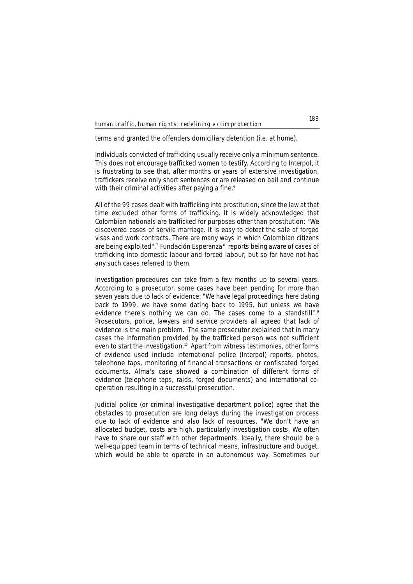terms and granted the offenders domiciliary detention (i.e. at home).

Individuals convicted of trafficking usually receive only a minimum sentence. This does not encourage trafficked women to testify. According to Interpol, it is frustrating to see that, after months or years of extensive investigation, traffickers receive only short sentences or are released on bail and continue with their criminal activities after paying a fine.<sup>6</sup>

All of the 99 cases dealt with trafficking into prostitution, since the law at that time excluded other forms of trafficking. It is widely acknowledged that Colombian nationals are trafficked for purposes other than prostitution: "We discovered cases of servile marriage. It is easy to detect the sale of forged visas and work contracts. There are many ways in which Colombian citizens are being exploited".<sup>7</sup> Fundación Esperanza<sup>8</sup> reports being aware of cases of trafficking into domestic labour and forced labour, but so far have not had any such cases referred to them.

Investigation procedures can take from a few months up to several years. According to a prosecutor, some cases have been pending for more than seven years due to lack of evidence: "We have legal proceedings here dating back to 1999, we have some dating back to 1995, but unless we have evidence there's nothing we can do. The cases come to a standstill".<sup>9</sup> Prosecutors, police, lawyers and service providers all agreed that lack of evidence is the main problem. The same prosecutor explained that in many cases the information provided by the trafficked person was not sufficient even to start the investigation.<sup>10</sup> Apart from witness testimonies, other forms of evidence used include international police (Interpol) reports, photos, telephone taps, monitoring of financial transactions or confiscated forged documents. Alma's case showed a combination of different forms of evidence (telephone taps, raids, forged documents) and international cooperation resulting in a successful prosecution.

Judicial police (or criminal investigative department police) agree that the obstacles to prosecution are long delays during the investigation process due to lack of evidence and also lack of resources, "We don't have an allocated budget, costs are high, particularly investigation costs. We often have to share our staff with other departments. Ideally, there should be a well-equipped team in terms of technical means, infrastructure and budget, which would be able to operate in an autonomous way. Sometimes our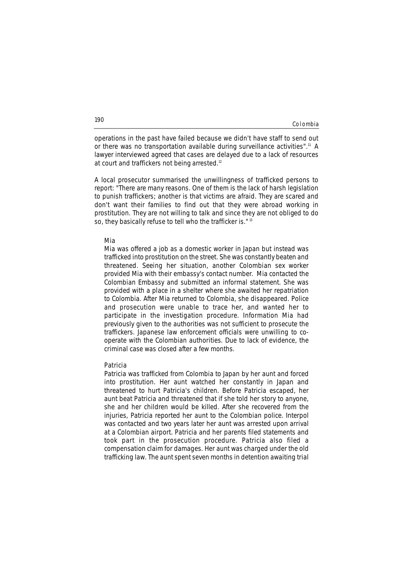Colombia

operations in the past have failed because we didn't have staff to send out or there was no transportation available during surveillance activities".<sup>11</sup> A lawyer interviewed agreed that cases are delayed due to a lack of resources at court and traffickers not being arrested.<sup>12</sup>

A local prosecutor summarised the unwillingness of trafficked persons to report: "There are many reasons. One of them is the lack of harsh legislation to punish traffickers; another is that victims are afraid. They are scared and don't want their families to find out that they were abroad working in prostitution. They are not willing to talk and since they are not obliged to do so, they basically refuse to tell who the trafficker is."<sup>13</sup>

### **Mia**

*Mia was offered a job as a domestic worker in Japan but instead was trafficked into prostitution on the street. She was constantly beaten and threatened. Seeing her situation, another Colombian sex worker provided Mia with their embassy's contact number. Mia contacted the Colombian Embassy and submitted an informal statement. She was provided with a place in a shelter where she awaited her repatriation to Colombia. After Mia returned to Colombia, she disappeared. Police and prosecution were unable to trace her, and wanted her to participate in the investigation procedure. Information Mia had previously given to the authorities was not sufficient to prosecute the traffickers. Japanese law enforcement officials were unwilling to cooperate with the Colombian authorities. Due to lack of evidence, the criminal case was closed after a few months.* 

### **Patricia**

*Patricia was trafficked from Colombia to Japan by her aunt and forced into prostitution. Her aunt watched her constantly in Japan and threatened to hurt Patricia's children. Before Patricia escaped, her aunt beat Patricia and threatened that if she told her story to anyone, she and her children would be killed. After she recovered from the injuries, Patricia reported her aunt to the Colombian police. Interpol was contacted and two years later her aunt was arrested upon arrival at a Colombian airport. Patricia and her parents filed statements and took part in the prosecution procedure. Patricia also filed a compensation claim for damages. Her aunt was charged under the old trafficking law. The aunt spent seven months in detention awaiting trial*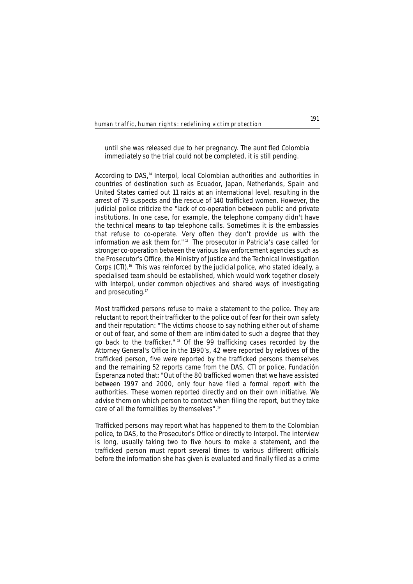# *until she was released due to her pregnancy. The aunt fled Colombia immediately so the trial could not be completed, it is still pending.*

According to DAS.<sup>14</sup> Interpol, local Colombian authorities and authorities in countries of destination such as Ecuador, Japan, Netherlands, Spain and United States carried out 11 raids at an international level, resulting in the arrest of 79 suspects and the rescue of 140 trafficked women. However, the judicial police criticize the "lack of co-operation between public and private institutions. In one case, for example, the telephone company didn't have the technical means to tap telephone calls. Sometimes it is the embassies that refuse to co-operate. Very often they don't provide us with the information we ask them for." <sup>15</sup> The prosecutor in Patricia's case called for stronger co-operation between the various law enforcement agencies such as the Prosecutor's Office, the Ministry of Justice and the Technical Investigation Corps (CTI).<sup>16</sup> This was reinforced by the judicial police, who stated ideally, a specialised team should be established, which would work together closely with Interpol, under common objectives and shared ways of investigating and prosecuting.<sup>17</sup>

Most trafficked persons refuse to make a statement to the police. They are reluctant to report their trafficker to the police out of fear for their own safety and their reputation: "The victims choose to say nothing either out of shame or out of fear, and some of them are intimidated to such a degree that they go back to the trafficker." <sup>18</sup> Of the 99 trafficking cases recorded by the Attorney General's Office in the 1990's, 42 were reported by relatives of the trafficked person, five were reported by the trafficked persons themselves and the remaining 52 reports came from the DAS, CTI or police. Fundación Esperanza noted that: "Out of the 80 trafficked women that we have assisted between 1997 and 2000, only four have filed a formal report with the authorities. These women reported directly and on their own initiative. We advise them on which person to contact when filing the report, but they take care of all the formalities by themselves".<sup>19</sup>

Trafficked persons may report what has happened to them to the Colombian police, to DAS, to the Prosecutor's Office or directly to Interpol. The interview is long, usually taking two to five hours to make a statement, and the trafficked person must report several times to various different officials before the information she has given is evaluated and finally filed as a crime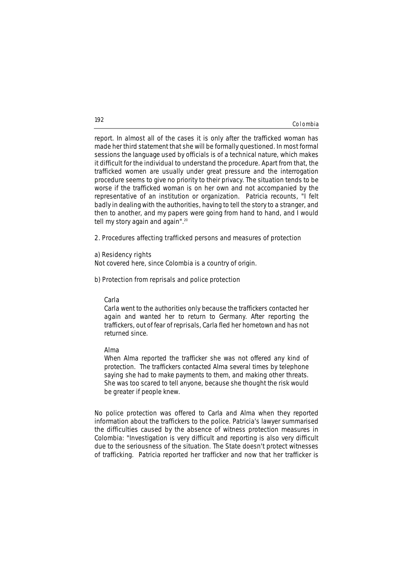### Colombia

report. In almost all of the cases it is only after the trafficked woman has made her third statement that she will be formally questioned. In most formal sessions the language used by officials is of a technical nature, which makes it difficult for the individual to understand the procedure. Apart from that, the trafficked women are usually under great pressure and the interrogation procedure seems to give no priority to their privacy. The situation tends to be worse if the trafficked woman is on her own and not accompanied by the representative of an institution or organization. Patricia recounts, "I felt badly in dealing with the authorities, having to tell the story to a stranger, and then to another, and my papers were going from hand to hand, and I would tell my story again and again".<sup>20</sup>

## **2. Procedures affecting trafficked persons and measures of protection**

## **a) Residency rights**

Not covered here, since Colombia is a country of origin.

### **b) Protection from reprisals and police protection**

## **Carla**

*Carla went to the authorities only because the traffickers contacted her again and wanted her to return to Germany. After reporting the traffickers, out of fear of reprisals, Carla fled her hometown and has not returned since.* 

### **Alma**

*When Alma reported the trafficker she was not offered any kind of protection. The traffickers contacted Alma several times by telephone saying she had to make payments to them, and making other threats. She was too scared to tell anyone, because she thought the risk would be greater if people knew.*

No police protection was offered to Carla and Alma when they reported information about the traffickers to the police. Patricia's lawyer summarised the difficulties caused by the absence of witness protection measures in Colombia: "Investigation is very difficult and reporting is also very difficult due to the seriousness of the situation. The State doesn't protect witnesses of trafficking. Patricia reported her trafficker and now that her trafficker is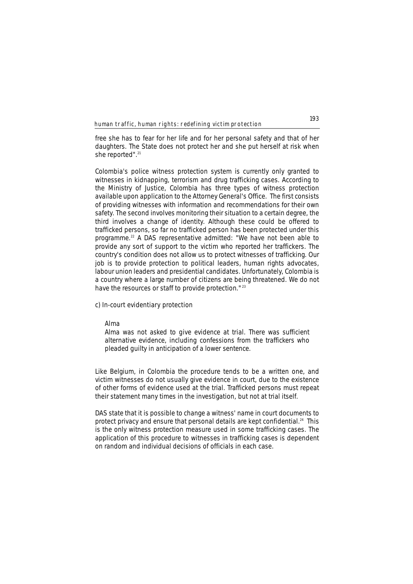free she has to fear for her life and for her personal safety and that of her daughters. The State does not protect her and she put herself at risk when she reported".<sup>21</sup>

Colombia's police witness protection system is currently only granted to witnesses in kidnapping, terrorism and drug trafficking cases. According to the Ministry of Justice, Colombia has three types of witness protection available upon application to the Attorney General's Office. The first consists of providing witnesses with information and recommendations for their own safety. The second involves monitoring their situation to a certain degree, the third involves a change of identity. Although these could be offered to trafficked persons, so far no trafficked person has been protected under this programme.<sup>22</sup> A DAS representative admitted: "We have not been able to provide any sort of support to the victim who reported her traffickers. The country's condition does not allow us to protect witnesses of trafficking. Our job is to provide protection to political leaders, human rights advocates, labour union leaders and presidential candidates. Unfortunately, Colombia is a country where a large number of citizens are being threatened. We do not have the resources or staff to provide protection."<sup>23</sup>

## **c) In-court evidentiary protection**

# **Alma**

*Alma was not asked to give evidence at trial. There was sufficient alternative evidence, including confessions from the traffickers who pleaded guilty in anticipation of a lower sentence.* 

Like Belgium, in Colombia the procedure tends to be a written one, and victim witnesses do not usually give evidence in court, due to the existence of other forms of evidence used at the trial. Trafficked persons must repeat their statement many times in the investigation, but not at trial itself.

DAS state that it is possible to change a witness' name in court documents to protect privacy and ensure that personal details are kept confidential.24 This is the only witness protection measure used in some trafficking cases. The application of this procedure to witnesses in trafficking cases is dependent on random and individual decisions of officials in each case.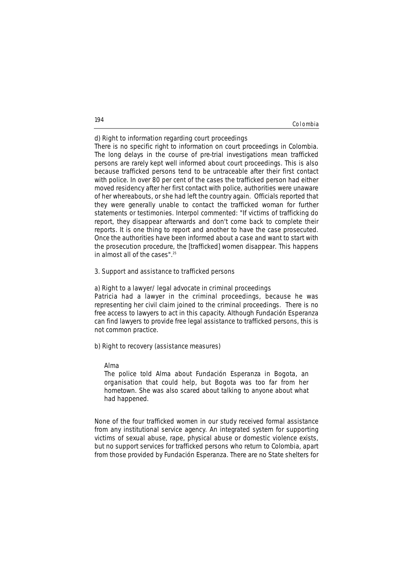### Colombia

### **d) Right to information regarding court proceedings**

There is no specific right to information on court proceedings in Colombia. The long delays in the course of pre-trial investigations mean trafficked persons are rarely kept well informed about court proceedings. This is also because trafficked persons tend to be untraceable after their first contact with police. In over 80 per cent of the cases the trafficked person had either moved residency after her first contact with police, authorities were unaware of her whereabouts, or she had left the country again. Officials reported that they were generally unable to contact the trafficked woman for further statements or testimonies. Interpol commented: "If victims of trafficking do report, they disappear afterwards and don't come back to complete their reports. It is one thing to report and another to have the case prosecuted. Once the authorities have been informed about a case and want to start with the prosecution procedure, the [trafficked] women disappear. This happens in almost all of the cases".25

### **3. Support and assistance to trafficked persons**

### **a) Right to a lawyer/ legal advocate in criminal proceedings**

Patricia had a lawyer in the criminal proceedings, because he was representing her civil claim joined to the criminal proceedings. There is no free access to lawyers to act in this capacity. Although Fundación Esperanza can find lawyers to provide free legal assistance to trafficked persons, this is not common practice.

# **b) Right to recovery (assistance measures)**

### **Alma**

*The police told Alma about Fundación Esperanza in Bogota, an organisation that could help, but Bogota was too far from her hometown. She was also scared about talking to anyone about what had happened.* 

None of the four trafficked women in our study received formal assistance from any institutional service agency. An integrated system for supporting victims of sexual abuse, rape, physical abuse or domestic violence exists, but no support services for trafficked persons who return to Colombia, apart from those provided by Fundación Esperanza. There are no State shelters for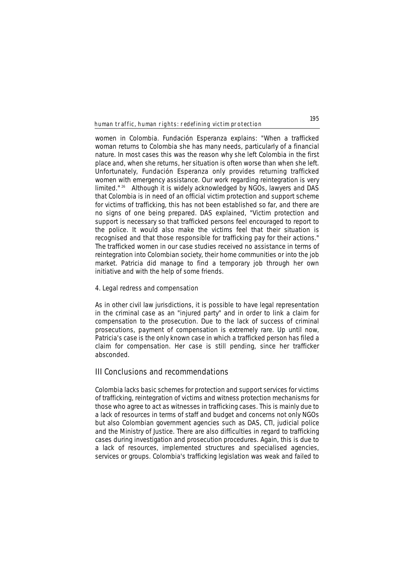women in Colombia. Fundación Esperanza explains: "When a trafficked woman returns to Colombia she has many needs, particularly of a financial nature. In most cases this was the reason why she left Colombia in the first place and, when she returns, her situation is often worse than when she left. Unfortunately, Fundación Esperanza only provides returning trafficked women with emergency assistance. Our work regarding reintegration is very limited." <sup>26</sup> Although it is widely acknowledged by NGOs, lawyers and DAS that Colombia is in need of an official victim protection and support scheme for victims of trafficking, this has not been established so far, and there are no signs of one being prepared. DAS explained, "Victim protection and support is necessary so that trafficked persons feel encouraged to report to the police. It would also make the victims feel that their situation is recognised and that those responsible for trafficking pay for their actions." The trafficked women in our case studies received no assistance in terms of reintegration into Colombian society, their home communities or into the job market. Patricia did manage to find a temporary job through her own initiative and with the help of some friends.

### **4. Legal redress and compensation**

As in other civil law jurisdictions, it is possible to have legal representation in the criminal case as an "injured party" and in order to link a claim for compensation to the prosecution. Due to the lack of success of criminal prosecutions, payment of compensation is extremely rare. Up until now, Patricia's case is the only known case in which a trafficked person has filed a claim for compensation. Her case is still pending, since her trafficker absconded.

# **III Conclusions and recommendations**

Colombia lacks basic schemes for protection and support services for victims of trafficking, reintegration of victims and witness protection mechanisms for those who agree to act as witnesses in trafficking cases. This is mainly due to a lack of resources in terms of staff and budget and concerns not only NGOs but also Colombian government agencies such as DAS, CTI, judicial police and the Ministry of Justice. There are also difficulties in regard to trafficking cases during investigation and prosecution procedures. Again, this is due to a lack of resources, implemented structures and specialised agencies, services or groups. Colombia's trafficking legislation was weak and failed to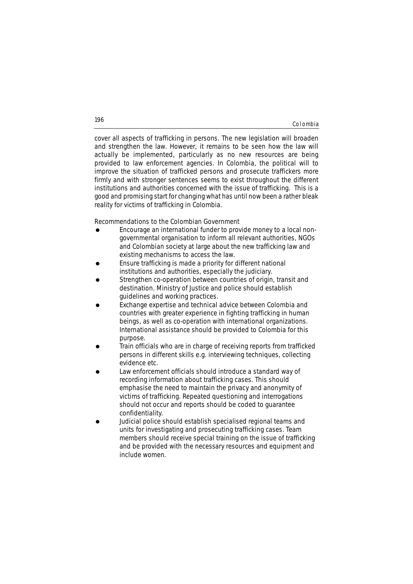### Colombia

cover all aspects of trafficking in persons. The new legislation will broaden and strengthen the law. However, it remains to be seen how the law will actually be implemented, particularly as no new resources are being provided to law enforcement agencies. In Colombia, the political will to improve the situation of trafficked persons and prosecute traffickers more firmly and with stronger sentences seems to exist throughout the different institutions and authorities concerned with the issue of trafficking. This is a good and promising start for changing what has until now been a rather bleak reality for victims of trafficking in Colombia.

## **Recommendations to the Colombian Government**

- Encourage an international funder to provide money to a local nongovernmental organisation to inform all relevant authorities, NGOs and Colombian society at large about the new trafficking law and existing mechanisms to access the law.
- Ensure trafficking is made a priority for different national institutions and authorities, especially the judiciary.
- Strengthen co-operation between countries of origin, transit and destination. Ministry of Justice and police should establish guidelines and working practices.
- Exchange expertise and technical advice between Colombia and countries with greater experience in fighting trafficking in human beings, as well as co-operation with international organizations. International assistance should be provided to Colombia for this purpose.
- ! Train officials who are in charge of receiving reports from trafficked persons in different skills e.g. interviewing techniques, collecting evidence etc.
- Law enforcement officials should introduce a standard way of recording information about trafficking cases. This should emphasise the need to maintain the privacy and anonymity of victims of trafficking. Repeated questioning and interrogations should not occur and reports should be coded to guarantee confidentiality.
- Judicial police should establish specialised regional teams and units for investigating and prosecuting trafficking cases. Team members should receive special training on the issue of trafficking and be provided with the necessary resources and equipment and include women.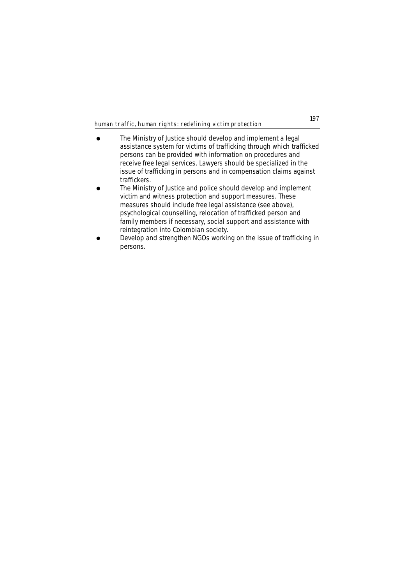- The Ministry of Justice should develop and implement a legal assistance system for victims of trafficking through which trafficked persons can be provided with information on procedures and receive free legal services. Lawyers should be specialized in the issue of trafficking in persons and in compensation claims against traffickers.
- ! The Ministry of Justice and police should develop and implement victim and witness protection and support measures. These measures should include free legal assistance (see above), psychological counselling, relocation of trafficked person and family members if necessary, social support and assistance with reintegration into Colombian society.
- Develop and strengthen NGOs working on the issue of trafficking in persons.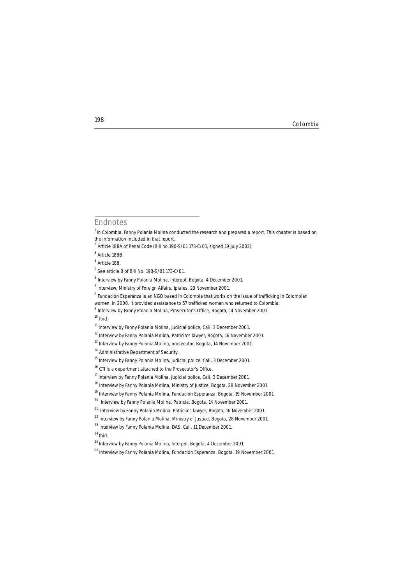**<sup>198</sup>** Colombia

# **Endnotes**

<sup>4</sup> Article 188.

<sup>10</sup> *Ibid.*

<sup>&</sup>lt;sup>1</sup> In Colombia, Fanny Polania Molina conducted the research and prepared a report. This chapter is based on the information included in that report.

<sup>2</sup> Article 188A of Penal Code (Bill no 190-S/01 173-C/01, signed 19 July 2002).

<sup>&</sup>lt;sup>3</sup> Article 188B

<sup>5</sup> See article 8 of Bill No. 190-S/01 173-C/01.

<sup>6</sup> Interview by Fanny Polania Molina, Interpol, Bogota, 4 December 2001.

 $<sup>7</sup>$  Interview, Ministry of Foreign Affairs, Ipiales, 23 November 2001.</sup>

<sup>&</sup>lt;sup>8</sup> Fundación Esperanza is an NGO based in Colombia that works on the issue of trafficking in Colombian

women. In 2000, it provided assistance to 57 trafficked women who returned to Colombia.

<sup>9</sup> Interview by Fanny Polania Molina, Prosecutor's Office, Bogota, 14 November 2001

 $11$  Interview by Fanny Polania Molina, judicial police, Cali, 3 December 2001.

<sup>&</sup>lt;sup>12</sup> Interview by Fanny Polania Molina, Patricia's lawyer, Bogota, 16 November 2001.

<sup>&</sup>lt;sup>13</sup> Interview by Fanny Polania Molina, prosecutor, Bogota, 14 November 2001.

<sup>&</sup>lt;sup>14</sup> Administrative Department of Security.

<sup>15</sup> Interview by Fanny Polania Molina, judicial police, Cali, 3 December 2001.

<sup>16</sup> CTI is a department attached to the Prosecutor's Office.

<sup>17</sup> Interview by Fanny Polania Molina, judicial police, Cali, 3 December 2001.

<sup>&</sup>lt;sup>18</sup> Interview by Fanny Polania Molina, Ministry of Justice, Bogota, 28 November 2001.

<sup>&</sup>lt;sup>19</sup> Interview by Fanny Polania Molina, Fundación Esperanza, Bogota, 19 November 2001.

<sup>&</sup>lt;sup>20</sup> Interview by Fanny Polania Molina, Patricia, Bogota, 14 November 2001.

<sup>21</sup> Interview by Fanny Polania Molina, Patricia's lawyer, Bogota, 16 November 2001.

<sup>&</sup>lt;sup>22</sup> Interview by Fanny Polania Molina, Ministry of Justice, Bogota, 28 November 2001.

<sup>&</sup>lt;sup>23</sup> Interview by Fanny Polania Molina, DAS, Cali, 11 December 2001.

<sup>24</sup>*Ibid.*

<sup>&</sup>lt;sup>25</sup> Interview by Fanny Polania Molina, Interpol, Bogota, 4 December 2001.

<sup>26</sup> Interview by Fanny Polania Molina, Fundación Esperanza, Bogota, 19 November 2001.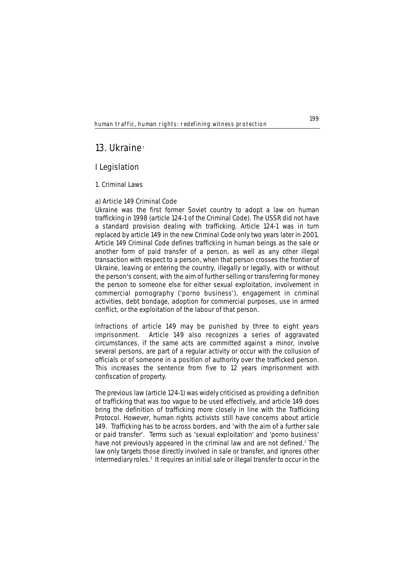# **13. Ukraine**<sup>1</sup>

# **I Legislation**

## **1. Criminal Laws**

# **a) Article 149 Criminal Code**

Ukraine was the first former Soviet country to adopt a law on human trafficking in 1998 (article 124-1 of the Criminal Code). The USSR did not have a standard provision dealing with trafficking. Article 124-1 was in turn replaced by article 149 in the new Criminal Code only two years later in 2001. Article 149 Criminal Code defines trafficking in human beings as the sale or another form of paid transfer of a person, as well as any other illegal transaction with respect to a person, when that person crosses the frontier of Ukraine, leaving or entering the country, illegally or legally, with or without the person's consent, with the aim of further selling or transferring for money the person to someone else for either sexual exploitation, involvement in commercial pornography ('porno business'), engagement in criminal activities, debt bondage, adoption for commercial purposes, use in armed conflict, or the exploitation of the labour of that person.

Infractions of article 149 may be punished by three to eight years imprisonment. Article 149 also recognizes a series of aggravated circumstances, if the same acts are committed against a minor, involve several persons, are part of a regular activity or occur with the collusion of officials or of someone in a position of authority over the trafficked person. This increases the sentence from five to 12 years imprisonment with confiscation of property.

The previous law (article 124-1) was widely criticised as providing a definition of trafficking that was too vague to be used effectively, and article 149 does bring the definition of trafficking more closely in line with the Trafficking Protocol. However, human rights activists still have concerns about article 149. Trafficking has to be across borders, and 'with the aim of a further sale or paid transfer'. Terms such as 'sexual exploitation' and 'porno business' have not previously appeared in the criminal law and are not defined.<sup>2</sup> The law only targets those directly involved in sale or transfer, and ignores other intermediary roles.<sup>3</sup> It requires an initial sale or illegal transfer to occur in the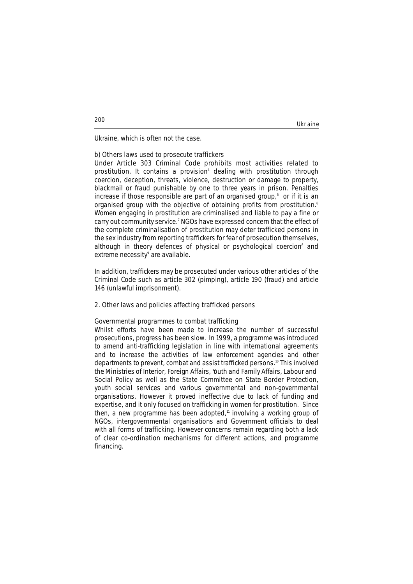Ukraine

Ukraine, which is often not the case.

## **b) Others laws used to prosecute traffickers**

Under Article 303 Criminal Code prohibits most activities related to prostitution. It contains a provision<sup>4</sup> dealing with prostitution through coercion, deception, threats, violence, destruction or damage to property, blackmail or fraud punishable by one to three years in prison. Penalties increase if those responsible are part of an organised group, $5$  or if it is an organised group with the objective of obtaining profits from prostitution.<sup>6</sup> Women engaging in prostitution are criminalised and liable to pay a fine or carry out community service.<sup>7</sup> NGOs have expressed concern that the effect of the complete criminalisation of prostitution may deter trafficked persons in the sex industry from reporting traffickers for fear of prosecution themselves, although in theory defences of physical or psychological coercion<sup>8</sup> and extreme necessity<sup>9</sup> are available.

In addition, traffickers may be prosecuted under various other articles of the Criminal Code such as article 302 (pimping), article 190 (fraud) and article 146 (unlawful imprisonment).

## **2. Other laws and policies affecting trafficked persons**

### **Governmental programmes to combat trafficking**

Whilst efforts have been made to increase the number of successful prosecutions, progress has been slow. In 1999, a programme was introduced to amend anti-trafficking legislation in line with international agreements and to increase the activities of law enforcement agencies and other departments to prevent, combat and assist trafficked persons.10 This involved the Ministries of Interior, Foreign Affairs, Youth and Family Affairs, Labour and Social Policy as well as the State Committee on State Border Protection, youth social services and various governmental and non-governmental organisations. However it proved ineffective due to lack of funding and expertise, and it only focused on trafficking in women for prostitution. Since then, a new programme has been adopted,<sup>11</sup> involving a working group of NGOs, intergovernmental organisations and Government officials to deal with all forms of trafficking. However concerns remain regarding both a lack of clear co-ordination mechanisms for different actions, and programme financing.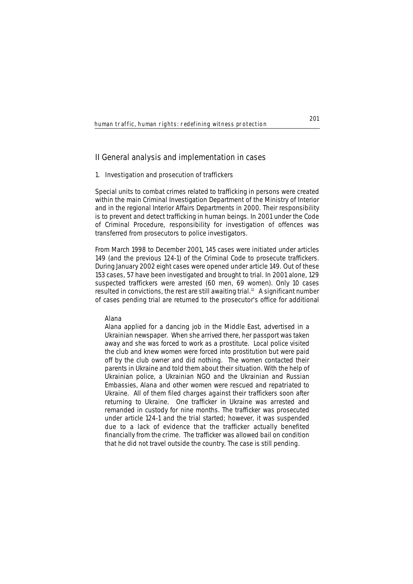# **II General analysis and implementation in cases**

### **1. Investigation and prosecution of traffickers**

Special units to combat crimes related to trafficking in persons were created within the main Criminal Investigation Department of the Ministry of Interior and in the regional Interior Affairs Departments in 2000. Their responsibility is to prevent and detect trafficking in human beings. In 2001 under the Code of Criminal Procedure, responsibility for investigation of offences was transferred from prosecutors to police investigators.

From March 1998 to December 2001, 145 cases were initiated under articles 149 (and the previous 124-1) of the Criminal Code to prosecute traffickers. During January 2002 eight cases were opened under article 149. Out of these 153 cases, 57 have been investigated and brought to trial. In 2001 alone, 129 suspected traffickers were arrested (60 men, 69 women). Only 10 cases resulted in convictions, the rest are still awaiting trial.<sup>12</sup> A significant number of cases pending trial are returned to the prosecutor's office for additional

### **Alana**

*Alana applied for a dancing job in the Middle East, advertised in a Ukrainian newspaper. When she arrived there, her passport was taken away and she was forced to work as a prostitute. Local police visited the club and knew women were forced into prostitution but were paid off by the club owner and did nothing. The women contacted their parents in Ukraine and told them about their situation. With the help of Ukrainian police, a Ukrainian NGO and the Ukrainian and Russian Embassies, Alana and other women were rescued and repatriated to Ukraine. All of them filed charges against their traffickers soon after returning to Ukraine. One trafficker in Ukraine was arrested and remanded in custody for nine months. The trafficker was prosecuted under article 124-1 and the trial started; however, it was suspended due to a lack of evidence that the trafficker actually benefited financially from the crime. The trafficker was allowed bail on condition that he did not travel outside the country. The case is still pending.*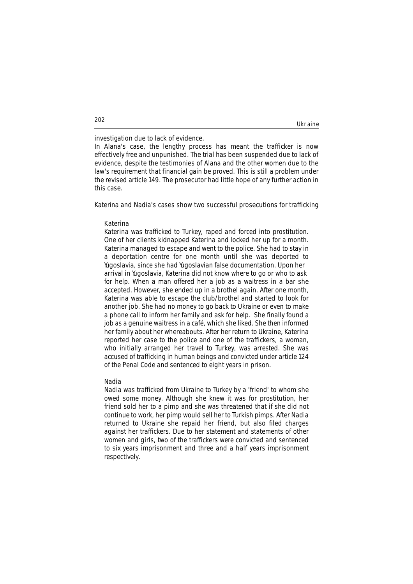### Ukraine

investigation due to lack of evidence.

In Alana's case, the lengthy process has meant the trafficker is now effectively free and unpunished. The trial has been suspended due to lack of evidence, despite the testimonies of Alana and the other women due to the law's requirement that financial gain be proved. This is still a problem under the revised article 149. The prosecutor had little hope of any further action in this case.

Katerina and Nadia's cases show two successful prosecutions for trafficking

### **Katerina**

*Katerina was trafficked to Turkey, raped and forced into prostitution. One of her clients kidnapped Katerina and locked her up for a month. Katerina managed to escape and went to the police. She had to stay in a deportation centre for one month until she was deported to Yugoslavia, since she had Yugoslavian false documentation. Upon her arrival in Yugoslavia, Katerina did not know where to go or who to ask for help. When a man offered her a job as a waitress in a bar she accepted. However, she ended up in a brothel again. After one month, Katerina was able to escape the club/brothel and started to look for another job. She had no money to go back to Ukraine or even to make a phone call to inform her family and ask for help. She finally found a job as a genuine waitress in a café, which she liked. She then informed her family about her whereabouts. After her return to Ukraine, Katerina reported her case to the police and one of the traffickers, a woman, who initially arranged her travel to Turkey, was arrested. She was accused of trafficking in human beings and convicted under article 124 of the Penal Code and sentenced to eight years in prison.* 

### **Nadia**

*Nadia was trafficked from Ukraine to Turkey by a 'friend' to whom she owed some money. Although she knew it was for prostitution, her friend sold her to a pimp and she was threatened that if she did not continue to work, her pimp would sell her to Turkish pimps. After Nadia returned to Ukraine she repaid her friend, but also filed charges against her traffickers. Due to her statement and statements of other women and girls, two of the traffickers were convicted and sentenced to six years imprisonment and three and a half years imprisonment respectively.*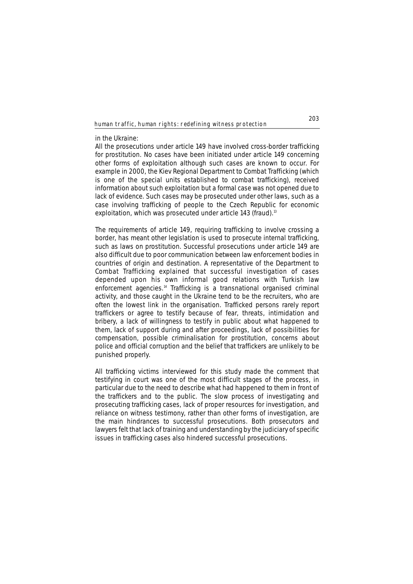### in the Ukraine:

All the prosecutions under article 149 have involved cross-border trafficking for prostitution. No cases have been initiated under article 149 concerning other forms of exploitation although such cases are known to occur. For example in 2000, the Kiev Regional Department to Combat Trafficking (which is one of the special units established to combat trafficking), received information about such exploitation but a formal case was not opened due to lack of evidence. Such cases may be prosecuted under other laws, such as a case involving trafficking of people to the Czech Republic for economic exploitation, which was prosecuted under article 143 (fraud).<sup>13</sup>

The requirements of article 149, requiring trafficking to involve crossing a border, has meant other legislation is used to prosecute internal trafficking, such as laws on prostitution. Successful prosecutions under article 149 are also difficult due to poor communication between law enforcement bodies in countries of origin and destination. A representative of the Department to Combat Trafficking explained that successful investigation of cases depended upon his own informal good relations with Turkish law enforcement agencies.14 Trafficking is a transnational organised criminal activity, and those caught in the Ukraine tend to be the recruiters, who are often the lowest link in the organisation. Trafficked persons rarely report traffickers or agree to testify because of fear, threats, intimidation and bribery, a lack of willingness to testify in public about what happened to them, lack of support during and after proceedings, lack of possibilities for compensation, possible criminalisation for prostitution, concerns about police and official corruption and the belief that traffickers are unlikely to be punished properly.

All trafficking victims interviewed for this study made the comment that testifying in court was one of the most difficult stages of the process, in particular due to the need to describe what had happened to them in front of the traffickers and to the public. The slow process of investigating and prosecuting trafficking cases, lack of proper resources for investigation, and reliance on witness testimony, rather than other forms of investigation, are the main hindrances to successful prosecutions. Both prosecutors and lawyers felt that lack of training and understanding by the judiciary of specific issues in trafficking cases also hindered successful prosecutions.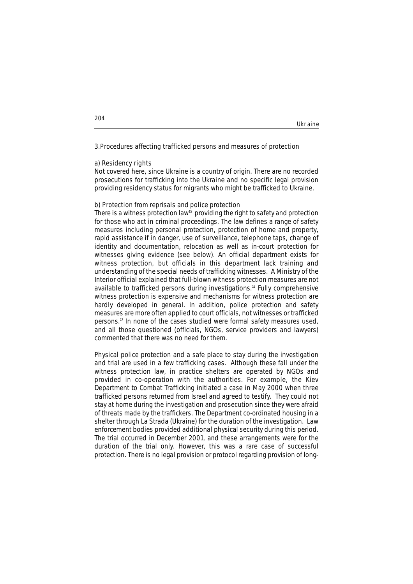### Ukraine

### **3.Procedures affecting trafficked persons and measures of protection**

### **a) Residency rights**

Not covered here, since Ukraine is a country of origin. There are no recorded prosecutions for trafficking into the Ukraine and no specific legal provision providing residency status for migrants who might be trafficked to Ukraine.

### **b) Protection from reprisals and police protection**

There is a witness protection law<sup>15</sup> providing the right to safety and protection for those who act in criminal proceedings. The law defines a range of safety measures including personal protection, protection of home and property, rapid assistance if in danger, use of surveillance, telephone taps, change of identity and documentation, relocation as well as in-court protection for witnesses giving evidence (see below). An official department exists for witness protection, but officials in this department lack training and understanding of the special needs of trafficking witnesses. A Ministry of the Interior official explained that full-blown witness protection measures are not available to trafficked persons during investigations.<sup>16</sup> Fully comprehensive witness protection is expensive and mechanisms for witness protection are hardly developed in general. In addition, police protection and safety measures are more often applied to court officials, not witnesses or trafficked persons.<sup>17</sup> In none of the cases studied were formal safety measures used, and all those questioned (officials, NGOs, service providers and lawyers) commented that there was no need for them.

Physical police protection and a safe place to stay during the investigation and trial are used in a few trafficking cases. Although these fall under the witness protection law, in practice shelters are operated by NGOs and provided in co-operation with the authorities. For example, the Kiev Department to Combat Trafficking initiated a case in May 2000 when three trafficked persons returned from Israel and agreed to testify. They could not stay at home during the investigation and prosecution since they were afraid of threats made by the traffickers. The Department co-ordinated housing in a shelter through La Strada (Ukraine) for the duration of the investigation. Law enforcement bodies provided additional physical security during this period. The trial occurred in December 2001, and these arrangements were for the duration of the trial only. However, this was a rare case of successful protection. There is no legal provision or protocol regarding provision of long-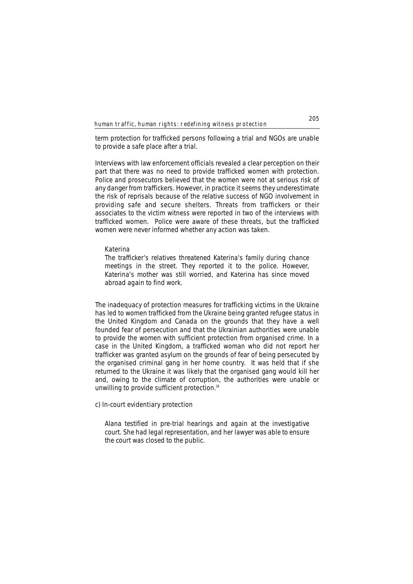term protection for trafficked persons following a trial and NGOs are unable to provide a safe place after a trial.

Interviews with law enforcement officials revealed a clear perception on their part that there was no need to provide trafficked women with protection. Police and prosecutors believed that the women were not at serious risk of any danger from traffickers. However, in practice it seems they underestimate the risk of reprisals because of the relative success of NGO involvement in providing safe and secure shelters. Threats from traffickers or their associates to the victim witness were reported in two of the interviews with trafficked women. Police were aware of these threats, but the trafficked women were never informed whether any action was taken.

### **Katerina**

*The trafficker's relatives threatened Katerina's family during chance meetings in the street. They reported it to the police. However, Katerina's mother was still worried, and Katerina has since moved abroad again to find work.*

The inadequacy of protection measures for trafficking victims in the Ukraine has led to women trafficked from the Ukraine being granted refugee status in the United Kingdom and Canada on the grounds that they have a well founded fear of persecution and that the Ukrainian authorities were unable to provide the women with sufficient protection from organised crime. In a case in the United Kingdom, a trafficked woman who did not report her trafficker was granted asylum on the grounds of fear of being persecuted by the organised criminal gang in her home country. It was held that if she returned to the Ukraine it was likely that the organised gang would kill her and, owing to the climate of corruption, the authorities were unable or unwilling to provide sufficient protection.<sup>18</sup>

# **c) In-court evidentiary protection**

*Alana testified in pre-trial hearings and again at the investigative court. She had legal representation, and her lawyer was able to ensure the court was closed to the public.*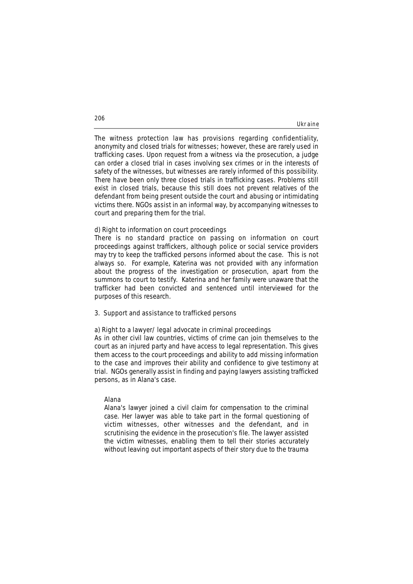The witness protection law has provisions regarding confidentiality, anonymity and closed trials for witnesses; however, these are rarely used in trafficking cases. Upon request from a witness via the prosecution, a judge can order a closed trial in cases involving sex crimes or in the interests of safety of the witnesses, but witnesses are rarely informed of this possibility. There have been only three closed trials in trafficking cases. Problems still exist in closed trials, because this still does not prevent relatives of the defendant from being present outside the court and abusing or intimidating victims there. NGOs assist in an informal way, by accompanying witnesses to court and preparing them for the trial.

## **d) Right to information on court proceedings**

There is no standard practice on passing on information on court proceedings against traffickers, although police or social service providers may try to keep the trafficked persons informed about the case. This is not always so. For example, Katerina was not provided with any information about the progress of the investigation or prosecution, apart from the summons to court to testify. Katerina and her family were unaware that the trafficker had been convicted and sentenced until interviewed for the purposes of this research.

### **3. Support and assistance to trafficked persons**

# **a) Right to a lawyer/ legal advocate in criminal proceedings**

As in other civil law countries, victims of crime can join themselves to the court as an injured party and have access to legal representation. This gives them access to the court proceedings and ability to add missing information to the case and improves their ability and confidence to give testimony at trial. NGOs generally assist in finding and paying lawyers assisting trafficked persons, as in Alana's case.

## **Alana**

*Alana's lawyer joined a civil claim for compensation to the criminal case. Her lawyer was able to take part in the formal questioning of victim witnesses, other witnesses and the defendant, and in scrutinising the evidence in the prosecution's file. The lawyer assisted the victim witnesses, enabling them to tell their stories accurately without leaving out important aspects of their story due to the trauma*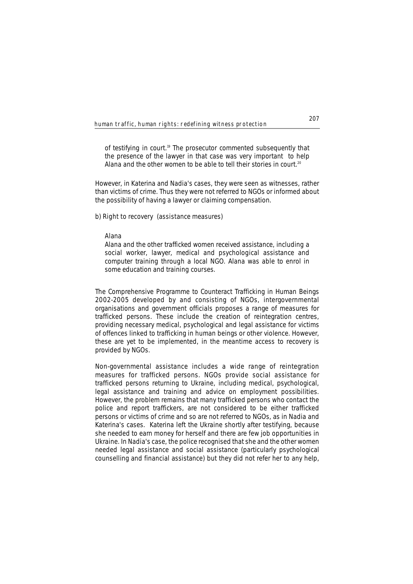*of testifying in court.19 The prosecutor commented subsequently that the presence of the lawyer in that case was very important to help Alana and the other women to be able to tell their stories in court.20* 

However, in Katerina and Nadia's cases, they were seen as witnesses, rather than victims of crime. Thus they were not referred to NGOs or informed about the possibility of having a lawyer or claiming compensation.

# **b) Right to recovery (assistance measures)**

### **Alana**

*Alana and the other trafficked women received assistance, including a social worker, lawyer, medical and psychological assistance and computer training through a local NGO. Alana was able to enrol in some education and training courses.* 

The Comprehensive Programme to Counteract Trafficking in Human Beings 2002-2005 developed by and consisting of NGOs, intergovernmental organisations and government officials proposes a range of measures for trafficked persons. These include the creation of reintegration centres, providing necessary medical, psychological and legal assistance for victims of offences linked to trafficking in human beings or other violence. However, these are yet to be implemented, in the meantime access to recovery is provided by NGOs.

Non-governmental assistance includes a wide range of reintegration measures for trafficked persons. NGOs provide social assistance for trafficked persons returning to Ukraine, including medical, psychological, legal assistance and training and advice on employment possibilities. However, the problem remains that many trafficked persons who contact the police and report traffickers, are not considered to be either trafficked persons or victims of crime and so are not referred to NGOs, as in Nadia and Katerina's cases. Katerina left the Ukraine shortly after testifying, because she needed to earn money for herself and there are few job opportunities in Ukraine. In Nadia's case, the police recognised that she and the other women needed legal assistance and social assistance (particularly psychological counselling and financial assistance) but they did not refer her to any help,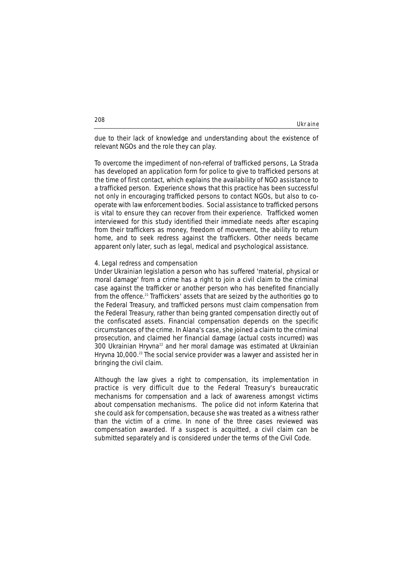Ukraine

due to their lack of knowledge and understanding about the existence of relevant NGOs and the role they can play.

To overcome the impediment of non-referral of trafficked persons, La Strada has developed an application form for police to give to trafficked persons at the time of first contact, which explains the availability of NGO assistance to a trafficked person. Experience shows that this practice has been successful not only in encouraging trafficked persons to contact NGOs, but also to cooperate with law enforcement bodies. Social assistance to trafficked persons is vital to ensure they can recover from their experience. Trafficked women interviewed for this study identified their immediate needs after escaping from their traffickers as money, freedom of movement, the ability to return home, and to seek redress against the traffickers. Other needs became apparent only later, such as legal, medical and psychological assistance.

### **4. Legal redress and compensation**

Under Ukrainian legislation a person who has suffered 'material, physical or moral damage' from a crime has a right to join a civil claim to the criminal case against the trafficker or another person who has benefited financially from the offence.**<sup>21</sup>** Traffickers' assets that are seized by the authorities go to the Federal Treasury, and trafficked persons must claim compensation from the Federal Treasury, rather than being granted compensation directly out of the confiscated assets. Financial compensation depends on the specific circumstances of the crime. In Alana's case, she joined a claim to the criminal prosecution, and claimed her financial damage (actual costs incurred) was 300 Ukrainian Hryvna<sup>22</sup> and her moral damage was estimated at Ukrainian Hryvna 10,000.<sup>23</sup> The social service provider was a lawyer and assisted her in bringing the civil claim.

Although the law gives a right to compensation, its implementation in practice is very difficult due to the Federal Treasury's bureaucratic mechanisms for compensation and a lack of awareness amongst victims about compensation mechanisms. The police did not inform Katerina that she could ask for compensation, because she was treated as a witness rather than the victim of a crime. In none of the three cases reviewed was compensation awarded. If a suspect is acquitted, a civil claim can be submitted separately and is considered under the terms of the Civil Code.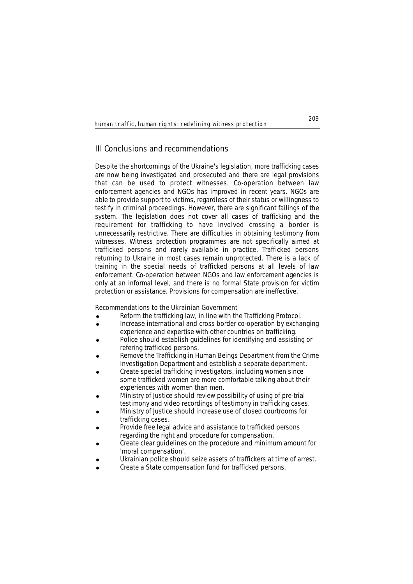# **III Conclusions and recommendations**

Despite the shortcomings of the Ukraine's legislation, more trafficking cases are now being investigated and prosecuted and there are legal provisions that can be used to protect witnesses. Co-operation between law enforcement agencies and NGOs has improved in recent years. NGOs are able to provide support to victims, regardless of their status or willingness to testify in criminal proceedings. However, there are significant failings of the system. The legislation does not cover all cases of trafficking and the requirement for trafficking to have involved crossing a border is unnecessarily restrictive. There are difficulties in obtaining testimony from witnesses. Witness protection programmes are not specifically aimed at trafficked persons and rarely available in practice. Trafficked persons returning to Ukraine in most cases remain unprotected. There is a lack of training in the special needs of trafficked persons at all levels of law enforcement. Co-operation between NGOs and law enforcement agencies is only at an informal level, and there is no formal State provision for victim protection or assistance. Provisions for compensation are ineffective.

### **Recommendations to the Ukrainian Government**

- Reform the trafficking law, in line with the Trafficking Protocol.
- ! Increase international and cross border co-operation by exchanging experience and expertise with other countries on trafficking.
- Police should establish guidelines for identifying and assisting or refering trafficked persons.
- Remove the Trafficking in Human Beings Department from the Crime Investigation Department and establish a separate department.
- ! Create special trafficking investigators, including women since some trafficked women are more comfortable talking about their experiences with women than men.
- ! Ministry of Justice should review possibility of using of pre-trial testimony and video recordings of testimony in trafficking cases.
- ! Ministry of Justice should increase use of closed courtrooms for trafficking cases.
- ! Provide free legal advice and assistance to trafficked persons regarding the right and procedure for compensation.
- ! Create clear guidelines on the procedure and minimum amount for 'moral compensation'.
- Ukrainian police should seize assets of traffickers at time of arrest.
- ! Create a State compensation fund for trafficked persons.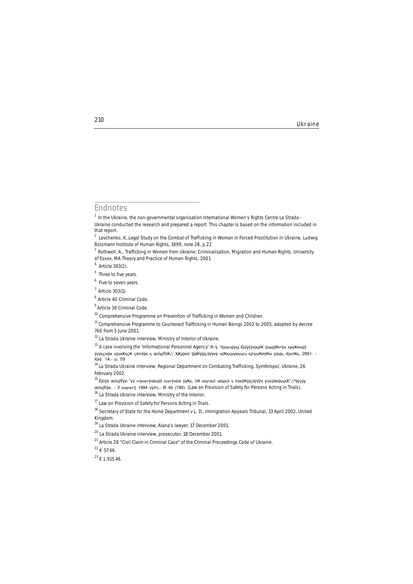**<sup>210</sup>** Ukraine

# **Endnotes**

 $1$  In the Ukraine, the non-governmental organisation International Women's Rights Centre La Strada -Ukraine conducted the research and prepared a report. This chapter is based on the information included in that report.

<sup>2</sup> Levchenko, K.,Legal Study on the Combat of Trafficking in Woman in Forced Prostitution in Ukraine, Ludwig Bolzmann Institute of Human Rights, 1999, note 28, p.22

<sup>3</sup> Rothwell, A., *Trafficking in Women from Ukraine: Criminalisation, Migration and Human Rights*, University of Essex, MA Theory and Practice of Human Rights, 2001.

Article  $303(2)$ .

<sup>&</sup>lt;sup>5</sup> Three to five years.

<sup>&</sup>lt;sup>6</sup> Five to seven years.

 $<sup>7</sup>$  Article 303(1).</sup>

<sup>&</sup>lt;sup>8</sup> Article 40 Criminal Code.

<sup>&</sup>lt;sup>9</sup> Article 39 Criminal Code.

<sup>&</sup>lt;sup>10</sup> Comprehensive Programme on Prevention of Trafficking in Women and Children.

<sup>&</sup>lt;sup>11</sup> Comprehensive Programme to Counteract Trafficking in Human Beings 2002 to 2005, adopted by decree 766 from 5 June 2001.

<sup>&</sup>lt;sup>12</sup> La Strada Ukraine interview, Ministry of Interior of Ukraine.

<sup>13</sup> A case involving the 'Informational Personnel Agency'.я́.ч. Чуукчуўкј Е́јӧўўўкіке́К ўны́јўКнўѳ кѳуҜи́нуў у́уўқснўе хўукҜқсҜ ся́кэ́ўе қ ӕöүјӰӯҜ// ҲҜұӯәӧ ӯја́Ҝӱӯјсэ́ӯӱҝӱ ҷӯҜқӊүұѳҳӊҳҷ қӯчҳүҜи́ӯҜӹ ұу҆ујқ.-ӗјүӧҜқ, 2001. -Âèï. 14.- p. 59

<sup>&</sup>lt;sup>14</sup> La Strada Ukraine interview, Regional Department on Combating Trafficking, Symferopol, Ukraine, 26 February 2002.

 $^{15}$  Éjöÿỹ æöүјЎӯѳ "үÿ ҥјқңҥу҅ӊе҆ӊӯӯ қңҥу҅ӊӧѳ ӱұҜқ,´ӧҜ қңүчхэ́ ҷӫјұхэ́ ҷ öүѳўҜӯјçэ́ӯӱӱҷ ұчкӱе́ѳӯұхқҜ"//Ҷӱҫӱұ æöyjÝye. - 2 қңүңну 1994 үуоч.- Ӫ 40 (790). (Law on Provision of Safety for Persons Acting in Trials).

<sup>&</sup>lt;sup>16</sup> La Strada Ukraine interview, Ministry of the Interior.

<sup>&</sup>lt;sup>17</sup> Law on Provision of Safety for Persons Acting in Trials.

<sup>&</sup>lt;sup>18</sup> Secretary of State for the Home Department v L. D., Immigration Appeals Tribunal, 13 April 2002, United Kingdom.

<sup>19</sup> La Strada Ukraine interview, Alana's lawyer, 17 December 2001.

<sup>20</sup> La Strada Ukraine interview, prosecutor, 18 December 2001.

<sup>&</sup>lt;sup>21</sup> Article 28 "Civil Claim in Criminal Case" of the Criminal Proceedings Code of Ukraine.

 $^{22}$   $\epsilon$  57.46.

 $^{23}$   $\pounds$  1,915.46.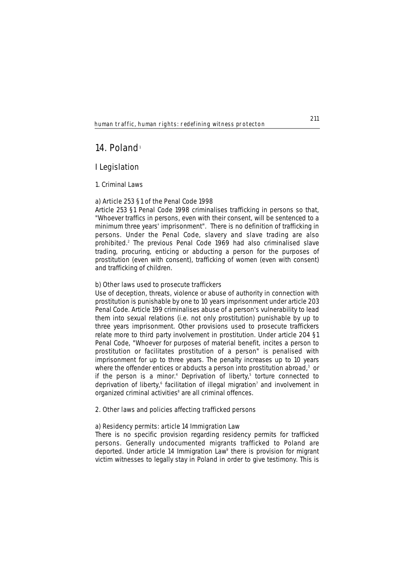# **14. Poland**<sup>1</sup>

# **I Legislation**

## **1. Criminal Laws**

# **a) Article 253 §1 of the Penal Code 1998**

Article 253 §1 Penal Code 1998 criminalises trafficking in persons so that, "Whoever traffics in persons, even with their consent, will be sentenced to a minimum three years' imprisonment". There is no definition of trafficking in persons. Under the Penal Code, slavery and slave trading are also prohibited.2 The previous Penal Code 1969 had also criminalised slave trading, procuring, enticing or abducting a person for the purposes of prostitution (even with consent), trafficking of women (even with consent) and trafficking of children.

# **b) Other laws used to prosecute traffickers**

Use of deception, threats, violence or abuse of authority in connection with prostitution is punishable by one to 10 years imprisonment under article 203 Penal Code. Article 199 criminalises abuse of a person's vulnerability to lead them into sexual relations (i.e. not only prostitution) punishable by up to three years imprisonment. Other provisions used to prosecute traffickers relate more to third party involvement in prostitution. Under article 204 §1 Penal Code, "Whoever for purposes of material benefit, incites a person to prostitution or facilitates prostitution of a person" is penalised with imprisonment for up to three years. The penalty increases up to 10 years where the offender entices or abducts a person into prostitution abroad,<sup>3</sup> or if the person is a minor.<sup>4</sup> Deprivation of liberty,<sup>5</sup> torture connected to deprivation of liberty,<sup>6</sup> facilitation of illegal migration<sup>7</sup> and involvement in organized criminal activities<sup>8</sup> are all criminal offences.

# **2. Other laws and policies affecting trafficked persons**

### **a) Residency permits: article 14 Immigration Law**

There is no specific provision regarding residency permits for trafficked persons. Generally undocumented migrants trafficked to Poland are deported. Under article 14 Immigration Law<sup>9</sup> there is provision for migrant victim witnesses to legally stay in Poland in order to give testimony. This is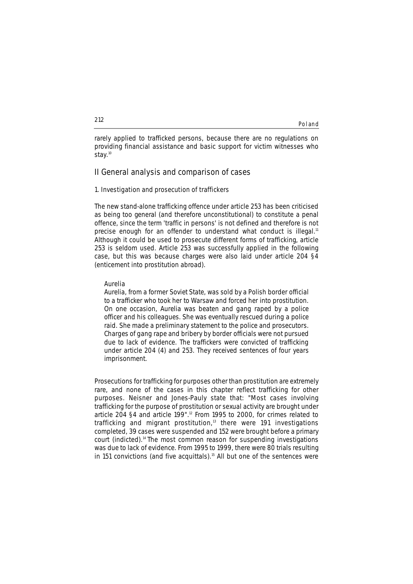rarely applied to trafficked persons, because there are no regulations on providing financial assistance and basic support for victim witnesses who stay.<sup>10</sup>

# **II General analysis and comparison of cases**

### **1. Investigation and prosecution of traffickers**

The new stand-alone trafficking offence under article 253 has been criticised as being too general (and therefore unconstitutional) to constitute a penal offence, since the term 'traffic in persons' is not defined and therefore is not precise enough for an offender to understand what conduct is illegal.<sup>11</sup> Although it could be used to prosecute different forms of trafficking, article 253 is seldom used. Article 253 was successfully applied in the following case, but this was because charges were also laid under article 204 §4 (enticement into prostitution abroad).

### **Aurelia**

*Aurelia, from a former Soviet State, was sold by a Polish border official to a trafficker who took her to Warsaw and forced her into prostitution. On one occasion, Aurelia was beaten and gang raped by a police officer and his colleagues. She was eventually rescued during a police raid. She made a preliminary statement to the police and prosecutors. Charges of gang rape and bribery by border officials were not pursued due to lack of evidence. The traffickers were convicted of trafficking under article 204 (4) and 253. They received sentences of four years imprisonment.*

Prosecutions for trafficking for purposes other than prostitution are extremely rare, and none of the cases in this chapter reflect trafficking for other purposes. Neisner and Jones-Pauly state that: "Most cases involving trafficking for the purpose of prostitution or sexual activity are brought under article 204 §4 and article 199".12 From 1995 to 2000, for crimes related to trafficking and migrant prostitution,<sup>13</sup> there were 191 investigations completed, 39 cases were suspended and 152 were brought before a primary court (indicted).14 The most common reason for suspending investigations was due to lack of evidence. From 1995 to 1999, there were 80 trials resulting in 151 convictions (and five acquittals).<sup>15</sup> All but one of the sentences were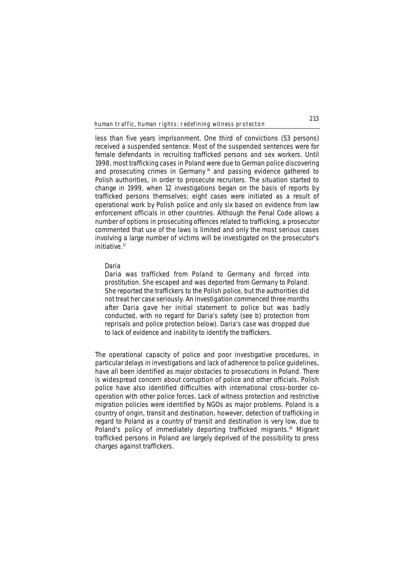less than five years imprisonment. One third of convictions (53 persons) received a suspended sentence. Most of the suspended sentences were for female defendants in recruiting trafficked persons and sex workers. Until 1998, most trafficking cases in Poland were due to German police discovering and prosecuting crimes in Germany<sup>16</sup> and passing evidence gathered to Polish authorities, in order to prosecute recruiters. The situation started to change in 1999, when 12 investigations began on the basis of reports by trafficked persons themselves; eight cases were initiated as a result of operational work by Polish police and only six based on evidence from law enforcement officials in other countries. Although the Penal Code allows a number of options in prosecuting offences related to trafficking, a prosecutor commented that use of the laws is limited and only the most serious cases involving a large number of victims will be investigated on the prosecutor's initiative.<sup>17</sup>

#### **Daria**

*Daria was trafficked from Poland to Germany and forced into prostitution. She escaped and was deported from Germany to Poland. She reported the traffickers to the Polish police, but the authorities did not treat her case seriously. An investigation commenced three months after Daria gave her initial statement to police but was badly conducted, with no regard for Daria's safety (see b) protection from reprisals and police protection below). Daria's case was dropped due to lack of evidence and inability to identify the traffickers.*

The operational capacity of police and poor investigative procedures, in particular delays in investigations and lack of adherence to police guidelines, have all been identified as major obstacles to prosecutions in Poland. There is widespread concern about corruption of police and other officials. Polish police have also identified difficulties with international cross-border cooperation with other police forces. Lack of witness protection and restrictive migration policies were identified by NGOs as major problems. Poland is a country of origin, transit and destination, however, detection of trafficking in regard to Poland as a country of transit and destination is very low, due to Poland's policy of immediately deporting trafficked migrants.<sup>18</sup> Migrant trafficked persons in Poland are largely deprived of the possibility to press charges against traffickers.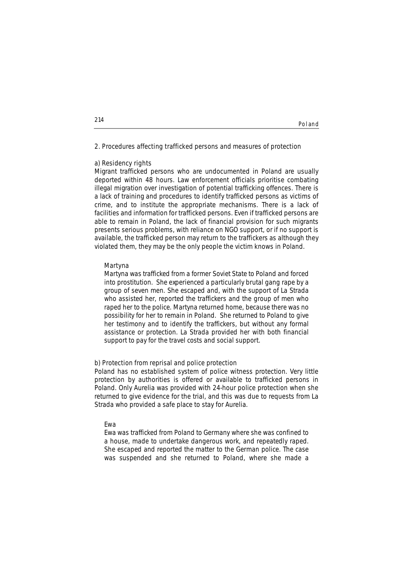#### **2. Procedures affecting trafficked persons and measures of protection**

#### **a) Residency rights**

Migrant trafficked persons who are undocumented in Poland are usually deported within 48 hours. Law enforcement officials prioritise combating illegal migration over investigation of potential trafficking offences. There is a lack of training and procedures to identify trafficked persons as victims of crime, and to institute the appropriate mechanisms. There is a lack of facilities and information for trafficked persons. Even if trafficked persons are able to remain in Poland, the lack of financial provision for such migrants presents serious problems, with reliance on NGO support, or if no support is available, the trafficked person may return to the traffickers as although they violated them, they may be the only people the victim knows in Poland.

#### **Martyna**

*Martyna was trafficked from a former Soviet State to Poland and forced into prostitution. She experienced a particularly brutal gang rape by a group of seven men. She escaped and, with the support of La Strada who assisted her, reported the traffickers and the group of men who raped her to the police. Martyna returned home, because there was no possibility for her to remain in Poland. She returned to Poland to give her testimony and to identify the traffickers, but without any formal assistance or protection. La Strada provided her with both financial support to pay for the travel costs and social support.* 

#### **b) Protection from reprisal and police protection**

Poland has no established system of police witness protection. Very little protection by authorities is offered or available to trafficked persons in Poland. Only Aurelia was provided with 24-hour police protection when she returned to give evidence for the trial, and this was due to requests from La Strada who provided a safe place to stay for Aurelia.

#### **Ewa**

*Ewa was trafficked from Poland to Germany where she was confined to a house, made to undertake dangerous work, and repeatedly raped. She escaped and reported the matter to the German police. The case was suspended and she returned to Poland, where she made a*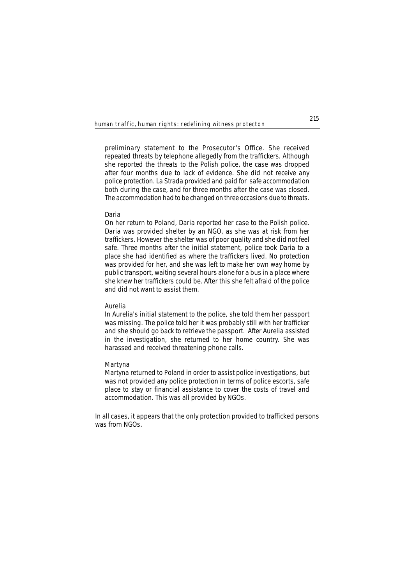*preliminary statement to the Prosecutor's Office. She received repeated threats by telephone allegedly from the traffickers. Although she reported the threats to the Polish police, the case was dropped after four months due to lack of evidence. She did not receive any police protection. La Strada provided and paid for safe accommodation both during the case, and for three months after the case was closed. The accommodation had to be changed on three occasions due to threats.* 

#### **Daria**

*On her return to Poland, Daria reported her case to the Polish police. Daria was provided shelter by an NGO, as she was at risk from her traffickers. However the shelter was of poor quality and she did not feel safe. Three months after the initial statement, police took Daria to a place she had identified as where the traffickers lived. No protection was provided for her, and she was left to make her own way home by public transport, waiting several hours alone for a bus in a place where she knew her traffickers could be. After this she felt afraid of the police and did not want to assist them.*

#### **Aurelia**

*In Aurelia's initial statement to the police, she told them her passport was missing. The police told her it was probably still with her trafficker and she should go back to retrieve the passport. After Aurelia assisted in the investigation, she returned to her home country. She was harassed and received threatening phone calls.*

#### **Martyna**

*Martyna returned to Poland in order to assist police investigations, but was not provided any police protection in terms of police escorts, safe place to stay or financial assistance to cover the costs of travel and accommodation. This was all provided by NGOs.* 

In all cases, it appears that the only protection provided to trafficked persons was from NGOs.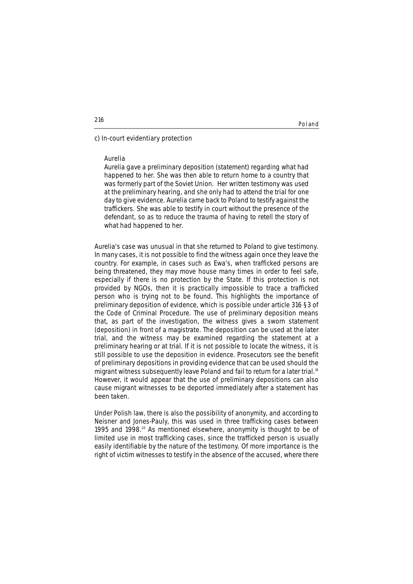#### **c) In-court evidentiary protection**

#### **Aurelia**

*Aurelia gave a preliminary deposition (statement) regarding what had happened to her. She was then able to return home to a country that was formerly part of the Soviet Union. Her written testimony was used at the preliminary hearing, and she only had to attend the trial for one day to give evidence. Aurelia came back to Poland to testify against the traffickers. She was able to testify in court without the presence of the defendant, so as to reduce the trauma of having to retell the story of what had happened to her.*

Aurelia's case was unusual in that she returned to Poland to give testimony. In many cases, it is not possible to find the witness again once they leave the country. For example, in cases such as Ewa's, when trafficked persons are being threatened, they may move house many times in order to feel safe, especially if there is no protection by the State. If this protection is not provided by NGOs, then it is practically impossible to trace a trafficked person who is trying not to be found. This highlights the importance of preliminary deposition of evidence, which is possible under article 316 §3 of the Code of Criminal Procedure. The use of preliminary deposition means that, as part of the investigation, the witness gives a sworn statement (deposition) in front of a magistrate. The deposition can be used at the later trial, and the witness may be examined regarding the statement at a preliminary hearing or at trial. If it is not possible to locate the witness, it is still possible to use the deposition in evidence. Prosecutors see the benefit of preliminary depositions in providing evidence that can be used should the migrant witness subsequently leave Poland and fail to return for a later trial.<sup>19</sup> However, it would appear that the use of preliminary depositions can also cause migrant witnesses to be deported immediately after a statement has been taken.

Under Polish law, there is also the possibility of anonymity, and according to Neisner and Jones-Pauly, this was used in three trafficking cases between 1995 and 1998.<sup>20</sup> As mentioned elsewhere, anonymity is thought to be of limited use in most trafficking cases, since the trafficked person is usually easily identifiable by the nature of the testimony. Of more importance is the right of victim witnesses to testify in the absence of the accused, where there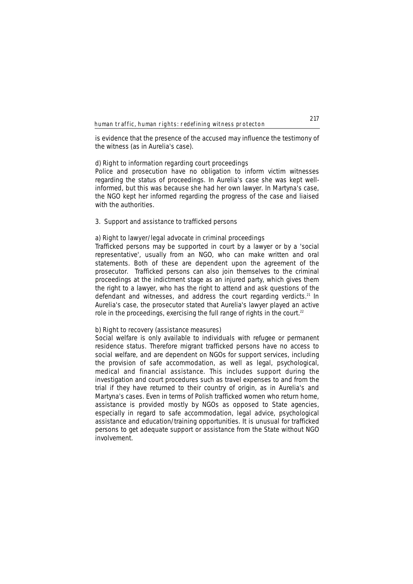is evidence that the presence of the accused may influence the testimony of the witness (as in Aurelia's case).

#### **d) Right to information regarding court proceedings**

Police and prosecution have no obligation to inform victim witnesses regarding the status of proceedings. In Aurelia's case she was kept wellinformed, but this was because she had her own lawyer. In Martyna's case, the NGO kept her informed regarding the progress of the case and liaised with the authorities.

#### **3. Support and assistance to trafficked persons**

#### **a) Right to lawyer/legal advocate in criminal proceedings**

Trafficked persons may be supported in court by a lawyer or by a 'social representative', usually from an NGO, who can make written and oral statements. Both of these are dependent upon the agreement of the prosecutor. Trafficked persons can also join themselves to the criminal proceedings at the indictment stage as an injured party, which gives them the right to a lawyer, who has the right to attend and ask questions of the defendant and witnesses, and address the court regarding verdicts.<sup>21</sup> In Aurelia's case, the prosecutor stated that Aurelia's lawyer played an active role in the proceedings, exercising the full range of rights in the court.<sup>22</sup>

### **b) Right to recovery (assistance measures)**

Social welfare is only available to individuals with refugee or permanent residence status. Therefore migrant trafficked persons have no access to social welfare, and are dependent on NGOs for support services, including the provision of safe accommodation, as well as legal, psychological, medical and financial assistance. This includes support during the investigation and court procedures such as travel expenses to and from the trial if they have returned to their country of origin, as in Aurelia's and Martyna's cases. Even in terms of Polish trafficked women who return home, assistance is provided mostly by NGOs as opposed to State agencies, especially in regard to safe accommodation, legal advice, psychological assistance and education/training opportunities. It is unusual for trafficked persons to get adequate support or assistance from the State without NGO involvement.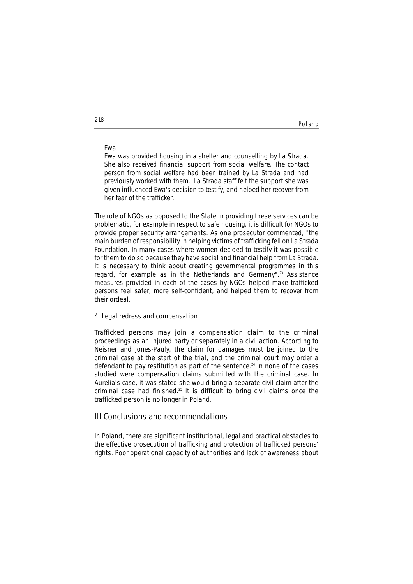#### **Ewa**

*Ewa was provided housing in a shelter and counselling by La Strada. She also received financial support from social welfare. The contact person from social welfare had been trained by La Strada and had previously worked with them. La Strada staff felt the support she was given influenced Ewa's decision to testify, and helped her recover from her fear of the trafficker.*

The role of NGOs as opposed to the State in providing these services can be problematic, for example in respect to safe housing, it is difficult for NGOs to provide proper security arrangements. As one prosecutor commented, "the main burden of responsibility in helping victims of trafficking fell on La Strada Foundation. In many cases where women decided to testify it was possible for them to do so because they have social and financial help from La Strada. It is necessary to think about creating governmental programmes in this regard, for example as in the Netherlands and Germany".<sup>23</sup> Assistance measures provided in each of the cases by NGOs helped make trafficked persons feel safer, more self-confident, and helped them to recover from their ordeal.

#### **4. Legal redress and compensation**

Trafficked persons may join a compensation claim to the criminal proceedings as an injured party or separately in a civil action. According to Neisner and Jones-Pauly, the claim for damages must be joined to the criminal case at the start of the trial, and the criminal court may order a defendant to pay restitution as part of the sentence.<sup>24</sup> In none of the cases studied were compensation claims submitted with the criminal case. In Aurelia's case, it was stated she would bring a separate civil claim after the criminal case had finished.25 It is difficult to bring civil claims once the trafficked person is no longer in Poland.

### **III Conclusions and recommendations**

In Poland, there are significant institutional, legal and practical obstacles to the effective prosecution of trafficking and protection of trafficked persons' rights. Poor operational capacity of authorities and lack of awareness about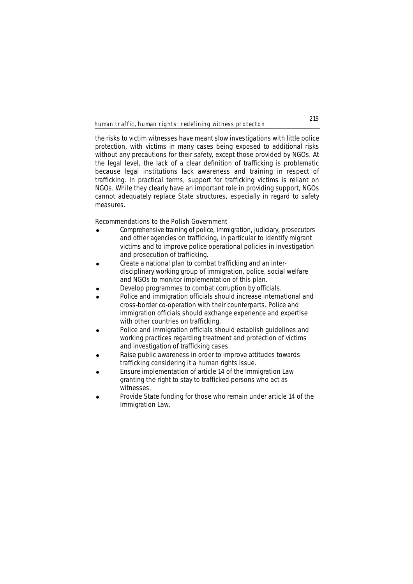the risks to victim witnesses have meant slow investigations with little police protection, with victims in many cases being exposed to additional risks without any precautions for their safety, except those provided by NGOs. At the legal level, the lack of a clear definition of trafficking is problematic because legal institutions lack awareness and training in respect of trafficking. In practical terms, support for trafficking victims is reliant on NGOs. While they clearly have an important role in providing support, NGOs cannot adequately replace State structures, especially in regard to safety measures.

### **Recommendations to the Polish Government**

- ! Comprehensive training of police, immigration, judiciary, prosecutors and other agencies on trafficking, in particular to identify migrant victims and to improve police operational policies in investigation and prosecution of trafficking.
- ! Create a national plan to combat trafficking and an interdisciplinary working group of immigration, police, social welfare and NGOs to monitor implementation of this plan.
- Develop programmes to combat corruption by officials.
- Police and immigration officials should increase international and cross-border co-operation with their counterparts. Police and immigration officials should exchange experience and expertise with other countries on trafficking.
- ! Police and immigration officials should establish guidelines and working practices regarding treatment and protection of victims and investigation of trafficking cases.
- Raise public awareness in order to improve attitudes towards trafficking considering it a human rights issue.
- Ensure implementation of article 14 of the Immigration Law granting the right to stay to trafficked persons who act as witnesses.
- Provide State funding for those who remain under article 14 of the Immigration Law.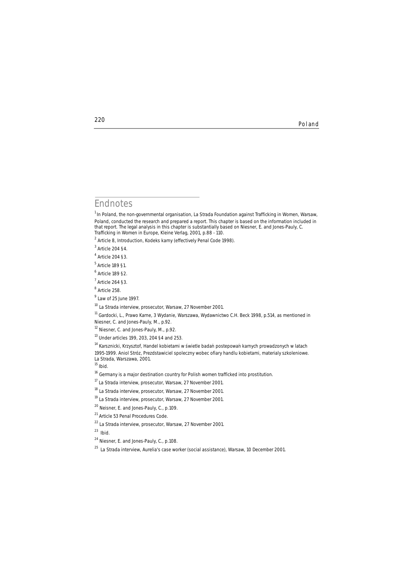## **Endnotes**

**220**

<sup>1</sup> In Poland, the non-governmental organisation, La Strada Foundation against Trafficking in Women, Warsaw, Poland, conducted the research and prepared a report. This chapter is based on the information included in that report. The legal analysis in this chapter is substantially based on Niesner, E. and Jones-Pauly, C. *Trafficking in Women in Europe*, Kleine Verlag, 2001, p.88 - 110.

<sup>2</sup> Article 8, Introduction, Kodeks karny (effectively Penal Code 1998).

 $3$  Article 204 §4.

 $<sup>4</sup>$  Article 204 §3.</sup>

<sup>5</sup> Article 189 §1.

 $<sup>6</sup>$  Article 189 §2.</sup>

 $<sup>7</sup>$  Article 264 §3.</sup>

<sup>8</sup> Article 258.

 $<sup>9</sup>$  Law of 25 June 1997.</sup>

<sup>10</sup> La Strada interview, prosecutor, Warsaw, 27 November 2001.

<sup>11</sup> Gardocki, L., Prawo Karne, 3 Wydanie, Warszawa, Wydawnictwo C.H. Beck 1998, p.514, as mentioned in Niesner, C. and Jones-Pauly, M., p.92.

<sup>12</sup> Niesner, C. and Jones-Pauly, M., p.92.

<sup>13</sup> Under articles 199, 203, 204 §4 and 253.

<sup>14</sup> Karsznicki, Krzysztof, Handel kobietami w świetle badań postepowań karnych prowadzonych w latach 1995-1999. Aniol Stróz, Prezdstawiciel spoleczny wobec ofiary handlu kobietami, materialy szkoleniowe.

La Strada, Warszawa, 2001.

<sup>15</sup> *Ibid.*

 $16$  Germany is a major destination country for Polish women trafficked into prostitution.

<sup>17</sup> La Strada interview, prosecutor, Warsaw, 27 November 2001.

<sup>18</sup> La Strada interview, prosecutor, Warsaw, 27 November 2001.

<sup>19</sup> La Strada interview, prosecutor, Warsaw, 27 November 2001.

<sup>20</sup> Neisner, E. and Jones-Pauly, C., p.109.

<sup>21</sup> Article 53 Penal Procedures Code.

 $22$  La Strada interview, prosecutor, Warsaw, 27 November 2001.

<sup>23</sup> *Ibid*.

<sup>24</sup> Niesner, E. and Jones-Pauly, C., p.108.

 $25$  La Strada interview, Aurelia's case worker (social assistance), Warsaw, 10 December 2001.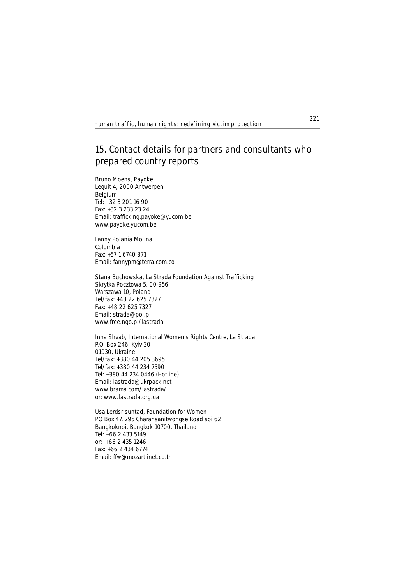# **15. Contact details for partners and consultants who prepared country reports**

#### **Bruno Moens, Payoke**

Leguit 4, 2000 Antwerpen Belgium Tel: +32 3 201 16 90 Fax: +32 3 233 23 24 Email: trafficking.payoke@yucom.be **www.payoke.yucom.be**

#### **Fanny Polania Molina**

Colombia Fax: +57 1 6740 871 Email: fannypm@terra.com.co

#### **Stana Buchowska, La Strada Foundation Against Trafficking**

Skrytka Pocztowa 5, 00-956 Warszawa 10, Poland Tel/fax: +48 22 625 7327 Fax: +48 22 625 7327 Email: strada@pol.pl **www.free.ngo.pl/lastrada**

#### **Inna Shvab, International Women's Rights Centre, La Strada**

P.O. Box 246, Kyiv 30 01030, Ukraine Tel/fax: +380 44 205 3695 Tel/fax: +380 44 234 7590 Tel: +380 44 234 0446 (Hotline) Email: lastrada@ukrpack.net **www.brama.com/lastrada/**  or: **www.lastrada.org.ua**

### **Usa Lerdsrisuntad, Foundation for Women**

PO Box 47, 295 Charansanitwongse Road soi 62 Bangkoknoi, Bangkok 10700, Thailand Tel: +66 2 433 5149 or: +66 2 435 1246 Fax: +66 2 434 6774 Email: ffw@mozart.inet.co.th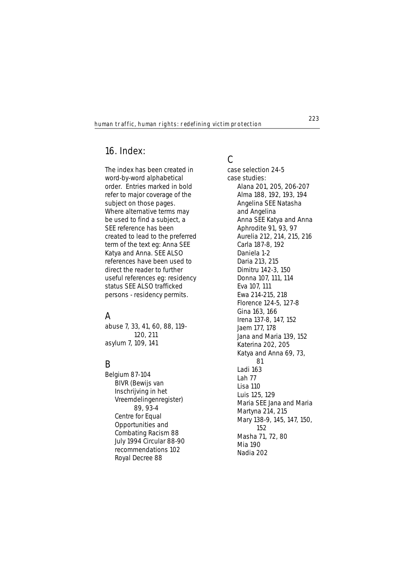# **16. Index:**

The index has been created in word-by-word alphabetical order. Entries marked in bold refer to major coverage of the subject on those pages. Where alternative terms may be used to find a subject, a **SEE** reference has been created to lead to the preferred term of the text eg: Anna **SEE** Katya and Anna. **SEE ALSO** references have been used to direct the reader to further useful references eg: residency status **SEE ALSO** trafficked persons - residency permits.

# **A**

abuse 7, 33, 41, 60, 88, 119- 120, 211 asylum 7, 109, 141

# **B**

Belgium **87-104** BIVR (Bewijs van Inschrijving in het Vreemdelingenregister) 89, 93-4 Centre for Equal Opportunities and Combating Racism 88 July 1994 Circular 88-90 recommendations **102** Royal Decree 88

# **C**

case selection **24-5** case studies: Alana 201, 205, 206-207 Alma 188, 192, 193, 194 Angelina **SEE** Natasha and Angelina Anna **SEE** Katya and Anna Aphrodite 91, 93, 97 Aurelia 212, 214, 215, 216 Carla 187-8, 192 Daniela 1-2 Daria 213, 215 Dimitru 142-3, 150 Donna 107, 111, 114 Eva 107, 111 Ewa 214-215, 218 Florence 124-5, 127-8 Gina 163, 166 Irena 137-8, 147, 152 Jaem 177, 178 Jana and Maria 139, 152 Katerina 202, 205 Katya and Anna 69, 73, 81 Ladi 163 Lah 77 Lisa 110 Luis 125, 129 Maria **SEE** Jana and Maria Martyna 214, 215 Mary 138-9, 145, 147, 150, 152 Masha 71, 72, 80 Mia 190 Nadia 202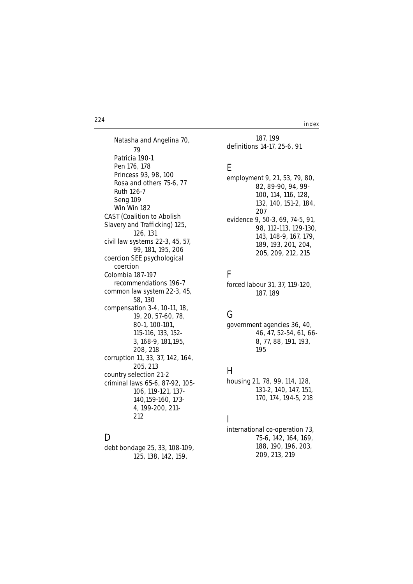**224** index

Natasha and Angelina 70, 79 Patricia 190-1 Pen 176, 178 Princess 93, 98, 100 Rosa and others 75-6, 77 Ruth 126-7 Seng 109 Win Win 182 CAST (Coalition to Abolish Slavery and Trafficking) 125, 126, 131 civil law systems 22-3, 45, 57, 99, 181, 195, 206 coercion **SEE** psychological coercion Colombia **187-197** recommendations **196-7** common law system 22-3, 45, 58, 130 compensation 3-4, **10-11**, 18, 19, 20, **57-60**, 78, 80-1, 100-101, 115-116, 133, 152- 3, 168-9, 181,195, 208, 218 corruption 11, 33, 37, 142, 164, 205, 213 country selection **21-2** criminal laws 65-6, 87-92, 105- 106, 119-121, 137- 140,159-160, 173- 4, 199-200, 211- 212

## **D**

debt bondage 25, 33, 108-109, 125, 138, 142, 159,

187, 199 definitions 14-17, **25-6,** 91

## **E**

employment 9, 21, 53, 79, 80, 82, 89-90, 94, 99- 100, 114, 116, 128, 132, 140, 151-2, 184, 207 evidence 9, 50-3, 69, 74-5, 91, 98, 112-113, 129-130, 143, 148-9, 167, 179, 189, 193, 201, 204, 205, 209, 212, 215

# **F**

forced labour 31, 37, 119-120, 187, 189

# **G**

government agencies 36, 40, 46, 47, 52-54, 61, 66- 8, 77, 88, 191, 193, 195

# **H**

housing 21, 78, 99, 114, 128, 131-2, 140, 147, 151, 170, 174, 194-5, 218

# **I**

international co-operation 73, 75-6, 142, 164, 169, 188, 190, 196, 203, 209, 213, 219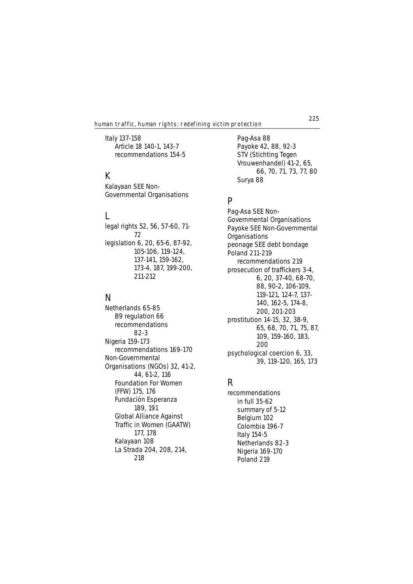Italy **137-158** Article 18 140-1, **143-7** recommendations **154-5**

## **K**

Kalayaan **SEE** Non-Governmental Organisations

# **L**

legal rights 52, 56, **57-60,** 71- 72 legislation 6, 20, 65-6, 87-92, 105-106, 119-124, 137-141, 159-162, 173-4, 187, 199-200, 211-212

# **N**

Netherlands **65-85** B9 regulation 66 recommendations **82-3** Nigeria **159-173** recommendations **169-170** Non-Governmental Organisations (NGOs) 32, 41-2, 44, 61-2, 116 Foundation For Women (FFW) 175, 176 Fundación Esperanza 189, 191 Global Alliance Against Traffic in Women (GAATW) 177, 178 Kalayaan 108 La Strada 204, 208, 214, 218

Pag-Asa 88 Payoke 42, 88, 92-3 STV (Stichting Tegen Vrouwenhandel) 41-2, 65, 66, 70, 71, 73, 77, 80 Surya 88

# **P**

Pag-Asa **SEE** Non-Governmental Organisations Payoke **SEE** Non-Governmental **Organisations** peonage **SEE** debt bondage Poland **211-219** recommendations **219** prosecution of traffickers 3-4, 6, 20, 37-40, 68-70, 88, 90-2, 106-109, 119-121, 124-7, 137- 140, 162-5, 174-8, 200, 201-203 prostitution 14-15, 32, 38-9, 65, 68, 70, 71, 75, 87, 109, 159-160, 183, 200 psychological coercion 6, 33, 39, 119-120, 165, 173

# **R**

recommendations in full **35-62** summary **of 5-12** Belgium **102** Colombia **196-7** Italy **154-5** Netherlands **82-3** Nigeria **169-170** Poland **219**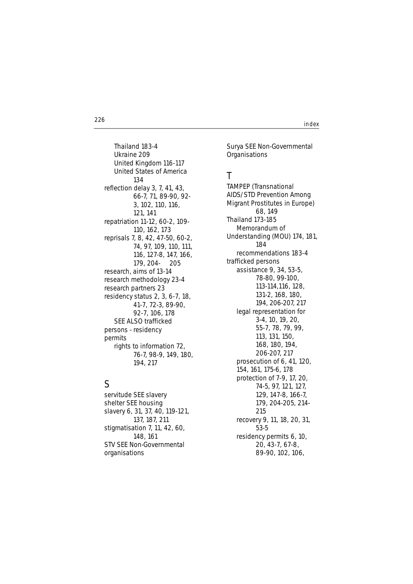**226** index

Thailand **183-4** Ukraine **209** United Kingdom **116-117** United States of America **134** reflection delay 3, 7, 41, 43, 66-7, 71, 89-90, 92- 3, 102, 110, 116, 121, 141 repatriation **11-12, 60-2,** 109- 110, 162, 173 reprisals 7, 8, 42, 47-50, 60-2, 74, 97, 109, 110, 111, 116, 127-8, 147, 166, 179, 204- 205 research, aims of **13-14** research methodology **23-4** research partners 23 residency status 2, 3, **6-7**, 18, **41-7**, 72-3, 89-90, **92-7**, 106, 178 **SEE ALSO** trafficked persons - residency permits rights to information 72, 76-7, 98-9, 149, 180, 194, 217

## **S**

servitude **SEE** slavery shelter **SEE** housing slavery 6, 31, 37, 40, **119-121**, 137, 187, 211 stigmatisation 7, 11, 42, 60, 148, 161 STV **SEE** Non-Governmental organisations

Surya **SEE** Non-Governmental **Organisations** 

## **T**

TAMPEP (Transnational AIDS/STD Prevention Among Migrant Prostitutes in Europe) 68, 149 Thailand **173-185** Memorandum of Understanding (MOU) 174, 181, 184 recommendations **183-4** trafficked persons assistance 9, 34, **53-5**, 78-80, 99-100, 113-114,116, 128, 131-2, 168, 180, 194, 206-207, 217 legal representation for 3-4, **10**, 19, 20, **55-7**, 78, 79, 99, 113, 131, 150, 168, 180, 194, 206-207, 217 prosecution of 6, 41, 120, 154, 161, 175-6, 178 protection of **7-9**, 17, 20, 74-5, 97, 121, 127, 129, 147-8, 166-7, 179, 204-205, 214- 215 recovery **9**, 11, 18, 20, 31, 53-5 residency permits 6, 10, 20, **43-7**, **67-8**, **89-90**, 102, 106,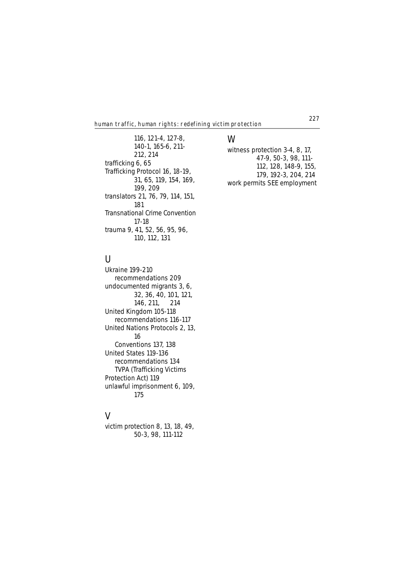116, **121-4**, 127-8, **140-1**, 165-6, 211- 212, 214 trafficking 6, 65 Trafficking Protocol 16, **18-19**, 31, 65, 119, 154, 169, 199, 209 translators 21, 76, 79, 114, 151, 181 Transnational Crime Convention **17-18** trauma 9, 41, 52, 56, 95, 96, 110, 112, 131

witness protection 3-4, **8**, 17, 47-9, **50-3**, 98, 111- 112, 128, 148-9, 155, 179, 192-3, 204, 214 work permits **SEE** employment

**W**

## **U**

Ukraine **199-210** recommendations **209** undocumented migrants 3, 6, 32, 36, 40, 101, 121, 146, 211, 214 United Kingdom **105-118** recommendations **116-117** United Nations Protocols 2, 13, 16 Conventions 137, 138 United States **119-136** recommendations **134** TVPA (Trafficking Victims Protection Act) 119 unlawful imprisonment 6, 109, 175

## **V**

victim protection 8, 13, 18, 49, **50-3**, 98, 111-112